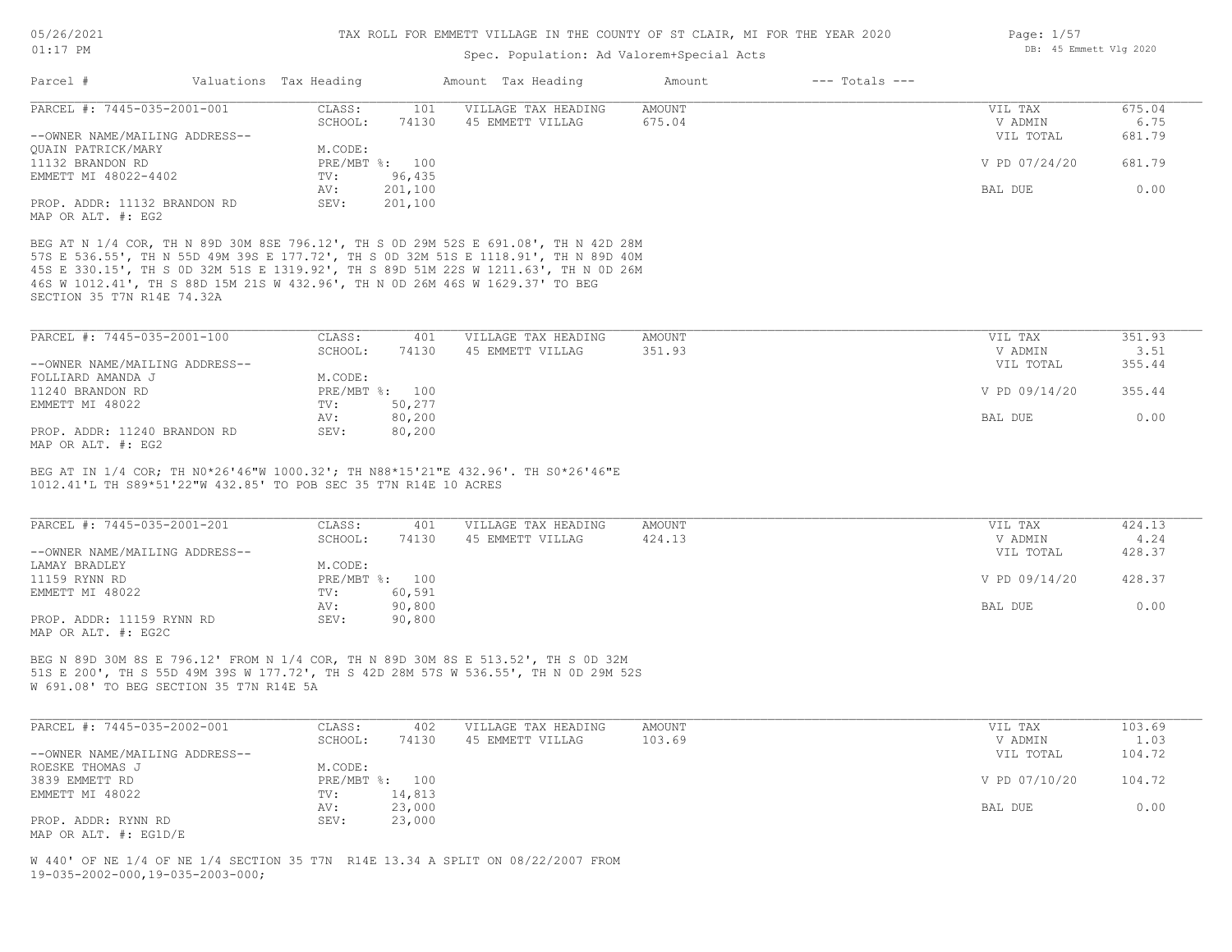### Spec. Population: Ad Valorem+Special Acts

| Page: $1/57$ |                        |  |
|--------------|------------------------|--|
|              | DB: 45 Emmett Vlg 2020 |  |

| Parcel #                       | Valuations Tax Heading |                | Amount Tax Heading  | Amount | $---$ Totals $---$ |               |        |
|--------------------------------|------------------------|----------------|---------------------|--------|--------------------|---------------|--------|
| PARCEL #: 7445-035-2001-001    | CLASS:                 | 101            | VILLAGE TAX HEADING | AMOUNT |                    | VIL TAX       | 675.04 |
|                                | SCHOOL:                | 74130          | 45 EMMETT VILLAG    | 675.04 |                    | V ADMIN       | 6.75   |
| --OWNER NAME/MAILING ADDRESS-- |                        |                |                     |        |                    | VIL TOTAL     | 681.79 |
| OUAIN PATRICK/MARY             | M.CODE:                |                |                     |        |                    |               |        |
| 11132 BRANDON RD               |                        | PRE/MBT %: 100 |                     |        |                    | V PD 07/24/20 | 681.79 |
| EMMETT MI 48022-4402           | TV:                    | 96,435         |                     |        |                    |               |        |
|                                | AV:                    | 201,100        |                     |        |                    | BAL DUE       | 0.00   |
| PROP. ADDR: 11132 BRANDON RD   | SEV:                   | 201,100        |                     |        |                    |               |        |
| MAP OR ALT. #: EG2             |                        |                |                     |        |                    |               |        |

SECTION 35 T7N R14E 74.32A 46S W 1012.41', TH S 88D 15M 21S W 432.96', TH N 0D 26M 46S W 1629.37' TO BEG 45S E 330.15', TH S 0D 32M 51S E 1319.92', TH S 89D 51M 22S W 1211.63', TH N 0D 26M 57S E 536.55', TH N 55D 49M 39S E 177.72', TH S 0D 32M 51S E 1118.91', TH N 89D 40M BEG AT N 1/4 COR, TH N 89D 30M 8SE 796.12', TH S 0D 29M 52S E 691.08', TH N 42D 28M

| PARCEL #: 7445-035-2001-100    | CLASS:  | 401            | VILLAGE TAX HEADING | AMOUNT | VIL TAX       | 351.93 |
|--------------------------------|---------|----------------|---------------------|--------|---------------|--------|
|                                | SCHOOL: | 74130          | 45 EMMETT VILLAG    | 351.93 | V ADMIN       | 3.51   |
| --OWNER NAME/MAILING ADDRESS-- |         |                |                     |        | VIL TOTAL     | 355.44 |
| FOLLIARD AMANDA J              | M.CODE: |                |                     |        |               |        |
| 11240 BRANDON RD               |         | PRE/MBT %: 100 |                     |        | V PD 09/14/20 | 355.44 |
| EMMETT MI 48022                | TV:     | 50,277         |                     |        |               |        |
|                                | AV:     | 80,200         |                     |        | BAL DUE       | 0.00   |
| PROP. ADDR: 11240 BRANDON RD   | SEV:    | 80,200         |                     |        |               |        |
|                                |         |                |                     |        |               |        |

MAP OR ALT. #: EG2

1012.41'L TH S89\*51'22"W 432.85' TO POB SEC 35 T7N R14E 10 ACRES BEG AT IN 1/4 COR; TH N0\*26'46"W 1000.32'; TH N88\*15'21"E 432.96'. TH S0\*26'46"E

| PARCEL #: 7445-035-2001-201                      | CLASS:  | 401            | VILLAGE TAX HEADING | AMOUNT | VIL TAX       | 424.13 |
|--------------------------------------------------|---------|----------------|---------------------|--------|---------------|--------|
|                                                  | SCHOOL: | 74130          | 45 EMMETT VILLAG    | 424.13 | V ADMIN       | 4.24   |
| --OWNER NAME/MAILING ADDRESS--                   |         |                |                     |        | VIL TOTAL     | 428.37 |
| LAMAY BRADLEY                                    | M.CODE: |                |                     |        |               |        |
| 11159 RYNN RD                                    |         | PRE/MBT %: 100 |                     |        | V PD 09/14/20 | 428.37 |
| EMMETT MI 48022                                  | TV:     | 60,591         |                     |        |               |        |
|                                                  | AV:     | 90,800         |                     |        | BAL DUE       | 0.00   |
| PROP. ADDR: 11159 RYNN RD<br>MAP OR ALT. #: EG2C | SEV:    | 90,800         |                     |        |               |        |

W 691.08' TO BEG SECTION 35 T7N R14E 5A 51S E 200', TH S 55D 49M 39S W 177.72', TH S 42D 28M 57S W 536.55', TH N 0D 29M 52S BEG N 89D 30M 8S E 796.12' FROM N 1/4 COR, TH N 89D 30M 8S E 513.52', TH S 0D 32M

| PARCEL #: 7445-035-2002-001    | CLASS:  | 402            | VILLAGE TAX HEADING | AMOUNT | VIL TAX       | 103.69 |
|--------------------------------|---------|----------------|---------------------|--------|---------------|--------|
|                                | SCHOOL: | 74130          | 45 EMMETT VILLAG    | 103.69 | V ADMIN       | 1.03   |
| --OWNER NAME/MAILING ADDRESS-- |         |                |                     |        | VIL TOTAL     | 104.72 |
| ROESKE THOMAS J                | M.CODE: |                |                     |        |               |        |
| 3839 EMMETT RD                 |         | PRE/MBT %: 100 |                     |        | V PD 07/10/20 | 104.72 |
| EMMETT MI 48022                | TV:     | 14,813         |                     |        |               |        |
|                                | AV:     | 23,000         |                     |        | BAL DUE       | 0.00   |
| PROP. ADDR: RYNN RD            | SEV:    | 23,000         |                     |        |               |        |
| MAP OR ALT. #: EG1D/E          |         |                |                     |        |               |        |

19-035-2002-000,19-035-2003-000; W 440' OF NE 1/4 OF NE 1/4 SECTION 35 T7N R14E 13.34 A SPLIT ON 08/22/2007 FROM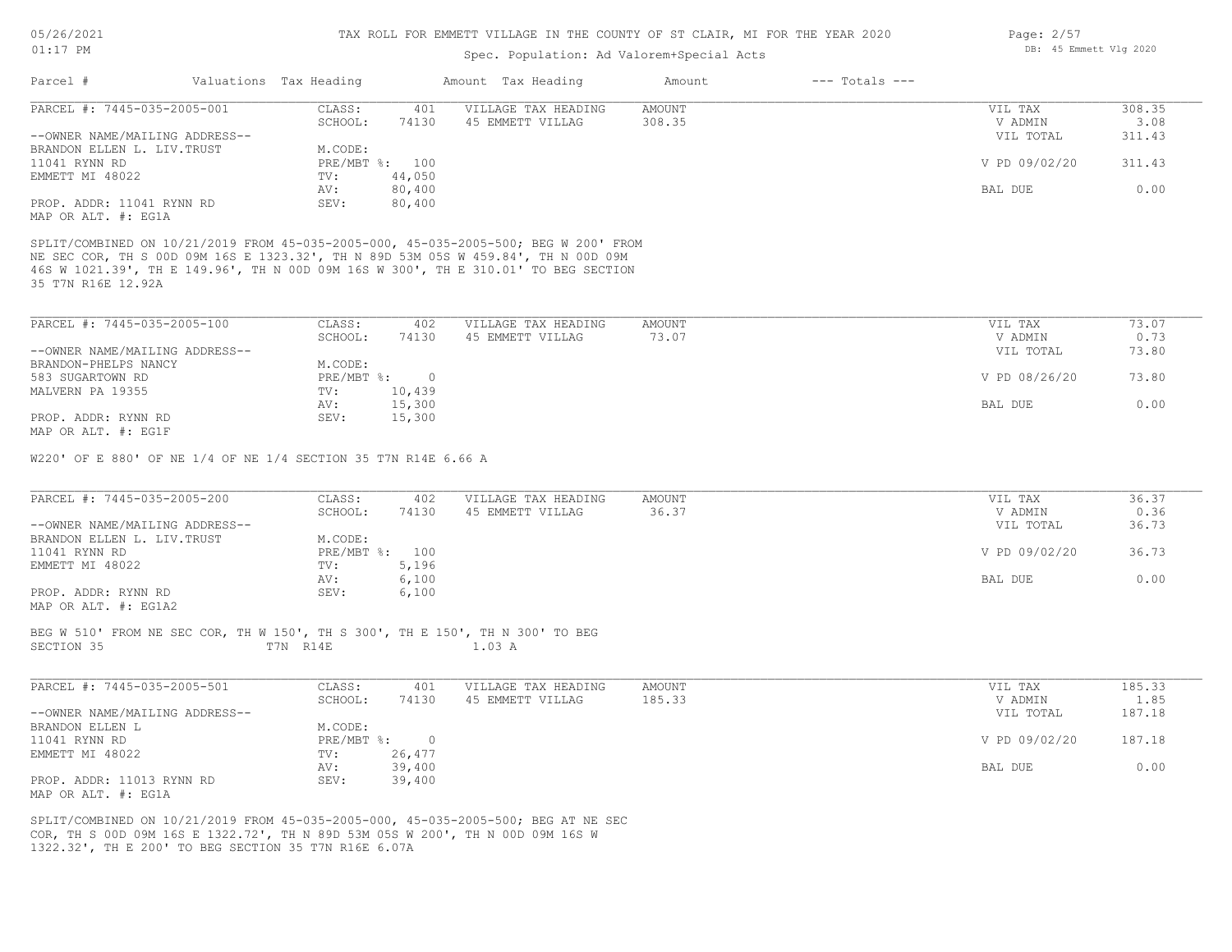Page: 2/57

DB: 45 Emmett Vlg 2020

# Spec. Population: Ad Valorem+Special Acts

| Parcel #<br>Valuations Tax Heading<br>PARCEL #: 7445-035-2005-001                                                                                                                                                                                                                                                                                                       |                       |                | Amount Tax Heading                      | Amount                 | $---$ Totals $---$ |               |
|-------------------------------------------------------------------------------------------------------------------------------------------------------------------------------------------------------------------------------------------------------------------------------------------------------------------------------------------------------------------------|-----------------------|----------------|-----------------------------------------|------------------------|--------------------|---------------|
|                                                                                                                                                                                                                                                                                                                                                                         |                       |                |                                         |                        |                    |               |
|                                                                                                                                                                                                                                                                                                                                                                         | CLASS:                | 401            | VILLAGE TAX HEADING                     | <b>AMOUNT</b>          | VIL TAX            | 308.35        |
|                                                                                                                                                                                                                                                                                                                                                                         | SCHOOL:               | 74130          | 45 EMMETT VILLAG                        | 308.35                 | V ADMIN            | 3.08          |
| --OWNER NAME/MAILING ADDRESS--                                                                                                                                                                                                                                                                                                                                          |                       |                |                                         |                        | VIL TOTAL          | 311.43        |
| BRANDON ELLEN L. LIV. TRUST                                                                                                                                                                                                                                                                                                                                             | M.CODE:               |                |                                         |                        |                    |               |
| 11041 RYNN RD                                                                                                                                                                                                                                                                                                                                                           | PRE/MBT %: 100        |                |                                         |                        | V PD 09/02/20      | 311.43        |
| EMMETT MI 48022                                                                                                                                                                                                                                                                                                                                                         | TV:                   | 44,050         |                                         |                        |                    |               |
|                                                                                                                                                                                                                                                                                                                                                                         | AV:                   | 80,400         |                                         |                        | BAL DUE            | 0.00          |
| PROP. ADDR: 11041 RYNN RD                                                                                                                                                                                                                                                                                                                                               | SEV:                  | 80,400         |                                         |                        |                    |               |
| MAP OR ALT. #: EG1A                                                                                                                                                                                                                                                                                                                                                     |                       |                |                                         |                        |                    |               |
| SPLIT/COMBINED ON 10/21/2019 FROM 45-035-2005-000, 45-035-2005-500; BEG W 200' FROM<br>NE SEC COR, TH S 00D 09M 16S E 1323.32', TH N 89D 53M 05S W 459.84', TH N 00D 09M<br>46S W 1021.39', TH E 149.96', TH N 00D 09M 16S W 300', TH E 310.01' TO BEG SECTION<br>35 T7N R16E 12.92A                                                                                    |                       |                |                                         |                        |                    |               |
| PARCEL #: 7445-035-2005-100                                                                                                                                                                                                                                                                                                                                             | CLASS:                | 402            | VILLAGE TAX HEADING                     | AMOUNT                 | VIL TAX            | 73.07         |
|                                                                                                                                                                                                                                                                                                                                                                         | SCHOOL:               | 74130          | 45 EMMETT VILLAG                        | 73.07                  | V ADMIN            | 0.73          |
| --OWNER NAME/MAILING ADDRESS--                                                                                                                                                                                                                                                                                                                                          |                       |                |                                         |                        | VIL TOTAL          | 73.80         |
| BRANDON-PHELPS NANCY                                                                                                                                                                                                                                                                                                                                                    | M.CODE:               |                |                                         |                        |                    |               |
| 583 SUGARTOWN RD                                                                                                                                                                                                                                                                                                                                                        | PRE/MBT %: 0          |                |                                         |                        | V PD 08/26/20      | 73.80         |
| MALVERN PA 19355                                                                                                                                                                                                                                                                                                                                                        | TV:                   |                |                                         |                        |                    |               |
|                                                                                                                                                                                                                                                                                                                                                                         |                       | 10,439         |                                         |                        |                    |               |
|                                                                                                                                                                                                                                                                                                                                                                         |                       |                |                                         |                        |                    |               |
|                                                                                                                                                                                                                                                                                                                                                                         | AV:                   | 15,300         |                                         |                        | BAL DUE            | 0.00          |
|                                                                                                                                                                                                                                                                                                                                                                         | SEV:                  | 15,300         |                                         |                        |                    |               |
|                                                                                                                                                                                                                                                                                                                                                                         |                       |                |                                         |                        |                    |               |
| PROP. ADDR: RYNN RD<br>MAP OR ALT. #: EG1F<br>W220' OF E 880' OF NE 1/4 OF NE 1/4 SECTION 35 T7N R14E 6.66 A<br>PARCEL #: 7445-035-2005-200                                                                                                                                                                                                                             | CLASS:<br>SCHOOL:     | 402<br>74130   | VILLAGE TAX HEADING<br>45 EMMETT VILLAG | <b>AMOUNT</b><br>36.37 | VIL TAX<br>V ADMIN | 36.37<br>0.36 |
|                                                                                                                                                                                                                                                                                                                                                                         |                       |                |                                         |                        | VIL TOTAL          | 36.73         |
|                                                                                                                                                                                                                                                                                                                                                                         | M.CODE:               |                |                                         |                        |                    |               |
|                                                                                                                                                                                                                                                                                                                                                                         |                       |                |                                         |                        |                    |               |
|                                                                                                                                                                                                                                                                                                                                                                         | PRE/MBT %: 100<br>TV: | 5,196          |                                         |                        | V PD 09/02/20      | 36.73         |
|                                                                                                                                                                                                                                                                                                                                                                         |                       |                |                                         |                        |                    |               |
|                                                                                                                                                                                                                                                                                                                                                                         | AV:                   | 6,100          |                                         |                        | BAL DUE            | 0.00          |
|                                                                                                                                                                                                                                                                                                                                                                         | SEV:                  | 6,100          |                                         |                        |                    |               |
|                                                                                                                                                                                                                                                                                                                                                                         |                       |                |                                         |                        |                    |               |
|                                                                                                                                                                                                                                                                                                                                                                         | T7N R14E              |                | 1.03 A                                  |                        |                    |               |
|                                                                                                                                                                                                                                                                                                                                                                         | CLASS:                | 401            |                                         | AMOUNT                 | VIL TAX            | 185.33        |
|                                                                                                                                                                                                                                                                                                                                                                         |                       |                | VILLAGE TAX HEADING                     |                        |                    |               |
|                                                                                                                                                                                                                                                                                                                                                                         | SCHOOL:               | 74130          | 45 EMMETT VILLAG                        | 185.33                 | V ADMIN            | 1.85          |
|                                                                                                                                                                                                                                                                                                                                                                         |                       |                |                                         |                        | VIL TOTAL          | 187.18        |
|                                                                                                                                                                                                                                                                                                                                                                         | M.CODE:               |                |                                         |                        |                    |               |
|                                                                                                                                                                                                                                                                                                                                                                         | $PRE/MBT$ $\div$ :    | $\overline{0}$ |                                         |                        | V PD 09/02/20      | 187.18        |
|                                                                                                                                                                                                                                                                                                                                                                         | TV:                   | 26,477         |                                         |                        |                    |               |
| --OWNER NAME/MAILING ADDRESS--<br>BRANDON ELLEN L. LIV. TRUST<br>11041 RYNN RD<br>EMMETT MI 48022<br>PROP. ADDR: RYNN RD<br>MAP OR ALT. #: EG1A2<br>BEG W 510' FROM NE SEC COR, TH W 150', TH S 300', TH E 150', TH N 300' TO BEG<br>SECTION 35<br>PARCEL #: 7445-035-2005-501<br>--OWNER NAME/MAILING ADDRESS--<br>BRANDON ELLEN L<br>11041 RYNN RD<br>EMMETT MI 48022 | AV:                   | 39,400         |                                         |                        | BAL DUE            | 0.00          |
| PROP. ADDR: 11013 RYNN RD                                                                                                                                                                                                                                                                                                                                               | SEV:                  | 39,400         |                                         |                        |                    |               |

1322.32', TH E 200' TO BEG SECTION 35 T7N R16E 6.07A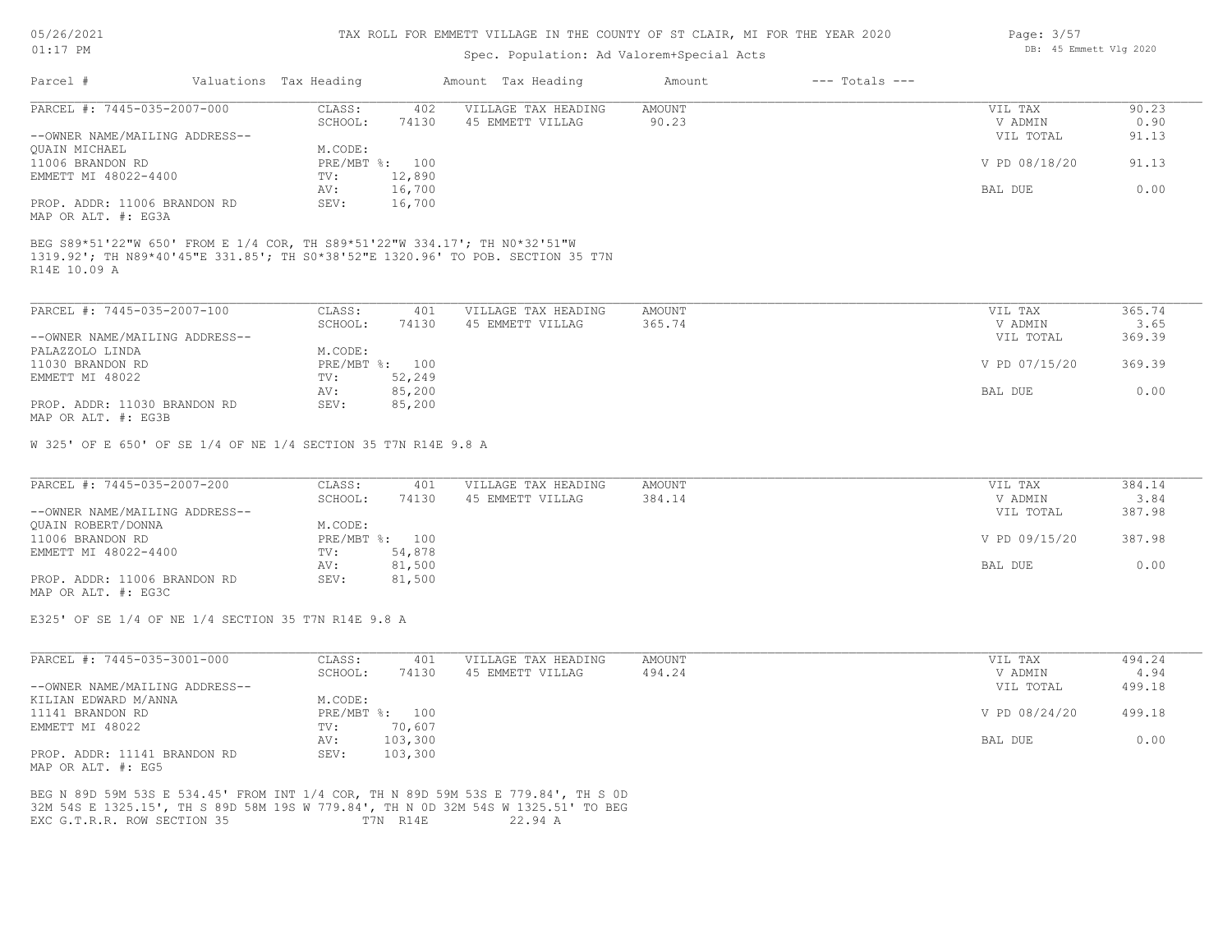| 5/26/2021 |  |
|-----------|--|
|           |  |

### Spec. Population: Ad Valorem+Special Acts

| Parcel #                       | Valuations Tax Heading |                | Amount Tax Heading  | Amount | $---$ Totals $---$ |               |       |
|--------------------------------|------------------------|----------------|---------------------|--------|--------------------|---------------|-------|
| PARCEL #: 7445-035-2007-000    | CLASS:                 | 402            | VILLAGE TAX HEADING | AMOUNT |                    | VIL TAX       | 90.23 |
|                                | SCHOOL:                | 74130          | 45 EMMETT VILLAG    | 90.23  |                    | V ADMIN       | 0.90  |
| --OWNER NAME/MAILING ADDRESS-- |                        |                |                     |        |                    | VIL TOTAL     | 91.13 |
| <b>OUAIN MICHAEL</b>           | M.CODE:                |                |                     |        |                    |               |       |
| 11006 BRANDON RD               |                        | PRE/MBT %: 100 |                     |        |                    | V PD 08/18/20 | 91.13 |
| EMMETT MI 48022-4400           | TV:                    | 12,890         |                     |        |                    |               |       |
|                                | AV:                    | 16,700         |                     |        |                    | BAL DUE       | 0.00  |
| PROP. ADDR: 11006 BRANDON RD   | SEV:                   | 16,700         |                     |        |                    |               |       |
| MAP OR ALT. #: EG3A            |                        |                |                     |        |                    |               |       |

R14E 10.09 A

| PARCEL #: 7445-035-2007-100    | CLASS:       | 401    | VILLAGE TAX HEADING | AMOUNT | VIL TAX       | 365.74 |
|--------------------------------|--------------|--------|---------------------|--------|---------------|--------|
|                                | SCHOOL:      | 74130  | 45 EMMETT VILLAG    | 365.74 | V ADMIN       | 3.65   |
| --OWNER NAME/MAILING ADDRESS-- |              |        |                     |        | VIL TOTAL     | 369.39 |
| PALAZZOLO LINDA                | M.CODE:      |        |                     |        |               |        |
| 11030 BRANDON RD               | $PRE/MBT$ %: | 100    |                     |        | V PD 07/15/20 | 369.39 |
| EMMETT MI 48022                | TV:          | 52,249 |                     |        |               |        |
|                                | AV:          | 85,200 |                     |        | BAL DUE       | 0.00   |
| PROP. ADDR: 11030 BRANDON RD   | SEV:         | 85,200 |                     |        |               |        |
| MAP OR ALT. #: EG3B            |              |        |                     |        |               |        |

 $\mathcal{L}_\mathcal{L} = \mathcal{L}_\mathcal{L} = \mathcal{L}_\mathcal{L} = \mathcal{L}_\mathcal{L} = \mathcal{L}_\mathcal{L} = \mathcal{L}_\mathcal{L} = \mathcal{L}_\mathcal{L} = \mathcal{L}_\mathcal{L} = \mathcal{L}_\mathcal{L} = \mathcal{L}_\mathcal{L} = \mathcal{L}_\mathcal{L} = \mathcal{L}_\mathcal{L} = \mathcal{L}_\mathcal{L} = \mathcal{L}_\mathcal{L} = \mathcal{L}_\mathcal{L} = \mathcal{L}_\mathcal{L} = \mathcal{L}_\mathcal{L}$ 

W 325' OF E 650' OF SE 1/4 OF NE 1/4 SECTION 35 T7N R14E 9.8 A

| PARCEL #: 7445-035-2007-200    | CLASS:  | 401            | VILLAGE TAX HEADING | AMOUNT | VIL TAX       | 384.14 |
|--------------------------------|---------|----------------|---------------------|--------|---------------|--------|
|                                | SCHOOL: | 74130          | 45 EMMETT VILLAG    | 384.14 | V ADMIN       | 3.84   |
| --OWNER NAME/MAILING ADDRESS-- |         |                |                     |        | VIL TOTAL     | 387.98 |
| QUAIN ROBERT/DONNA             | M.CODE: |                |                     |        |               |        |
| 11006 BRANDON RD               |         | PRE/MBT %: 100 |                     |        | V PD 09/15/20 | 387.98 |
| EMMETT MI 48022-4400           | TV:     | 54,878         |                     |        |               |        |
|                                | AV:     | 81,500         |                     |        | BAL DUE       | 0.00   |
| PROP. ADDR: 11006 BRANDON RD   | SEV:    | 81,500         |                     |        |               |        |
| MAP OR ALT. #: EG3C            |         |                |                     |        |               |        |

E325' OF SE 1/4 OF NE 1/4 SECTION 35 T7N R14E 9.8 A

| PARCEL #: 7445-035-3001-000    | CLASS:     | 401     | VILLAGE TAX HEADING | AMOUNT | 494.24<br>VIL TAX       |
|--------------------------------|------------|---------|---------------------|--------|-------------------------|
|                                | SCHOOL:    | 74130   | 45 EMMETT VILLAG    | 494.24 | 4.94<br>V ADMIN         |
| --OWNER NAME/MAILING ADDRESS-- |            |         |                     |        | 499.18<br>VIL TOTAL     |
| KILIAN EDWARD M/ANNA           | M.CODE:    |         |                     |        |                         |
| 11141 BRANDON RD               | PRE/MBT %: | 100     |                     |        | V PD 08/24/20<br>499.18 |
| EMMETT MI 48022                | TV:        | 70,607  |                     |        |                         |
|                                | AV:        | 103,300 |                     |        | 0.00<br>BAL DUE         |
| PROP. ADDR: 11141 BRANDON RD   | SEV:       | 103,300 |                     |        |                         |
| MAP OR ALT. #: EG5             |            |         |                     |        |                         |

EXC G.T.R.R. ROW SECTION 35 T7N R14E 22.94 A 32M 54S E 1325.15', TH S 89D 58M 19S W 779.84', TH N 0D 32M 54S W 1325.51' TO BEG BEG N 89D 59M 53S E 534.45' FROM INT 1/4 COR, TH N 89D 59M 53S E 779.84', TH S 0D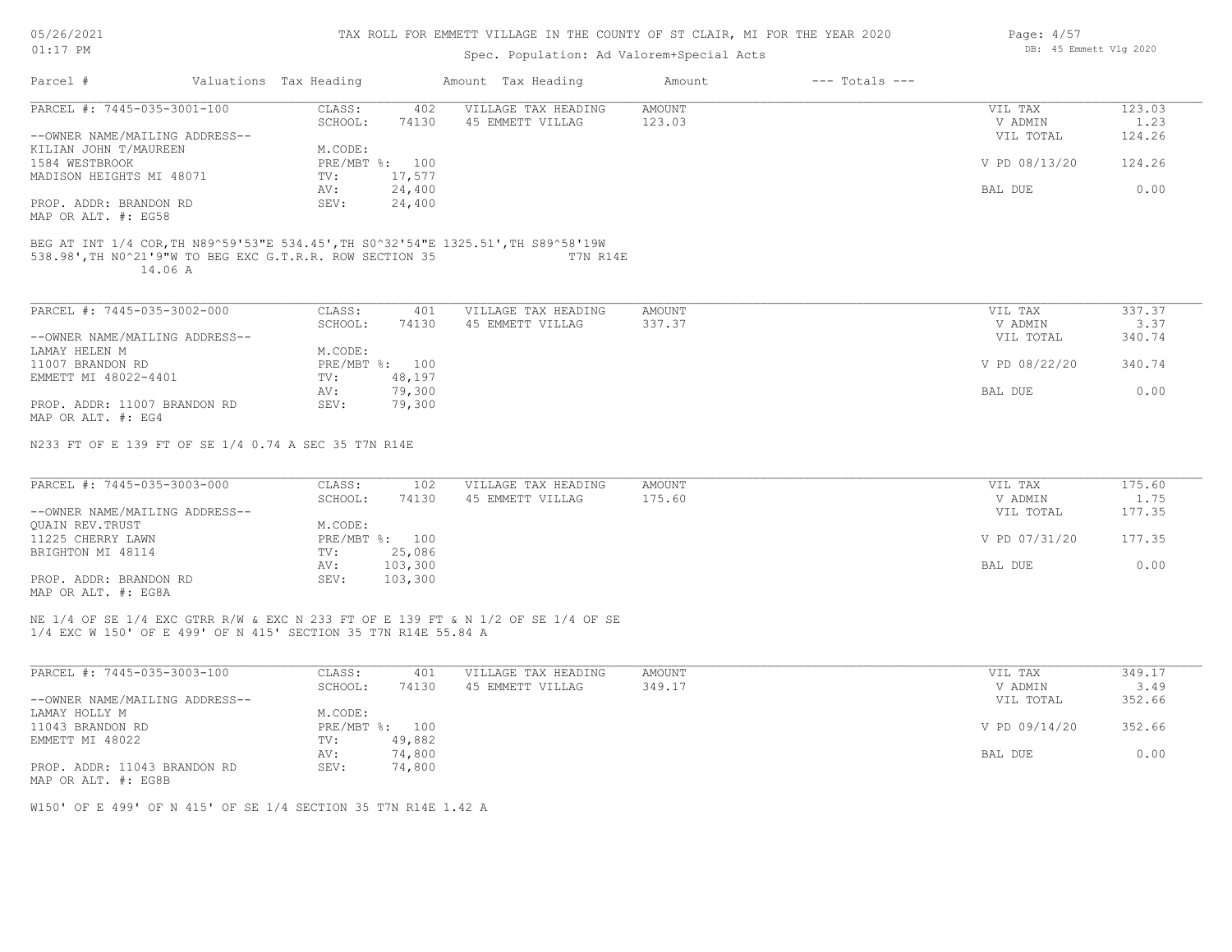| 05/26/2021 |  |
|------------|--|
|------------|--|

| $01:17$ PM                                                     |         |                        |                | Spec. Population: Ad Valorem+Special Acts                                                     | DB: 45 Emmett Vlg 2020 |                    |               |        |
|----------------------------------------------------------------|---------|------------------------|----------------|-----------------------------------------------------------------------------------------------|------------------------|--------------------|---------------|--------|
| Parcel #                                                       |         | Valuations Tax Heading |                | Amount Tax Heading                                                                            | Amount                 | $---$ Totals $---$ |               |        |
| PARCEL #: 7445-035-3001-100                                    |         | CLASS:                 | 402            | VILLAGE TAX HEADING                                                                           | AMOUNT                 |                    | VIL TAX       | 123.03 |
|                                                                |         | SCHOOL:                | 74130          | 45 EMMETT VILLAG                                                                              | 123.03                 |                    | V ADMIN       | 1.23   |
| --OWNER NAME/MAILING ADDRESS--                                 |         |                        |                |                                                                                               |                        |                    | VIL TOTAL     | 124.26 |
| KILIAN JOHN T/MAUREEN                                          |         | M.CODE:                |                |                                                                                               |                        |                    |               |        |
| 1584 WESTBROOK                                                 |         |                        | PRE/MBT %: 100 |                                                                                               |                        |                    | V PD 08/13/20 | 124.26 |
| MADISON HEIGHTS MI 48071                                       |         | TV:                    | 17,577         |                                                                                               |                        |                    |               |        |
|                                                                |         | AV:                    | 24,400         |                                                                                               |                        |                    | BAL DUE       | 0.00   |
| PROP. ADDR: BRANDON RD                                         |         | SEV:                   | 24,400         |                                                                                               |                        |                    |               |        |
| MAP OR ALT. #: EG58                                            |         |                        |                |                                                                                               |                        |                    |               |        |
| 538.98', TH NO^21'9"W TO BEG EXC G.T.R.R. ROW SECTION 35       | 14.06 A |                        |                | BEG AT INT 1/4 COR, TH N89^59'53"E 534.45', TH S0^32'54"E 1325.51', TH S89^58'19W<br>T7N R14E |                        |                    |               |        |
| PARCEL #: 7445-035-3002-000                                    |         | CLASS:                 | 401            | VILLAGE TAX HEADING                                                                           | AMOUNT                 |                    | VIL TAX       | 337.37 |
|                                                                |         | SCHOOL:                | 74130          | 45 EMMETT VILLAG                                                                              | 337.37                 |                    | V ADMIN       | 3.37   |
| --OWNER NAME/MAILING ADDRESS--                                 |         |                        |                |                                                                                               |                        |                    | VIL TOTAL     | 340.74 |
| LAMAY HELEN M                                                  |         | M.CODE:                |                |                                                                                               |                        |                    |               |        |
| 11007 BRANDON RD                                               |         |                        | PRE/MBT %: 100 |                                                                                               |                        |                    | V PD 08/22/20 | 340.74 |
| EMMETT MI 48022-4401                                           |         | TV:                    | 48,197         |                                                                                               |                        |                    |               |        |
|                                                                |         | AV:                    | 79,300         |                                                                                               |                        |                    | BAL DUE       | 0.00   |
| PROP. ADDR: 11007 BRANDON RD                                   |         | SEV:                   | 79,300         |                                                                                               |                        |                    |               |        |
| MAP OR ALT. #: EG4                                             |         |                        |                |                                                                                               |                        |                    |               |        |
| N233 FT OF E 139 FT OF SE 1/4 0.74 A SEC 35 T7N R14E           |         |                        |                |                                                                                               |                        |                    |               |        |
| PARCEL #: 7445-035-3003-000                                    |         | CLASS:                 | 102            | VILLAGE TAX HEADING                                                                           | <b>AMOUNT</b>          |                    | VIL TAX       | 175.60 |
|                                                                |         | SCHOOL:                | 74130          | 45 EMMETT VILLAG                                                                              | 175.60                 |                    | V ADMIN       | 1.75   |
| --OWNER NAME/MAILING ADDRESS--                                 |         |                        |                |                                                                                               |                        |                    | VIL TOTAL     | 177.35 |
| QUAIN REV. TRUST                                               |         | M.CODE:                |                |                                                                                               |                        |                    |               |        |
| 11225 CHERRY LAWN                                              |         |                        | PRE/MBT %: 100 |                                                                                               |                        |                    | V PD 07/31/20 | 177.35 |
| BRIGHTON MI 48114                                              |         | TV:                    | 25,086         |                                                                                               |                        |                    |               |        |
|                                                                |         | AV:                    | 103,300        |                                                                                               |                        |                    | BAL DUE       | 0.00   |
| PROP. ADDR: BRANDON RD<br>MAP OR ALT. #: EG8A                  |         | SEV:                   | 103,300        |                                                                                               |                        |                    |               |        |
| 1/4 EXC W 150' OF E 499' OF N 415' SECTION 35 T7N R14E 55.84 A |         |                        |                | NE 1/4 OF SE 1/4 EXC GTRR R/W & EXC N 233 FT OF E 139 FT & N 1/2 OF SE 1/4 OF SE              |                        |                    |               |        |
| PARCEL #: 7445-035-3003-100                                    |         | CLASS:                 | 401            | VILLAGE TAX HEADING                                                                           | <b>AMOUNT</b>          |                    | VIL TAX       | 349.17 |
|                                                                |         | SCHOOL:                | 74130          | 45 EMMETT VILLAG                                                                              | 349.17                 |                    | V ADMIN       | 3.49   |
| --OWNER NAME/MAILING ADDRESS--                                 |         |                        |                |                                                                                               |                        |                    | VIL TOTAL     | 352.66 |
| LAMAY HOLLY M                                                  |         | M.CODE:                |                |                                                                                               |                        |                    |               |        |
| 11043 BRANDON RD                                               |         |                        | PRE/MBT %: 100 |                                                                                               |                        |                    | V PD 09/14/20 | 352.66 |
| EMMETT MI 48022                                                |         | TV:                    | 49,882         |                                                                                               |                        |                    |               |        |
|                                                                |         | AV:                    | 74,800         |                                                                                               |                        |                    | BAL DUE       | 0.00   |
| PROP. ADDR: 11043 BRANDON RD<br>MAP OR ALT. #: EG8B            |         | SEV:                   | 74,800         |                                                                                               |                        |                    |               |        |

W150' OF E 499' OF N 415' OF SE 1/4 SECTION 35 T7N R14E 1.42 A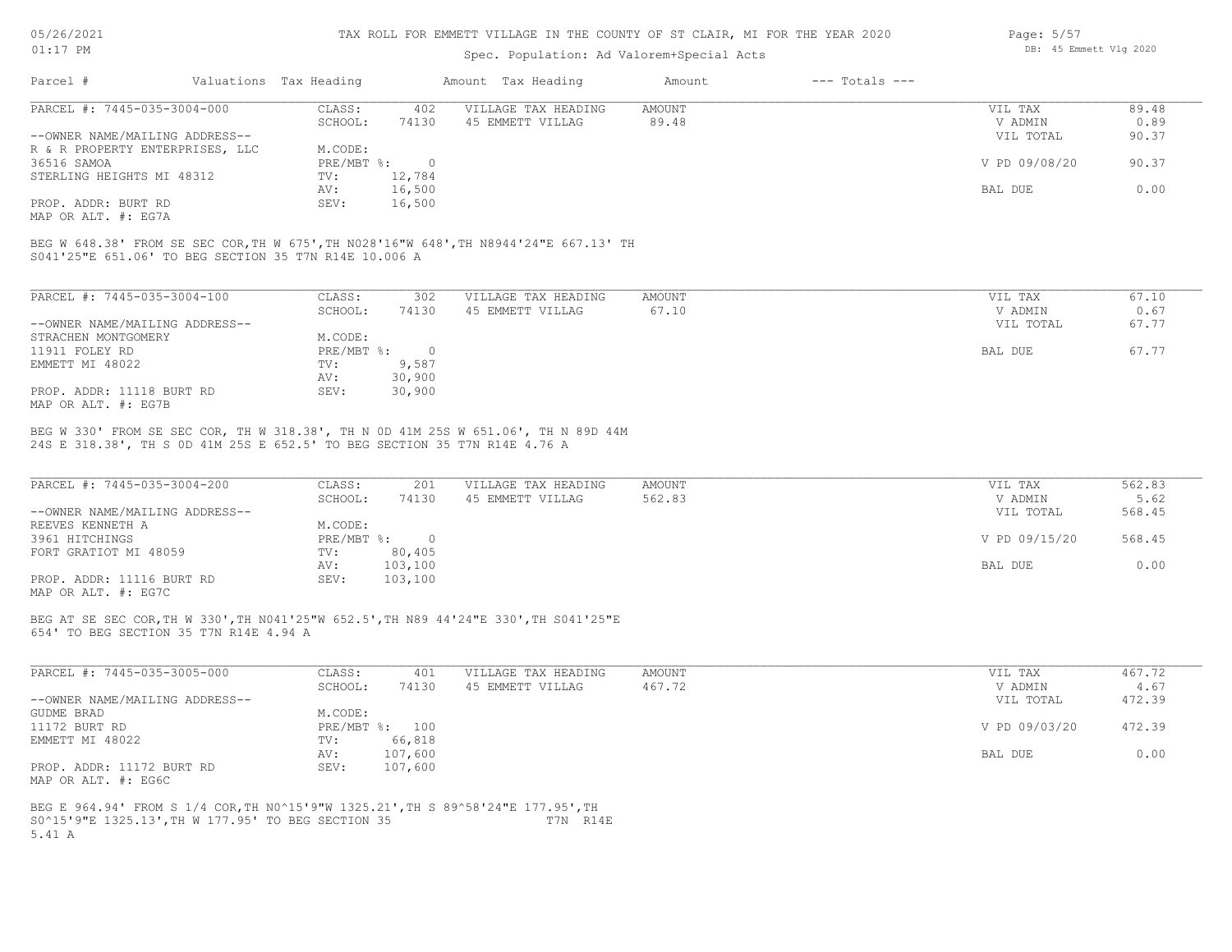#### TAX ROLL FOR EMMETT VILLAGE IN THE COUNTY OF ST CLAIR, MI FOR THE YEAR 2020

### Spec. Population: Ad Valorem+Special Acts

| Page: 5/57 |                        |  |
|------------|------------------------|--|
|            | DB: 45 Emmett Vlg 2020 |  |

| Parcel #                        | Valuations Tax Heading |        | Amount Tax Heading  | Amount | $---$ Totals $---$ |               |       |
|---------------------------------|------------------------|--------|---------------------|--------|--------------------|---------------|-------|
| PARCEL #: 7445-035-3004-000     | CLASS:                 | 402    | VILLAGE TAX HEADING | AMOUNT |                    | VIL TAX       | 89.48 |
|                                 | SCHOOL:                | 74130  | 45 EMMETT VILLAG    | 89.48  |                    | V ADMIN       | 0.89  |
| --OWNER NAME/MAILING ADDRESS--  |                        |        |                     |        |                    | VIL TOTAL     | 90.37 |
| R & R PROPERTY ENTERPRISES, LLC | M.CODE:                |        |                     |        |                    |               |       |
| 36516 SAMOA                     | PRE/MBT %:             |        |                     |        |                    | V PD 09/08/20 | 90.37 |
| STERLING HEIGHTS MI 48312       | TV:                    | 12,784 |                     |        |                    |               |       |
|                                 | AV:                    | 16,500 |                     |        |                    | BAL DUE       | 0.00  |
| PROP. ADDR: BURT RD             | SEV:                   | 16,500 |                     |        |                    |               |       |
|                                 |                        |        |                     |        |                    |               |       |

MAP OR ALT. #: EG7A

S041'25"E 651.06' TO BEG SECTION 35 T7N R14E 10.006 A BEG W 648.38' FROM SE SEC COR,TH W 675',TH N028'16"W 648',TH N8944'24"E 667.13' TH

| PARCEL #: 7445-035-3004-100    | CLASS:     | 302    | VILLAGE TAX HEADING | AMOUNT | VIL TAX   | 67.10 |
|--------------------------------|------------|--------|---------------------|--------|-----------|-------|
|                                | SCHOOL:    | 74130  | 45 EMMETT VILLAG    | 67.10  | V ADMIN   | 0.67  |
| --OWNER NAME/MAILING ADDRESS-- |            |        |                     |        | VIL TOTAL | 67.77 |
| STRACHEN MONTGOMERY            | M.CODE:    |        |                     |        |           |       |
| 11911 FOLEY RD                 | PRE/MBT %: |        |                     |        | BAL DUE   | 67.77 |
| EMMETT MI 48022                | TV:        | 9,587  |                     |        |           |       |
|                                | AV:        | 30,900 |                     |        |           |       |
| PROP. ADDR: 11118 BURT RD      | SEV:       | 30,900 |                     |        |           |       |
| MAP OR ALT. #: EG7B            |            |        |                     |        |           |       |

24S E 318.38', TH S 0D 41M 25S E 652.5' TO BEG SECTION 35 T7N R14E 4.76 A BEG W 330' FROM SE SEC COR, TH W 318.38', TH N 0D 41M 25S W 651.06', TH N 89D 44M

| PARCEL #: 7445-035-3004-200    | CLASS:     | 201     | VILLAGE TAX HEADING | AMOUNT | VIL TAX       | 562.83 |
|--------------------------------|------------|---------|---------------------|--------|---------------|--------|
|                                | SCHOOL:    | 74130   | 45 EMMETT VILLAG    | 562.83 | V ADMIN       | 5.62   |
| --OWNER NAME/MAILING ADDRESS-- |            |         |                     |        | VIL TOTAL     | 568.45 |
| REEVES KENNETH A               | M.CODE:    |         |                     |        |               |        |
| 3961 HITCHINGS                 | PRE/MBT %: |         |                     |        | V PD 09/15/20 | 568.45 |
| FORT GRATIOT MI 48059          | TV:        | 80,405  |                     |        |               |        |
|                                | AV:        | 103,100 |                     |        | BAL DUE       | 0.00   |
| PROP. ADDR: 11116 BURT RD      | SEV:       | 103,100 |                     |        |               |        |
| MAP OR ALT. #: EG7C            |            |         |                     |        |               |        |

654' TO BEG SECTION 35 T7N R14E 4.94 A BEG AT SE SEC COR,TH W 330',TH N041'25"W 652.5',TH N89 44'24"E 330',TH S041'25"E

| PARCEL #: 7445-035-3005-000    | CLASS:       | 401     | VILLAGE TAX HEADING | AMOUNT | VIL TAX       | 467.72 |
|--------------------------------|--------------|---------|---------------------|--------|---------------|--------|
|                                | SCHOOL:      | 74130   | 45 EMMETT VILLAG    | 467.72 | V ADMIN       | 4.67   |
| --OWNER NAME/MAILING ADDRESS-- |              |         |                     |        | VIL TOTAL     | 472.39 |
| GUDME BRAD                     | M.CODE:      |         |                     |        |               |        |
| 11172 BURT RD                  | $PRE/MBT$ %: | 100     |                     |        | V PD 09/03/20 | 472.39 |
| EMMETT MI 48022                | TV:          | 66,818  |                     |        |               |        |
|                                | AV:          | 107,600 |                     |        | BAL DUE       | 0.00   |
| PROP. ADDR: 11172 BURT RD      | SEV:         | 107,600 |                     |        |               |        |
| MAP OR ALT. #: EG6C            |              |         |                     |        |               |        |

5.41 A S0^15'9"E 1325.13',TH W 177.95' TO BEG SECTION 35 T7N R14E BEG E 964.94' FROM S 1/4 COR,TH N0^15'9"W 1325.21',TH S 89^58'24"E 177.95',TH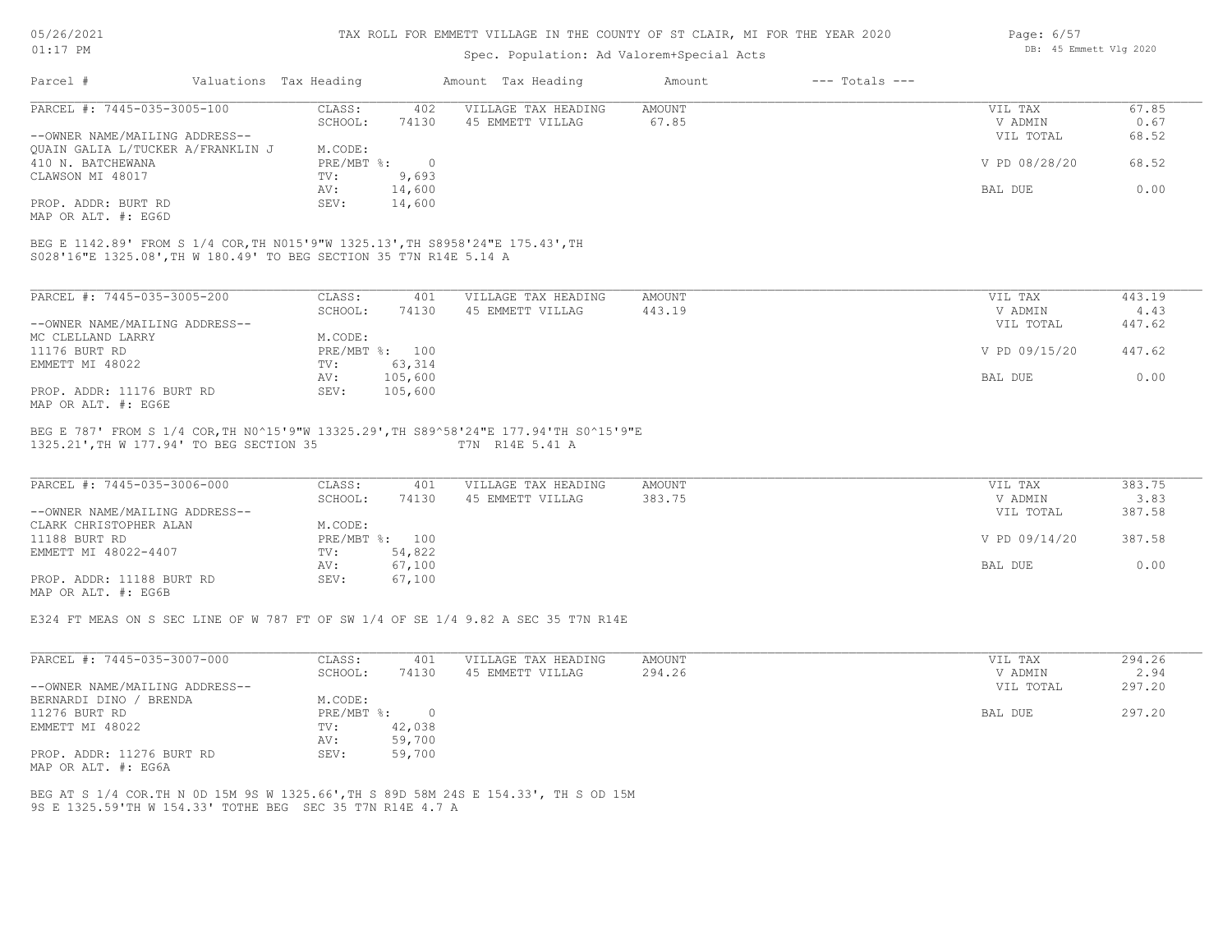## TAX ROLL FOR EMMETT VILLAGE IN THE COUNTY OF ST CLAIR, MI FOR THE YEAR 2020

| $01:17$ PM                                                                                                                                                                                         |                        |                | Spec. Population: Ad Valorem+Special Acts | DB: 45 Emmett Vlg 2020 |                    |               |        |
|----------------------------------------------------------------------------------------------------------------------------------------------------------------------------------------------------|------------------------|----------------|-------------------------------------------|------------------------|--------------------|---------------|--------|
| Parcel #                                                                                                                                                                                           | Valuations Tax Heading |                | Amount Tax Heading                        | Amount                 | $---$ Totals $---$ |               |        |
| PARCEL #: 7445-035-3005-100                                                                                                                                                                        | CLASS:                 | 402            | VILLAGE TAX HEADING                       | <b>AMOUNT</b>          |                    | VIL TAX       | 67.85  |
|                                                                                                                                                                                                    | SCHOOL:                | 74130          | 45 EMMETT VILLAG                          | 67.85                  |                    | V ADMIN       | 0.67   |
| --OWNER NAME/MAILING ADDRESS--                                                                                                                                                                     |                        |                |                                           |                        |                    | VIL TOTAL     | 68.52  |
| QUAIN GALIA L/TUCKER A/FRANKLIN J                                                                                                                                                                  | M.CODE:                |                |                                           |                        |                    |               |        |
| 410 N. BATCHEWANA                                                                                                                                                                                  | $PRE/MBT$ %:           | $\overline{0}$ |                                           |                        |                    | V PD 08/28/20 | 68.52  |
| CLAWSON MI 48017                                                                                                                                                                                   | TV:                    | 9,693          |                                           |                        |                    |               |        |
|                                                                                                                                                                                                    | AV:                    | 14,600         |                                           |                        |                    | BAL DUE       | 0.00   |
|                                                                                                                                                                                                    |                        |                |                                           |                        |                    |               |        |
|                                                                                                                                                                                                    | SEV:                   | 14,600         |                                           |                        |                    |               |        |
|                                                                                                                                                                                                    |                        |                |                                           |                        |                    |               |        |
| PROP. ADDR: BURT RD<br>MAP OR ALT. #: EG6D<br>BEG E 1142.89' FROM S 1/4 COR, TH N015'9"W 1325.13', TH S8958'24"E 175.43', TH<br>S028'16"E 1325.08', TH W 180.49' TO BEG SECTION 35 T7N R14E 5.14 A |                        |                |                                           |                        |                    |               |        |
| PARCEL #: 7445-035-3005-200                                                                                                                                                                        | CLASS:                 | 401            | VILLAGE TAX HEADING                       | AMOUNT                 |                    | VIL TAX       | 443.19 |
|                                                                                                                                                                                                    | SCHOOL:                | 74130          | 45 EMMETT VILLAG                          | 443.19                 |                    | V ADMIN       | 4.43   |
| --OWNER NAME/MAILING ADDRESS--<br>MC CLELLAND LARRY                                                                                                                                                | M.CODE:                |                |                                           |                        |                    | VIL TOTAL     | 447.62 |
| 11176 BURT RD                                                                                                                                                                                      |                        | PRE/MBT %: 100 |                                           |                        |                    | V PD 09/15/20 | 447.62 |
|                                                                                                                                                                                                    | TV:                    | 63,314         |                                           |                        |                    |               |        |
| EMMETT MI 48022                                                                                                                                                                                    | AV:                    | 105,600        |                                           |                        |                    | BAL DUE       | 0.00   |
| PROP. ADDR: 11176 BURT RD                                                                                                                                                                          | SEV:                   | 105,600        |                                           |                        |                    |               |        |

1325.21',TH W 177.94' TO BEG SECTION 35 T7N R14E 5.41 A

| PARCEL #: 7445-035-3006-000    | CLASS:  | 401            | VILLAGE TAX HEADING | AMOUNT | VIL TAX       | 383.75 |
|--------------------------------|---------|----------------|---------------------|--------|---------------|--------|
|                                | SCHOOL: | 74130          | 45 EMMETT VILLAG    | 383.75 | V ADMIN       | 3.83   |
| --OWNER NAME/MAILING ADDRESS-- |         |                |                     |        | VIL TOTAL     | 387.58 |
| CLARK CHRISTOPHER ALAN         | M.CODE: |                |                     |        |               |        |
| 11188 BURT RD                  |         | PRE/MBT %: 100 |                     |        | V PD 09/14/20 | 387.58 |
| EMMETT MI 48022-4407           | TV:     | 54,822         |                     |        |               |        |
|                                | AV:     | 67,100         |                     |        | BAL DUE       | 0.00   |
| PROP. ADDR: 11188 BURT RD      | SEV:    | 67,100         |                     |        |               |        |
| MAP OR ALT. #: EG6B            |         |                |                     |        |               |        |

E324 FT MEAS ON S SEC LINE OF W 787 FT OF SW 1/4 OF SE 1/4 9.82 A SEC 35 T7N R14E

| PARCEL #: 7445-035-3007-000    | CLASS:     | 401      | VILLAGE TAX HEADING | AMOUNT | VIL TAX   | 294.26 |
|--------------------------------|------------|----------|---------------------|--------|-----------|--------|
|                                | SCHOOL:    | 74130    | 45 EMMETT VILLAG    | 294.26 | V ADMIN   | 2.94   |
| --OWNER NAME/MAILING ADDRESS-- |            |          |                     |        | VIL TOTAL | 297.20 |
| BERNARDI DINO / BRENDA         | M.CODE:    |          |                     |        |           |        |
| 11276 BURT RD                  | PRE/MBT %: | $\Omega$ |                     |        | BAL DUE   | 297.20 |
| EMMETT MI 48022                | TV:        | 42,038   |                     |        |           |        |
|                                | AV:        | 59,700   |                     |        |           |        |
| PROP. ADDR: 11276 BURT RD      | SEV:       | 59,700   |                     |        |           |        |
| MAP OR ALT. #: EG6A            |            |          |                     |        |           |        |

9S E 1325.59'TH W 154.33' TOTHE BEG SEC 35 T7N R14E 4.7 A BEG AT S 1/4 COR.TH N 0D 15M 9S W 1325.66',TH S 89D 58M 24S E 154.33', TH S OD 15M Page: 6/57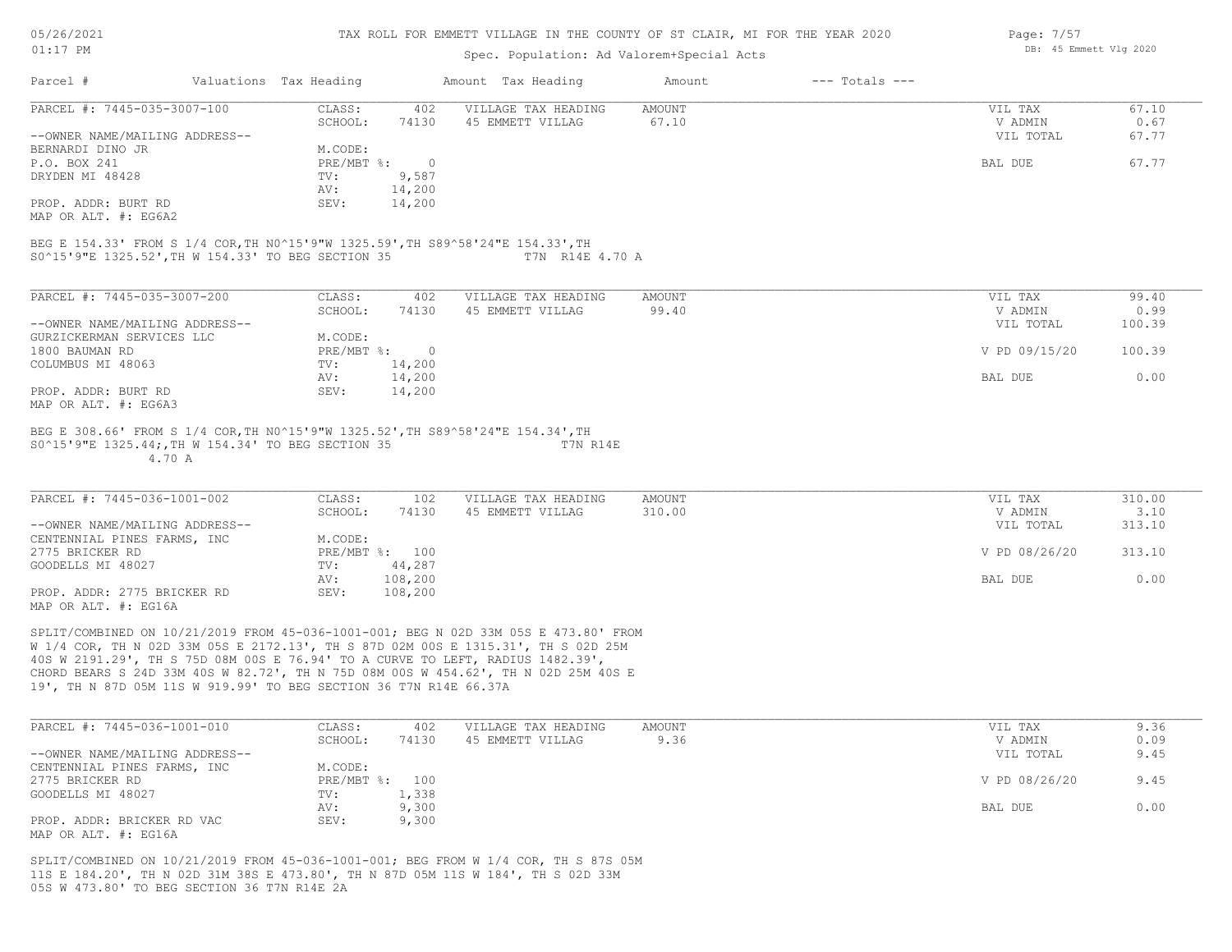#### TAX ROLL FOR EMMETT VILLAGE IN THE COUNTY OF ST CLAIR, MI FOR THE YEAR 2020

### Spec. Population: Ad Valorem+Special Acts

| Page: 7/57 |                        |  |
|------------|------------------------|--|
|            | DB: 45 Emmett Vlg 2020 |  |

| Parcel #                       | Valuations Tax Heading |        | Amount Tax Heading  | Amount | $---$ Totals $---$ |           |       |
|--------------------------------|------------------------|--------|---------------------|--------|--------------------|-----------|-------|
| PARCEL #: 7445-035-3007-100    | CLASS:                 | 402    | VILLAGE TAX HEADING | AMOUNT |                    | VIL TAX   | 67.10 |
|                                | SCHOOL:                | 74130  | 45 EMMETT VILLAG    | 67.10  |                    | V ADMIN   | 0.67  |
| --OWNER NAME/MAILING ADDRESS-- |                        |        |                     |        |                    | VIL TOTAL | 67.77 |
| BERNARDI DINO JR               | M.CODE:                |        |                     |        |                    |           |       |
| P.O. BOX 241                   | $PRE/MBT$ %:           |        |                     |        |                    | BAL DUE   | 67.77 |
| DRYDEN MI 48428                | TV:                    | 9,587  |                     |        |                    |           |       |
|                                | AV:                    | 14,200 |                     |        |                    |           |       |
| PROP. ADDR: BURT RD            | SEV:                   | 14,200 |                     |        |                    |           |       |
| MAP OR ALT. #: EG6A2           |                        |        |                     |        |                    |           |       |

S0^15'9"E 1325.52',TH W 154.33' TO BEG SECTION 35 T7N R14E 4.70 A BEG E 154.33' FROM S 1/4 COR,TH N0^15'9"W 1325.59',TH S89^58'24"E 154.33',TH

| PARCEL #: 7445-035-3007-200    | CLASS:     | 402    | VILLAGE TAX HEADING | AMOUNT | 99.40<br>VIL TAX        |
|--------------------------------|------------|--------|---------------------|--------|-------------------------|
|                                | SCHOOL:    | 74130  | 45 EMMETT VILLAG    | 99.40  | 0.99<br>V ADMIN         |
| --OWNER NAME/MAILING ADDRESS-- |            |        |                     |        | VIL TOTAL<br>100.39     |
| GURZICKERMAN SERVICES LLC      | M.CODE:    |        |                     |        |                         |
| 1800 BAUMAN RD                 | PRE/MBT %: |        |                     |        | V PD 09/15/20<br>100.39 |
| COLUMBUS MI 48063              | TV:        | 14,200 |                     |        |                         |
|                                | AV:        | 14,200 |                     |        | 0.00<br>BAL DUE         |
| PROP. ADDR: BURT RD            | SEV:       | 14,200 |                     |        |                         |
| MAP OR ALT. #: EG6A3           |            |        |                     |        |                         |

 4.70 A S0^15'9"E 1325.44;,TH W 154.34' TO BEG SECTION 35 T7N R14E BEG E 308.66' FROM S 1/4 COR,TH N0^15'9"W 1325.52',TH S89^58'24"E 154.34',TH

| PARCEL #: 7445-036-1001-002    | CLASS:  | 102            | VILLAGE TAX HEADING | AMOUNT | VIL TAX       | 310.00 |
|--------------------------------|---------|----------------|---------------------|--------|---------------|--------|
|                                | SCHOOL: | 74130          | 45 EMMETT VILLAG    | 310.00 | V ADMIN       | 3.10   |
| --OWNER NAME/MAILING ADDRESS-- |         |                |                     |        | VIL TOTAL     | 313.10 |
| CENTENNIAL PINES FARMS, INC    | M.CODE: |                |                     |        |               |        |
| 2775 BRICKER RD                |         | PRE/MBT %: 100 |                     |        | V PD 08/26/20 | 313.10 |
| GOODELLS MI 48027              | TV:     | 44,287         |                     |        |               |        |
|                                | AV:     | 108,200        |                     |        | BAL DUE       | 0.00   |
| PROP. ADDR: 2775 BRICKER RD    | SEV:    | 108,200        |                     |        |               |        |
| $\frac{1}{2}$                  |         |                |                     |        |               |        |

MAP OR ALT. #: EG16A

19', TH N 87D 05M 11S W 919.99' TO BEG SECTION 36 T7N R14E 66.37A CHORD BEARS S 24D 33M 40S W 82.72', TH N 75D 08M 00S W 454.62', TH N 02D 25M 40S E 40S W 2191.29', TH S 75D 08M 00S E 76.94' TO A CURVE TO LEFT, RADIUS 1482.39', W 1/4 COR, TH N 02D 33M 05S E 2172.13', TH S 87D 02M 00S E 1315.31', TH S 02D 25M SPLIT/COMBINED ON 10/21/2019 FROM 45-036-1001-001; BEG N 02D 33M 05S E 473.80' FROM

| PARCEL #: 7445-036-1001-010    | CLASS:  | 402            | VILLAGE TAX HEADING | AMOUNT | VIL TAX       | 9.36 |
|--------------------------------|---------|----------------|---------------------|--------|---------------|------|
|                                | SCHOOL: | 74130          | 45 EMMETT VILLAG    | 9.36   | V ADMIN       | 0.09 |
| --OWNER NAME/MAILING ADDRESS-- |         |                |                     |        | VIL TOTAL     | 9.45 |
| CENTENNIAL PINES FARMS, INC    | M.CODE: |                |                     |        |               |      |
| 2775 BRICKER RD                |         | PRE/MBT %: 100 |                     |        | V PD 08/26/20 | 9.45 |
| GOODELLS MI 48027              | TV:     | 1,338          |                     |        |               |      |
|                                | AV:     | 9,300          |                     |        | BAL DUE       | 0.00 |
| PROP. ADDR: BRICKER RD VAC     | SEV:    | 9,300          |                     |        |               |      |
| MAP OR ALT. #: EG16A           |         |                |                     |        |               |      |

05S W 473.80' TO BEG SECTION 36 T7N R14E 2A 11S E 184.20', TH N 02D 31M 38S E 473.80', TH N 87D 05M 11S W 184', TH S 02D 33M SPLIT/COMBINED ON 10/21/2019 FROM 45-036-1001-001; BEG FROM W 1/4 COR, TH S 87S 05M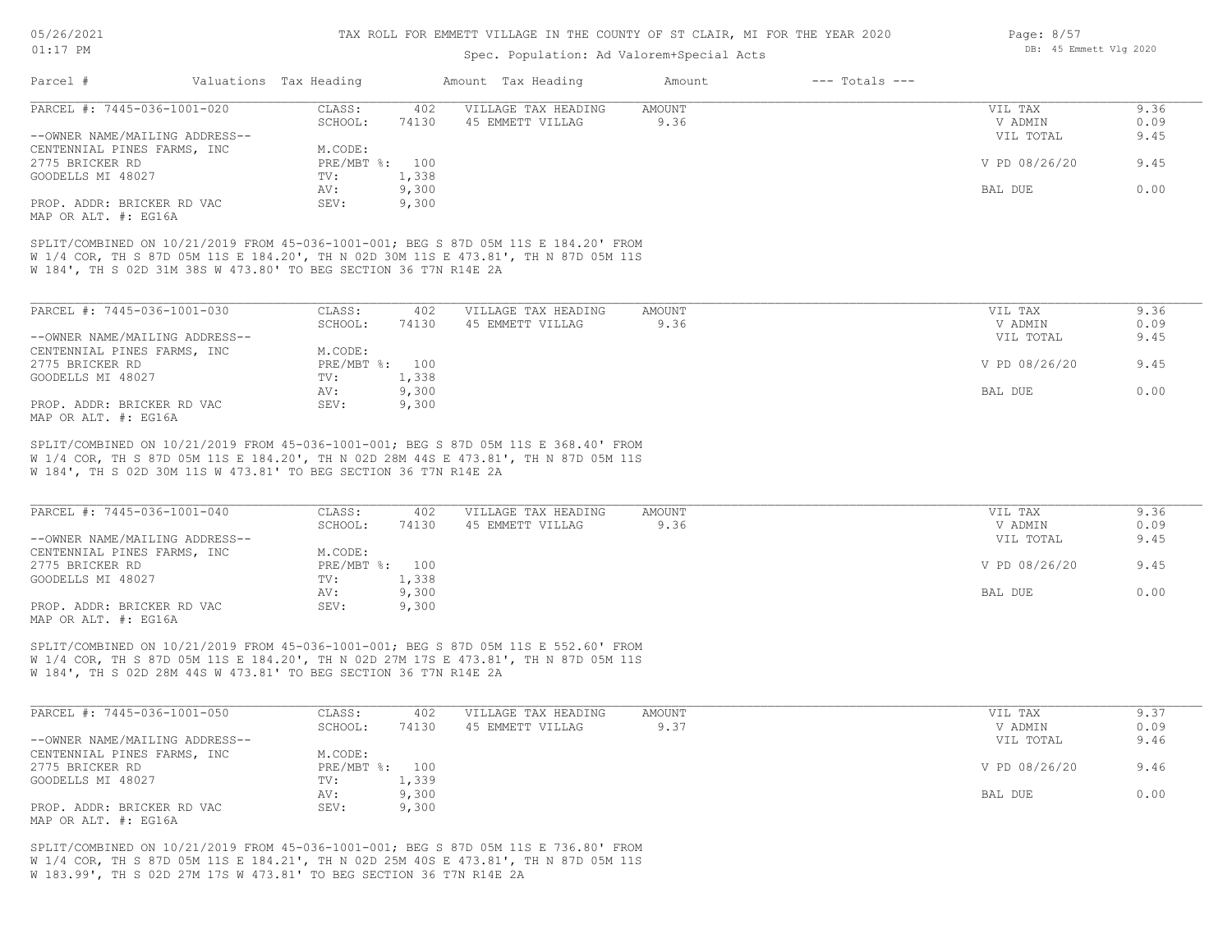## Spec. Population: Ad Valorem+Special Acts

| Parcel #                       | Valuations Tax Heading |       | Amount Tax Heading  | Amount | $---$ Totals $---$ |               |      |
|--------------------------------|------------------------|-------|---------------------|--------|--------------------|---------------|------|
| PARCEL #: 7445-036-1001-020    | CLASS:                 | 402   | VILLAGE TAX HEADING | AMOUNT |                    | VIL TAX       | 9.36 |
|                                | SCHOOL:                | 74130 | 45 EMMETT VILLAG    | 9.36   |                    | V ADMIN       | 0.09 |
| --OWNER NAME/MAILING ADDRESS-- |                        |       |                     |        |                    | VIL TOTAL     | 9.45 |
| CENTENNIAL PINES FARMS, INC    | M.CODE:                |       |                     |        |                    |               |      |
| 2775 BRICKER RD                | PRE/MBT %: 100         |       |                     |        |                    | V PD 08/26/20 | 9.45 |
| GOODELLS MI 48027              | TV:                    | 1,338 |                     |        |                    |               |      |
|                                | AV:                    | 9,300 |                     |        |                    | BAL DUE       | 0.00 |
| PROP. ADDR: BRICKER RD VAC     | SEV:                   | 9,300 |                     |        |                    |               |      |
|                                |                        |       |                     |        |                    |               |      |

MAP OR ALT. #: EG16A

W 184', TH S 02D 31M 38S W 473.80' TO BEG SECTION 36 T7N R14E 2A W 1/4 COR, TH S 87D 05M 11S E 184.20', TH N 02D 30M 11S E 473.81', TH N 87D 05M 11S SPLIT/COMBINED ON 10/21/2019 FROM 45-036-1001-001; BEG S 87D 05M 11S E 184.20' FROM

| PARCEL #: 7445-036-1001-030    | CLASS:  | 402            | VILLAGE TAX HEADING | AMOUNT | VIL TAX       | 9.36 |
|--------------------------------|---------|----------------|---------------------|--------|---------------|------|
|                                | SCHOOL: | 74130          | 45 EMMETT VILLAG    | 9.36   | V ADMIN       | 0.09 |
| --OWNER NAME/MAILING ADDRESS-- |         |                |                     |        | VIL TOTAL     | 9.45 |
| CENTENNIAL PINES FARMS, INC    | M.CODE: |                |                     |        |               |      |
| 2775 BRICKER RD                |         | PRE/MBT %: 100 |                     |        | V PD 08/26/20 | 9.45 |
| GOODELLS MI 48027              | TV:     | 1,338          |                     |        |               |      |
|                                | AV:     | 9,300          |                     |        | BAL DUE       | 0.00 |
| PROP. ADDR: BRICKER RD VAC     | SEV:    | 9,300          |                     |        |               |      |
| MAP OR ALT. #: EG16A           |         |                |                     |        |               |      |

W 184', TH S 02D 30M 11S W 473.81' TO BEG SECTION 36 T7N R14E 2A W 1/4 COR, TH S 87D 05M 11S E 184.20', TH N 02D 28M 44S E 473.81', TH N 87D 05M 11S SPLIT/COMBINED ON 10/21/2019 FROM 45-036-1001-001; BEG S 87D 05M 11S E 368.40' FROM

| PARCEL #: 7445-036-1001-040    | CLASS:  | 402            | VILLAGE TAX HEADING | AMOUNT | VIL TAX       | 9.36 |
|--------------------------------|---------|----------------|---------------------|--------|---------------|------|
|                                | SCHOOL: | 74130          | 45 EMMETT VILLAG    | 9.36   | V ADMIN       | 0.09 |
| --OWNER NAME/MAILING ADDRESS-- |         |                |                     |        | VIL TOTAL     | 9.45 |
| CENTENNIAL PINES FARMS, INC    | M.CODE: |                |                     |        |               |      |
| 2775 BRICKER RD                |         | PRE/MBT %: 100 |                     |        | V PD 08/26/20 | 9.45 |
| GOODELLS MI 48027              | TV:     | 1,338          |                     |        |               |      |
|                                | AV:     | 9,300          |                     |        | BAL DUE       | 0.00 |
| PROP. ADDR: BRICKER RD VAC     | SEV:    | 9,300          |                     |        |               |      |
| MAP OR ALT. #: EG16A           |         |                |                     |        |               |      |

W 184', TH S 02D 28M 44S W 473.81' TO BEG SECTION 36 T7N R14E 2A W 1/4 COR, TH S 87D 05M 11S E 184.20', TH N 02D 27M 17S E 473.81', TH N 87D 05M 11S SPLIT/COMBINED ON 10/21/2019 FROM 45-036-1001-001; BEG S 87D 05M 11S E 552.60' FROM

| PARCEL #: 7445-036-1001-050    | CLASS:  | 402            | VILLAGE TAX HEADING | AMOUNT | VIL TAX       | 9.37 |
|--------------------------------|---------|----------------|---------------------|--------|---------------|------|
|                                | SCHOOL: | 74130          | 45 EMMETT VILLAG    | 9.37   | V ADMIN       | 0.09 |
| --OWNER NAME/MAILING ADDRESS-- |         |                |                     |        | VIL TOTAL     | 9.46 |
| CENTENNIAL PINES FARMS, INC    | M.CODE: |                |                     |        |               |      |
| 2775 BRICKER RD                |         | PRE/MBT %: 100 |                     |        | V PD 08/26/20 | 9.46 |
| GOODELLS MI 48027              | TV:     | 1,339          |                     |        |               |      |
|                                | AV:     | 9,300          |                     |        | BAL DUE       | 0.00 |
| PROP. ADDR: BRICKER RD VAC     | SEV:    | 9,300          |                     |        |               |      |
| MAP OR ALT. #: EG16A           |         |                |                     |        |               |      |

W 183.99', TH S 02D 27M 17S W 473.81' TO BEG SECTION 36 T7N R14E 2A W 1/4 COR, TH S 87D 05M 11S E 184.21', TH N 02D 25M 40S E 473.81', TH N 87D 05M 11S SPLIT/COMBINED ON 10/21/2019 FROM 45-036-1001-001; BEG S 87D 05M 11S E 736.80' FROM Page: 8/57 DB: 45 Emmett Vlg 2020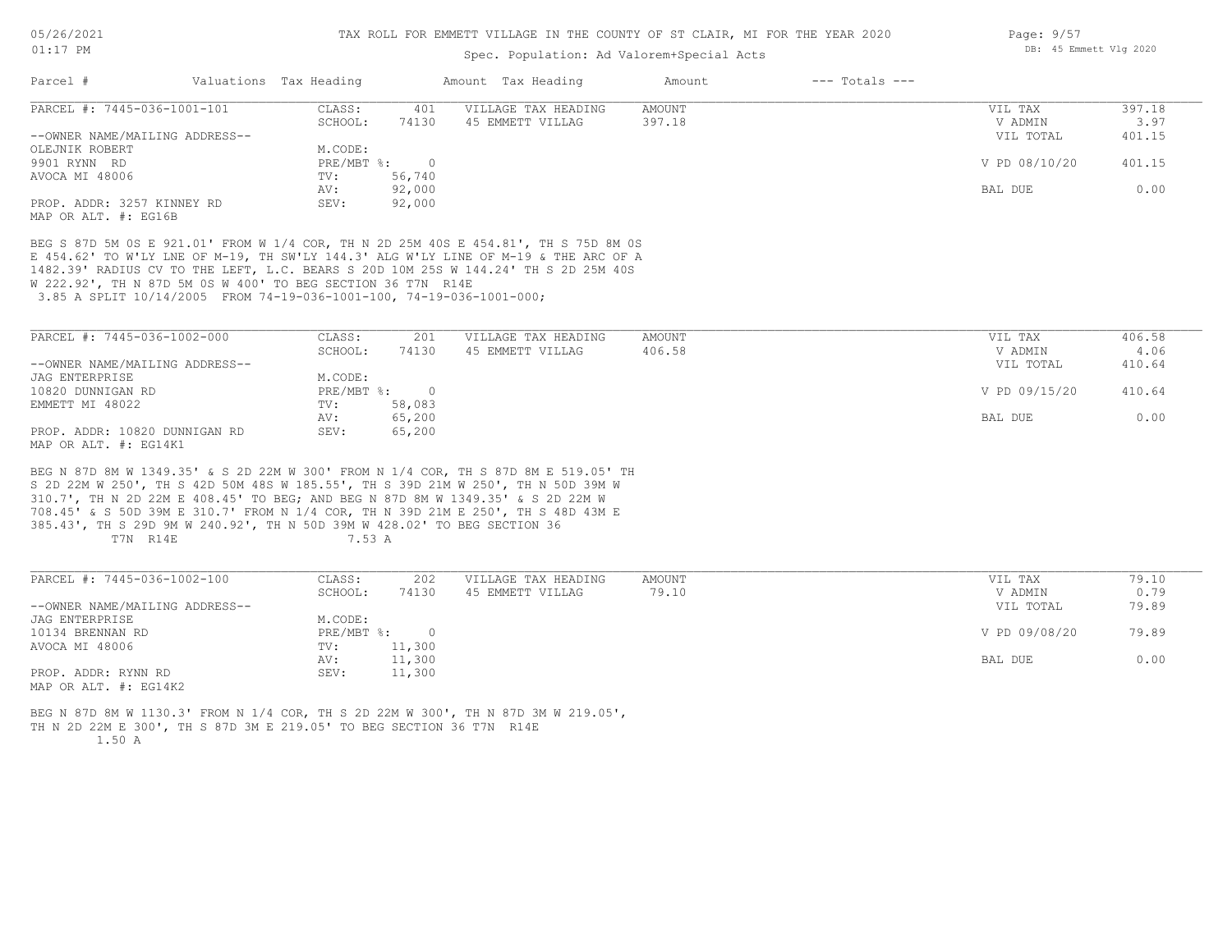#### 01:17 PM

#### TAX ROLL FOR EMMETT VILLAGE IN THE COUNTY OF ST CLAIR, MI FOR THE YEAR 2020

### Spec. Population: Ad Valorem+Special Acts

| Parcel #                       | Valuations Tax Heading |        | Amount Tax Heading  | Amount | $---$ Totals $---$ |               |        |
|--------------------------------|------------------------|--------|---------------------|--------|--------------------|---------------|--------|
| PARCEL #: 7445-036-1001-101    | CLASS:                 | 401    | VILLAGE TAX HEADING | AMOUNT |                    | VIL TAX       | 397.18 |
|                                | SCHOOL:                | 74130  | 45 EMMETT VILLAG    | 397.18 |                    | V ADMIN       | 3.97   |
| --OWNER NAME/MAILING ADDRESS-- |                        |        |                     |        |                    | VIL TOTAL     | 401.15 |
| OLEJNIK ROBERT                 | M.CODE:                |        |                     |        |                    |               |        |
| 9901 RYNN RD                   | PRE/MBT %:             |        |                     |        |                    | V PD 08/10/20 | 401.15 |
| AVOCA MI 48006                 | TV:                    | 56,740 |                     |        |                    |               |        |
|                                | AV:                    | 92,000 |                     |        |                    | BAL DUE       | 0.00   |
| PROP. ADDR: 3257 KINNEY RD     | SEV:                   | 92,000 |                     |        |                    |               |        |
| MAP OR ALT. #: EG16B           |                        |        |                     |        |                    |               |        |

 3.85 A SPLIT 10/14/2005 FROM 74-19-036-1001-100, 74-19-036-1001-000; W 222.92', TH N 87D 5M 0S W 400' TO BEG SECTION 36 T7N R14E 1482.39' RADIUS CV TO THE LEFT, L.C. BEARS S 20D 10M 25S W 144.24' TH S 2D 25M 40S E 454.62' TO W'LY LNE OF M-19, TH SW'LY 144.3' ALG W'LY LINE OF M-19 & THE ARC OF A BEG S 87D 5M 0S E 921.01' FROM W 1/4 COR, TH N 2D 25M 40S E 454.81', TH S 75D 8M 0S

| PARCEL #: 7445-036-1002-000    | CLASS:       | 201    | VILLAGE TAX HEADING | AMOUNT | VIL TAX       | 406.58 |
|--------------------------------|--------------|--------|---------------------|--------|---------------|--------|
|                                | SCHOOL:      | 74130  | 45 EMMETT VILLAG    | 406.58 | V ADMIN       | 4.06   |
| --OWNER NAME/MAILING ADDRESS-- |              |        |                     |        | VIL TOTAL     | 410.64 |
| JAG ENTERPRISE                 | M.CODE:      |        |                     |        |               |        |
| 10820 DUNNIGAN RD              | $PRE/MBT$ %: |        |                     |        | V PD 09/15/20 | 410.64 |
| EMMETT MI 48022                | TV:          | 58,083 |                     |        |               |        |
|                                | AV:          | 65,200 |                     |        | BAL DUE       | 0.00   |
| PROP. ADDR: 10820 DUNNIGAN RD  | SEV:         | 65,200 |                     |        |               |        |
| MAP OR ALT. #: EG14K1          |              |        |                     |        |               |        |

T7N R14E 7.53 A 385.43', TH S 29D 9M W 240.92', TH N 50D 39M W 428.02' TO BEG SECTION 36 708.45' & S 50D 39M E 310.7' FROM N 1/4 COR, TH N 39D 21M E 250', TH S 48D 43M E 310.7', TH N 2D 22M E 408.45' TO BEG; AND BEG N 87D 8M W 1349.35' & S 2D 22M W S 2D 22M W 250', TH S 42D 50M 48S W 185.55', TH S 39D 21M W 250', TH N 50D 39M W BEG N 87D 8M W 1349.35' & S 2D 22M W 300' FROM N 1/4 COR, TH S 87D 8M E 519.05' TH

| PARCEL #: 7445-036-1002-100    | CLASS:     | 202      | VILLAGE TAX HEADING | AMOUNT | VIL TAX       | 79.10 |
|--------------------------------|------------|----------|---------------------|--------|---------------|-------|
|                                | SCHOOL:    | 74130    | 45 EMMETT VILLAG    | 79.10  | V ADMIN       | 0.79  |
| --OWNER NAME/MAILING ADDRESS-- |            |          |                     |        | VIL TOTAL     | 79.89 |
| JAG ENTERPRISE                 | M.CODE:    |          |                     |        |               |       |
| 10134 BRENNAN RD               | PRE/MBT %: | $\Omega$ |                     |        | V PD 09/08/20 | 79.89 |
| AVOCA MI 48006                 | TV:        | 11,300   |                     |        |               |       |
|                                | AV:        | 11,300   |                     |        | BAL DUE       | 0.00  |
| PROP. ADDR: RYNN RD            | SEV:       | 11,300   |                     |        |               |       |
| $\frac{1}{2}$                  |            |          |                     |        |               |       |

MAP OR ALT. #: EG14K2

 1.50 A TH N 2D 22M E 300', TH S 87D 3M E 219.05' TO BEG SECTION 36 T7N R14E BEG N 87D 8M W 1130.3' FROM N 1/4 COR, TH S 2D 22M W 300', TH N 87D 3M W 219.05', Page: 9/57 DB: 45 Emmett Vlg 2020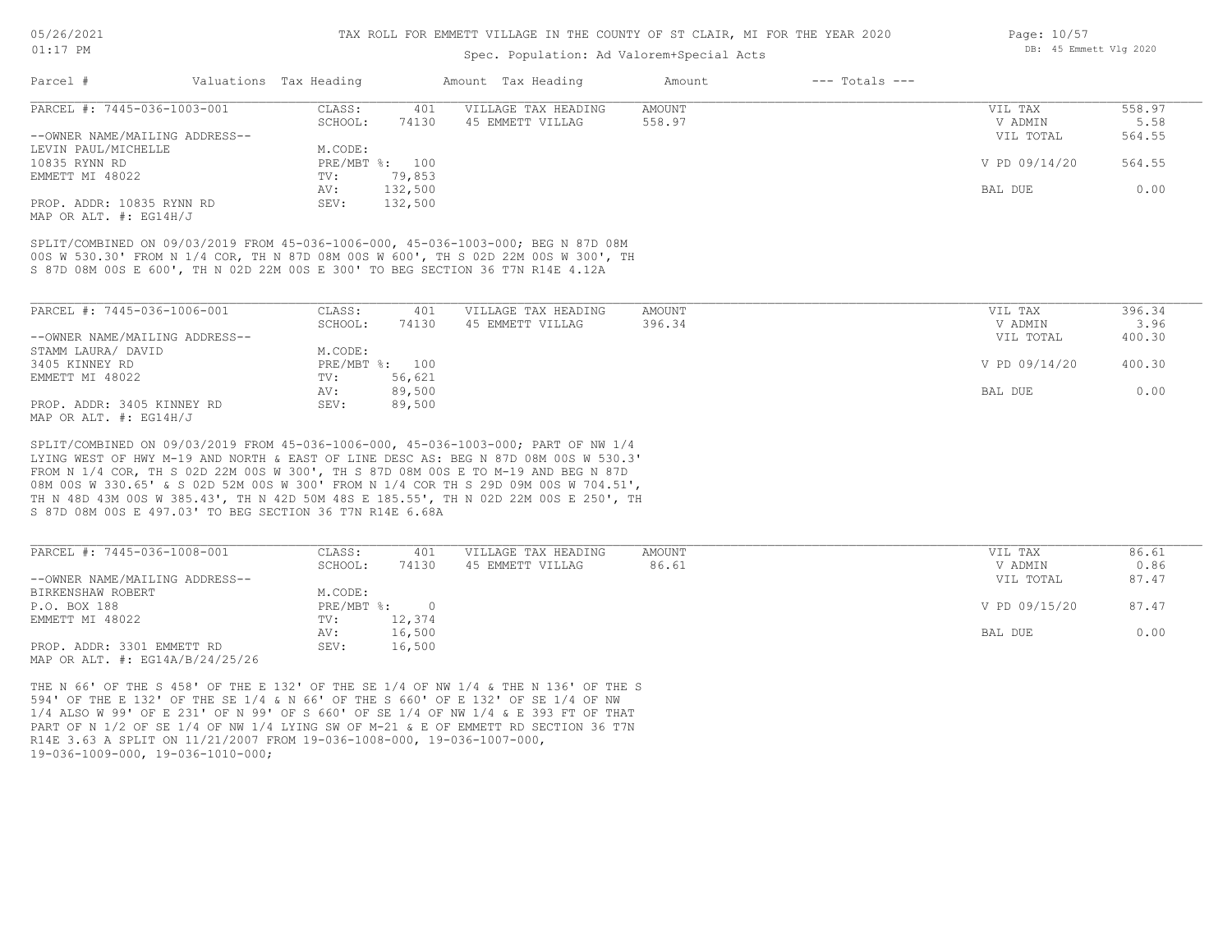### Spec. Population: Ad Valorem+Special Acts

| Parcel #                       | Valuations Tax Heading |                | Amount Tax Heading  | Amount | $---$ Totals $---$ |               |        |
|--------------------------------|------------------------|----------------|---------------------|--------|--------------------|---------------|--------|
| PARCEL #: 7445-036-1003-001    | CLASS:                 | 401            | VILLAGE TAX HEADING | AMOUNT |                    | VIL TAX       | 558.97 |
|                                | SCHOOL:                | 74130          | 45 EMMETT VILLAG    | 558.97 |                    | V ADMIN       | 5.58   |
| --OWNER NAME/MAILING ADDRESS-- |                        |                |                     |        |                    | VIL TOTAL     | 564.55 |
| LEVIN PAUL/MICHELLE            | M.CODE:                |                |                     |        |                    |               |        |
| 10835 RYNN RD                  |                        | PRE/MBT %: 100 |                     |        |                    | V PD 09/14/20 | 564.55 |
| EMMETT MI 48022                | TV:                    | 79,853         |                     |        |                    |               |        |
|                                | AV:                    | 132,500        |                     |        |                    | BAL DUE       | 0.00   |
| PROP. ADDR: 10835 RYNN RD      | SEV:                   | 132,500        |                     |        |                    |               |        |

MAP OR ALT. #: EG14H/J

S 87D 08M 00S E 600', TH N 02D 22M 00S E 300' TO BEG SECTION 36 T7N R14E 4.12A 00S W 530.30' FROM N 1/4 COR, TH N 87D 08M 00S W 600', TH S 02D 22M 00S W 300', TH SPLIT/COMBINED ON 09/03/2019 FROM 45-036-1006-000, 45-036-1003-000; BEG N 87D 08M

| PARCEL #: 7445-036-1006-001    | CLASS:  | 401            | VILLAGE TAX HEADING | AMOUNT | VIL TAX       | 396.34 |
|--------------------------------|---------|----------------|---------------------|--------|---------------|--------|
|                                | SCHOOL: | 74130          | 45 EMMETT VILLAG    | 396.34 | V ADMIN       | 3.96   |
| --OWNER NAME/MAILING ADDRESS-- |         |                |                     |        | VIL TOTAL     | 400.30 |
| STAMM LAURA/ DAVID             | M.CODE: |                |                     |        |               |        |
| 3405 KINNEY RD                 |         | PRE/MBT %: 100 |                     |        | V PD 09/14/20 | 400.30 |
| EMMETT MI 48022                | TV:     | 56,621         |                     |        |               |        |
|                                | AV:     | 89,500         |                     |        | BAL DUE       | 0.00   |
| PROP. ADDR: 3405 KINNEY RD     | SEV:    | 89,500         |                     |        |               |        |
| MAP OR ALT. $\#$ : EG14H/J     |         |                |                     |        |               |        |

S 87D 08M 00S E 497.03' TO BEG SECTION 36 T7N R14E 6.68A TH N 48D 43M 00S W 385.43', TH N 42D 50M 48S E 185.55', TH N 02D 22M 00S E 250', TH 08M 00S W 330.65' & S 02D 52M 00S W 300' FROM N 1/4 COR TH S 29D 09M 00S W 704.51', FROM N 1/4 COR, TH S 02D 22M 00S W 300', TH S 87D 08M 00S E TO M-19 AND BEG N 87D LYING WEST OF HWY M-19 AND NORTH & EAST OF LINE DESC AS: BEG N 87D 08M 00S W 530.3' SPLIT/COMBINED ON 09/03/2019 FROM 45-036-1006-000, 45-036-1003-000; PART OF NW 1/4

| PARCEL #: 7445-036-1008-001         | CLASS:     | 401      | VILLAGE TAX HEADING | AMOUNT | VIL TAX       | 86.61 |
|-------------------------------------|------------|----------|---------------------|--------|---------------|-------|
|                                     | SCHOOL:    | 74130    | 45 EMMETT VILLAG    | 86.61  | V ADMIN       | 0.86  |
| --OWNER NAME/MAILING ADDRESS--      |            |          |                     |        | VIL TOTAL     | 87.47 |
| BIRKENSHAW ROBERT                   | M.CODE:    |          |                     |        |               |       |
| P.O. BOX 188                        | PRE/MBT %: | $\Omega$ |                     |        | V PD 09/15/20 | 87.47 |
| EMMETT MI 48022                     | TV:        | 12,374   |                     |        |               |       |
|                                     | AV:        | 16,500   |                     |        | BAL DUE       | 0.00  |
| PROP. ADDR: 3301 EMMETT RD          | SEV:       | 16,500   |                     |        |               |       |
| MAP OR ALT. $\#$ : EG14A/B/24/25/26 |            |          |                     |        |               |       |

19-036-1009-000, 19-036-1010-000; R14E 3.63 A SPLIT ON 11/21/2007 FROM 19-036-1008-000, 19-036-1007-000, PART OF N 1/2 OF SE 1/4 OF NW 1/4 LYING SW OF M-21 & E OF EMMETT RD SECTION 36 T7N 1/4 ALSO W 99' OF E 231' OF N 99' OF S 660' OF SE 1/4 OF NW 1/4 & E 393 FT OF THAT 594' OF THE E 132' OF THE SE 1/4 & N 66' OF THE S 660' OF E 132' OF SE 1/4 OF NW THE N 66' OF THE S 458' OF THE E 132' OF THE SE 1/4 OF NW 1/4 & THE N 136' OF THE S Page: 10/57 DB: 45 Emmett Vlg 2020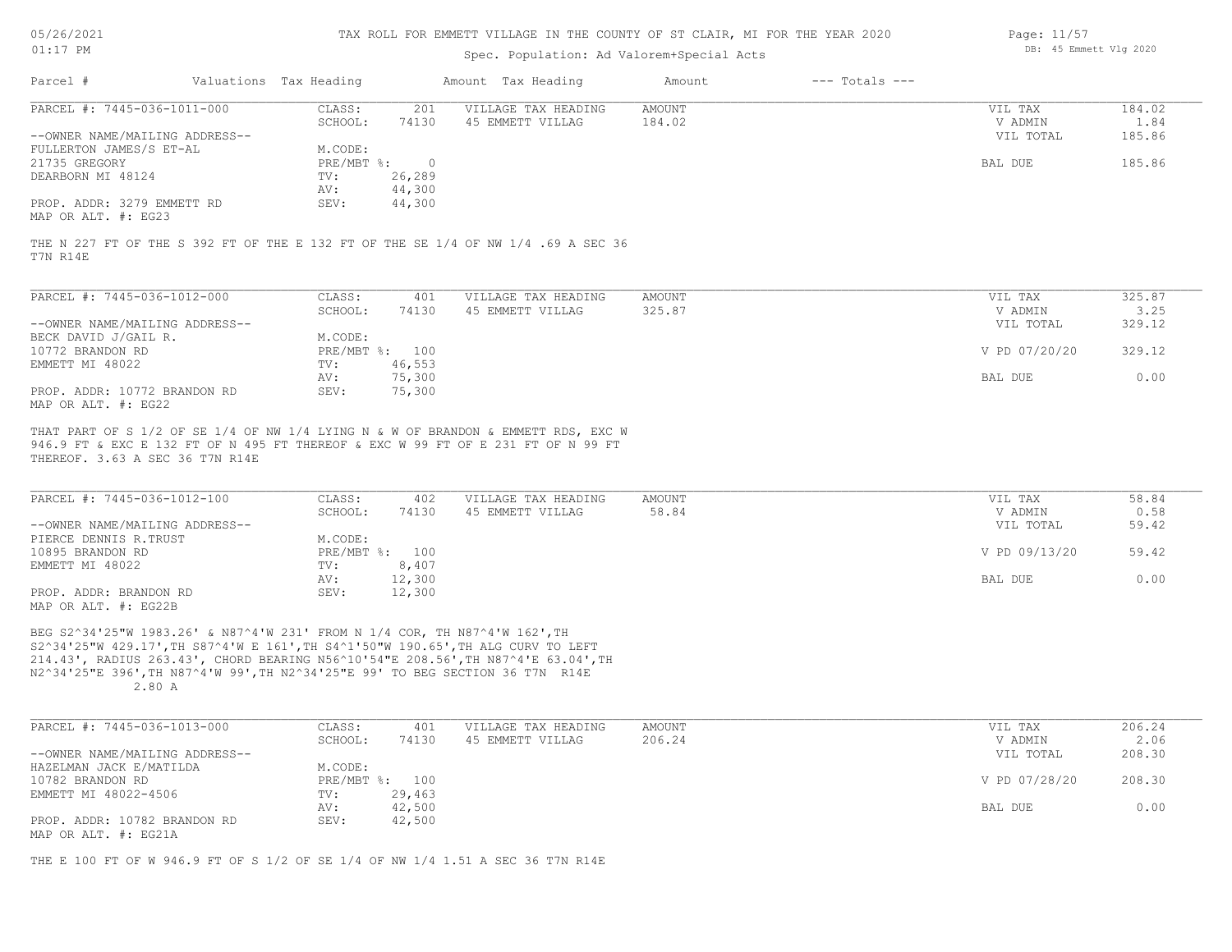| 05/26/2021 |  |
|------------|--|
|------------|--|

| $01:17$ PM                     |                        |          | DB: 45 Emmett Vlg 2020                                                            |        |                    |           |        |
|--------------------------------|------------------------|----------|-----------------------------------------------------------------------------------|--------|--------------------|-----------|--------|
| Parcel #                       | Valuations Tax Heading |          | Amount Tax Heading                                                                | Amount | $---$ Totals $---$ |           |        |
| PARCEL #: 7445-036-1011-000    | CLASS:                 | 201      | VILLAGE TAX HEADING                                                               | AMOUNT |                    | VIL TAX   | 184.02 |
|                                | SCHOOL:                | 74130    | 45 EMMETT VILLAG                                                                  | 184.02 |                    | V ADMIN   | 1.84   |
| --OWNER NAME/MAILING ADDRESS-- |                        |          |                                                                                   |        |                    | VIL TOTAL | 185.86 |
| FULLERTON JAMES/S ET-AL        | M.CODE:                |          |                                                                                   |        |                    |           |        |
| 21735 GREGORY                  | PRE/MBT %:             | $\Omega$ |                                                                                   |        |                    | BAL DUE   | 185.86 |
| DEARBORN MI 48124              | TV:                    | 26,289   |                                                                                   |        |                    |           |        |
|                                | AV:                    | 44,300   |                                                                                   |        |                    |           |        |
| PROP. ADDR: 3279 EMMETT RD     | SEV:                   | 44,300   |                                                                                   |        |                    |           |        |
| MAP OR ALT. #: EG23            |                        |          |                                                                                   |        |                    |           |        |
|                                |                        |          | THE N 227 FT OF THE S 392 FT OF THE E 132 FT OF THE SE 1/4 OF NW 1/4 .69 A SEC 36 |        |                    |           |        |
| T7N R14E                       |                        |          |                                                                                   |        |                    |           |        |
|                                |                        |          |                                                                                   |        |                    |           |        |
|                                |                        |          |                                                                                   |        |                    |           |        |

| PARCEL #: 7445-036-1012-000    | CLASS:       | 401    | VILLAGE TAX HEADING | AMOUNT | VIL TAX       | 325.87 |
|--------------------------------|--------------|--------|---------------------|--------|---------------|--------|
|                                | SCHOOL:      | 74130  | 45 EMMETT VILLAG    | 325.87 | V ADMIN       | 3.25   |
| --OWNER NAME/MAILING ADDRESS-- |              |        |                     |        | VIL TOTAL     | 329.12 |
| BECK DAVID J/GAIL R.           | M.CODE:      |        |                     |        |               |        |
| 10772 BRANDON RD               | $PRE/MBT$ %: | 100    |                     |        | V PD 07/20/20 | 329.12 |
| EMMETT MI 48022                | TV:          | 46,553 |                     |        |               |        |
|                                | AV:          | 75,300 |                     |        | BAL DUE       | 0.00   |
| PROP. ADDR: 10772 BRANDON RD   | SEV:         | 75,300 |                     |        |               |        |
| MAP OR ALT. #: EG22            |              |        |                     |        |               |        |

THEREOF. 3.63 A SEC 36 T7N R14E 946.9 FT & EXC E 132 FT OF N 495 FT THEREOF & EXC W 99 FT OF E 231 FT OF N 99 FT THAT PART OF S 1/2 OF SE 1/4 OF NW 1/4 LYING N & W OF BRANDON & EMMETT RDS, EXC W

| PARCEL #: 7445-036-1012-100    | CLASS:  | 402            | VILLAGE TAX HEADING | AMOUNT | VIL TAX       | 58.84 |
|--------------------------------|---------|----------------|---------------------|--------|---------------|-------|
|                                | SCHOOL: | 74130          | 45 EMMETT VILLAG    | 58.84  | V ADMIN       | 0.58  |
| --OWNER NAME/MAILING ADDRESS-- |         |                |                     |        | VIL TOTAL     | 59.42 |
| PIERCE DENNIS R.TRUST          | M.CODE: |                |                     |        |               |       |
| 10895 BRANDON RD               |         | PRE/MBT %: 100 |                     |        | V PD 09/13/20 | 59.42 |
| EMMETT MI 48022                | TV:     | 8,407          |                     |        |               |       |
|                                | AV:     | 12,300         |                     |        | BAL DUE       | 0.00  |
| PROP. ADDR: BRANDON RD         | SEV:    | 12,300         |                     |        |               |       |
| $\frac{1}{2}$                  |         |                |                     |        |               |       |

MAP OR ALT. #: EG22B

 2.80 A N2^34'25"E 396',TH N87^4'W 99',TH N2^34'25"E 99' TO BEG SECTION 36 T7N R14E 214.43', RADIUS 263.43', CHORD BEARING N56^10'54"E 208.56',TH N87^4'E 63.04',TH S2^34'25"W 429.17',TH S87^4'W E 161',TH S4^1'50"W 190.65',TH ALG CURV TO LEFT BEG S2^34'25"W 1983.26' & N87^4'W 231' FROM N 1/4 COR, TH N87^4'W 162',TH

| PARCEL #: 7445-036-1013-000    | CLASS:  | 401            | VILLAGE TAX HEADING | AMOUNT | VIL TAX       | 206.24 |
|--------------------------------|---------|----------------|---------------------|--------|---------------|--------|
|                                | SCHOOL: | 74130          | 45 EMMETT VILLAG    | 206.24 | V ADMIN       | 2.06   |
| --OWNER NAME/MAILING ADDRESS-- |         |                |                     |        | VIL TOTAL     | 208.30 |
| HAZELMAN JACK E/MATILDA        | M.CODE: |                |                     |        |               |        |
| 10782 BRANDON RD               |         | PRE/MBT %: 100 |                     |        | V PD 07/28/20 | 208.30 |
| EMMETT MI 48022-4506           | TV:     | 29,463         |                     |        |               |        |
|                                | AV:     | 42,500         |                     |        | BAL DUE       | 0.00   |
| PROP. ADDR: 10782 BRANDON RD   | SEV:    | 42,500         |                     |        |               |        |
| MAP OR ALT. #: EG21A           |         |                |                     |        |               |        |

THE E 100 FT OF W 946.9 FT OF S 1/2 OF SE 1/4 OF NW 1/4 1.51 A SEC 36 T7N R14E

Page: 11/57 DB: 45 Emmett Vlg 2020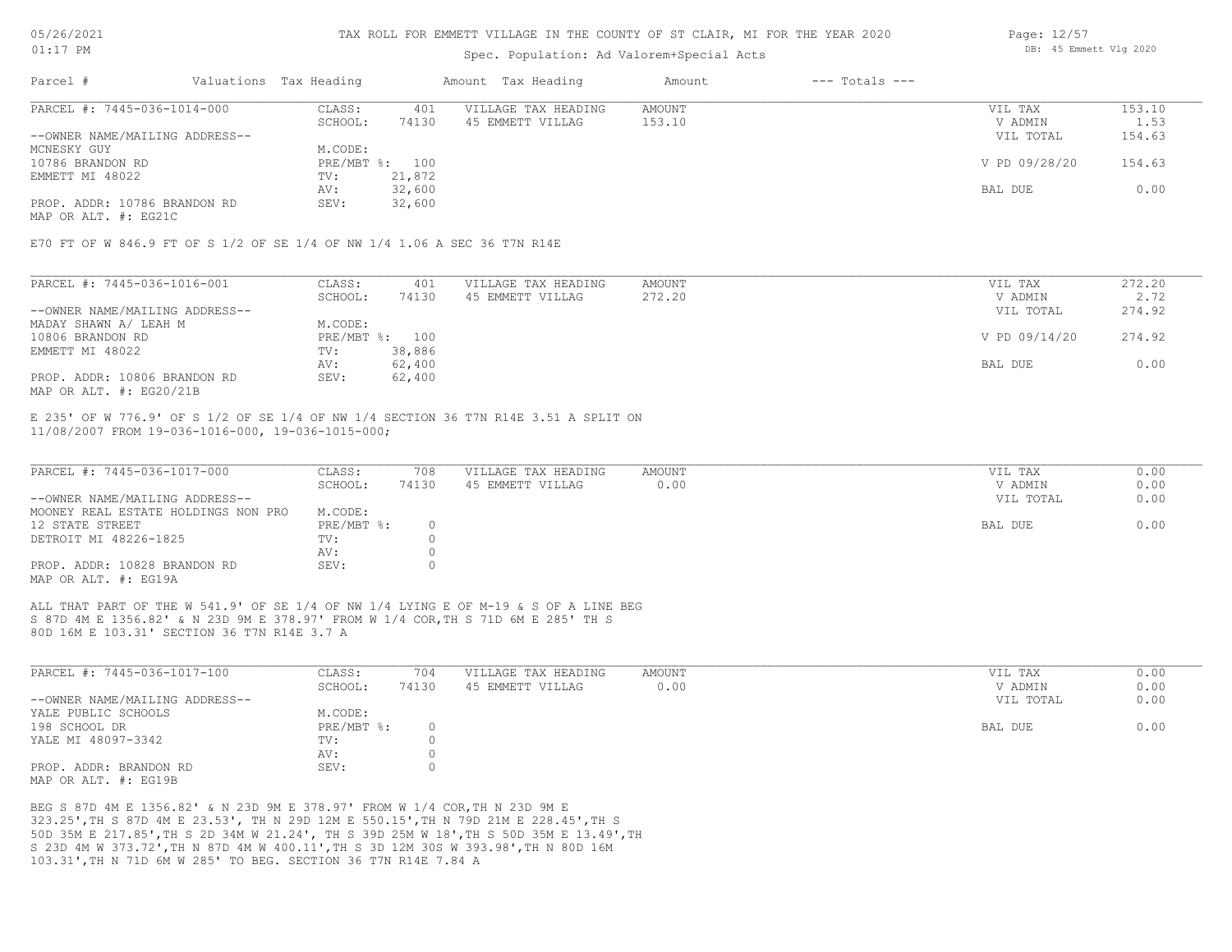### Spec. Population: Ad Valorem+Special Acts

| Page: 12/57 |                        |  |
|-------------|------------------------|--|
|             | DB: 45 Emmett Vlg 2020 |  |

| Parcel #                       | Valuations Tax Heading |        | Amount Tax Heading  | Amount | $---$ Totals $---$ |               |        |
|--------------------------------|------------------------|--------|---------------------|--------|--------------------|---------------|--------|
| PARCEL #: 7445-036-1014-000    | CLASS:                 | 401    | VILLAGE TAX HEADING | AMOUNT |                    | VIL TAX       | 153.10 |
|                                | SCHOOL:                | 74130  | 45 EMMETT VILLAG    | 153.10 |                    | V ADMIN       | 1.53   |
| --OWNER NAME/MAILING ADDRESS-- |                        |        |                     |        |                    | VIL TOTAL     | 154.63 |
| MCNESKY GUY                    | M.CODE:                |        |                     |        |                    |               |        |
| 10786 BRANDON RD               | PRE/MBT %: 100         |        |                     |        |                    | V PD 09/28/20 | 154.63 |
| EMMETT MI 48022                | TV:                    | 21,872 |                     |        |                    |               |        |
|                                | AV:                    | 32,600 |                     |        |                    | BAL DUE       | 0.00   |
| PROP. ADDR: 10786 BRANDON RD   | SEV:                   | 32,600 |                     |        |                    |               |        |
|                                |                        |        |                     |        |                    |               |        |

MAP OR ALT. #: EG21C

E70 FT OF W 846.9 FT OF S 1/2 OF SE 1/4 OF NW 1/4 1.06 A SEC 36 T7N R14E

| PARCEL #: 7445-036-1016-001    | CLASS:  | 401            | VILLAGE TAX HEADING | AMOUNT | VIL TAX       | 272.20 |
|--------------------------------|---------|----------------|---------------------|--------|---------------|--------|
|                                | SCHOOL: | 74130          | 45 EMMETT VILLAG    | 272.20 | V ADMIN       | 2.72   |
| --OWNER NAME/MAILING ADDRESS-- |         |                |                     |        | VIL TOTAL     | 274.92 |
| MADAY SHAWN A/ LEAH M          | M.CODE: |                |                     |        |               |        |
| 10806 BRANDON RD               |         | PRE/MBT %: 100 |                     |        | V PD 09/14/20 | 274.92 |
| EMMETT MI 48022                | TV:     | 38,886         |                     |        |               |        |
|                                | AV:     | 62,400         |                     |        | BAL DUE       | 0.00   |
| PROP. ADDR: 10806 BRANDON RD   | SEV:    | 62,400         |                     |        |               |        |
| MAP OR ALT. $\#$ : EG20/21B    |         |                |                     |        |               |        |

11/08/2007 FROM 19-036-1016-000, 19-036-1015-000; E 235' OF W 776.9' OF S 1/2 OF SE 1/4 OF NW 1/4 SECTION 36 T7N R14E 3.51 A SPLIT ON

| PARCEL #: 7445-036-1017-000         | CLASS:       | 708   | VILLAGE TAX HEADING | AMOUNT | VIL TAX   | 0.00 |
|-------------------------------------|--------------|-------|---------------------|--------|-----------|------|
|                                     | SCHOOL:      | 74130 | 45 EMMETT VILLAG    | 0.00   | V ADMIN   | 0.00 |
| --OWNER NAME/MAILING ADDRESS--      |              |       |                     |        | VIL TOTAL | 0.00 |
| MOONEY REAL ESTATE HOLDINGS NON PRO | M.CODE:      |       |                     |        |           |      |
| 12 STATE STREET                     | $PRE/MBT$ %: |       |                     |        | BAL DUE   | 0.00 |
| DETROIT MI 48226-1825               | TV:          |       |                     |        |           |      |
|                                     | AV:          |       |                     |        |           |      |
| PROP. ADDR: 10828 BRANDON RD        | SEV:         |       |                     |        |           |      |
| MAP OR ALT. #: EG19A                |              |       |                     |        |           |      |

80D 16M E 103.31' SECTION 36 T7N R14E 3.7 A S 87D 4M E 1356.82' & N 23D 9M E 378.97' FROM W 1/4 COR,TH S 71D 6M E 285' TH S ALL THAT PART OF THE W 541.9' OF SE 1/4 OF NW 1/4 LYING E OF M-19 & S OF A LINE BEG

| PARCEL #: 7445-036-1017-100    | CLASS:       | 704   | VILLAGE TAX HEADING | AMOUNT | VIL TAX   | 0.00 |
|--------------------------------|--------------|-------|---------------------|--------|-----------|------|
|                                | SCHOOL:      | 74130 | 45 EMMETT VILLAG    | 0.00   | V ADMIN   | 0.00 |
| --OWNER NAME/MAILING ADDRESS-- |              |       |                     |        | VIL TOTAL | 0.00 |
| YALE PUBLIC SCHOOLS            | M.CODE:      |       |                     |        |           |      |
| 198 SCHOOL DR                  | $PRE/MBT$ %: |       |                     |        | BAL DUE   | 0.00 |
| YALE MI 48097-3342             | TV:          |       |                     |        |           |      |
|                                | AV:          |       |                     |        |           |      |
| PROP. ADDR: BRANDON RD         | SEV:         |       |                     |        |           |      |
| MAP OR ALT. #: EG19B           |              |       |                     |        |           |      |

103.31',TH N 71D 6M W 285' TO BEG. SECTION 36 T7N R14E 7.84 A S 23D 4M W 373.72',TH N 87D 4M W 400.11',TH S 3D 12M 30S W 393.98',TH N 80D 16M 50D 35M E 217.85',TH S 2D 34M W 21.24', TH S 39D 25M W 18',TH S 50D 35M E 13.49',TH 323.25',TH S 87D 4M E 23.53', TH N 29D 12M E 550.15',TH N 79D 21M E 228.45',TH S BEG S 87D 4M E 1356.82' & N 23D 9M E 378.97' FROM W 1/4 COR,TH N 23D 9M E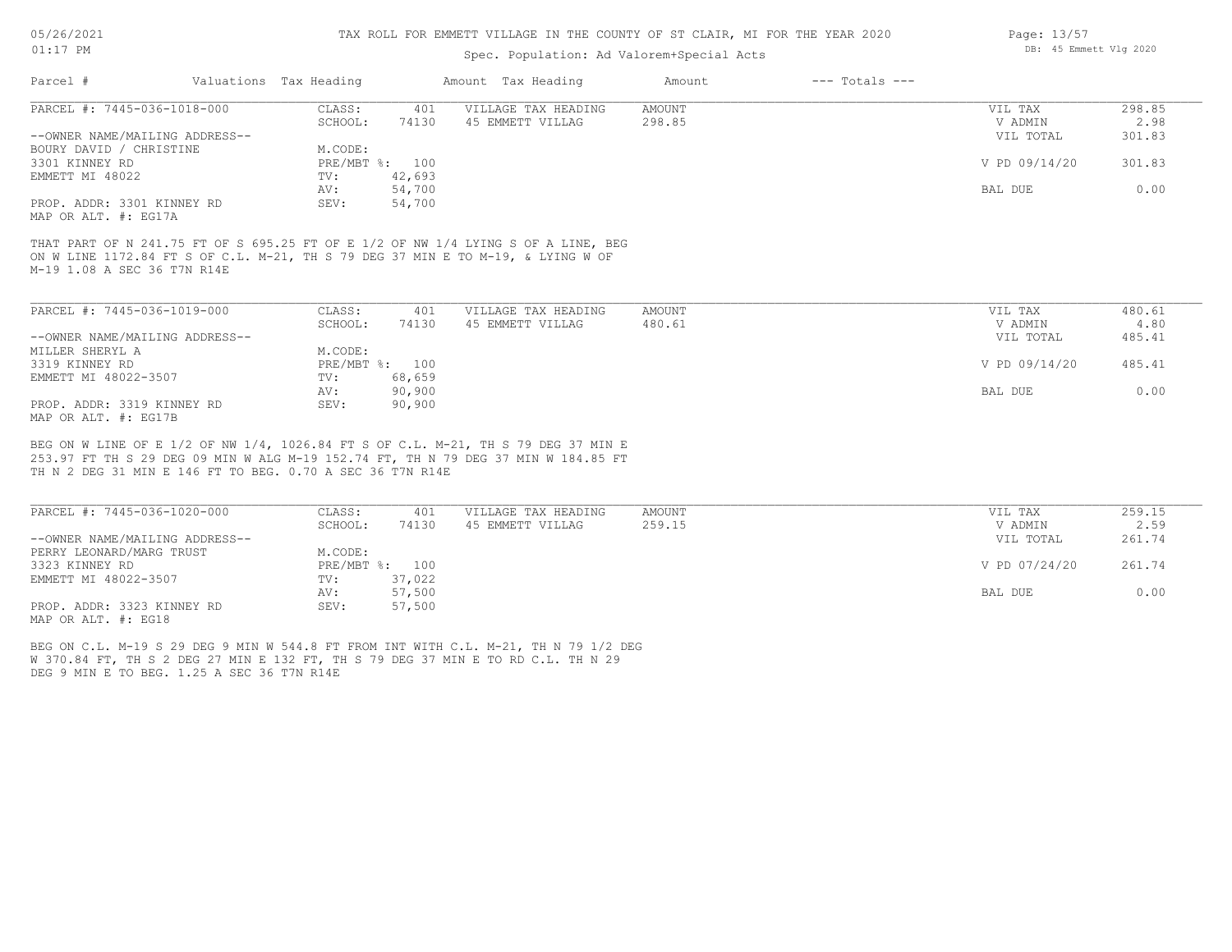#### TAX ROLL FOR EMMETT VILLAGE IN THE COUNTY OF ST CLAIR, MI FOR THE YEAR 2020

## Spec. Population: Ad Valorem+Special Acts

| Parcel #                       | Valuations Tax Heading |        | Amount Tax Heading  | Amount | $---$ Totals $---$ |               |        |
|--------------------------------|------------------------|--------|---------------------|--------|--------------------|---------------|--------|
| PARCEL #: 7445-036-1018-000    | CLASS:                 | 401    | VILLAGE TAX HEADING | AMOUNT |                    | VIL TAX       | 298.85 |
|                                | SCHOOL:                | 74130  | 45 EMMETT VILLAG    | 298.85 |                    | V ADMIN       | 2.98   |
| --OWNER NAME/MAILING ADDRESS-- |                        |        |                     |        |                    | VIL TOTAL     | 301.83 |
| BOURY DAVID / CHRISTINE        | M.CODE:                |        |                     |        |                    |               |        |
| 3301 KINNEY RD                 | PRE/MBT %: 100         |        |                     |        |                    | V PD 09/14/20 | 301.83 |
| EMMETT MI 48022                | TV:                    | 42,693 |                     |        |                    |               |        |
|                                | AV:                    | 54,700 |                     |        |                    | BAL DUE       | 0.00   |
| PROP. ADDR: 3301 KINNEY RD     | SEV:                   | 54,700 |                     |        |                    |               |        |
| MAP OR ALT. #: EG17A           |                        |        |                     |        |                    |               |        |

M-19 1.08 A SEC 36 T7N R14E ON W LINE 1172.84 FT S OF C.L. M-21, TH S 79 DEG 37 MIN E TO M-19, & LYING W OF THAT PART OF N 241.75 FT OF S 695.25 FT OF E 1/2 OF NW 1/4 LYING S OF A LINE, BEG

| PARCEL #: 7445-036-1019-000    | CLASS:  | 401            | VILLAGE TAX HEADING | AMOUNT | VIL TAX       | 480.61 |
|--------------------------------|---------|----------------|---------------------|--------|---------------|--------|
|                                | SCHOOL: | 74130          | 45 EMMETT VILLAG    | 480.61 | V ADMIN       | 4.80   |
| --OWNER NAME/MAILING ADDRESS-- |         |                |                     |        | VIL TOTAL     | 485.41 |
| MILLER SHERYL A                | M.CODE: |                |                     |        |               |        |
| 3319 KINNEY RD                 |         | PRE/MBT %: 100 |                     |        | V PD 09/14/20 | 485.41 |
| EMMETT MI 48022-3507           | TV:     | 68,659         |                     |        |               |        |
|                                | AV:     | 90,900         |                     |        | BAL DUE       | 0.00   |
| PROP. ADDR: 3319 KINNEY RD     | SEV:    | 90,900         |                     |        |               |        |
| MAP OR ALT. #: EG17B           |         |                |                     |        |               |        |

TH N 2 DEG 31 MIN E 146 FT TO BEG. 0.70 A SEC 36 T7N R14E 253.97 FT TH S 29 DEG 09 MIN W ALG M-19 152.74 FT, TH N 79 DEG 37 MIN W 184.85 FT BEG ON W LINE OF E 1/2 OF NW 1/4, 1026.84 FT S OF C.L. M-21, TH S 79 DEG 37 MIN E

| PARCEL #: 7445-036-1020-000    | CLASS:  | 401            | VILLAGE TAX HEADING | AMOUNT | VIL TAX       | 259.15 |
|--------------------------------|---------|----------------|---------------------|--------|---------------|--------|
|                                | SCHOOL: | 74130          | 45 EMMETT VILLAG    | 259.15 | V ADMIN       | 2.59   |
| --OWNER NAME/MAILING ADDRESS-- |         |                |                     |        | VIL TOTAL     | 261.74 |
| PERRY LEONARD/MARG TRUST       | M.CODE: |                |                     |        |               |        |
| 3323 KINNEY RD                 |         | PRE/MBT %: 100 |                     |        | V PD 07/24/20 | 261.74 |
| EMMETT MI 48022-3507           | TV:     | 37,022         |                     |        |               |        |
|                                | AV:     | 57,500         |                     |        | BAL DUE       | 0.00   |
| PROP. ADDR: 3323 KINNEY RD     | SEV:    | 57,500         |                     |        |               |        |
| MAP OR ALT. #: EG18            |         |                |                     |        |               |        |

DEG 9 MIN E TO BEG. 1.25 A SEC 36 T7N R14E W 370.84 FT, TH S 2 DEG 27 MIN E 132 FT, TH S 79 DEG 37 MIN E TO RD C.L. TH N 29 BEG ON C.L. M-19 S 29 DEG 9 MIN W 544.8 FT FROM INT WITH C.L. M-21, TH N 79 1/2 DEG Page: 13/57 DB: 45 Emmett Vlg 2020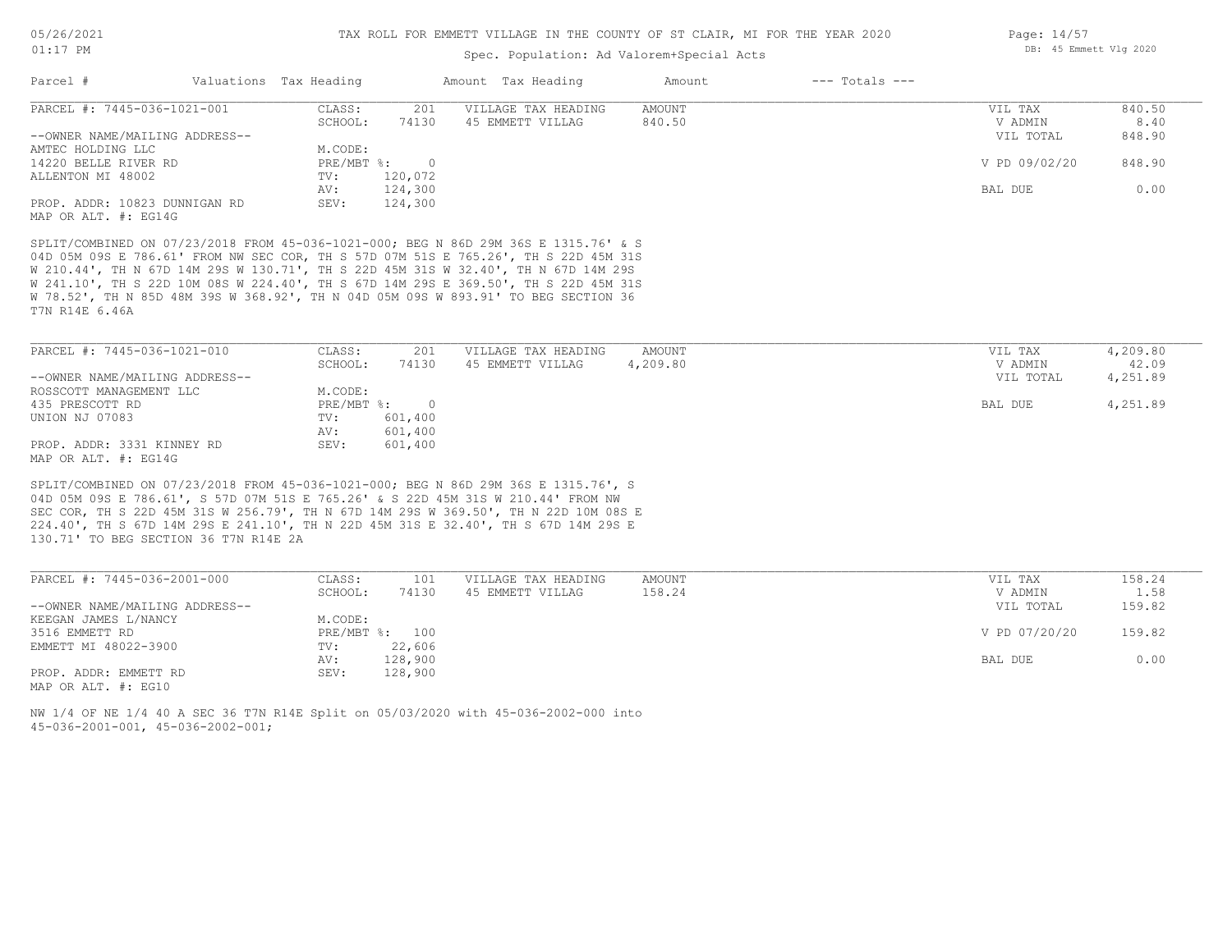### Spec. Population: Ad Valorem+Special Acts

|                                |        |                        |                                    | Amount             | $---$ Totals $---$ |               |        |
|--------------------------------|--------|------------------------|------------------------------------|--------------------|--------------------|---------------|--------|
| PARCEL #: 7445-036-1021-001    | CLASS: | 201                    | VILLAGE TAX HEADING                | AMOUNT             |                    | VIL TAX       | 840.50 |
|                                |        | 74130                  | 45 EMMETT VILLAG                   | 840.50             |                    | V ADMIN       | 8.40   |
| --OWNER NAME/MAILING ADDRESS-- |        |                        |                                    |                    |                    | VIL TOTAL     | 848.90 |
| AMTEC HOLDING LLC              |        |                        |                                    |                    |                    |               |        |
| 14220 BELLE RIVER RD           |        | - 0                    |                                    |                    |                    | V PD 09/02/20 | 848.90 |
| ALLENTON MI 48002              | TV:    | 120,072                |                                    |                    |                    |               |        |
|                                | AV:    | 124,300                |                                    |                    |                    | BAL DUE       | 0.00   |
| PROP. ADDR: 10823 DUNNIGAN RD  | SEV:   | 124,300                |                                    |                    |                    |               |        |
| MAP OR ALT. #: EG14G           |        |                        |                                    |                    |                    |               |        |
|                                |        | Valuations Tax Heading | SCHOOL:<br>M.CODE:<br>$PRE/MBT$ %: | Amount Tax Heading |                    |               |        |

T7N R14E 6.46A W 78.52', TH N 85D 48M 39S W 368.92', TH N 04D 05M 09S W 893.91' TO BEG SECTION 36 W 241.10', TH S 22D 10M 08S W 224.40', TH S 67D 14M 29S E 369.50', TH S 22D 45M 31S W 210.44', TH N 67D 14M 29S W 130.71', TH S 22D 45M 31S W 32.40', TH N 67D 14M 29S 04D 05M 09S E 786.61' FROM NW SEC COR, TH S 57D 07M 51S E 765.26', TH S 22D 45M 31S SPLIT/COMBINED ON 07/23/2018 FROM 45-036-1021-000; BEG N 86D 29M 36S E 1315.76' & S

| PARCEL #: 7445-036-1021-010    | CLASS:       | 201     | VILLAGE TAX HEADING | AMOUNT   | VIL TAX   | 4,209.80 |
|--------------------------------|--------------|---------|---------------------|----------|-----------|----------|
|                                | SCHOOL:      | 74130   | 45 EMMETT VILLAG    | 4,209.80 | V ADMIN   | 42.09    |
| --OWNER NAME/MAILING ADDRESS-- |              |         |                     |          | VIL TOTAL | 4,251.89 |
| ROSSCOTT MANAGEMENT LLC        | M.CODE:      |         |                     |          |           |          |
| 435 PRESCOTT RD                | $PRE/MBT$ %: |         |                     |          | BAL DUE   | 4,251.89 |
| UNION NJ 07083                 | TV:          | 601,400 |                     |          |           |          |
|                                | AV:          | 601,400 |                     |          |           |          |
| PROP. ADDR: 3331 KINNEY RD     | SEV:         | 601,400 |                     |          |           |          |
| MAP OR ALT. #: EG14G           |              |         |                     |          |           |          |

130.71' TO BEG SECTION 36 T7N R14E 2A 224.40', TH S 67D 14M 29S E 241.10', TH N 22D 45M 31S E 32.40', TH S 67D 14M 29S E SEC COR, TH S 22D 45M 31S W 256.79', TH N 67D 14M 29S W 369.50', TH N 22D 10M 08S E 04D 05M 09S E 786.61', S 57D 07M 51S E 765.26' & S 22D 45M 31S W 210.44' FROM NW SPLIT/COMBINED ON 07/23/2018 FROM 45-036-1021-000; BEG N 86D 29M 36S E 1315.76', S

| PARCEL #: 7445-036-2001-000    | CLASS:       | 101     | VILLAGE TAX HEADING | AMOUNT | VIL TAX       | 158.24 |
|--------------------------------|--------------|---------|---------------------|--------|---------------|--------|
|                                | SCHOOL:      | 74130   | 45 EMMETT VILLAG    | 158.24 | V ADMIN       | 1.58   |
| --OWNER NAME/MAILING ADDRESS-- |              |         |                     |        | VIL TOTAL     | 159.82 |
| KEEGAN JAMES L/NANCY           | M.CODE:      |         |                     |        |               |        |
| 3516 EMMETT RD                 | $PRE/MBT$ %: | 100     |                     |        | V PD 07/20/20 | 159.82 |
| EMMETT MI 48022-3900           | TV:          | 22,606  |                     |        |               |        |
|                                | AV:          | 128,900 |                     |        | BAL DUE       | 0.00   |
| PROP. ADDR: EMMETT RD          | SEV:         | 128,900 |                     |        |               |        |
| MAP OR ALT. $\#$ : EG10        |              |         |                     |        |               |        |

45-036-2001-001, 45-036-2002-001; NW 1/4 OF NE 1/4 40 A SEC 36 T7N R14E Split on 05/03/2020 with 45-036-2002-000 into Page: 14/57 DB: 45 Emmett Vlg 2020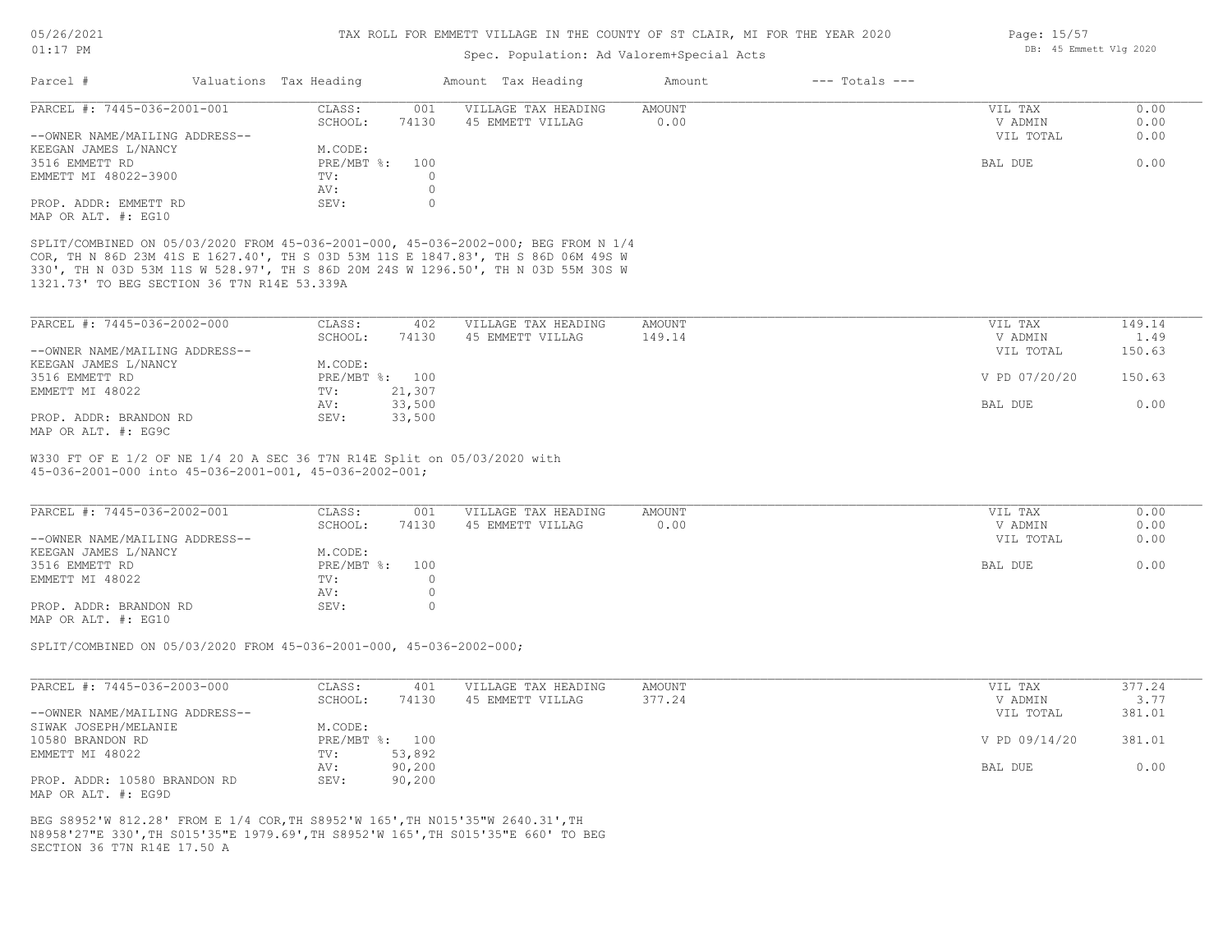### Spec. Population: Ad Valorem+Special Acts

| Parcel #                       | Valuations Tax Heading |       | Amount Tax Heading  | Amount | $---$ Totals $---$ |           |      |
|--------------------------------|------------------------|-------|---------------------|--------|--------------------|-----------|------|
| PARCEL #: 7445-036-2001-001    | CLASS:                 | 001   | VILLAGE TAX HEADING | AMOUNT |                    | VIL TAX   | 0.00 |
|                                | SCHOOL:                | 74130 | 45 EMMETT VILLAG    | 0.00   |                    | V ADMIN   | 0.00 |
| --OWNER NAME/MAILING ADDRESS-- |                        |       |                     |        |                    | VIL TOTAL | 0.00 |
| KEEGAN JAMES L/NANCY           | M.CODE:                |       |                     |        |                    |           |      |
| 3516 EMMETT RD                 | $PRE/MBT$ %:           | 100   |                     |        |                    | BAL DUE   | 0.00 |
| EMMETT MI 48022-3900           | TV:                    |       |                     |        |                    |           |      |
|                                | AV:                    |       |                     |        |                    |           |      |
| PROP. ADDR: EMMETT RD          | SEV:                   |       |                     |        |                    |           |      |
| MAP OR ALT. #: EG10            |                        |       |                     |        |                    |           |      |

1321.73' TO BEG SECTION 36 T7N R14E 53.339A 330', TH N 03D 53M 11S W 528.97', TH S 86D 20M 24S W 1296.50', TH N 03D 55M 30S W COR, TH N 86D 23M 41S E 1627.40', TH S 03D 53M 11S E 1847.83', TH S 86D 06M 49S W SPLIT/COMBINED ON 05/03/2020 FROM 45-036-2001-000, 45-036-2002-000; BEG FROM N 1/4

| PARCEL #: 7445-036-2002-000    | CLASS:       | 402    | VILLAGE TAX HEADING | AMOUNT | VIL TAX       | 149.14 |
|--------------------------------|--------------|--------|---------------------|--------|---------------|--------|
|                                | SCHOOL:      | 74130  | 45 EMMETT VILLAG    | 149.14 | V ADMIN       | 1.49   |
| --OWNER NAME/MAILING ADDRESS-- |              |        |                     |        | VIL TOTAL     | 150.63 |
| KEEGAN JAMES L/NANCY           | M.CODE:      |        |                     |        |               |        |
| 3516 EMMETT RD                 | $PRE/MBT$ %: | 100    |                     |        | V PD 07/20/20 | 150.63 |
| EMMETT MI 48022                | TV:          | 21,307 |                     |        |               |        |
|                                | AV:          | 33,500 |                     |        | BAL DUE       | 0.00   |
| PROP. ADDR: BRANDON RD         | SEV:         | 33,500 |                     |        |               |        |
| MAP OR ALT. $\#$ : EG9C        |              |        |                     |        |               |        |

45-036-2001-000 into 45-036-2001-001, 45-036-2002-001; W330 FT OF E 1/2 OF NE 1/4 20 A SEC 36 T7N R14E Split on 05/03/2020 with

| PARCEL #: 7445-036-2002-001    | CLASS:         | 001   | VILLAGE TAX HEADING | AMOUNT | VIL TAX   | 0.00 |
|--------------------------------|----------------|-------|---------------------|--------|-----------|------|
|                                | SCHOOL:        | 74130 | 45 EMMETT VILLAG    | 0.00   | V ADMIN   | 0.00 |
| --OWNER NAME/MAILING ADDRESS-- |                |       |                     |        | VIL TOTAL | 0.00 |
| KEEGAN JAMES L/NANCY           | M.CODE:        |       |                     |        |           |      |
| 3516 EMMETT RD                 | PRE/MBT %: 100 |       |                     |        | BAL DUE   | 0.00 |
| EMMETT MI 48022                | TV:            |       |                     |        |           |      |
|                                | AV:            |       |                     |        |           |      |
| PROP. ADDR: BRANDON RD         | SEV:           |       |                     |        |           |      |
| $\frac{1}{2}$                  |                |       |                     |        |           |      |

MAP OR ALT. #: EG10

SPLIT/COMBINED ON 05/03/2020 FROM 45-036-2001-000, 45-036-2002-000;

| PARCEL #: 7445-036-2003-000    | CLASS:  | 401            | VILLAGE TAX HEADING | AMOUNT | VIL TAX       | 377.24 |
|--------------------------------|---------|----------------|---------------------|--------|---------------|--------|
|                                | SCHOOL: | 74130          | 45 EMMETT VILLAG    | 377.24 | V ADMIN       | 3.77   |
| --OWNER NAME/MAILING ADDRESS-- |         |                |                     |        | VIL TOTAL     | 381.01 |
| SIWAK JOSEPH/MELANIE           | M.CODE: |                |                     |        |               |        |
| 10580 BRANDON RD               |         | PRE/MBT %: 100 |                     |        | V PD 09/14/20 | 381.01 |
| EMMETT MI 48022                | TV:     | 53,892         |                     |        |               |        |
|                                | AV:     | 90,200         |                     |        | BAL DUE       | 0.00   |
| PROP. ADDR: 10580 BRANDON RD   | SEV:    | 90,200         |                     |        |               |        |
| MAP OR ALT. #: EG9D            |         |                |                     |        |               |        |

SECTION 36 T7N R14E 17.50 A N8958'27"E 330',TH S015'35"E 1979.69',TH S8952'W 165',TH S015'35"E 660' TO BEG BEG S8952'W 812.28' FROM E 1/4 COR,TH S8952'W 165',TH N015'35"W 2640.31',TH

Page: 15/57 DB: 45 Emmett Vlg 2020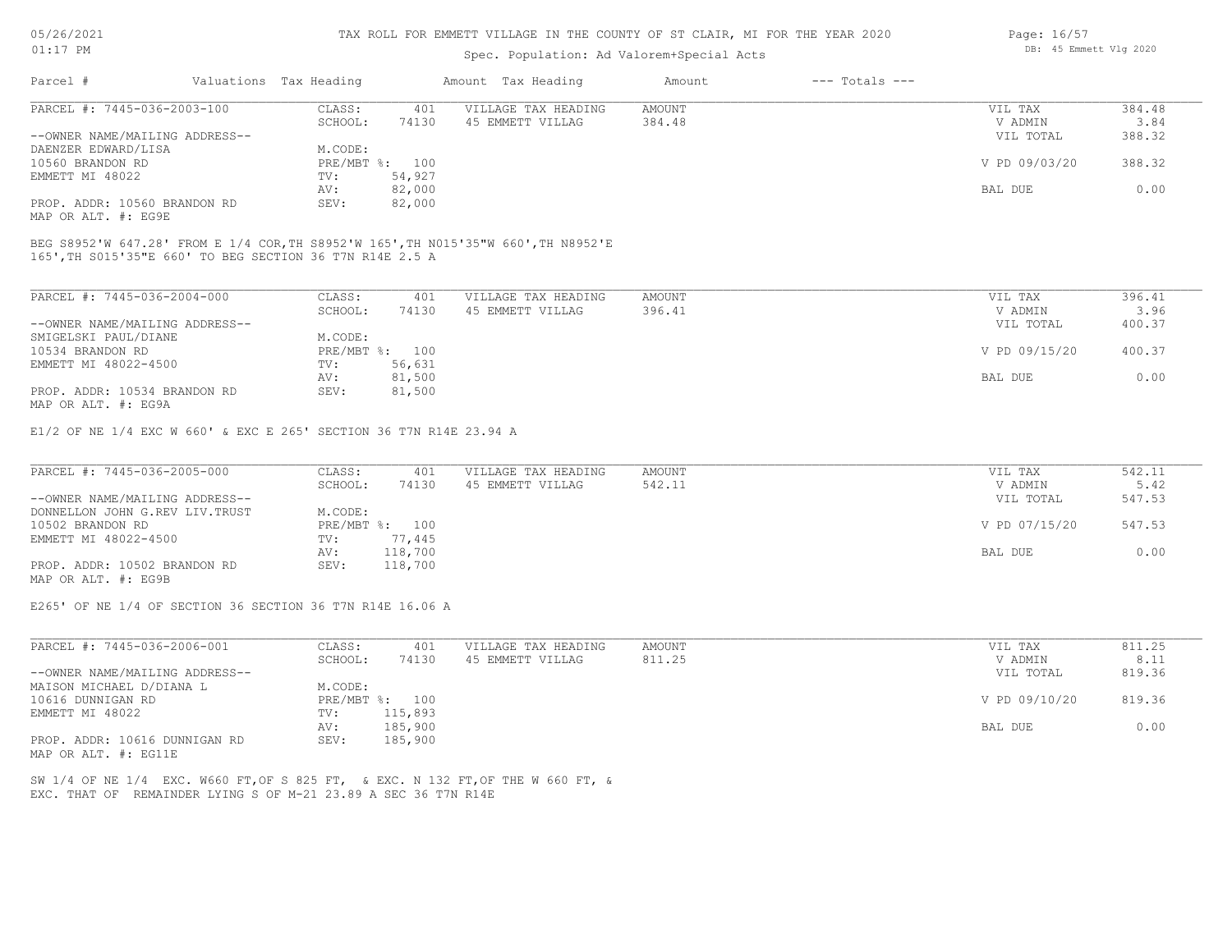#### TAX ROLL FOR EMMETT VILLAGE IN THE COUNTY OF ST CLAIR, MI FOR THE YEAR 2020

## Spec. Population: Ad Valorem+Special Acts

| Parcel #                                            | Valuations Tax Heading |        | Amount Tax Heading  | Amount | $---$ Totals $---$ |               |        |
|-----------------------------------------------------|------------------------|--------|---------------------|--------|--------------------|---------------|--------|
| PARCEL #: 7445-036-2003-100                         | CLASS:                 | 401    | VILLAGE TAX HEADING | AMOUNT |                    | VIL TAX       | 384.48 |
|                                                     | SCHOOL:                | 74130  | 45 EMMETT VILLAG    | 384.48 |                    | V ADMIN       | 3.84   |
| --OWNER NAME/MAILING ADDRESS--                      |                        |        |                     |        |                    | VIL TOTAL     | 388.32 |
| DAENZER EDWARD/LISA                                 | M.CODE:                |        |                     |        |                    |               |        |
| 10560 BRANDON RD                                    | PRE/MBT %: 100         |        |                     |        |                    | V PD 09/03/20 | 388.32 |
| EMMETT MI 48022                                     | TV:                    | 54,927 |                     |        |                    |               |        |
|                                                     | AV:                    | 82,000 |                     |        |                    | BAL DUE       | 0.00   |
| PROP. ADDR: 10560 BRANDON RD<br>MAP OR ALT. #: EG9E | SEV:                   | 82,000 |                     |        |                    |               |        |

165',TH S015'35"E 660' TO BEG SECTION 36 T7N R14E 2.5 A BEG S8952'W 647.28' FROM E 1/4 COR,TH S8952'W 165',TH N015'35"W 660',TH N8952'E

| PARCEL #: 7445-036-2004-000                                   | CLASS:  | 401            | VILLAGE TAX HEADING | AMOUNT | VIL TAX       | 396.41 |
|---------------------------------------------------------------|---------|----------------|---------------------|--------|---------------|--------|
|                                                               | SCHOOL: | 74130          | 45 EMMETT VILLAG    | 396.41 | V ADMIN       | 3.96   |
| --OWNER NAME/MAILING ADDRESS--                                |         |                |                     |        | VIL TOTAL     | 400.37 |
| SMIGELSKI PAUL/DIANE                                          | M.CODE: |                |                     |        |               |        |
| 10534 BRANDON RD                                              |         | PRE/MBT %: 100 |                     |        | V PD 09/15/20 | 400.37 |
| EMMETT MI 48022-4500                                          | TV:     | 56,631         |                     |        |               |        |
|                                                               | AV:     | 81,500         |                     |        | BAL DUE       | 0.00   |
| PROP. ADDR: 10534 BRANDON RD<br>$MAD$ $CD$ $BTD$ $H$ . $DCDD$ | SEV:    | 81,500         |                     |        |               |        |

MAP OR ALT. #: EG9A

E1/2 OF NE 1/4 EXC W 660' & EXC E 265' SECTION 36 T7N R14E 23.94 A

| PARCEL #: 7445-036-2005-000     | CLASS:  | 401            | VILLAGE TAX HEADING | AMOUNT | VIL TAX       | 542.11 |
|---------------------------------|---------|----------------|---------------------|--------|---------------|--------|
|                                 | SCHOOL: | 74130          | 45 EMMETT VILLAG    | 542.11 | V ADMIN       | 5.42   |
| --OWNER NAME/MAILING ADDRESS--  |         |                |                     |        | VIL TOTAL     | 547.53 |
| DONNELLON JOHN G.REV LIV. TRUST | M.CODE: |                |                     |        |               |        |
| 10502 BRANDON RD                |         | PRE/MBT %: 100 |                     |        | V PD 07/15/20 | 547.53 |
| EMMETT MI 48022-4500            | TV:     | 77,445         |                     |        |               |        |
|                                 | AV:     | 118,700        |                     |        | BAL DUE       | 0.00   |
| PROP. ADDR: 10502 BRANDON RD    | SEV:    | 118,700        |                     |        |               |        |
| MAP OR ALT. #: EG9B             |         |                |                     |        |               |        |

E265' OF NE 1/4 OF SECTION 36 SECTION 36 T7N R14E 16.06 A

| PARCEL #: 7445-036-2006-001    | CLASS:  | 401            | VILLAGE TAX HEADING | AMOUNT | VIL TAX       | 811.25 |
|--------------------------------|---------|----------------|---------------------|--------|---------------|--------|
|                                | SCHOOL: | 74130          | 45 EMMETT VILLAG    | 811.25 | V ADMIN       | 8.11   |
| --OWNER NAME/MAILING ADDRESS-- |         |                |                     |        | VIL TOTAL     | 819.36 |
| MAISON MICHAEL D/DIANA L       | M.CODE: |                |                     |        |               |        |
| 10616 DUNNIGAN RD              |         | PRE/MBT %: 100 |                     |        | V PD 09/10/20 | 819.36 |
| EMMETT MI 48022                | TV:     | 115,893        |                     |        |               |        |
|                                | AV:     | 185,900        |                     |        | BAL DUE       | 0.00   |
| PROP. ADDR: 10616 DUNNIGAN RD  | SEV:    | 185,900        |                     |        |               |        |
| MAP OR ALT. #: EG11E           |         |                |                     |        |               |        |

EXC. THAT OF REMAINDER LYING S OF M-21 23.89 A SEC 36 T7N R14E SW 1/4 OF NE 1/4 EXC. W660 FT,OF S 825 FT, & EXC. N 132 FT,OF THE W 660 FT, & Page: 16/57 DB: 45 Emmett Vlg 2020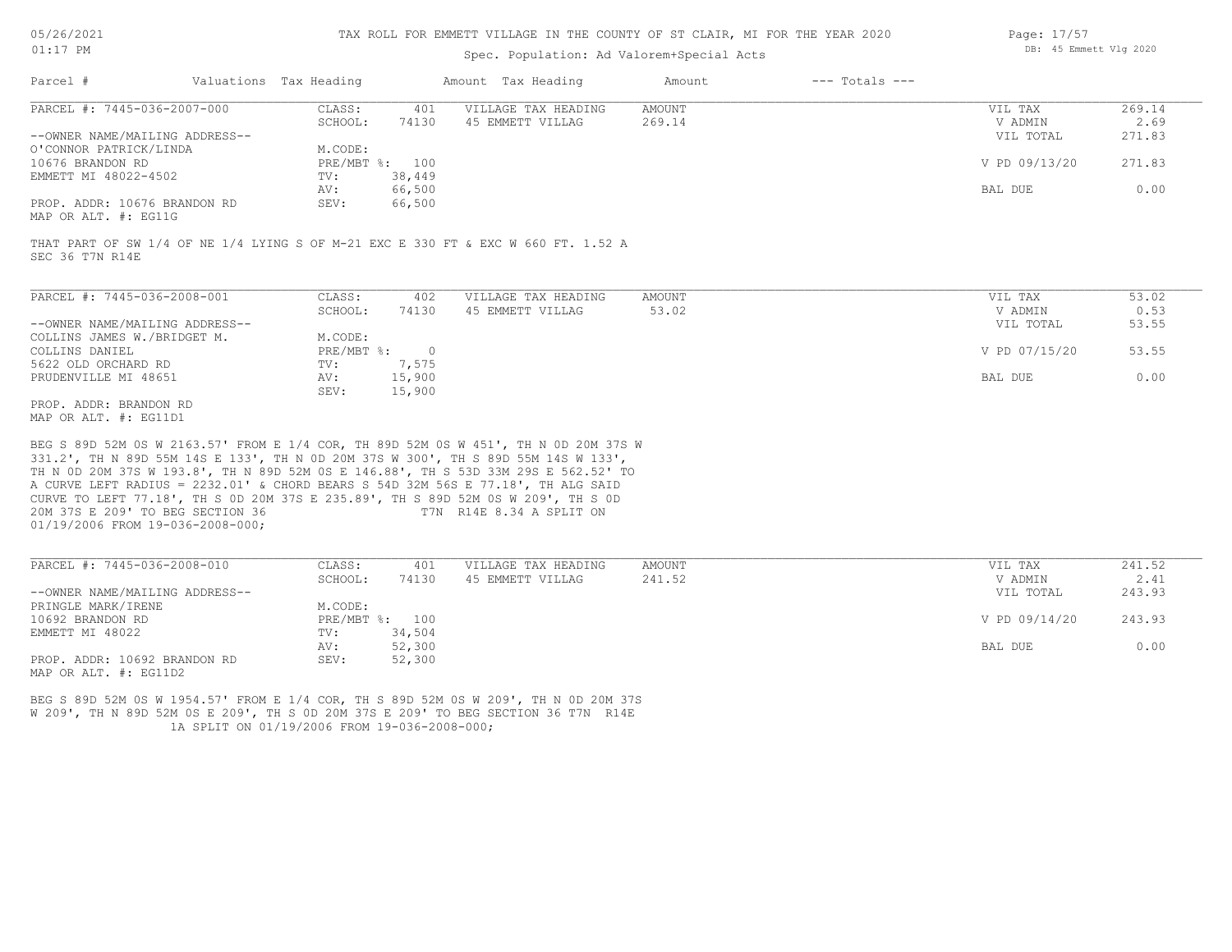| 05/26/2021 |  |
|------------|--|
|            |  |

### Spec. Population: Ad Valorem+Special Acts

| Page: 17/57 |                        |  |
|-------------|------------------------|--|
|             | DB: 45 Emmett Vlg 2020 |  |

| Parcel #                       | Valuations Tax Heading |                | Amount Tax Heading  | Amount | $---$ Totals $---$ |               |        |
|--------------------------------|------------------------|----------------|---------------------|--------|--------------------|---------------|--------|
| PARCEL #: 7445-036-2007-000    | CLASS:                 | 401            | VILLAGE TAX HEADING | AMOUNT |                    | VIL TAX       | 269.14 |
|                                | SCHOOL:                | 74130          | 45 EMMETT VILLAG    | 269.14 |                    | V ADMIN       | 2.69   |
| --OWNER NAME/MAILING ADDRESS-- |                        |                |                     |        |                    | VIL TOTAL     | 271.83 |
| O'CONNOR PATRICK/LINDA         | M.CODE:                |                |                     |        |                    |               |        |
| 10676 BRANDON RD               |                        | PRE/MBT %: 100 |                     |        |                    | V PD 09/13/20 | 271.83 |
| EMMETT MI 48022-4502           | TV:                    | 38,449         |                     |        |                    |               |        |
|                                | AV:                    | 66,500         |                     |        |                    | BAL DUE       | 0.00   |
| PROP. ADDR: 10676 BRANDON RD   | SEV:                   | 66,500         |                     |        |                    |               |        |
|                                |                        |                |                     |        |                    |               |        |

MAP OR ALT. #: EG11G

SEC 36 T7N R14E THAT PART OF SW 1/4 OF NE 1/4 LYING S OF M-21 EXC E 330 FT & EXC W 660 FT. 1.52 A

| PARCEL #: 7445-036-2008-001    | CLASS:     | 402    | VILLAGE TAX HEADING | AMOUNT | VIL TAX       | 53.02 |
|--------------------------------|------------|--------|---------------------|--------|---------------|-------|
|                                | SCHOOL:    | 74130  | 45 EMMETT VILLAG    | 53.02  | V ADMIN       | 0.53  |
| --OWNER NAME/MAILING ADDRESS-- |            |        |                     |        | VIL TOTAL     | 53.55 |
| COLLINS JAMES W./BRIDGET M.    | M.CODE:    |        |                     |        |               |       |
| COLLINS DANIEL                 | PRE/MBT %: |        |                     |        | V PD 07/15/20 | 53.55 |
| 5622 OLD ORCHARD RD            | TV:        | 7,575  |                     |        |               |       |
| PRUDENVILLE MI 48651           | AV:        | 15,900 |                     |        | BAL DUE       | 0.00  |
|                                | SEV:       | 15,900 |                     |        |               |       |
| PROP. ADDR: BRANDON RD         |            |        |                     |        |               |       |

MAP OR ALT. #: EG11D1

01/19/2006 FROM 19-036-2008-000; 20M 37S E 209' TO BEG SECTION 36 T7N R14E 8.34 A SPLIT ON CURVE TO LEFT 77.18', TH S 0D 20M 37S E 235.89', TH S 89D 52M 0S W 209', TH S 0D A CURVE LEFT RADIUS = 2232.01' & CHORD BEARS S 54D 32M 56S E 77.18', TH ALG SAID TH N 0D 20M 37S W 193.8', TH N 89D 52M 0S E 146.88', TH S 53D 33M 29S E 562.52' TO 331.2', TH N 89D 55M 14S E 133', TH N 0D 20M 37S W 300', TH S 89D 55M 14S W 133', BEG S 89D 52M 0S W 2163.57' FROM E 1/4 COR, TH 89D 52M 0S W 451', TH N 0D 20M 37S W

| PARCEL #: 7445-036-2008-010    | CLASS:     | 401    | VILLAGE TAX HEADING | AMOUNT | VIL TAX       | 241.52 |
|--------------------------------|------------|--------|---------------------|--------|---------------|--------|
|                                | SCHOOL:    | 74130  | 45 EMMETT VILLAG    | 241.52 | V ADMIN       | 2.41   |
| --OWNER NAME/MAILING ADDRESS-- |            |        |                     |        | VIL TOTAL     | 243.93 |
| PRINGLE MARK/IRENE             | M.CODE:    |        |                     |        |               |        |
| 10692 BRANDON RD               | PRE/MBT %: | 100    |                     |        | V PD 09/14/20 | 243.93 |
| EMMETT MI 48022                | TV:        | 34,504 |                     |        |               |        |
|                                | AV:        | 52,300 |                     |        | BAL DUE       | 0.00   |
| PROP. ADDR: 10692 BRANDON RD   | SEV:       | 52,300 |                     |        |               |        |
| MAP OR ALT. #: EG11D2          |            |        |                     |        |               |        |

 1A SPLIT ON 01/19/2006 FROM 19-036-2008-000; W 209', TH N 89D 52M 0S E 209', TH S 0D 20M 37S E 209' TO BEG SECTION 36 T7N R14E BEG S 89D 52M 0S W 1954.57' FROM E 1/4 COR, TH S 89D 52M 0S W 209', TH N 0D 20M 37S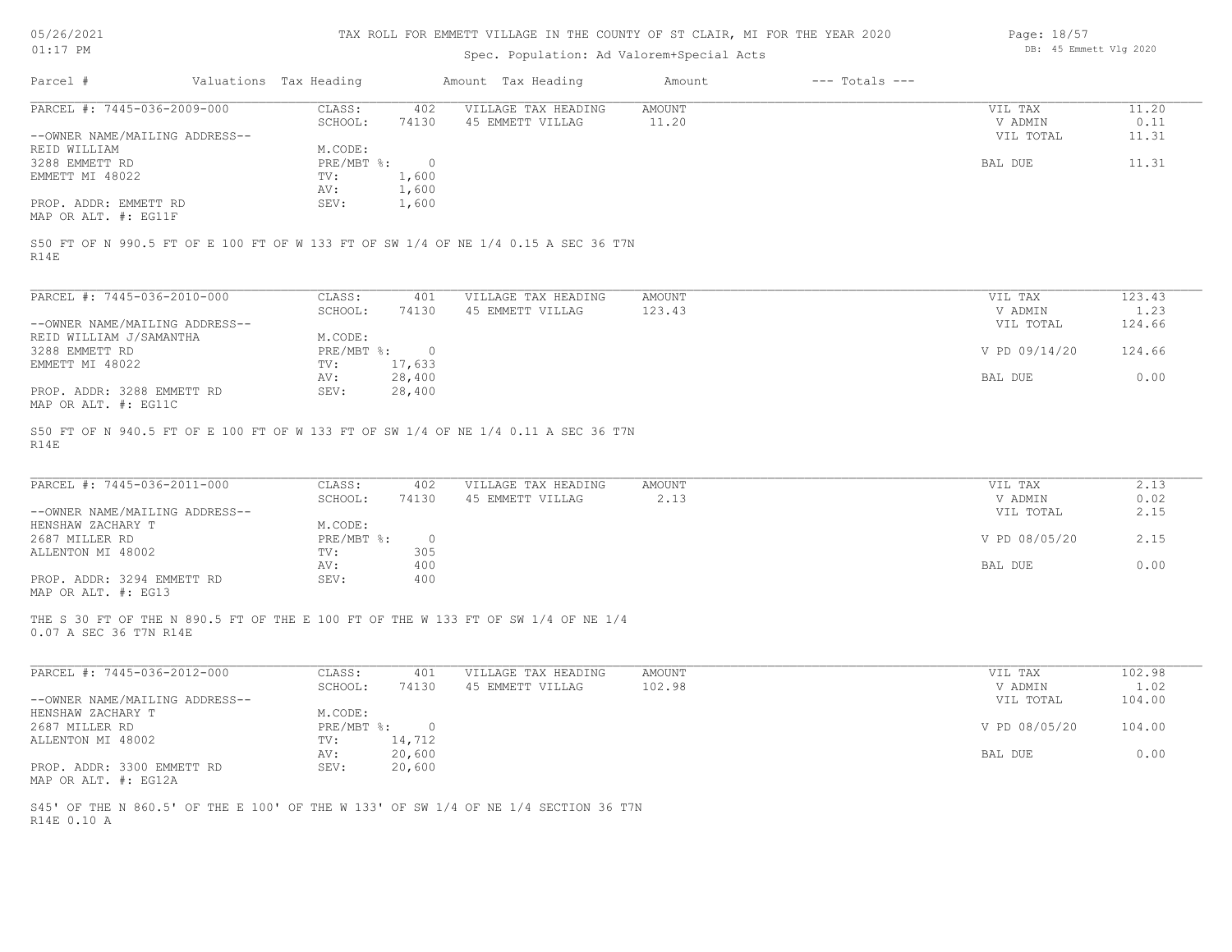| 05/26/2021 |  |
|------------|--|
| 01:17      |  |

## Spec. Population: Ad Valorem+Special Acts

| Page: 18/57 |                        |  |
|-------------|------------------------|--|
|             | DB: 45 Emmett Vlg 2020 |  |

|                                                               |                        |                | opec. roparacron. na varorem opecrar neco                                          |                  |                    |                                 |                          |
|---------------------------------------------------------------|------------------------|----------------|------------------------------------------------------------------------------------|------------------|--------------------|---------------------------------|--------------------------|
| Parcel #                                                      | Valuations Tax Heading |                | Amount Tax Heading                                                                 | Amount           | $---$ Totals $---$ |                                 |                          |
| PARCEL #: 7445-036-2009-000                                   | CLASS:                 | 402            | VILLAGE TAX HEADING                                                                | AMOUNT           |                    | VIL TAX                         | 11.20                    |
|                                                               | SCHOOL:                | 74130          | 45 EMMETT VILLAG                                                                   | 11.20            |                    | V ADMIN                         | 0.11                     |
| --OWNER NAME/MAILING ADDRESS--                                |                        |                |                                                                                    |                  |                    | VIL TOTAL                       | 11.31                    |
| REID WILLIAM                                                  | M.CODE:                |                |                                                                                    |                  |                    |                                 |                          |
| 3288 EMMETT RD                                                | PRE/MBT %:             | $\overline{0}$ |                                                                                    |                  |                    | BAL DUE                         | 11.31                    |
| EMMETT MI 48022                                               | TV:                    | 1,600          |                                                                                    |                  |                    |                                 |                          |
|                                                               | AV:                    | 1,600          |                                                                                    |                  |                    |                                 |                          |
| PROP. ADDR: EMMETT RD                                         | SEV:                   | 1,600          |                                                                                    |                  |                    |                                 |                          |
| MAP OR ALT. #: EG11F                                          |                        |                |                                                                                    |                  |                    |                                 |                          |
| PARCEL #: 7445-036-2010-000<br>--OWNER NAME/MAILING ADDRESS-- | CLASS:<br>SCHOOL:      | 401<br>74130   | VILLAGE TAX HEADING<br>45 EMMETT VILLAG                                            | AMOUNT<br>123.43 |                    | VIL TAX<br>V ADMIN<br>VIL TOTAL | 123.43<br>1.23<br>124.66 |
| REID WILLIAM J/SAMANTHA                                       | M.CODE:                |                |                                                                                    |                  |                    |                                 |                          |
| 3288 EMMETT RD                                                | PRE/MBT %:             | $\overline{0}$ |                                                                                    |                  |                    | V PD 09/14/20                   | 124.66                   |
| EMMETT MI 48022                                               | TV:                    | 17,633         |                                                                                    |                  |                    |                                 |                          |
|                                                               | AV:                    | 28,400         |                                                                                    |                  |                    | BAL DUE                         | 0.00                     |
| PROP. ADDR: 3288 EMMETT RD<br>MAP OR ALT. #: EG11C            | SEV:                   | 28,400         |                                                                                    |                  |                    |                                 |                          |
| R14E                                                          |                        |                | S50 FT OF N 940.5 FT OF E 100 FT OF W 133 FT OF SW 1/4 OF NE 1/4 0.11 A SEC 36 T7N |                  |                    |                                 |                          |
| PARCEL #: 7445-036-2011-000                                   | CLASS:                 | 402            | VILLAGE TAX HEADING                                                                | AMOUNT           |                    | VIL TAX                         | 2.13                     |
|                                                               | SCHOOL:                | 74130          | 45 EMMETT VILLAG                                                                   | 2.13             |                    | V ADMIN                         | 0.02                     |
| $--$ OWNER NAME/MATIING ADDRESS--                             |                        |                |                                                                                    |                  |                    | VII. TOTAI.                     | 2 15                     |

|                                | -------    | .   | ---- | .             | . <u>.</u> |
|--------------------------------|------------|-----|------|---------------|------------|
| --OWNER NAME/MAILING ADDRESS-- |            |     |      | VIL TOTAL     | 2.15       |
| HENSHAW ZACHARY T              | M.CODE:    |     |      |               |            |
| 2687 MILLER RD                 | PRE/MBT %: |     |      | V PD 08/05/20 | 2.15       |
| ALLENTON MI 48002              | TV:        | 305 |      |               |            |
|                                | AV:        | 400 |      | BAL DUE       | 0.00       |
| PROP. ADDR: 3294 EMMETT RD     | SEV:       | 400 |      |               |            |
|                                |            |     |      |               |            |

MAP OR ALT. #: EG13

0.07 A SEC 36 T7N R14E THE S 30 FT OF THE N 890.5 FT OF THE E 100 FT OF THE W 133 FT OF SW 1/4 OF NE 1/4

| PARCEL #: 7445-036-2012-000    | CLASS:       | 401    | VILLAGE TAX HEADING | AMOUNT | VIL TAX       | 102.98 |
|--------------------------------|--------------|--------|---------------------|--------|---------------|--------|
|                                | SCHOOL:      | 74130  | 45 EMMETT VILLAG    | 102.98 | V ADMIN       | 1.02   |
| --OWNER NAME/MAILING ADDRESS-- |              |        |                     |        | VIL TOTAL     | 104.00 |
| HENSHAW ZACHARY T              | M.CODE:      |        |                     |        |               |        |
| 2687 MILLER RD                 | $PRE/MBT$ %: |        |                     |        | V PD 08/05/20 | 104.00 |
| ALLENTON MI 48002              | TV:          | 14,712 |                     |        |               |        |
|                                | AV:          | 20,600 |                     |        | BAL DUE       | 0.00   |
| PROP. ADDR: 3300 EMMETT RD     | SEV:         | 20,600 |                     |        |               |        |
| MAP OR ALT. #: EG12A           |              |        |                     |        |               |        |

R14E 0.10 A S45' OF THE N 860.5' OF THE E 100' OF THE W 133' OF SW 1/4 OF NE 1/4 SECTION 36 T7N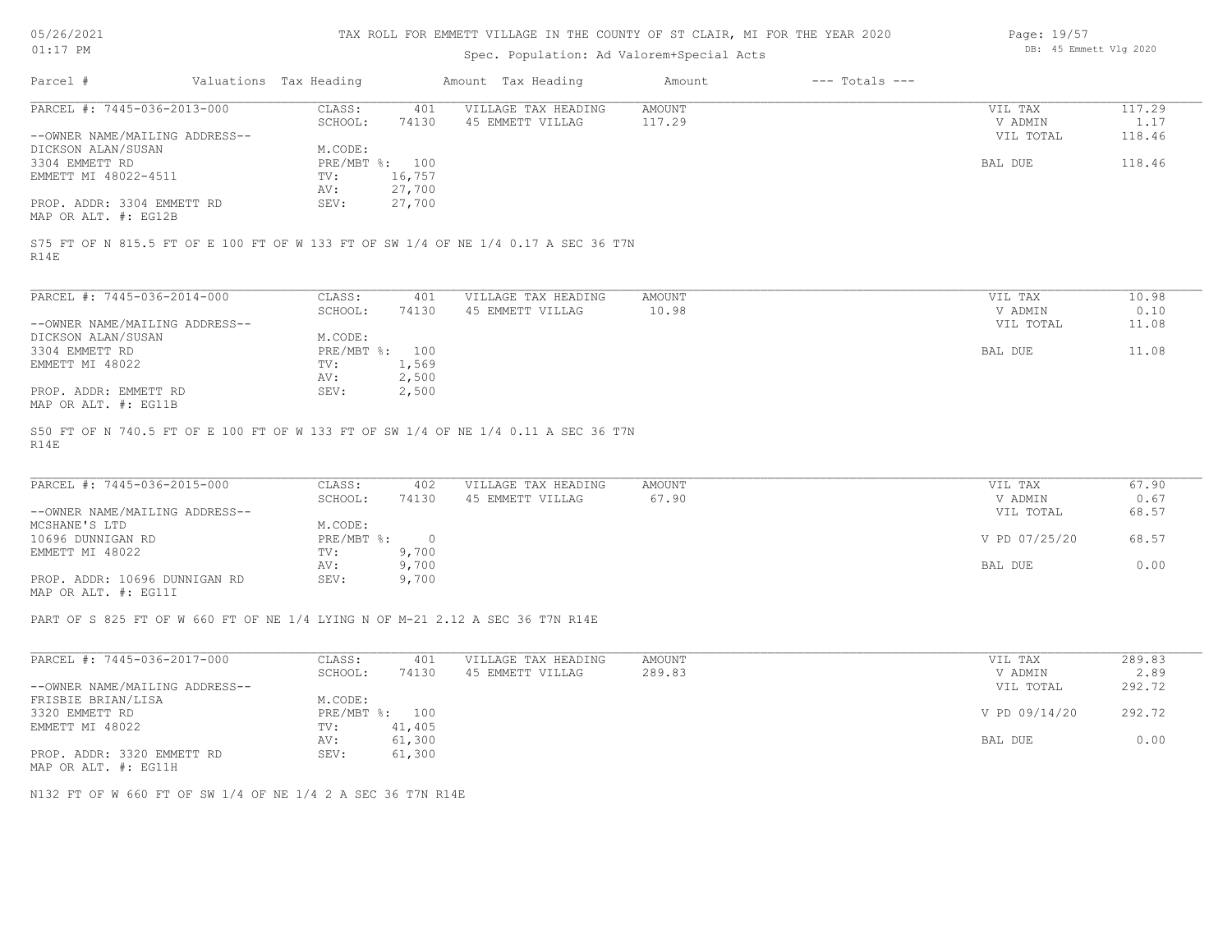| 05/26/2021 |  |
|------------|--|
|            |  |

| Page: 19/57 |                        |  |  |  |  |
|-------------|------------------------|--|--|--|--|
|             | DB: 45 Emmett Vlg 2020 |  |  |  |  |

| OT:T\ RM                                                                                   |                        |          | DD. TU DINNELL VIY ZUZU |               |                    |                |        |
|--------------------------------------------------------------------------------------------|------------------------|----------|-------------------------|---------------|--------------------|----------------|--------|
| Parcel #                                                                                   | Valuations Tax Heading |          | Amount Tax Heading      | Amount        | $---$ Totals $---$ |                |        |
| PARCEL #: 7445-036-2013-000                                                                | CLASS:                 | 401      | VILLAGE TAX HEADING     | <b>AMOUNT</b> |                    | VIL TAX        | 117.29 |
|                                                                                            | SCHOOL:                | 74130    | 45 EMMETT VILLAG        | 117.29        |                    | V ADMIN        | 1.17   |
| --OWNER NAME/MAILING ADDRESS--                                                             |                        |          |                         |               |                    | VIL TOTAL      | 118.46 |
| DICKSON ALAN/SUSAN                                                                         | M.CODE:                |          |                         |               |                    |                |        |
| 3304 EMMETT RD                                                                             | PRE/MBT %: 100         |          |                         |               |                    | BAL DUE        | 118.46 |
| EMMETT MI 48022-4511                                                                       | TV:                    | 16,757   |                         |               |                    |                |        |
|                                                                                            | AV:                    | 27,700   |                         |               |                    |                |        |
| PROP. ADDR: 3304 EMMETT RD<br>MAP OR ALT. #: EG12B                                         | SEV:                   | 27,700   |                         |               |                    |                |        |
| S75 FT OF N 815.5 FT OF E 100 FT OF W 133 FT OF SW 1/4 OF NE 1/4 0.17 A SEC 36 T7N<br>R14E |                        |          |                         |               |                    |                |        |
| PARCEL #: 7445-036-2014-000                                                                | CLASS:                 | 401      | VILLAGE TAX HEADING     | <b>AMOUNT</b> |                    | VIL TAX        | 10.98  |
|                                                                                            | SCHOOL:                | 74130    | 45 EMMETT VILLAG        | 10.98         |                    | V ADMIN        | 0.10   |
| --OWNER NAME/MAILING ADDRESS--                                                             |                        |          |                         |               |                    |                |        |
|                                                                                            |                        |          |                         |               |                    | VIL TOTAL      | 11.08  |
| DICKSON ALAN/SUSAN                                                                         | M.CODE:                |          |                         |               |                    |                |        |
| 3304 EMMETT RD                                                                             | PRE/MBT %:             | 100      |                         |               |                    | <b>BAL DUE</b> | 11.08  |
| EMMETT MI 48022                                                                            | TV:                    | 1,569    |                         |               |                    |                |        |
|                                                                                            | AV:                    | 2,500    |                         |               |                    |                |        |
| PROP. ADDR: EMMETT RD                                                                      | SEV:                   | 2,500    |                         |               |                    |                |        |
| MAP OR ALT. #: EG11B                                                                       |                        |          |                         |               |                    |                |        |
| S50 FT OF N 740.5 FT OF E 100 FT OF W 133 FT OF SW 1/4 OF NE 1/4 0.11 A SEC 36 T7N<br>R14E |                        |          |                         |               |                    |                |        |
|                                                                                            |                        |          |                         |               |                    |                |        |
| PARCEL #: 7445-036-2015-000                                                                | CLASS:                 | 402      | VILLAGE TAX HEADING     | <b>AMOUNT</b> |                    | VIL TAX        | 67.90  |
|                                                                                            | SCHOOL:                | 74130    | 45 EMMETT VILLAG        | 67.90         |                    | V ADMIN        | 0.67   |
| --OWNER NAME/MAILING ADDRESS--                                                             |                        |          |                         |               |                    | VIL TOTAL      | 68.57  |
| MCSHANE'S LTD                                                                              | M.CODE:                |          |                         |               |                    |                |        |
| 10696 DUNNIGAN RD                                                                          | PRE/MBT %:             | $\Omega$ |                         |               |                    | V PD 07/25/20  | 68.57  |
| EMMETT MI 48022                                                                            | TV:                    | 9,700    |                         |               |                    |                |        |
|                                                                                            | AV:                    | 9,700    |                         |               |                    | BAL DUE        | 0.00   |

MAP OR ALT. #: EG11I PROP. ADDR: 10696 DUNNIGAN RD SEV: 9,700

PART OF S 825 FT OF W 660 FT OF NE 1/4 LYING N OF M-21 2.12 A SEC 36 T7N R14E

| PARCEL #: 7445-036-2017-000                                                                                     | CLASS:     | 401    | VILLAGE TAX HEADING | AMOUNT | VIL TAX       | 289.83 |
|-----------------------------------------------------------------------------------------------------------------|------------|--------|---------------------|--------|---------------|--------|
|                                                                                                                 | SCHOOL:    | 74130  | 45 EMMETT VILLAG    | 289.83 | V ADMIN       | 2.89   |
| --OWNER NAME/MAILING ADDRESS--                                                                                  |            |        |                     |        | VIL TOTAL     | 292.72 |
| FRISBIE BRIAN/LISA                                                                                              | M.CODE:    |        |                     |        |               |        |
| 3320 EMMETT RD                                                                                                  | PRE/MBT %: | 100    |                     |        | V PD 09/14/20 | 292.72 |
| EMMETT MI 48022                                                                                                 | TV:        | 41,405 |                     |        |               |        |
|                                                                                                                 | AV:        | 61,300 |                     |        | BAL DUE       | 0.00   |
| PROP. ADDR: 3320 EMMETT RD                                                                                      | SEV:       | 61,300 |                     |        |               |        |
| the contract of the contract of the contract of the contract of the contract of the contract of the contract of |            |        |                     |        |               |        |

AV: 9,700 BAL DUE 0.00

MAP OR ALT. #: EG11H

N132 FT OF W 660 FT OF SW 1/4 OF NE 1/4 2 A SEC 36 T7N R14E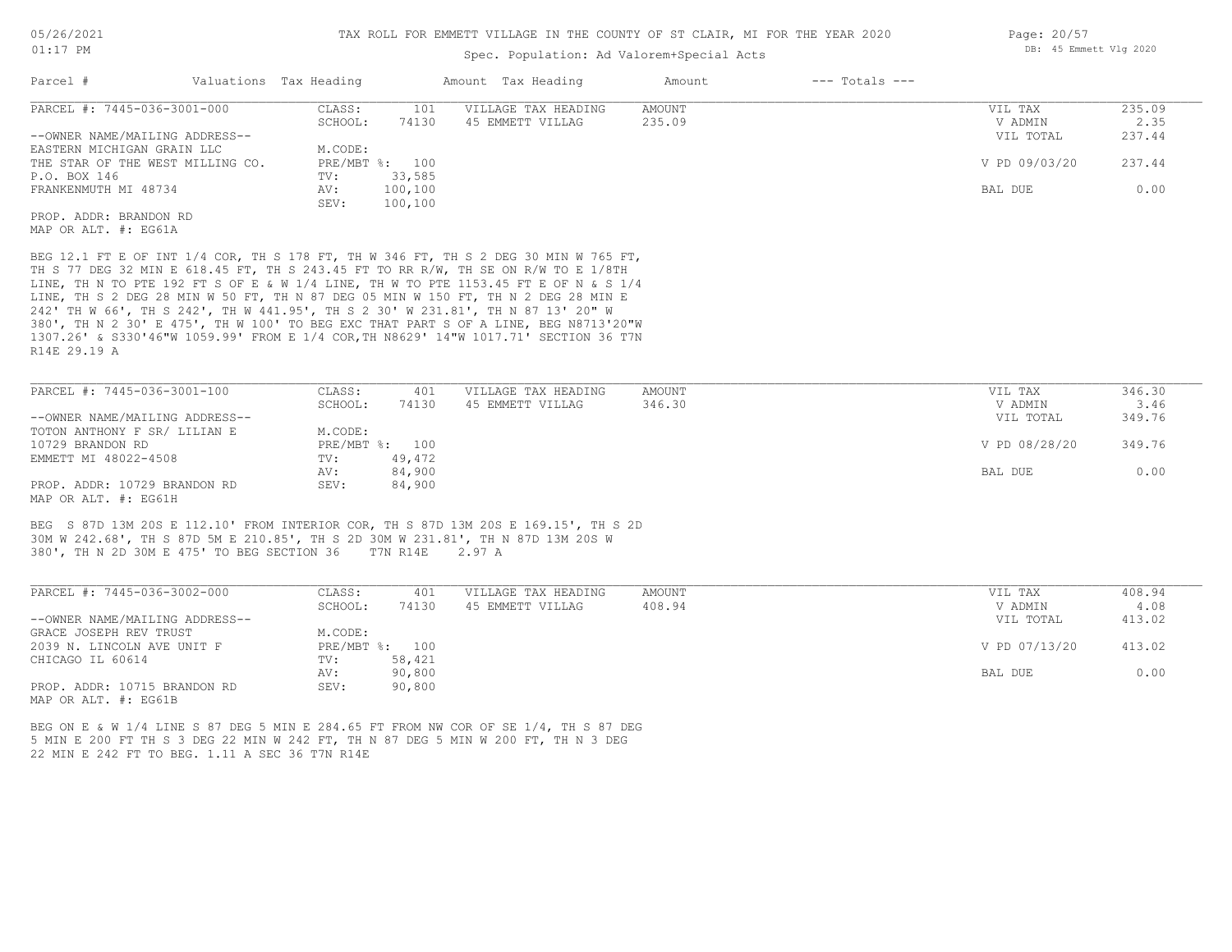#### 01:17 PM

#### TAX ROLL FOR EMMETT VILLAGE IN THE COUNTY OF ST CLAIR, MI FOR THE YEAR 2020

## Spec. Population: Ad Valorem+Special Acts

| Parcel #                         | Valuations Tax Heading |                | Amount Tax Heading  | Amount | $---$ Totals $---$ |               |        |
|----------------------------------|------------------------|----------------|---------------------|--------|--------------------|---------------|--------|
| PARCEL #: 7445-036-3001-000      | CLASS:                 | 101            | VILLAGE TAX HEADING | AMOUNT |                    | VIL TAX       | 235.09 |
|                                  | SCHOOL:                | 74130          | 45 EMMETT VILLAG    | 235.09 |                    | V ADMIN       | 2.35   |
| --OWNER NAME/MAILING ADDRESS--   |                        |                |                     |        |                    | VIL TOTAL     | 237.44 |
| EASTERN MICHIGAN GRAIN LLC       | M.CODE:                |                |                     |        |                    |               |        |
| THE STAR OF THE WEST MILLING CO. |                        | PRE/MBT %: 100 |                     |        |                    | V PD 09/03/20 | 237.44 |
| P.O. BOX 146                     | TV:                    | 33,585         |                     |        |                    |               |        |
| FRANKENMUTH MI 48734             | AV:                    | 100,100        |                     |        |                    | BAL DUE       | 0.00   |
|                                  | SEV:                   | 100,100        |                     |        |                    |               |        |
| PROP. ADDR: BRANDON RD           |                        |                |                     |        |                    |               |        |

MAP OR ALT. #: EG61A

R14E 29.19 A 1307.26' & S330'46"W 1059.99' FROM E 1/4 COR,TH N8629' 14"W 1017.71' SECTION 36 T7N 380', TH N 2 30' E 475', TH W 100' TO BEG EXC THAT PART S OF A LINE, BEG N8713'20"W 242' TH W 66', TH S 242', TH W 441.95', TH S 2 30' W 231.81', TH N 87 13' 20" W LINE, TH S 2 DEG 28 MIN W 50 FT, TH N 87 DEG 05 MIN W 150 FT, TH N 2 DEG 28 MIN E LINE, TH N TO PTE 192 FT S OF E & W 1/4 LINE, TH W TO PTE 1153.45 FT E OF N & S 1/4 TH S 77 DEG 32 MIN E 618.45 FT, TH S 243.45 FT TO RR R/W, TH SE ON R/W TO E 1/8TH BEG 12.1 FT E OF INT 1/4 COR, TH S 178 FT, TH W 346 FT, TH S 2 DEG 30 MIN W 765 FT,

| PARCEL #: 7445-036-3001-100    | CLASS:  | 401            | VILLAGE TAX HEADING | AMOUNT | VIL TAX       | 346.30 |
|--------------------------------|---------|----------------|---------------------|--------|---------------|--------|
|                                | SCHOOL: | 74130          | 45 EMMETT VILLAG    | 346.30 | V ADMIN       | 3.46   |
| --OWNER NAME/MAILING ADDRESS-- |         |                |                     |        | VIL TOTAL     | 349.76 |
| TOTON ANTHONY F SR/ LILIAN E   | M.CODE: |                |                     |        |               |        |
| 10729 BRANDON RD               |         | PRE/MBT %: 100 |                     |        | V PD 08/28/20 | 349.76 |
| EMMETT MI 48022-4508           | TV:     | 49,472         |                     |        |               |        |
|                                | AV:     | 84,900         |                     |        | BAL DUE       | 0.00   |
| PROP. ADDR: 10729 BRANDON RD   | SEV:    | 84,900         |                     |        |               |        |
| MAP OR ALT. #: EG61H           |         |                |                     |        |               |        |

380', TH N 2D 30M E 475' TO BEG SECTION 36 T7N R14E 2.97 A 30M W 242.68', TH S 87D 5M E 210.85', TH S 2D 30M W 231.81', TH N 87D 13M 20S W BEG S 87D 13M 20S E 112.10' FROM INTERIOR COR, TH S 87D 13M 20S E 169.15', TH S 2D

| PARCEL #: 7445-036-3002-000    | CLASS:  | 401            | VILLAGE TAX HEADING | AMOUNT | VIL TAX       | 408.94 |
|--------------------------------|---------|----------------|---------------------|--------|---------------|--------|
|                                | SCHOOL: | 74130          | 45 EMMETT VILLAG    | 408.94 | V ADMIN       | 4.08   |
| --OWNER NAME/MAILING ADDRESS-- |         |                |                     |        | VIL TOTAL     | 413.02 |
| GRACE JOSEPH REV TRUST         | M.CODE: |                |                     |        |               |        |
| 2039 N. LINCOLN AVE UNIT F     |         | PRE/MBT %: 100 |                     |        | V PD 07/13/20 | 413.02 |
| CHICAGO IL 60614               | TV:     | 58,421         |                     |        |               |        |
|                                | AV:     | 90,800         |                     |        | BAL DUE       | 0.00   |
| PROP. ADDR: 10715 BRANDON RD   | SEV:    | 90,800         |                     |        |               |        |
| MAP OR ALT. #: EG61B           |         |                |                     |        |               |        |

22 MIN E 242 FT TO BEG. 1.11 A SEC 36 T7N R14E 5 MIN E 200 FT TH S 3 DEG 22 MIN W 242 FT, TH N 87 DEG 5 MIN W 200 FT, TH N 3 DEG BEG ON E & W 1/4 LINE S 87 DEG 5 MIN E 284.65 FT FROM NW COR OF SE 1/4, TH S 87 DEG Page: 20/57 DB: 45 Emmett Vlg 2020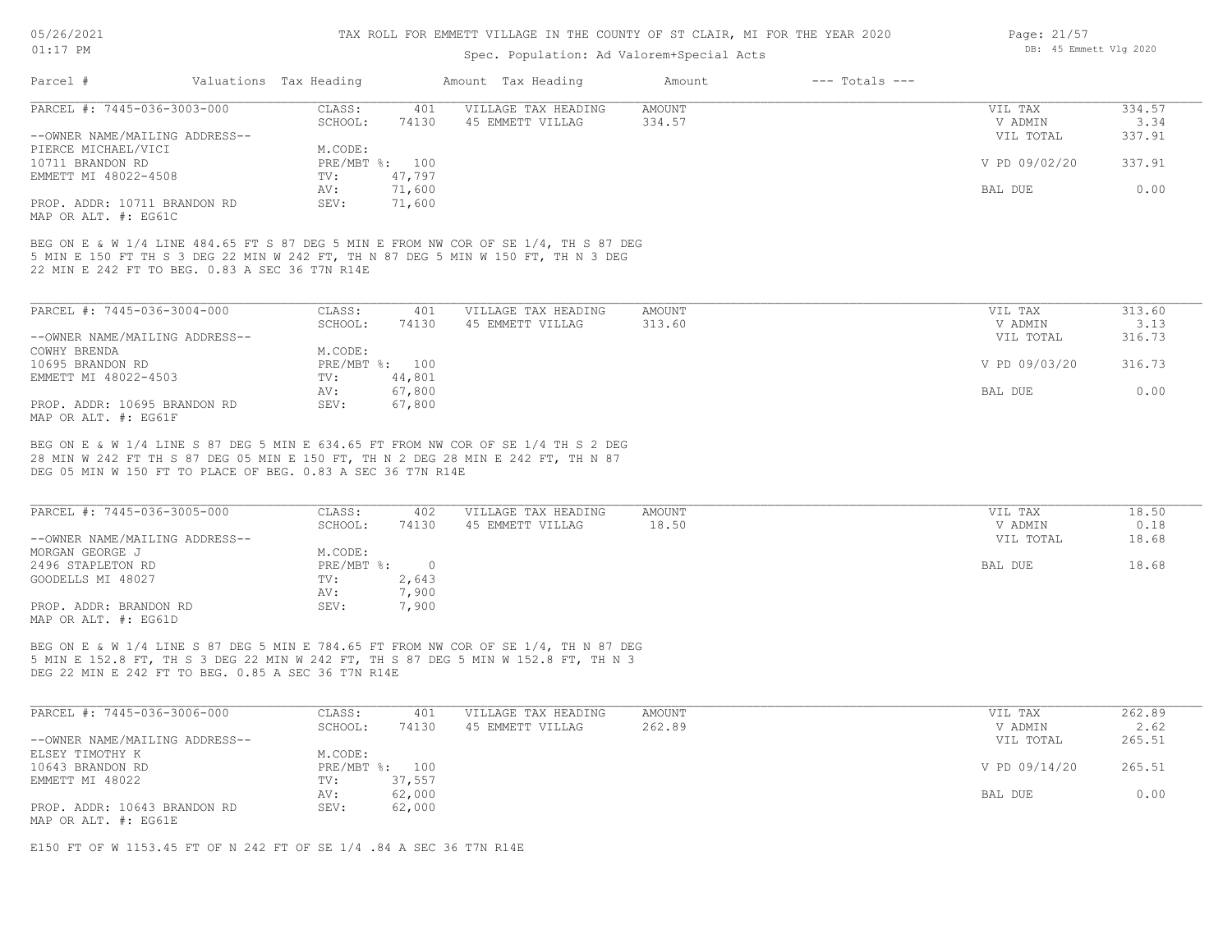## Spec. Population: Ad Valorem+Special Acts

| Parcel #                       | Valuations Tax Heading |                | Amount Tax Heading  | Amount | $---$ Totals $---$ |               |        |
|--------------------------------|------------------------|----------------|---------------------|--------|--------------------|---------------|--------|
| PARCEL #: 7445-036-3003-000    | CLASS:                 | 401            | VILLAGE TAX HEADING | AMOUNT |                    | VIL TAX       | 334.57 |
|                                | SCHOOL:                | 74130          | 45 EMMETT VILLAG    | 334.57 |                    | V ADMIN       | 3.34   |
| --OWNER NAME/MAILING ADDRESS-- |                        |                |                     |        |                    | VIL TOTAL     | 337.91 |
| PIERCE MICHAEL/VICI            | M.CODE:                |                |                     |        |                    |               |        |
| 10711 BRANDON RD               |                        | PRE/MBT %: 100 |                     |        |                    | V PD 09/02/20 | 337.91 |
| EMMETT MI 48022-4508           | TV:                    | 47.797         |                     |        |                    |               |        |
|                                | AV:                    | 71,600         |                     |        |                    | BAL DUE       | 0.00   |
| PROP. ADDR: 10711 BRANDON RD   | SEV:                   | 71,600         |                     |        |                    |               |        |
|                                |                        |                |                     |        |                    |               |        |

MAP OR ALT. #: EG61C

22 MIN E 242 FT TO BEG. 0.83 A SEC 36 T7N R14E 5 MIN E 150 FT TH S 3 DEG 22 MIN W 242 FT, TH N 87 DEG 5 MIN W 150 FT, TH N 3 DEG BEG ON E & W 1/4 LINE 484.65 FT S 87 DEG 5 MIN E FROM NW COR OF SE 1/4, TH S 87 DEG

| PARCEL #: 7445-036-3004-000    | CLASS:  | 401            | VILLAGE TAX HEADING | AMOUNT | VIL TAX       | 313.60 |
|--------------------------------|---------|----------------|---------------------|--------|---------------|--------|
|                                | SCHOOL: | 74130          | 45 EMMETT VILLAG    | 313.60 | V ADMIN       | 3.13   |
| --OWNER NAME/MAILING ADDRESS-- |         |                |                     |        | VIL TOTAL     | 316.73 |
| COWHY BRENDA                   | M.CODE: |                |                     |        |               |        |
| 10695 BRANDON RD               |         | PRE/MBT %: 100 |                     |        | V PD 09/03/20 | 316.73 |
| EMMETT MI 48022-4503           | TV:     | 44,801         |                     |        |               |        |
|                                | AV:     | 67,800         |                     |        | BAL DUE       | 0.00   |
| PROP. ADDR: 10695 BRANDON RD   | SEV:    | 67,800         |                     |        |               |        |
| MAP OR ALT. #: EG61F           |         |                |                     |        |               |        |

DEG 05 MIN W 150 FT TO PLACE OF BEG. 0.83 A SEC 36 T7N R14E 28 MIN W 242 FT TH S 87 DEG 05 MIN E 150 FT, TH N 2 DEG 28 MIN E 242 FT, TH N 87 BEG ON E & W 1/4 LINE S 87 DEG 5 MIN E 634.65 FT FROM NW COR OF SE 1/4 TH S 2 DEG

| PARCEL #: 7445-036-3005-000    | CLASS:     | 402   | VILLAGE TAX HEADING | AMOUNT | VIL TAX   | 18.50 |
|--------------------------------|------------|-------|---------------------|--------|-----------|-------|
|                                | SCHOOL:    | 74130 | 45 EMMETT VILLAG    | 18.50  | V ADMIN   | 0.18  |
| --OWNER NAME/MAILING ADDRESS-- |            |       |                     |        | VIL TOTAL | 18.68 |
| MORGAN GEORGE J                | M.CODE:    |       |                     |        |           |       |
| 2496 STAPLETON RD              | PRE/MBT %: |       |                     |        | BAL DUE   | 18.68 |
| GOODELLS MI 48027              | TV:        | 2,643 |                     |        |           |       |
|                                | AV:        | 7,900 |                     |        |           |       |
| PROP. ADDR: BRANDON RD         | SEV:       | 7,900 |                     |        |           |       |
| MAP OR ALT. #: EG61D           |            |       |                     |        |           |       |

DEG 22 MIN E 242 FT TO BEG. 0.85 A SEC 36 T7N R14E 5 MIN E 152.8 FT, TH S 3 DEG 22 MIN W 242 FT, TH S 87 DEG 5 MIN W 152.8 FT, TH N 3 BEG ON E & W 1/4 LINE S 87 DEG 5 MIN E 784.65 FT FROM NW COR OF SE 1/4, TH N 87 DEG

| PARCEL #: 7445-036-3006-000    | CLASS:  | 401            | VILLAGE TAX HEADING | AMOUNT | VIL TAX       | 262.89 |
|--------------------------------|---------|----------------|---------------------|--------|---------------|--------|
|                                | SCHOOL: | 74130          | 45 EMMETT VILLAG    | 262.89 | V ADMIN       | 2.62   |
| --OWNER NAME/MAILING ADDRESS-- |         |                |                     |        | VIL TOTAL     | 265.51 |
| ELSEY TIMOTHY K                | M.CODE: |                |                     |        |               |        |
| 10643 BRANDON RD               |         | PRE/MBT %: 100 |                     |        | V PD 09/14/20 | 265.51 |
| EMMETT MI 48022                | TV:     | 37,557         |                     |        |               |        |
|                                | AV:     | 62,000         |                     |        | BAL DUE       | 0.00   |
| PROP. ADDR: 10643 BRANDON RD   | SEV:    | 62,000         |                     |        |               |        |
| MAP OR ALT. #: EG61E           |         |                |                     |        |               |        |

E150 FT OF W 1153.45 FT OF N 242 FT OF SE 1/4 .84 A SEC 36 T7N R14E

Page: 21/57 DB: 45 Emmett Vlg 2020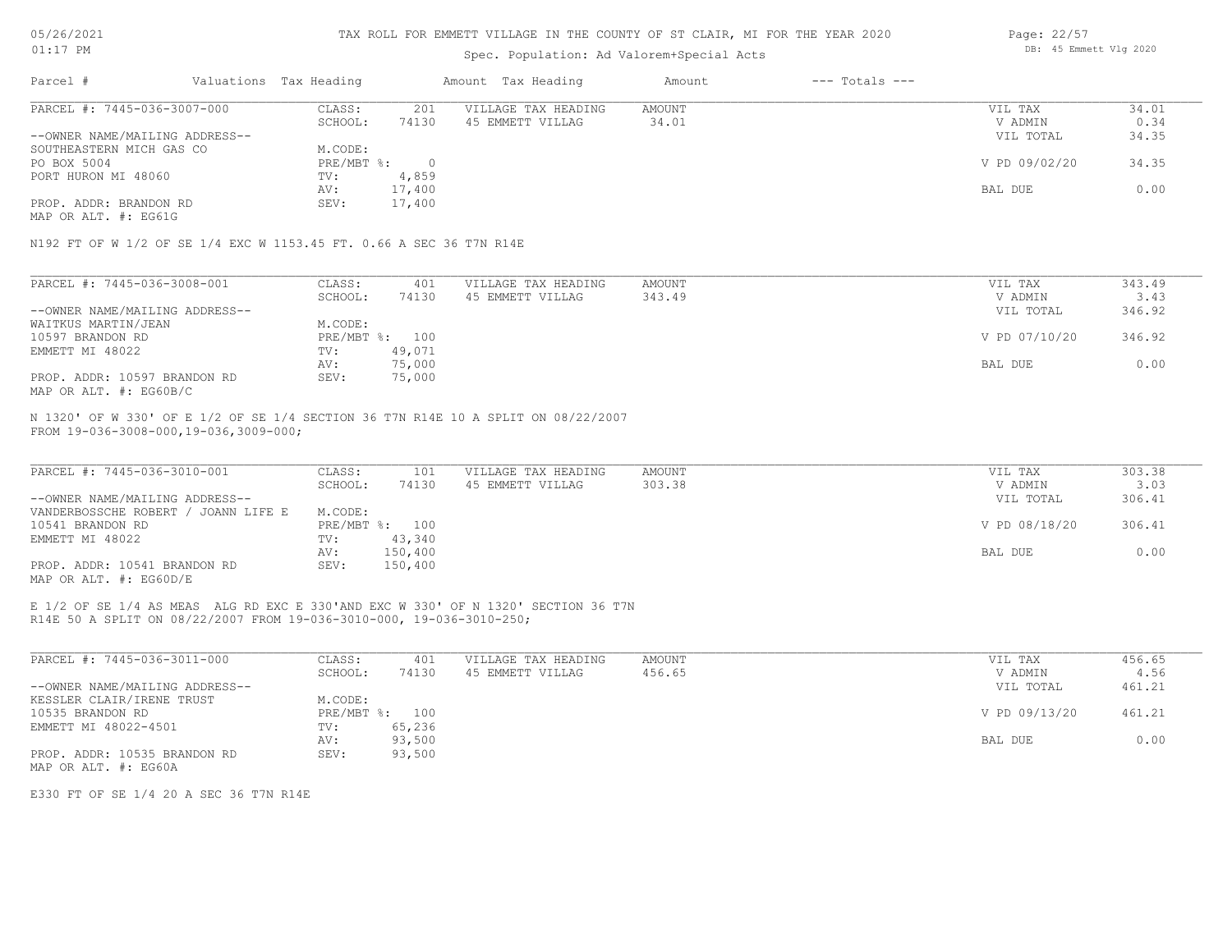#### TAX ROLL FOR EMMETT VILLAGE IN THE COUNTY OF ST CLAIR, MI FOR THE YEAR 2020

## Spec. Population: Ad Valorem+Special Acts

| 34.01         |
|---------------|
| 0.34          |
| 34.35         |
|               |
| 34.35         |
|               |
| 0.00          |
|               |
| V PD 09/02/20 |

MAP OR ALT. #: EG61G

N192 FT OF W 1/2 OF SE 1/4 EXC W 1153.45 FT. 0.66 A SEC 36 T7N R14E

| PARCEL #: 7445-036-3008-001    | CLASS:  | 401            | VILLAGE TAX HEADING | AMOUNT | VIL TAX       | 343.49 |
|--------------------------------|---------|----------------|---------------------|--------|---------------|--------|
|                                | SCHOOL: | 74130          | 45 EMMETT VILLAG    | 343.49 | V ADMIN       | 3.43   |
| --OWNER NAME/MAILING ADDRESS-- |         |                |                     |        | VIL TOTAL     | 346.92 |
| WAITKUS MARTIN/JEAN            | M.CODE: |                |                     |        |               |        |
| 10597 BRANDON RD               |         | PRE/MBT %: 100 |                     |        | V PD 07/10/20 | 346.92 |
| EMMETT MI 48022                | TV:     | 49,071         |                     |        |               |        |
|                                | AV:     | 75,000         |                     |        | BAL DUE       | 0.00   |
| PROP. ADDR: 10597 BRANDON RD   | SEV:    | 75,000         |                     |        |               |        |
| MAP OR ALT. #: EG60B/C         |         |                |                     |        |               |        |

FROM 19-036-3008-000,19-036,3009-000; N 1320' OF W 330' OF E 1/2 OF SE 1/4 SECTION 36 T7N R14E 10 A SPLIT ON 08/22/2007

| PARCEL #: 7445-036-3010-001         | CLASS:  | 101            | VILLAGE TAX HEADING | AMOUNT | VIL TAX       | 303.38 |
|-------------------------------------|---------|----------------|---------------------|--------|---------------|--------|
|                                     | SCHOOL: | 74130          | 45 EMMETT VILLAG    | 303.38 | V ADMIN       | 3.03   |
| --OWNER NAME/MAILING ADDRESS--      |         |                |                     |        | VIL TOTAL     | 306.41 |
| VANDERBOSSCHE ROBERT / JOANN LIFE E | M.CODE: |                |                     |        |               |        |
| 10541 BRANDON RD                    |         | PRE/MBT %: 100 |                     |        | V PD 08/18/20 | 306.41 |
| EMMETT MI 48022                     | TV:     | 43,340         |                     |        |               |        |
|                                     | AV:     | 150,400        |                     |        | BAL DUE       | 0.00   |
| PROP. ADDR: 10541 BRANDON RD        | SEV:    | 150,400        |                     |        |               |        |
| MAP OR ALT. $\#$ : EG60D/E          |         |                |                     |        |               |        |

R14E 50 A SPLIT ON 08/22/2007 FROM 19-036-3010-000, 19-036-3010-250; E 1/2 OF SE 1/4 AS MEAS ALG RD EXC E 330'AND EXC W 330' OF N 1320' SECTION 36 T7N

| PARCEL #: 7445-036-3011-000    | CLASS:     | 401    | VILLAGE TAX HEADING | AMOUNT | VIL TAX       | 456.65 |
|--------------------------------|------------|--------|---------------------|--------|---------------|--------|
|                                | SCHOOL:    | 74130  | 45 EMMETT VILLAG    | 456.65 | V ADMIN       | 4.56   |
| --OWNER NAME/MAILING ADDRESS-- |            |        |                     |        | VIL TOTAL     | 461.21 |
| KESSLER CLAIR/IRENE TRUST      | M.CODE:    |        |                     |        |               |        |
| 10535 BRANDON RD               | PRE/MBT %: | 100    |                     |        | V PD 09/13/20 | 461.21 |
| EMMETT MI 48022-4501           | TV:        | 65,236 |                     |        |               |        |
|                                | AV:        | 93,500 |                     |        | BAL DUE       | 0.00   |
| PROP. ADDR: 10535 BRANDON RD   | SEV:       | 93,500 |                     |        |               |        |
| MAP OR ALT. #: EG60A           |            |        |                     |        |               |        |

E330 FT OF SE 1/4 20 A SEC 36 T7N R14E

Page: 22/57 DB: 45 Emmett Vlg 2020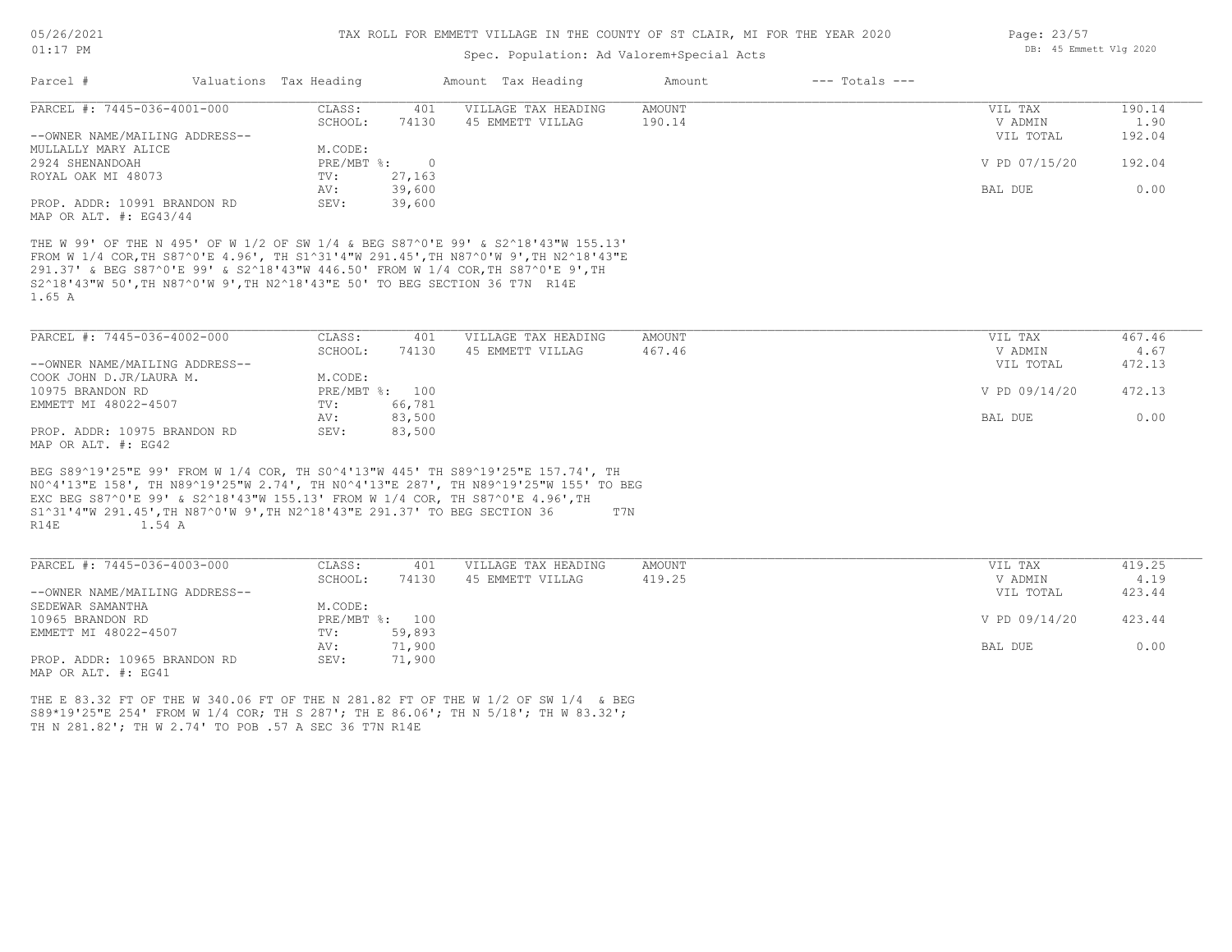# Spec. Population: Ad Valorem+Special Acts

|                                                                                             |                        |                |                | spec. Population: Ad valorem+special Acts                                                                                                                                                                                                                     |        |                    |               |        |
|---------------------------------------------------------------------------------------------|------------------------|----------------|----------------|---------------------------------------------------------------------------------------------------------------------------------------------------------------------------------------------------------------------------------------------------------------|--------|--------------------|---------------|--------|
| Parcel #                                                                                    | Valuations Tax Heading |                |                | Amount Tax Heading                                                                                                                                                                                                                                            | Amount | $---$ Totals $---$ |               |        |
| PARCEL #: 7445-036-4001-000                                                                 |                        | CLASS:         | 401            | VILLAGE TAX HEADING                                                                                                                                                                                                                                           | AMOUNT |                    | VIL TAX       | 190.14 |
|                                                                                             |                        | SCHOOL:        | 74130          | 45 EMMETT VILLAG                                                                                                                                                                                                                                              | 190.14 |                    | V ADMIN       | 1.90   |
| --OWNER NAME/MAILING ADDRESS--                                                              |                        |                |                |                                                                                                                                                                                                                                                               |        |                    | VIL TOTAL     | 192.04 |
| MULLALLY MARY ALICE                                                                         |                        | M.CODE:        |                |                                                                                                                                                                                                                                                               |        |                    |               |        |
| 2924 SHENANDOAH                                                                             |                        | PRE/MBT %:     | $\overline{0}$ |                                                                                                                                                                                                                                                               |        |                    | V PD 07/15/20 | 192.04 |
| ROYAL OAK MI 48073                                                                          |                        | TV:            | 27,163         |                                                                                                                                                                                                                                                               |        |                    |               |        |
|                                                                                             |                        | AV:            | 39,600         |                                                                                                                                                                                                                                                               |        |                    | BAL DUE       | 0.00   |
| PROP. ADDR: 10991 BRANDON RD                                                                |                        | SEV:           | 39,600         |                                                                                                                                                                                                                                                               |        |                    |               |        |
| MAP OR ALT. #: EG43/44                                                                      |                        |                |                |                                                                                                                                                                                                                                                               |        |                    |               |        |
| S2^18'43"W 50', TH N87^0'W 9', TH N2^18'43"E 50' TO BEG SECTION 36 T7N R14E<br>1.65 A       |                        |                |                | THE W 99' OF THE N 495' OF W 1/2 OF SW 1/4 & BEG S87^0'E 99' & S2^18'43"W 155.13'<br>FROM W 1/4 COR, TH S87^0'E 4.96', TH S1^31'4"W 291.45', TH N87^0'W 9', TH N2^18'43"E<br>291.37' & BEG S87^0'E 99' & S2^18'43"W 446.50' FROM W 1/4 COR, TH S87^0'E 9', TH |        |                    |               |        |
| PARCEL #: 7445-036-4002-000                                                                 |                        | CLASS:         | 401            | VILLAGE TAX HEADING                                                                                                                                                                                                                                           | AMOUNT |                    | VIL TAX       | 467.46 |
|                                                                                             |                        | SCHOOL:        | 74130          | 45 EMMETT VILLAG                                                                                                                                                                                                                                              | 467.46 |                    | V ADMIN       | 4.67   |
| --OWNER NAME/MAILING ADDRESS--                                                              |                        |                |                |                                                                                                                                                                                                                                                               |        |                    | VIL TOTAL     | 472.13 |
| COOK JOHN D.JR/LAURA M.                                                                     |                        | M.CODE:        |                |                                                                                                                                                                                                                                                               |        |                    |               |        |
| 10975 BRANDON RD                                                                            |                        |                | PRE/MBT %: 100 |                                                                                                                                                                                                                                                               |        |                    | V PD 09/14/20 | 472.13 |
| EMMETT MI 48022-4507                                                                        |                        | TV:            | 66,781         |                                                                                                                                                                                                                                                               |        |                    |               |        |
|                                                                                             |                        | AV:            | 83,500         |                                                                                                                                                                                                                                                               |        |                    | BAL DUE       | 0.00   |
| PROP. ADDR: 10975 BRANDON RD                                                                |                        | SEV:           |                |                                                                                                                                                                                                                                                               |        |                    |               |        |
| MAP OR ALT. #: EG42                                                                         |                        |                | 83,500         |                                                                                                                                                                                                                                                               |        |                    |               |        |
| S1^31'4"W 291.45', TH N87^0'W 9', TH N2^18'43"E 291.37' TO BEG SECTION 36<br>R14E<br>1.54 A |                        |                |                | BEG S89^19'25"E 99' FROM W 1/4 COR, TH S0^4'13"W 445' TH S89^19'25"E 157.74', TH<br>NO^4'13"E 158', TH N89^19'25"W 2.74', TH NO^4'13"E 287', TH N89^19'25"W 155' TO BEG<br>EXC BEG S87^0'E 99' & S2^18'43"W 155.13' FROM W 1/4 COR, TH S87^0'E 4.96', TH      | T7N    |                    |               |        |
| PARCEL #: 7445-036-4003-000                                                                 |                        | CLASS:         | 401            | VILLAGE TAX HEADING                                                                                                                                                                                                                                           | AMOUNT |                    | VIL TAX       | 419.25 |
|                                                                                             |                        | SCHOOL:        | 74130          | 45 EMMETT VILLAG                                                                                                                                                                                                                                              | 419.25 |                    | V ADMIN       | 4.19   |
| --OWNER NAME/MAILING ADDRESS--                                                              |                        |                |                |                                                                                                                                                                                                                                                               |        |                    | VIL TOTAL     | 423.44 |
| SEDEWAR SAMANTHA                                                                            |                        | M.CODE:        |                |                                                                                                                                                                                                                                                               |        |                    |               |        |
| 10965 BRANDON RD                                                                            |                        | PRE/MBT %: 100 |                |                                                                                                                                                                                                                                                               |        |                    | V PD 09/14/20 | 423.44 |
| EMMETT MI 48022-4507                                                                        |                        | TV:            | 59,893         |                                                                                                                                                                                                                                                               |        |                    |               |        |
|                                                                                             |                        | AV:            | 71,900         |                                                                                                                                                                                                                                                               |        |                    | BAL DUE       | 0.00   |
| PROP. ADDR: 10965 BRANDON RD                                                                |                        | SEV:           | 71,900         |                                                                                                                                                                                                                                                               |        |                    |               |        |
| MAP OR ALT. #: EG41                                                                         |                        |                |                |                                                                                                                                                                                                                                                               |        |                    |               |        |
| TH N 281.82'; TH W 2.74' TO POB .57 A SEC 36 T7N R14E                                       |                        |                |                | THE E 83.32 FT OF THE W 340.06 FT OF THE N 281.82 FT OF THE W 1/2 OF SW 1/4 & BEG<br>S89*19'25"E 254' FROM W 1/4 COR; TH S 287'; TH E 86.06'; TH N 5/18'; TH W 83.32';                                                                                        |        |                    |               |        |

Page: 23/57 DB: 45 Emmett Vlg 2020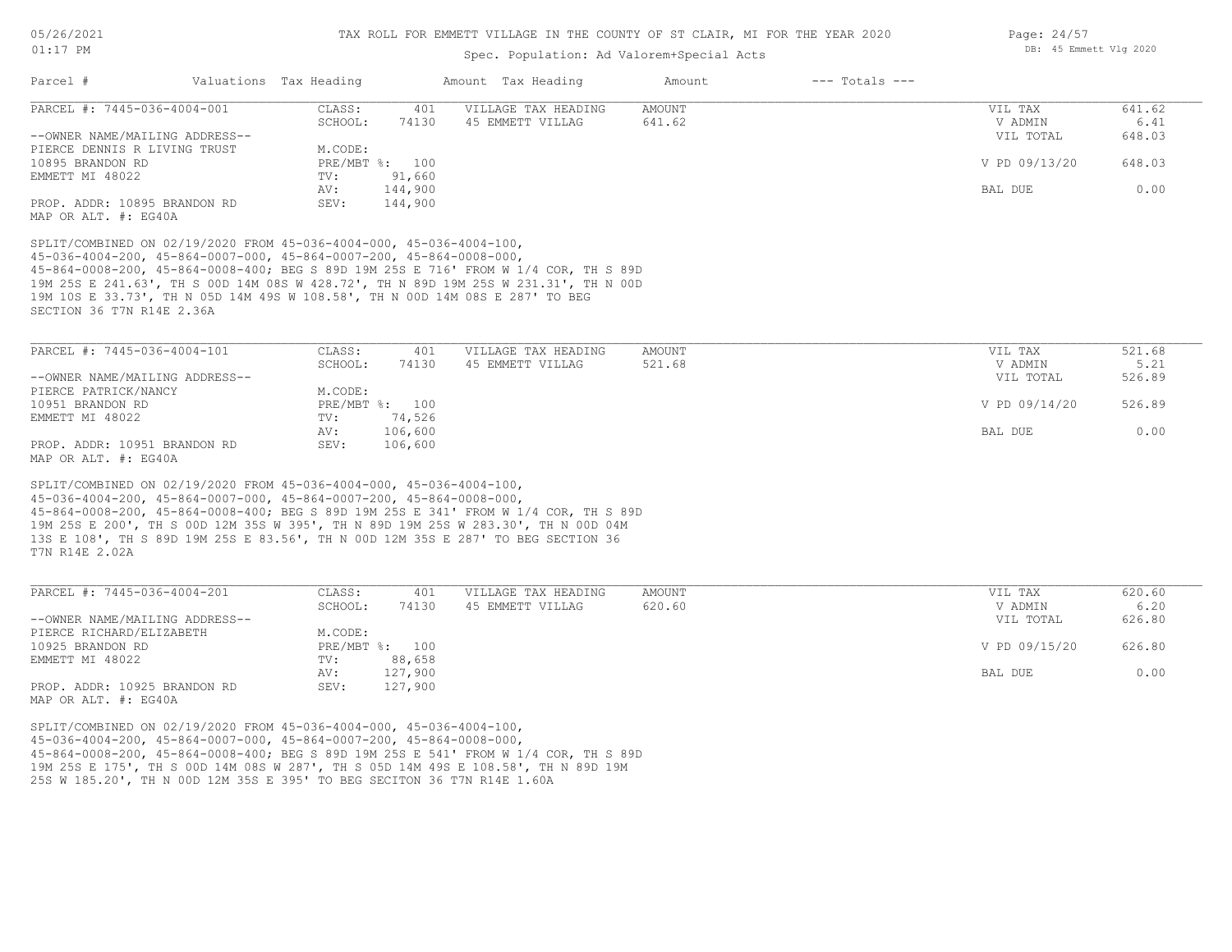### Spec. Population: Ad Valorem+Special Acts

| PARCEL #: 7445-036-4004-001<br>--OWNER NAME/MAILING ADDRESS--<br>PIERCE DENNIS R LIVING TRUST<br>10895 BRANDON RD<br>EMMETT MI 48022                                                                                                                                                                                                                                                                                                                                                             | CLASS:<br>401<br>74130<br>SCHOOL:<br>M.CODE: | VILLAGE TAX HEADING<br>45 EMMETT VILLAG |               |               |        |
|--------------------------------------------------------------------------------------------------------------------------------------------------------------------------------------------------------------------------------------------------------------------------------------------------------------------------------------------------------------------------------------------------------------------------------------------------------------------------------------------------|----------------------------------------------|-----------------------------------------|---------------|---------------|--------|
|                                                                                                                                                                                                                                                                                                                                                                                                                                                                                                  |                                              |                                         | <b>AMOUNT</b> | VIL TAX       | 641.62 |
|                                                                                                                                                                                                                                                                                                                                                                                                                                                                                                  |                                              |                                         | 641.62        | V ADMIN       | 6.41   |
|                                                                                                                                                                                                                                                                                                                                                                                                                                                                                                  |                                              |                                         |               | VIL TOTAL     | 648.03 |
|                                                                                                                                                                                                                                                                                                                                                                                                                                                                                                  |                                              |                                         |               |               |        |
|                                                                                                                                                                                                                                                                                                                                                                                                                                                                                                  | PRE/MBT %: 100                               |                                         |               | V PD 09/13/20 | 648.03 |
|                                                                                                                                                                                                                                                                                                                                                                                                                                                                                                  | 91,660<br>TV:                                |                                         |               |               |        |
|                                                                                                                                                                                                                                                                                                                                                                                                                                                                                                  | AV:<br>144,900                               |                                         |               | BAL DUE       | 0.00   |
| PROP. ADDR: 10895 BRANDON RD<br>MAP OR ALT. #: EG40A                                                                                                                                                                                                                                                                                                                                                                                                                                             | 144,900<br>SEV:                              |                                         |               |               |        |
| 19M 25S E 241.63', TH S 00D 14M 08S W 428.72', TH N 89D 19M 25S W 231.31', TH N 00D<br>19M 10S E 33.73', TH N 05D 14M 49S W 108.58', TH N 00D 14M 08S E 287' TO BEG<br>SECTION 36 T7N R14E 2.36A                                                                                                                                                                                                                                                                                                 |                                              |                                         |               |               |        |
| PARCEL #: 7445-036-4004-101                                                                                                                                                                                                                                                                                                                                                                                                                                                                      | CLASS:<br>401                                | VILLAGE TAX HEADING                     | <b>AMOUNT</b> | VIL TAX       | 521.68 |
|                                                                                                                                                                                                                                                                                                                                                                                                                                                                                                  | SCHOOL:<br>74130                             | 45 EMMETT VILLAG                        | 521.68        | V ADMIN       | 5.21   |
| --OWNER NAME/MAILING ADDRESS--                                                                                                                                                                                                                                                                                                                                                                                                                                                                   |                                              |                                         |               | VIL TOTAL     | 526.89 |
| PIERCE PATRICK/NANCY                                                                                                                                                                                                                                                                                                                                                                                                                                                                             | M.CODE:                                      |                                         |               |               |        |
| 10951 BRANDON RD                                                                                                                                                                                                                                                                                                                                                                                                                                                                                 | PRE/MBT %: 100                               |                                         |               | V PD 09/14/20 | 526.89 |
| EMMETT MI 48022                                                                                                                                                                                                                                                                                                                                                                                                                                                                                  | 74,526<br>TV:                                |                                         |               |               |        |
|                                                                                                                                                                                                                                                                                                                                                                                                                                                                                                  |                                              |                                         |               | BAL DUE       | 0.00   |
|                                                                                                                                                                                                                                                                                                                                                                                                                                                                                                  | 106,600<br>AV:                               |                                         |               |               |        |
|                                                                                                                                                                                                                                                                                                                                                                                                                                                                                                  | 106,600<br>SEV:                              |                                         |               |               |        |
| PROP. ADDR: 10951 BRANDON RD<br>MAP OR ALT. #: EG40A<br>SPLIT/COMBINED ON 02/19/2020 FROM 45-036-4004-000, 45-036-4004-100,<br>$45-036-4004-200$ , $45-864-0007-000$ , $45-864-0007-200$ , $45-864-0008-000$ ,<br>45-864-0008-200, 45-864-0008-400; BEG S 89D 19M 25S E 341' FROM W 1/4 COR, TH S 89D<br>19M 25S E 200', TH S 00D 12M 35S W 395', TH N 89D 19M 25S W 283.30', TH N 00D 04M<br>13S E 108', TH S 89D 19M 25S E 83.56', TH N 00D 12M 35S E 287' TO BEG SECTION 36<br>T7N R14E 2.02A |                                              |                                         |               |               |        |

|                                | SCHOOL:      | 74130   | 45 EMMETT VILLAG | 620.60 | V ADMIN       | 6.20   |
|--------------------------------|--------------|---------|------------------|--------|---------------|--------|
| --OWNER NAME/MAILING ADDRESS-- |              |         |                  |        | VIL TOTAL     | 626.80 |
| PIERCE RICHARD/ELIZABETH       | M.CODE:      |         |                  |        |               |        |
| 10925 BRANDON RD               | $PRE/MBT$ %: | 100     |                  |        | V PD 09/15/20 | 626.80 |
| EMMETT MI 48022                | TV:          | 88,658  |                  |        |               |        |
|                                | AV:          | 127,900 |                  |        | BAL DUE       | 0.00   |
| PROP. ADDR: 10925 BRANDON RD   | SEV:         | 127,900 |                  |        |               |        |
| MAP OR ALT. #: EG40A           |              |         |                  |        |               |        |

25S W 185.20', TH N 00D 12M 35S E 395' TO BEG SECITON 36 T7N R14E 1.60A 19M 25S E 175', TH S 00D 14M 08S W 287', TH S 05D 14M 49S E 108.58', TH N 89D 19M 45-864-0008-200, 45-864-0008-400; BEG S 89D 19M 25S E 541' FROM W 1/4 COR, TH S 89D 45-036-4004-200, 45-864-0007-000, 45-864-0007-200, 45-864-0008-000, SPLIT/COMBINED ON 02/19/2020 FROM 45-036-4004-000, 45-036-4004-100,

Page: 24/57 DB: 45 Emmett Vlg 2020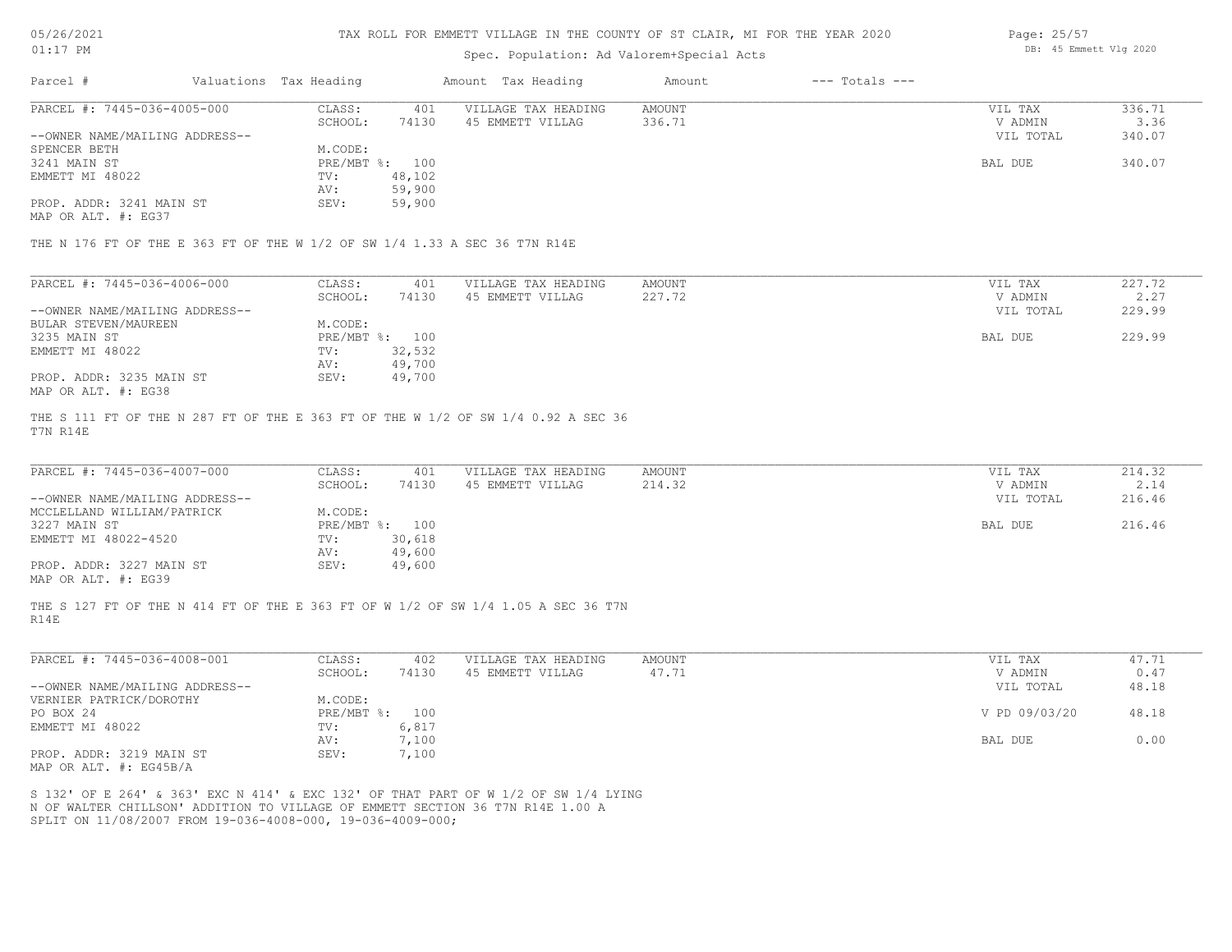| 5/26/2021 |  |
|-----------|--|
|           |  |

### Spec. Population: Ad Valorem+Special Acts

| Page: 25/57 |                        |  |
|-------------|------------------------|--|
|             | DB: 45 Emmett Vlg 2020 |  |

| Parcel #                       | Valuations Tax Heading |        | Amount Tax Heading  | Amount | $---$ Totals $---$ |           |        |
|--------------------------------|------------------------|--------|---------------------|--------|--------------------|-----------|--------|
| PARCEL #: 7445-036-4005-000    | CLASS:                 | 401    | VILLAGE TAX HEADING | AMOUNT |                    | VIL TAX   | 336.71 |
|                                | SCHOOL:                | 74130  | 45 EMMETT VILLAG    | 336.71 |                    | V ADMIN   | 3.36   |
| --OWNER NAME/MAILING ADDRESS-- |                        |        |                     |        |                    | VIL TOTAL | 340.07 |
| SPENCER BETH                   | M.CODE:                |        |                     |        |                    |           |        |
| 3241 MAIN ST                   | PRE/MBT %: 100         |        |                     |        |                    | BAL DUE   | 340.07 |
| EMMETT MI 48022                | TV:                    | 48,102 |                     |        |                    |           |        |
|                                | AV:                    | 59,900 |                     |        |                    |           |        |
| PROP. ADDR: 3241 MAIN ST       | SEV:                   | 59,900 |                     |        |                    |           |        |

MAP OR ALT. #: EG37

THE N 176 FT OF THE E 363 FT OF THE W 1/2 OF SW 1/4 1.33 A SEC 36 T7N R14E

| PARCEL #: 7445-036-4006-000    | CLASS:  | 401            | VILLAGE TAX HEADING | AMOUNT | VIL TAX   | 227.72 |
|--------------------------------|---------|----------------|---------------------|--------|-----------|--------|
|                                | SCHOOL: | 74130          | 45 EMMETT VILLAG    | 227.72 | V ADMIN   | 2.27   |
| --OWNER NAME/MAILING ADDRESS-- |         |                |                     |        | VIL TOTAL | 229.99 |
| BULAR STEVEN/MAUREEN           | M.CODE: |                |                     |        |           |        |
| 3235 MAIN ST                   |         | PRE/MBT %: 100 |                     |        | BAL DUE   | 229.99 |
| EMMETT MI 48022                | TV:     | 32,532         |                     |        |           |        |
|                                | AV:     | 49,700         |                     |        |           |        |
| PROP. ADDR: 3235 MAIN ST       | SEV:    | 49,700         |                     |        |           |        |
| MAP OR ALT. #: EG38            |         |                |                     |        |           |        |

T7N R14E THE S 111 FT OF THE N 287 FT OF THE E 363 FT OF THE W 1/2 OF SW 1/4 0.92 A SEC 36

| PARCEL #: 7445-036-4007-000    | CLASS:  | 401            | VILLAGE TAX HEADING | AMOUNT | VIL TAX   | 214.32 |
|--------------------------------|---------|----------------|---------------------|--------|-----------|--------|
|                                | SCHOOL: | 74130          | 45 EMMETT VILLAG    | 214.32 | V ADMIN   | 2.14   |
| --OWNER NAME/MAILING ADDRESS-- |         |                |                     |        | VIL TOTAL | 216.46 |
| MCCLELLAND WILLIAM/PATRICK     | M.CODE: |                |                     |        |           |        |
| 3227 MAIN ST                   |         | PRE/MBT %: 100 |                     |        | BAL DUE   | 216.46 |
| EMMETT MI 48022-4520           | TV:     | 30,618         |                     |        |           |        |
|                                | AV:     | 49,600         |                     |        |           |        |
| PROP. ADDR: 3227 MAIN ST       | SEV:    | 49,600         |                     |        |           |        |
| MAP OR ALT. #: EG39            |         |                |                     |        |           |        |

R14E THE S 127 FT OF THE N 414 FT OF THE E 363 FT OF W 1/2 OF SW 1/4 1.05 A SEC 36 T7N

| PARCEL #: 7445-036-4008-001    | CLASS:     | 402   | VILLAGE TAX HEADING | AMOUNT | VIL TAX       | 47.71 |
|--------------------------------|------------|-------|---------------------|--------|---------------|-------|
|                                | SCHOOL:    | 74130 | 45 EMMETT VILLAG    | 47.71  | V ADMIN       | 0.47  |
| --OWNER NAME/MAILING ADDRESS-- |            |       |                     |        | VIL TOTAL     | 48.18 |
| VERNIER PATRICK/DOROTHY        | M.CODE:    |       |                     |        |               |       |
| PO BOX 24                      | PRE/MBT %: | 100   |                     |        | V PD 09/03/20 | 48.18 |
| EMMETT MI 48022                | TV:        | 6,817 |                     |        |               |       |
|                                | AV:        | 1,100 |                     |        | BAL DUE       | 0.00  |
| PROP. ADDR: 3219 MAIN ST       | SEV:       | ,100  |                     |        |               |       |
| $\frac{1}{2}$                  |            |       |                     |        |               |       |

MAP OR ALT. #: EG45B/A

SPLIT ON 11/08/2007 FROM 19-036-4008-000, 19-036-4009-000; N OF WALTER CHILLSON' ADDITION TO VILLAGE OF EMMETT SECTION 36 T7N R14E 1.00 A S 132' OF E 264' & 363' EXC N 414' & EXC 132' OF THAT PART OF W 1/2 OF SW 1/4 LYING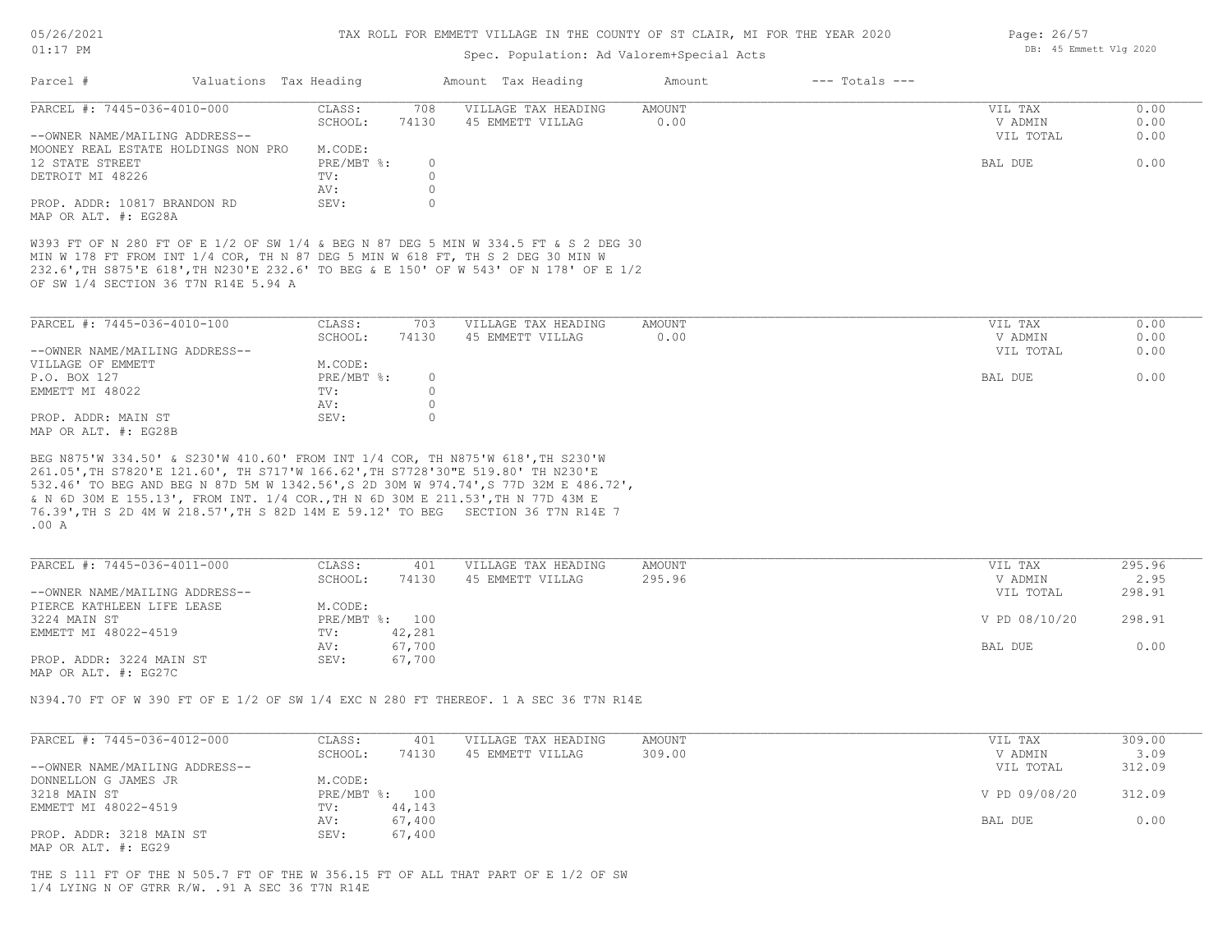| 05/26/2021 |    |
|------------|----|
| 01:17      | PМ |

## Spec. Population: Ad Valorem+Special Acts

| Parcel #                                                                                                                                                                                                                                                                                               | Valuations Tax Heading |                   |                    | Amount Tax Heading                      | Amount                | $---$ Totals $---$ |                    |              |
|--------------------------------------------------------------------------------------------------------------------------------------------------------------------------------------------------------------------------------------------------------------------------------------------------------|------------------------|-------------------|--------------------|-----------------------------------------|-----------------------|--------------------|--------------------|--------------|
| PARCEL #: 7445-036-4010-000                                                                                                                                                                                                                                                                            |                        | CLASS:<br>SCHOOL: | 708<br>74130       | VILLAGE TAX HEADING<br>45 EMMETT VILLAG | <b>AMOUNT</b><br>0.00 |                    | VIL TAX<br>V ADMIN | 0.00<br>0.00 |
| --OWNER NAME/MAILING ADDRESS--<br>MOONEY REAL ESTATE HOLDINGS NON PRO                                                                                                                                                                                                                                  |                        | M.CODE:           |                    |                                         |                       |                    | VIL TOTAL          | 0.00         |
| 12 STATE STREET                                                                                                                                                                                                                                                                                        |                        | PRE/MBT %:        | $\circ$            |                                         |                       |                    | BAL DUE            | 0.00         |
| DETROIT MI 48226                                                                                                                                                                                                                                                                                       |                        | TV:               | $\circ$            |                                         |                       |                    |                    |              |
|                                                                                                                                                                                                                                                                                                        |                        | AV:               | $\circ$            |                                         |                       |                    |                    |              |
| PROP. ADDR: 10817 BRANDON RD<br>MAP OR ALT. #: EG28A                                                                                                                                                                                                                                                   |                        | SEV:              | $\circ$            |                                         |                       |                    |                    |              |
| W393 FT OF N 280 FT OF E 1/2 OF SW 1/4 & BEG N 87 DEG 5 MIN W 334.5 FT & S 2 DEG 30<br>MIN W 178 FT FROM INT 1/4 COR, TH N 87 DEG 5 MIN W 618 FT, TH S 2 DEG 30 MIN W<br>232.6', TH S875'E 618', TH N230'E 232.6' TO BEG & E 150' OF W 543' OF N 178' OF E 1/2<br>OF SW 1/4 SECTION 36 T7N R14E 5.94 A |                        |                   |                    |                                         |                       |                    |                    |              |
| PARCEL #: 7445-036-4010-100                                                                                                                                                                                                                                                                            |                        | CLASS:            | 703                | VILLAGE TAX HEADING                     | AMOUNT                |                    | VIL TAX            | 0.00         |
|                                                                                                                                                                                                                                                                                                        |                        | SCHOOL:           | 74130              | 45 EMMETT VILLAG                        | 0.00                  |                    | V ADMIN            | 0.00         |
| --OWNER NAME/MAILING ADDRESS--                                                                                                                                                                                                                                                                         |                        |                   |                    |                                         |                       |                    | VIL TOTAL          | 0.00         |
|                                                                                                                                                                                                                                                                                                        |                        |                   |                    |                                         |                       |                    |                    |              |
| VILLAGE OF EMMETT                                                                                                                                                                                                                                                                                      |                        | M.CODE:           |                    |                                         |                       |                    |                    |              |
| P.O. BOX 127                                                                                                                                                                                                                                                                                           |                        | $PRE/MBT$ $\div$  | $\circ$            |                                         |                       |                    | BAL DUE            | 0.00         |
| EMMETT MI 48022                                                                                                                                                                                                                                                                                        | AV:                    | TV:               | $\circ$<br>$\circ$ |                                         |                       |                    |                    |              |
| PROP. ADDR: MAIN ST                                                                                                                                                                                                                                                                                    |                        | SEV:              | $\circ$            |                                         |                       |                    |                    |              |
| MAP OR ALT. #: EG28B                                                                                                                                                                                                                                                                                   |                        |                   |                    |                                         |                       |                    |                    |              |
| $.00\,$ A                                                                                                                                                                                                                                                                                              |                        |                   |                    |                                         |                       |                    |                    |              |
| PARCEL #: 7445-036-4011-000                                                                                                                                                                                                                                                                            |                        | CLASS:            | 401                | VILLAGE TAX HEADING                     | AMOUNT                |                    | VIL TAX            | 295.96       |
|                                                                                                                                                                                                                                                                                                        |                        | SCHOOL:           | 74130              | 45 EMMETT VILLAG                        | 295.96                |                    | V ADMIN            | 2.95         |
| --OWNER NAME/MAILING ADDRESS--                                                                                                                                                                                                                                                                         |                        |                   |                    |                                         |                       |                    | VIL TOTAL          | 298.91       |
| PIERCE KATHLEEN LIFE LEASE                                                                                                                                                                                                                                                                             |                        | M.CODE:           |                    |                                         |                       |                    |                    |              |
| 3224 MAIN ST                                                                                                                                                                                                                                                                                           |                        | PRE/MBT %: 100    |                    |                                         |                       |                    | V PD 08/10/20      | 298.91       |
| EMMETT MI 48022-4519                                                                                                                                                                                                                                                                                   |                        | TV:               | 42,281             |                                         |                       |                    |                    |              |
|                                                                                                                                                                                                                                                                                                        |                        | AV:               | 67,700             |                                         |                       |                    | BAL DUE            | 0.00         |
| PROP. ADDR: 3224 MAIN ST<br>MAP OR ALT. #: EG27C                                                                                                                                                                                                                                                       |                        | SEV:              | 67,700             |                                         |                       |                    |                    |              |
| N394.70 FT OF W 390 FT OF E 1/2 OF SW 1/4 EXC N 280 FT THEREOF. 1 A SEC 36 T7N R14E                                                                                                                                                                                                                    |                        |                   |                    |                                         |                       |                    |                    |              |
| PARCEL #: 7445-036-4012-000                                                                                                                                                                                                                                                                            |                        | CLASS:            | 401                | VILLAGE TAX HEADING                     | AMOUNT                |                    | VIL TAX            | 309.00       |
|                                                                                                                                                                                                                                                                                                        |                        | SCHOOL:           | 74130              | 45 EMMETT VILLAG                        | 309.00                |                    | V ADMIN            | 3.09         |
| --OWNER NAME/MAILING ADDRESS--                                                                                                                                                                                                                                                                         |                        |                   |                    |                                         |                       |                    | VIL TOTAL          | 312.09       |
| DONNELLON G JAMES JR                                                                                                                                                                                                                                                                                   |                        | M.CODE:           |                    |                                         |                       |                    |                    |              |
| 3218 MAIN ST                                                                                                                                                                                                                                                                                           |                        | PRE/MBT %: 100    |                    |                                         |                       |                    | V PD 09/08/20      | 312.09       |
| EMMETT MI 48022-4519                                                                                                                                                                                                                                                                                   |                        | TV:               | 44,143             |                                         |                       |                    |                    |              |
|                                                                                                                                                                                                                                                                                                        |                        | AV:               | 67,400             |                                         |                       |                    | BAL DUE            | 0.00         |
| PROP. ADDR: 3218 MAIN ST                                                                                                                                                                                                                                                                               |                        | SEV:              | 67,400             |                                         |                       |                    |                    |              |
| MAP OR ALT. #: EG29                                                                                                                                                                                                                                                                                    |                        |                   |                    |                                         |                       |                    |                    |              |
| THE S 111 FT OF THE N 505.7 FT OF THE W 356.15 FT OF ALL THAT PART OF E 1/2 OF SW<br>$1/4$ LYING N OF GTRR R/W. .91 A SEC 36 T7N R14E                                                                                                                                                                  |                        |                   |                    |                                         |                       |                    |                    |              |

Page: 26/57 DB: 45 Emmett Vlg 2020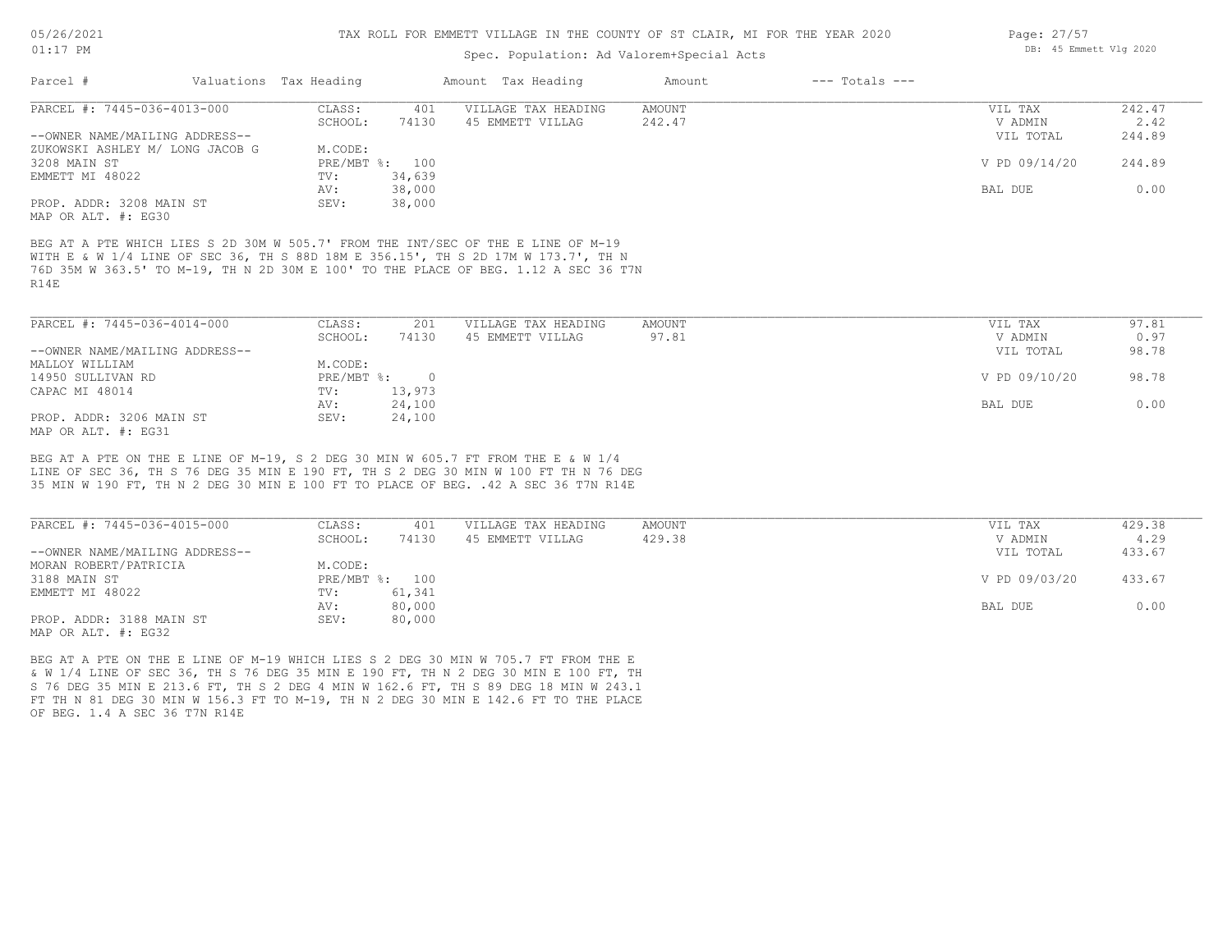## Spec. Population: Ad Valorem+Special Acts

| Parcel #                        | Valuations Tax Heading |        | Amount Tax Heading  | Amount | $---$ Totals $---$ |               |        |
|---------------------------------|------------------------|--------|---------------------|--------|--------------------|---------------|--------|
| PARCEL #: 7445-036-4013-000     | CLASS:                 | 401    | VILLAGE TAX HEADING | AMOUNT |                    | VIL TAX       | 242.47 |
|                                 | SCHOOL:                | 74130  | 45 EMMETT VILLAG    | 242.47 |                    | V ADMIN       | 2.42   |
| --OWNER NAME/MAILING ADDRESS--  |                        |        |                     |        |                    | VIL TOTAL     | 244.89 |
| ZUKOWSKI ASHLEY M/ LONG JACOB G | M.CODE:                |        |                     |        |                    |               |        |
| 3208 MAIN ST                    | PRE/MBT %: 100         |        |                     |        |                    | V PD 09/14/20 | 244.89 |
| EMMETT MI 48022                 | TV:                    | 34,639 |                     |        |                    |               |        |
|                                 | AV:                    | 38,000 |                     |        |                    | BAL DUE       | 0.00   |
| PROP. ADDR: 3208 MAIN ST        | SEV:                   | 38,000 |                     |        |                    |               |        |
| MAP OR ALT. #: EG30             |                        |        |                     |        |                    |               |        |

R14E 76D 35M W 363.5' TO M-19, TH N 2D 30M E 100' TO THE PLACE OF BEG. 1.12 A SEC 36 T7N WITH E & W 1/4 LINE OF SEC 36, TH S 88D 18M E 356.15', TH S 2D 17M W 173.7', TH N BEG AT A PTE WHICH LIES S 2D 30M W 505.7' FROM THE INT/SEC OF THE E LINE OF M-19

| PARCEL #: 7445-036-4014-000    | CLASS:     | 201      | VILLAGE TAX HEADING | AMOUNT | VIL TAX       | 97.81 |
|--------------------------------|------------|----------|---------------------|--------|---------------|-------|
|                                | SCHOOL:    | 74130    | 45 EMMETT VILLAG    | 97.81  | V ADMIN       | 0.97  |
| --OWNER NAME/MAILING ADDRESS-- |            |          |                     |        | VIL TOTAL     | 98.78 |
| MALLOY WILLIAM                 | M.CODE:    |          |                     |        |               |       |
| 14950 SULLIVAN RD              | PRE/MBT %: | $\Omega$ |                     |        | V PD 09/10/20 | 98.78 |
| CAPAC MI 48014                 | TV:        | 13,973   |                     |        |               |       |
|                                | AV:        | 24,100   |                     |        | BAL DUE       | 0.00  |
| PROP. ADDR: 3206 MAIN ST       | SEV:       | 24,100   |                     |        |               |       |
| MAP OR ALT. #: EG31            |            |          |                     |        |               |       |

35 MIN W 190 FT, TH N 2 DEG 30 MIN E 100 FT TO PLACE OF BEG. .42 A SEC 36 T7N R14E LINE OF SEC 36, TH S 76 DEG 35 MIN E 190 FT, TH S 2 DEG 30 MIN W 100 FT TH N 76 DEG BEG AT A PTE ON THE E LINE OF M-19, S 2 DEG 30 MIN W 605.7 FT FROM THE E & W 1/4

| PARCEL #: 7445-036-4015-000    | CLASS:  | 401            | VILLAGE TAX HEADING | AMOUNT | VIL TAX       | 429.38 |
|--------------------------------|---------|----------------|---------------------|--------|---------------|--------|
|                                | SCHOOL: | 74130          | 45 EMMETT VILLAG    | 429.38 | V ADMIN       | 4.29   |
| --OWNER NAME/MAILING ADDRESS-- |         |                |                     |        | VIL TOTAL     | 433.67 |
| MORAN ROBERT/PATRICIA          | M.CODE: |                |                     |        |               |        |
| 3188 MAIN ST                   |         | PRE/MBT %: 100 |                     |        | V PD 09/03/20 | 433.67 |
| EMMETT MI 48022                | TV:     | 61,341         |                     |        |               |        |
|                                | AV:     | 80,000         |                     |        | BAL DUE       | 0.00   |
| PROP. ADDR: 3188 MAIN ST       | SEV:    | 80,000         |                     |        |               |        |
| MAP OR ALT. #: EG32            |         |                |                     |        |               |        |

OF BEG. 1.4 A SEC 36 T7N R14E FT TH N 81 DEG 30 MIN W 156.3 FT TO M-19, TH N 2 DEG 30 MIN E 142.6 FT TO THE PLACE S 76 DEG 35 MIN E 213.6 FT, TH S 2 DEG 4 MIN W 162.6 FT, TH S 89 DEG 18 MIN W 243.1 & W 1/4 LINE OF SEC 36, TH S 76 DEG 35 MIN E 190 FT, TH N 2 DEG 30 MIN E 100 FT, TH BEG AT A PTE ON THE E LINE OF M-19 WHICH LIES S 2 DEG 30 MIN W 705.7 FT FROM THE E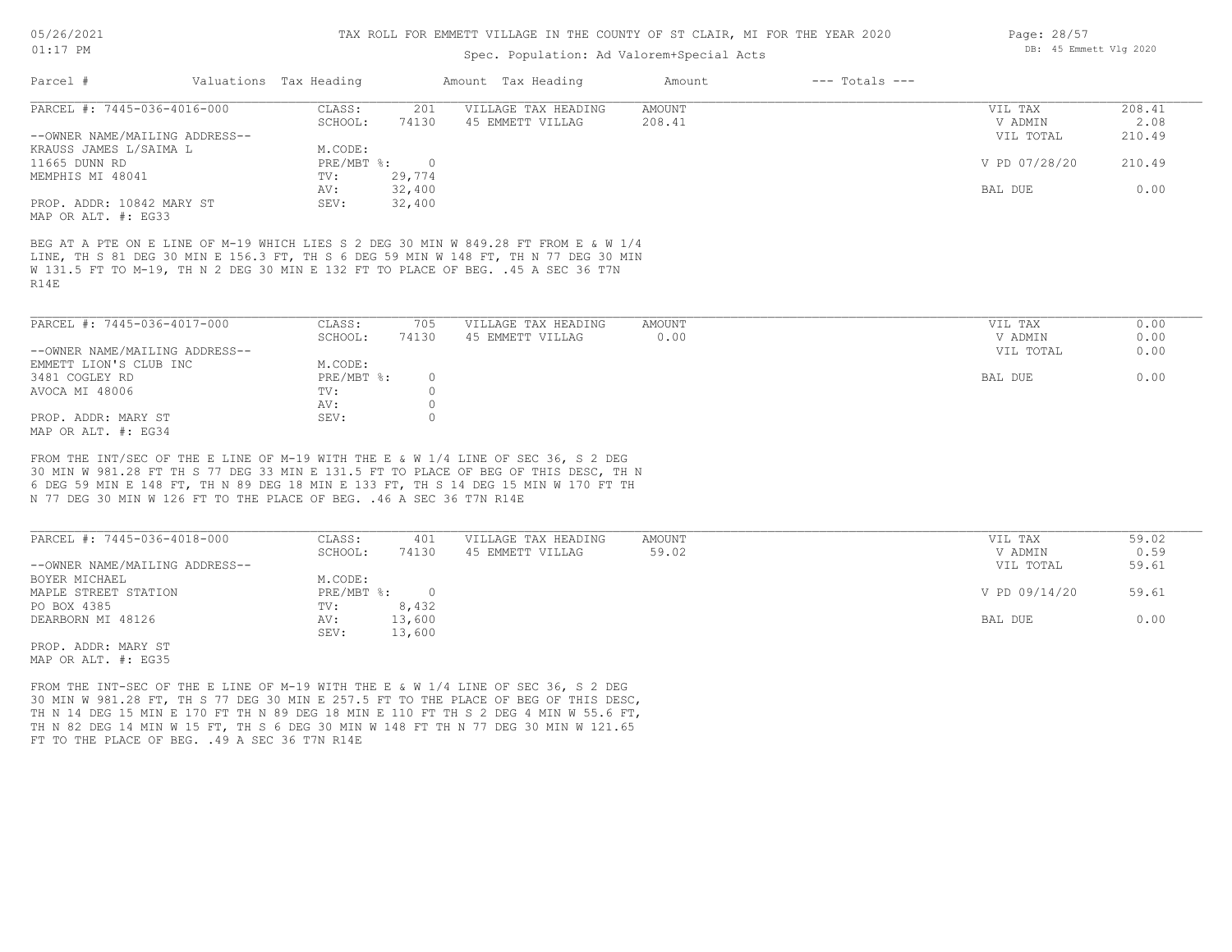### Spec. Population: Ad Valorem+Special Acts

| Parcel #                       | Valuations Tax Heading |        | Amount Tax Heading  | Amount | $---$ Totals $---$ |               |        |
|--------------------------------|------------------------|--------|---------------------|--------|--------------------|---------------|--------|
| PARCEL #: 7445-036-4016-000    | CLASS:                 | 201    | VILLAGE TAX HEADING | AMOUNT |                    | VIL TAX       | 208.41 |
|                                | SCHOOL:                | 74130  | 45 EMMETT VILLAG    | 208.41 |                    | V ADMIN       | 2.08   |
| --OWNER NAME/MAILING ADDRESS-- |                        |        |                     |        |                    | VIL TOTAL     | 210.49 |
| KRAUSS JAMES L/SAIMA L         | M.CODE:                |        |                     |        |                    |               |        |
| 11665 DUNN RD                  | $PRE/MBT$ %:           |        |                     |        |                    | V PD 07/28/20 | 210.49 |
| MEMPHIS MI 48041               | TV:                    | 29,774 |                     |        |                    |               |        |
|                                | AV:                    | 32,400 |                     |        |                    | BAL DUE       | 0.00   |
| PROP. ADDR: 10842 MARY ST      | SEV:                   | 32,400 |                     |        |                    |               |        |
| MAP OR ALT. #: EG33            |                        |        |                     |        |                    |               |        |

R14E W 131.5 FT TO M-19, TH N 2 DEG 30 MIN E 132 FT TO PLACE OF BEG. .45 A SEC 36 T7N LINE, TH S 81 DEG 30 MIN E 156.3 FT, TH S 6 DEG 59 MIN W 148 FT, TH N 77 DEG 30 MIN BEG AT A PTE ON E LINE OF M-19 WHICH LIES S 2 DEG 30 MIN W 849.28 FT FROM E & W 1/4

| PARCEL #: 7445-036-4017-000    | CLASS:     | 705   | VILLAGE TAX HEADING | AMOUNT | VIL TAX<br>0.00   |
|--------------------------------|------------|-------|---------------------|--------|-------------------|
|                                | SCHOOL:    | 74130 | 45 EMMETT VILLAG    | 0.00   | 0.00<br>V ADMIN   |
| --OWNER NAME/MAILING ADDRESS-- |            |       |                     |        | 0.00<br>VIL TOTAL |
| EMMETT LION'S CLUB INC         | M.CODE:    |       |                     |        |                   |
| 3481 COGLEY RD                 | PRE/MBT %: |       |                     |        | 0.00<br>BAL DUE   |
| AVOCA MI 48006                 | TV:        |       |                     |        |                   |
|                                | AV:        |       |                     |        |                   |
| PROP. ADDR: MARY ST            | SEV:       |       |                     |        |                   |
| MAP OR ALT. #: EG34            |            |       |                     |        |                   |

N 77 DEG 30 MIN W 126 FT TO THE PLACE OF BEG. .46 A SEC 36 T7N R14E 6 DEG 59 MIN E 148 FT, TH N 89 DEG 18 MIN E 133 FT, TH S 14 DEG 15 MIN W 170 FT TH 30 MIN W 981.28 FT TH S 77 DEG 33 MIN E 131.5 FT TO PLACE OF BEG OF THIS DESC, TH N FROM THE INT/SEC OF THE E LINE OF M-19 WITH THE E & W 1/4 LINE OF SEC 36, S 2 DEG

| PARCEL #: 7445-036-4018-000    | CLASS:       | 401    | VILLAGE TAX HEADING | AMOUNT | VIL TAX       | 59.02 |
|--------------------------------|--------------|--------|---------------------|--------|---------------|-------|
|                                | SCHOOL:      | 74130  | 45 EMMETT VILLAG    | 59.02  | V ADMIN       | 0.59  |
| --OWNER NAME/MAILING ADDRESS-- |              |        |                     |        | VIL TOTAL     | 59.61 |
| BOYER MICHAEL                  | M.CODE:      |        |                     |        |               |       |
| MAPLE STREET STATION           | $PRE/MBT$ %: |        |                     |        | V PD 09/14/20 | 59.61 |
| PO BOX 4385                    | TV:          | 8,432  |                     |        |               |       |
| DEARBORN MI 48126              | AV:          | 13,600 |                     |        | BAL DUE       | 0.00  |
|                                | SEV:         | 13,600 |                     |        |               |       |
| PROP. ADDR: MARY ST            |              |        |                     |        |               |       |

MAP OR ALT. #: EG35

FT TO THE PLACE OF BEG. . 49 A SEC 36 T7N R14E TH N 82 DEG 14 MIN W 15 FT, TH S 6 DEG 30 MIN W 148 FT TH N 77 DEG 30 MIN W 121.65 TH N 14 DEG 15 MIN E 170 FT TH N 89 DEG 18 MIN E 110 FT TH S 2 DEG 4 MIN W 55.6 FT, 30 MIN W 981.28 FT, TH S 77 DEG 30 MIN E 257.5 FT TO THE PLACE OF BEG OF THIS DESC, FROM THE INT-SEC OF THE E LINE OF M-19 WITH THE E & W 1/4 LINE OF SEC 36, S 2 DEG

Page: 28/57 DB: 45 Emmett Vlg 2020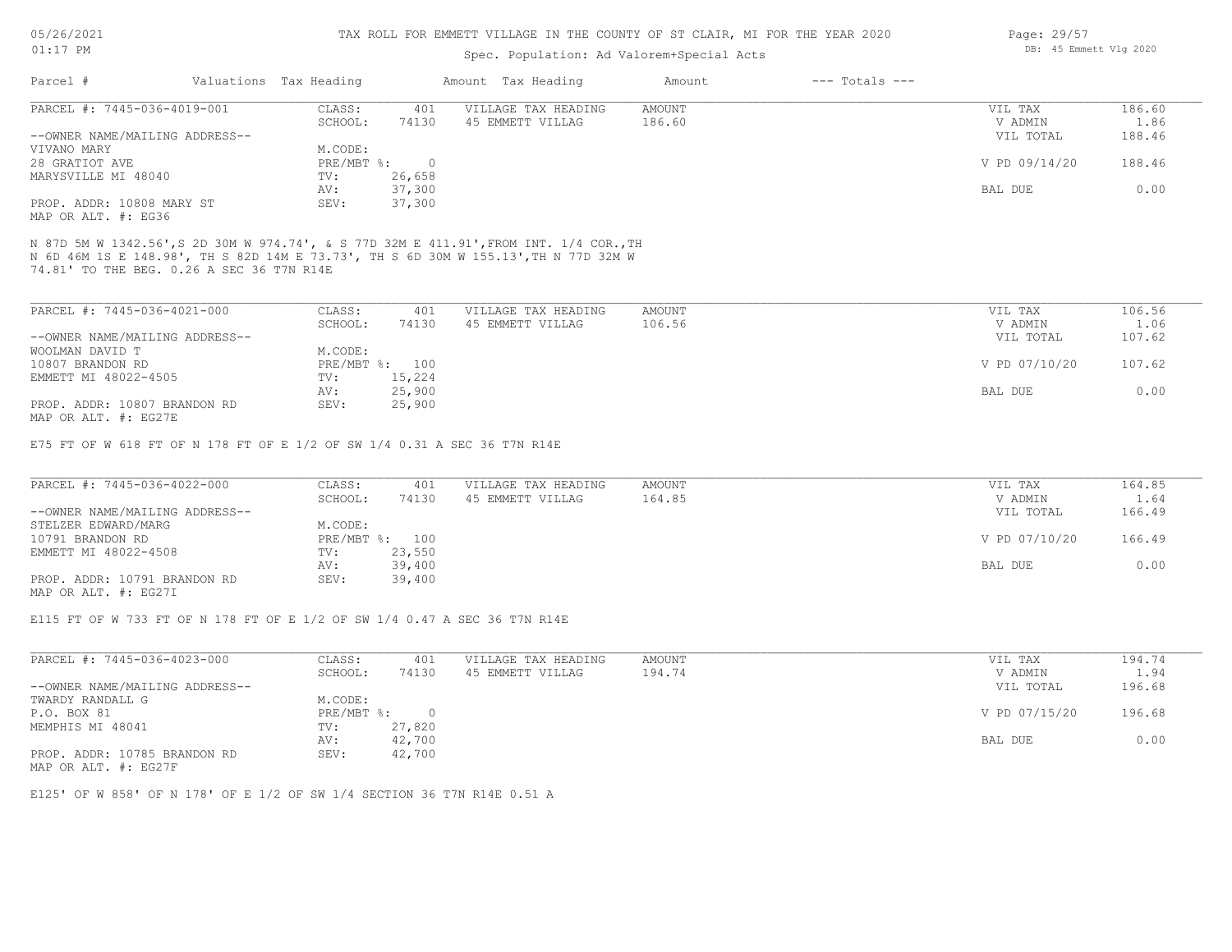#### TAX ROLL FOR EMMETT VILLAGE IN THE COUNTY OF ST CLAIR, MI FOR THE YEAR 2020

### Spec. Population: Ad Valorem+Special Acts

| Parcel #                       | Valuations Tax Heading |        | Amount Tax Heading  | Amount | $---$ Totals $---$ |               |        |
|--------------------------------|------------------------|--------|---------------------|--------|--------------------|---------------|--------|
| PARCEL #: 7445-036-4019-001    | CLASS:                 | 401    | VILLAGE TAX HEADING | AMOUNT |                    | VIL TAX       | 186.60 |
|                                | SCHOOL:                | 74130  | 45 EMMETT VILLAG    | 186.60 |                    | V ADMIN       | 1.86   |
| --OWNER NAME/MAILING ADDRESS-- |                        |        |                     |        |                    | VIL TOTAL     | 188.46 |
| VIVANO MARY                    | M.CODE:                |        |                     |        |                    |               |        |
| 28 GRATIOT AVE                 | $PRE/MBT$ %:           |        |                     |        |                    | V PD 09/14/20 | 188.46 |
| MARYSVILLE MI 48040            | TV:                    | 26,658 |                     |        |                    |               |        |
|                                | AV:                    | 37,300 |                     |        |                    | BAL DUE       | 0.00   |
| PROP. ADDR: 10808 MARY ST      | SEV:                   | 37,300 |                     |        |                    |               |        |
|                                |                        |        |                     |        |                    |               |        |

MAP OR ALT. #: EG36

74.81' TO THE BEG. 0.26 A SEC 36 T7N R14E N 6D 46M 1S E 148.98', TH S 82D 14M E 73.73', TH S 6D 30M W 155.13',TH N 77D 32M W N 87D 5M W 1342.56',S 2D 30M W 974.74', & S 77D 32M E 411.91',FROM INT. 1/4 COR.,TH

| PARCEL #: 7445-036-4021-000    | CLASS:  | 401            | VILLAGE TAX HEADING | AMOUNT | VIL TAX       | 106.56 |
|--------------------------------|---------|----------------|---------------------|--------|---------------|--------|
|                                | SCHOOL: | 74130          | 45 EMMETT VILLAG    | 106.56 | V ADMIN       | 1.06   |
| --OWNER NAME/MAILING ADDRESS-- |         |                |                     |        | VIL TOTAL     | 107.62 |
| WOOLMAN DAVID T                | M.CODE: |                |                     |        |               |        |
| 10807 BRANDON RD               |         | PRE/MBT %: 100 |                     |        | V PD 07/10/20 | 107.62 |
| EMMETT MI 48022-4505           | TV:     | 15,224         |                     |        |               |        |
|                                | AV:     | 25,900         |                     |        | BAL DUE       | 0.00   |
| PROP. ADDR: 10807 BRANDON RD   | SEV:    | 25,900         |                     |        |               |        |
| MAP OR ALT. #: EG27E           |         |                |                     |        |               |        |

E75 FT OF W 618 FT OF N 178 FT OF E 1/2 OF SW 1/4 0.31 A SEC 36 T7N R14E

| PARCEL #: 7445-036-4022-000    | CLASS:  | 401            | VILLAGE TAX HEADING | AMOUNT | VIL TAX       | 164.85 |
|--------------------------------|---------|----------------|---------------------|--------|---------------|--------|
|                                | SCHOOL: | 74130          | 45 EMMETT VILLAG    | 164.85 | V ADMIN       | 1.64   |
| --OWNER NAME/MAILING ADDRESS-- |         |                |                     |        | VIL TOTAL     | 166.49 |
| STELZER EDWARD/MARG            | M.CODE: |                |                     |        |               |        |
| 10791 BRANDON RD               |         | PRE/MBT %: 100 |                     |        | V PD 07/10/20 | 166.49 |
| EMMETT MI 48022-4508           | TV:     | 23,550         |                     |        |               |        |
|                                | AV:     | 39,400         |                     |        | BAL DUE       | 0.00   |
| PROP. ADDR: 10791 BRANDON RD   | SEV:    | 39,400         |                     |        |               |        |
| MAP OR ALT. #: EG27I           |         |                |                     |        |               |        |

E115 FT OF W 733 FT OF N 178 FT OF E 1/2 OF SW 1/4 0.47 A SEC 36 T7N R14E

| PARCEL #: 7445-036-4023-000    | CLASS:     | 401    | VILLAGE TAX HEADING | AMOUNT | VIL TAX       | 194.74 |
|--------------------------------|------------|--------|---------------------|--------|---------------|--------|
|                                | SCHOOL:    | 74130  | 45 EMMETT VILLAG    | 194.74 | V ADMIN       | 1.94   |
| --OWNER NAME/MAILING ADDRESS-- |            |        |                     |        | VIL TOTAL     | 196.68 |
| TWARDY RANDALL G               | M.CODE:    |        |                     |        |               |        |
| P.O. BOX 81                    | PRE/MBT %: |        |                     |        | V PD 07/15/20 | 196.68 |
| MEMPHIS MI 48041               | TV:        | 27,820 |                     |        |               |        |
|                                | AV:        | 42,700 |                     |        | BAL DUE       | 0.00   |
| PROP. ADDR: 10785 BRANDON RD   | SEV:       | 42,700 |                     |        |               |        |

MAP OR ALT. #: EG27F

E125' OF W 858' OF N 178' OF E 1/2 OF SW 1/4 SECTION 36 T7N R14E 0.51 A

Page: 29/57 DB: 45 Emmett Vlg 2020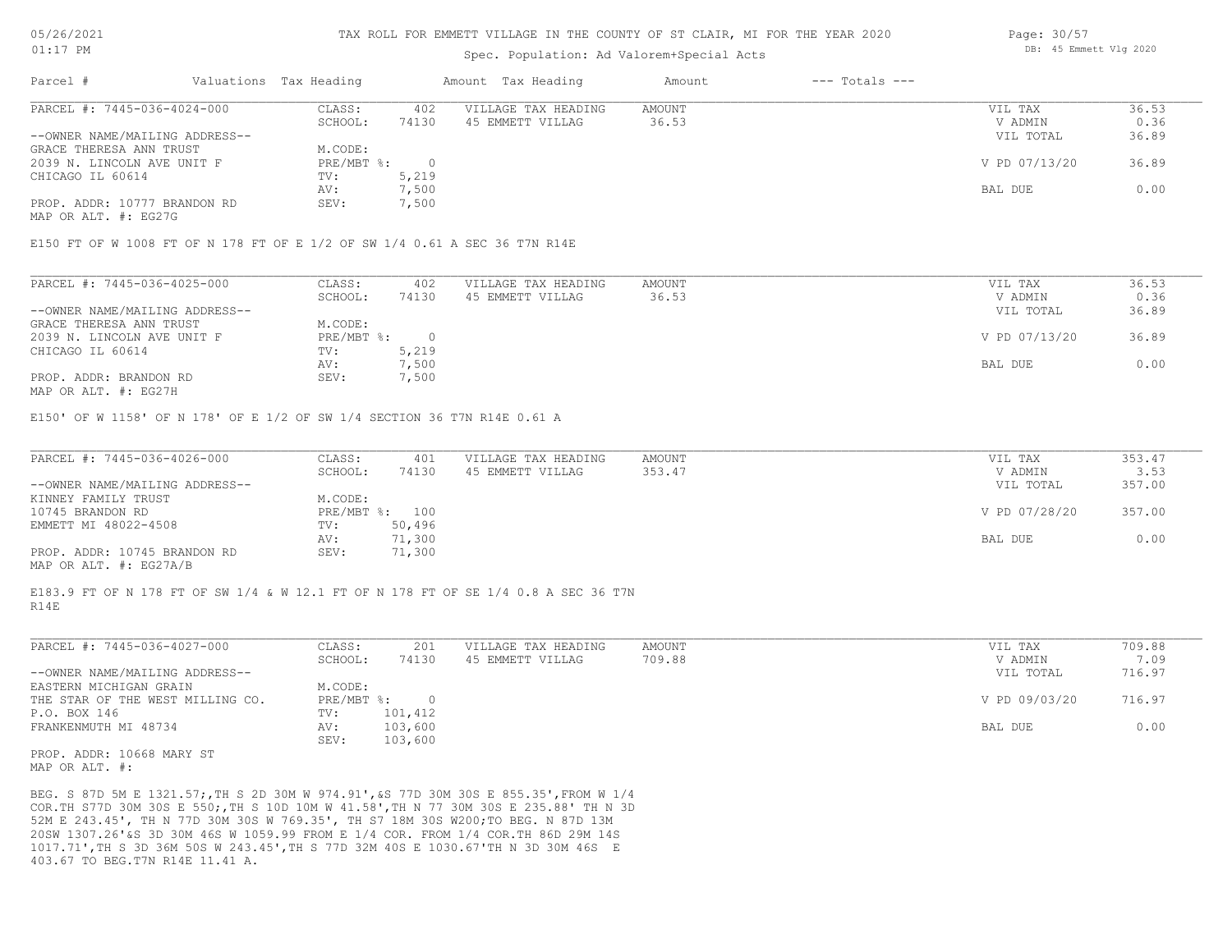### Spec. Population: Ad Valorem+Special Acts

| Parcel #                       | Valuations Tax Heading |       | Amount Tax Heading  | Amount | $---$ Totals $---$ |               |       |
|--------------------------------|------------------------|-------|---------------------|--------|--------------------|---------------|-------|
| PARCEL #: 7445-036-4024-000    | CLASS:                 | 402   | VILLAGE TAX HEADING | AMOUNT |                    | VIL TAX       | 36.53 |
|                                | SCHOOL:                | 74130 | 45 EMMETT VILLAG    | 36.53  |                    | V ADMIN       | 0.36  |
| --OWNER NAME/MAILING ADDRESS-- |                        |       |                     |        |                    | VIL TOTAL     | 36.89 |
| GRACE THERESA ANN TRUST        | M.CODE:                |       |                     |        |                    |               |       |
| 2039 N. LINCOLN AVE UNIT F     | PRE/MBT %:             |       |                     |        |                    | V PD 07/13/20 | 36.89 |
| CHICAGO IL 60614               | TV:                    | 5,219 |                     |        |                    |               |       |
|                                | AV:                    | 7,500 |                     |        |                    | BAL DUE       | 0.00  |
| PROP. ADDR: 10777 BRANDON RD   | SEV:                   | 1,500 |                     |        |                    |               |       |

MAP OR ALT. #: EG27G

E150 FT OF W 1008 FT OF N 178 FT OF E 1/2 OF SW 1/4 0.61 A SEC 36 T7N R14E

| PARCEL #: 7445-036-4025-000    | CLASS:     | 402   | VILLAGE TAX HEADING | AMOUNT | VIL TAX       | 36.53 |
|--------------------------------|------------|-------|---------------------|--------|---------------|-------|
|                                | SCHOOL:    | 74130 | 45 EMMETT VILLAG    | 36.53  | V ADMIN       | 0.36  |
| --OWNER NAME/MAILING ADDRESS-- |            |       |                     |        | VIL TOTAL     | 36.89 |
| GRACE THERESA ANN TRUST        | M.CODE:    |       |                     |        |               |       |
| 2039 N. LINCOLN AVE UNIT F     | PRE/MBT %: |       |                     |        | V PD 07/13/20 | 36.89 |
| CHICAGO IL 60614               | TV:        | 5,219 |                     |        |               |       |
|                                | AV:        | 7,500 |                     |        | BAL DUE       | 0.00  |
| PROP. ADDR: BRANDON RD         | SEV:       | 7,500 |                     |        |               |       |
|                                |            |       |                     |        |               |       |

MAP OR ALT. #: EG27H

E150' OF W 1158' OF N 178' OF E 1/2 OF SW 1/4 SECTION 36 T7N R14E 0.61 A

| PARCEL #: 7445-036-4026-000    | CLASS:  | 401            | VILLAGE TAX HEADING | AMOUNT | VIL TAX       | 353.47 |
|--------------------------------|---------|----------------|---------------------|--------|---------------|--------|
|                                | SCHOOL: | 74130          | 45 EMMETT VILLAG    | 353.47 | V ADMIN       | 3.53   |
| --OWNER NAME/MAILING ADDRESS-- |         |                |                     |        | VIL TOTAL     | 357.00 |
| KINNEY FAMILY TRUST            | M.CODE: |                |                     |        |               |        |
| 10745 BRANDON RD               |         | PRE/MBT %: 100 |                     |        | V PD 07/28/20 | 357.00 |
| EMMETT MI 48022-4508           | TV:     | 50,496         |                     |        |               |        |
|                                | AV:     | 71,300         |                     |        | BAL DUE       | 0.00   |
| PROP. ADDR: 10745 BRANDON RD   | SEV:    | 71,300         |                     |        |               |        |
| MAP OR ALT. #: EG27A/B         |         |                |                     |        |               |        |

R14E E183.9 FT OF N 178 FT OF SW 1/4 & W 12.1 FT OF N 178 FT OF SE 1/4 0.8 A SEC 36 T7N

| PARCEL #: 7445-036-4027-000      | CLASS:     | 201     | VILLAGE TAX HEADING | AMOUNT | VIL TAX       | 709.88 |
|----------------------------------|------------|---------|---------------------|--------|---------------|--------|
|                                  | SCHOOL:    | 74130   | 45 EMMETT VILLAG    | 709.88 | V ADMIN       | 7.09   |
| --OWNER NAME/MAILING ADDRESS--   |            |         |                     |        | VIL TOTAL     | 716.97 |
| EASTERN MICHIGAN GRAIN           | M.CODE:    |         |                     |        |               |        |
| THE STAR OF THE WEST MILLING CO. | PRE/MBT %: |         |                     |        | V PD 09/03/20 | 716.97 |
| P.O. BOX 146                     | TV:        | 101,412 |                     |        |               |        |
| FRANKENMUTH MI 48734             | AV:        | 103,600 |                     |        | BAL DUE       | 0.00   |
|                                  | SEV:       | 103,600 |                     |        |               |        |

MAP OR ALT. #: PROP. ADDR: 10668 MARY ST

403.67 TO BEG.T7N R14E 11.41 A. 1017.71',TH S 3D 36M 50S W 243.45',TH S 77D 32M 40S E 1030.67'TH N 3D 30M 46S E 20SW 1307.26'&S 3D 30M 46S W 1059.99 FROM E 1/4 COR. FROM 1/4 COR.TH 86D 29M 14S 52M E 243.45', TH N 77D 30M 30S W 769.35', TH S7 18M 30S W200;TO BEG. N 87D 13M COR.TH S77D 30M 30S E 550;,TH S 10D 10M W 41.58',TH N 77 30M 30S E 235.88' TH N 3D BEG. S 87D 5M E 1321.57;,TH S 2D 30M W 974.91',&S 77D 30M 30S E 855.35',FROM W 1/4 Page: 30/57 DB: 45 Emmett Vlg 2020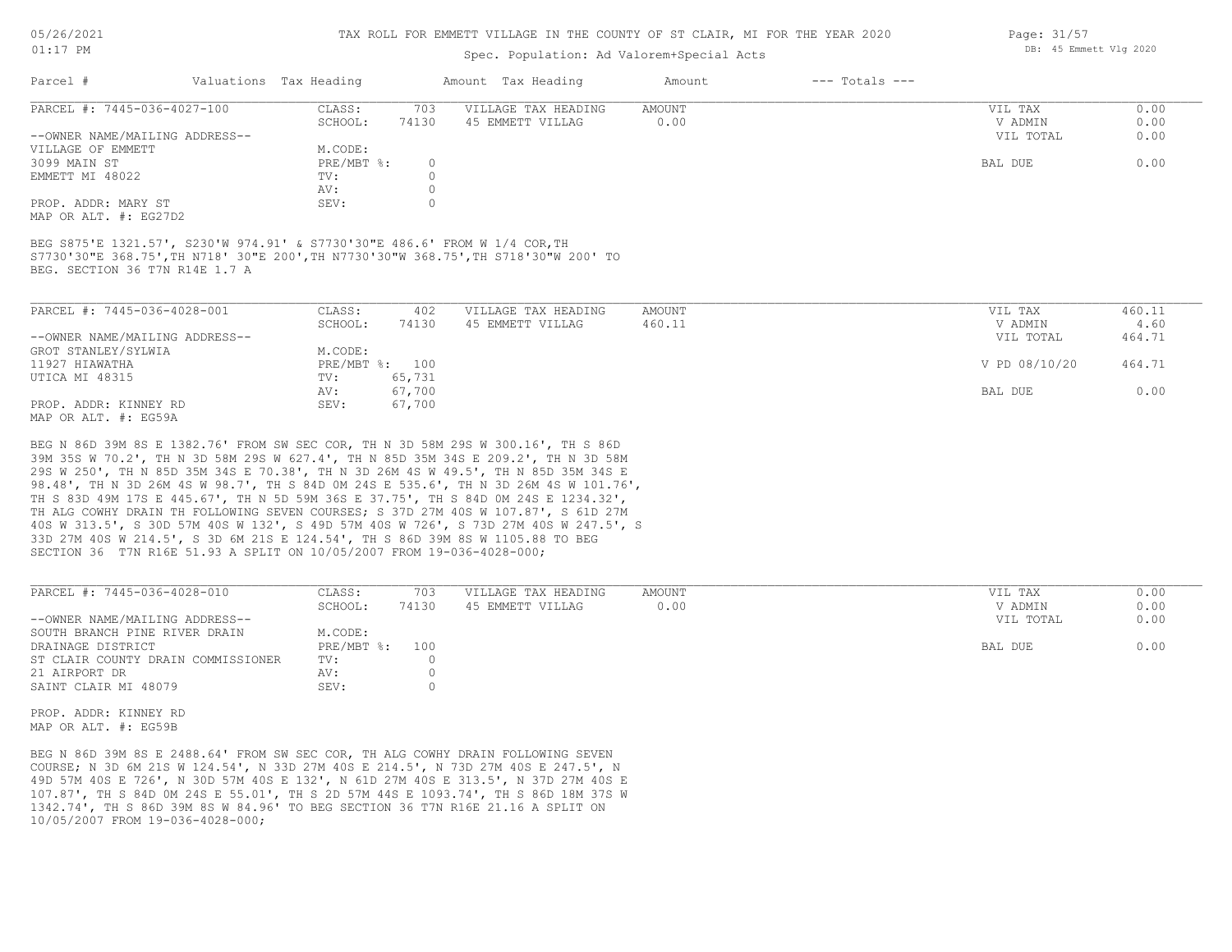#### TAX ROLL FOR EMMETT VILLAGE IN THE COUNTY OF ST CLAIR, MI FOR THE YEAR 2020

## Spec. Population: Ad Valorem+Special Acts

| VIL TAX   | 0.00               |
|-----------|--------------------|
| V ADMIN   | 0.00               |
| VIL TOTAL | 0.00               |
|           |                    |
| BAL DUE   | 0.00               |
|           |                    |
|           |                    |
|           |                    |
|           | $---$ Totals $---$ |

MAP OR ALT. #: EG27D2

BEG. SECTION 36 T7N R14E 1.7 A S7730'30"E 368.75',TH N718' 30"E 200',TH N7730'30"W 368.75',TH S718'30"W 200' TO BEG S875'E 1321.57', S230'W 974.91' & S7730'30"E 486.6' FROM W 1/4 COR,TH

| PARCEL #: 7445-036-4028-001    | CLASS:  | 402            | VILLAGE TAX HEADING | AMOUNT | VIL TAX       | 460.11 |
|--------------------------------|---------|----------------|---------------------|--------|---------------|--------|
|                                | SCHOOL: | 74130          | 45 EMMETT VILLAG    | 460.11 | V ADMIN       | 4.60   |
| --OWNER NAME/MAILING ADDRESS-- |         |                |                     |        | VIL TOTAL     | 464.71 |
| GROT STANLEY/SYLWIA            | M.CODE: |                |                     |        |               |        |
| 11927 HIAWATHA                 |         | PRE/MBT %: 100 |                     |        | V PD 08/10/20 | 464.71 |
| UTICA MI 48315                 | TV:     | 65,731         |                     |        |               |        |
|                                | AV:     | 67,700         |                     |        | BAL DUE       | 0.00   |
| PROP. ADDR: KINNEY RD          | SEV:    | 67,700         |                     |        |               |        |
| MAP OR ALT, #: EG59A           |         |                |                     |        |               |        |

SECTION 36 T7N R16E 51.93 A SPLIT ON 10/05/2007 FROM 19-036-4028-000; 33D 27M 40S W 214.5', S 3D 6M 21S E 124.54', TH S 86D 39M 8S W 1105.88 TO BEG 40S W 313.5', S 30D 57M 40S W 132', S 49D 57M 40S W 726', S 73D 27M 40S W 247.5', S TH ALG COWHY DRAIN TH FOLLOWING SEVEN COURSES; S 37D 27M 40S W 107.87', S 61D 27M TH S 83D 49M 17S E 445.67', TH N 5D 59M 36S E 37.75', TH S 84D 0M 24S E 1234.32', 98.48', TH N 3D 26M 4S W 98.7', TH S 84D 0M 24S E 535.6', TH N 3D 26M 4S W 101.76', 29S W 250', TH N 85D 35M 34S E 70.38', TH N 3D 26M 4S W 49.5', TH N 85D 35M 34S E 39M 35S W 70.2', TH N 3D 58M 29S W 627.4', TH N 85D 35M 34S E 209.2', TH N 3D 58M BEG N 86D 39M 8S E 1382.76' FROM SW SEC COR, TH N 3D 58M 29S W 300.16', TH S 86D

| PARCEL #: 7445-036-4028-010        | CLASS:     | 703   | VILLAGE TAX HEADING | AMOUNT | VIL TAX   | 0.00 |
|------------------------------------|------------|-------|---------------------|--------|-----------|------|
|                                    | SCHOOL:    | 74130 | 45 EMMETT VILLAG    | 0.00   | V ADMIN   | 0.00 |
| --OWNER NAME/MAILING ADDRESS--     |            |       |                     |        | VIL TOTAL | 0.00 |
| SOUTH BRANCH PINE RIVER DRAIN      | M.CODE:    |       |                     |        |           |      |
| DRAINAGE DISTRICT                  | PRE/MBT %: | 100   |                     |        | BAL DUE   | 0.00 |
| ST CLAIR COUNTY DRAIN COMMISSIONER | TV:        |       |                     |        |           |      |
| 21 AIRPORT DR                      | AV:        |       |                     |        |           |      |
| SAINT CLAIR MI 48079               | SEV:       |       |                     |        |           |      |
|                                    |            |       |                     |        |           |      |

 $\mathcal{L}_\mathcal{L} = \mathcal{L}_\mathcal{L} = \mathcal{L}_\mathcal{L} = \mathcal{L}_\mathcal{L} = \mathcal{L}_\mathcal{L} = \mathcal{L}_\mathcal{L} = \mathcal{L}_\mathcal{L} = \mathcal{L}_\mathcal{L} = \mathcal{L}_\mathcal{L} = \mathcal{L}_\mathcal{L} = \mathcal{L}_\mathcal{L} = \mathcal{L}_\mathcal{L} = \mathcal{L}_\mathcal{L} = \mathcal{L}_\mathcal{L} = \mathcal{L}_\mathcal{L} = \mathcal{L}_\mathcal{L} = \mathcal{L}_\mathcal{L}$ 

MAP OR ALT. #: EG59B PROP. ADDR: KINNEY RD

10/05/2007 FROM 19-036-4028-000; 1342.74', TH S 86D 39M 8S W 84.96' TO BEG SECTION 36 T7N R16E 21.16 A SPLIT ON 107.87', TH S 84D 0M 24S E 55.01', TH S 2D 57M 44S E 1093.74', TH S 86D 18M 37S W 49D 57M 40S E 726', N 30D 57M 40S E 132', N 61D 27M 40S E 313.5', N 37D 27M 40S E COURSE; N 3D 6M 21S W 124.54', N 33D 27M 40S E 214.5', N 73D 27M 40S E 247.5', N BEG N 86D 39M 8S E 2488.64' FROM SW SEC COR, TH ALG COWHY DRAIN FOLLOWING SEVEN

Page: 31/57 DB: 45 Emmett Vlg 2020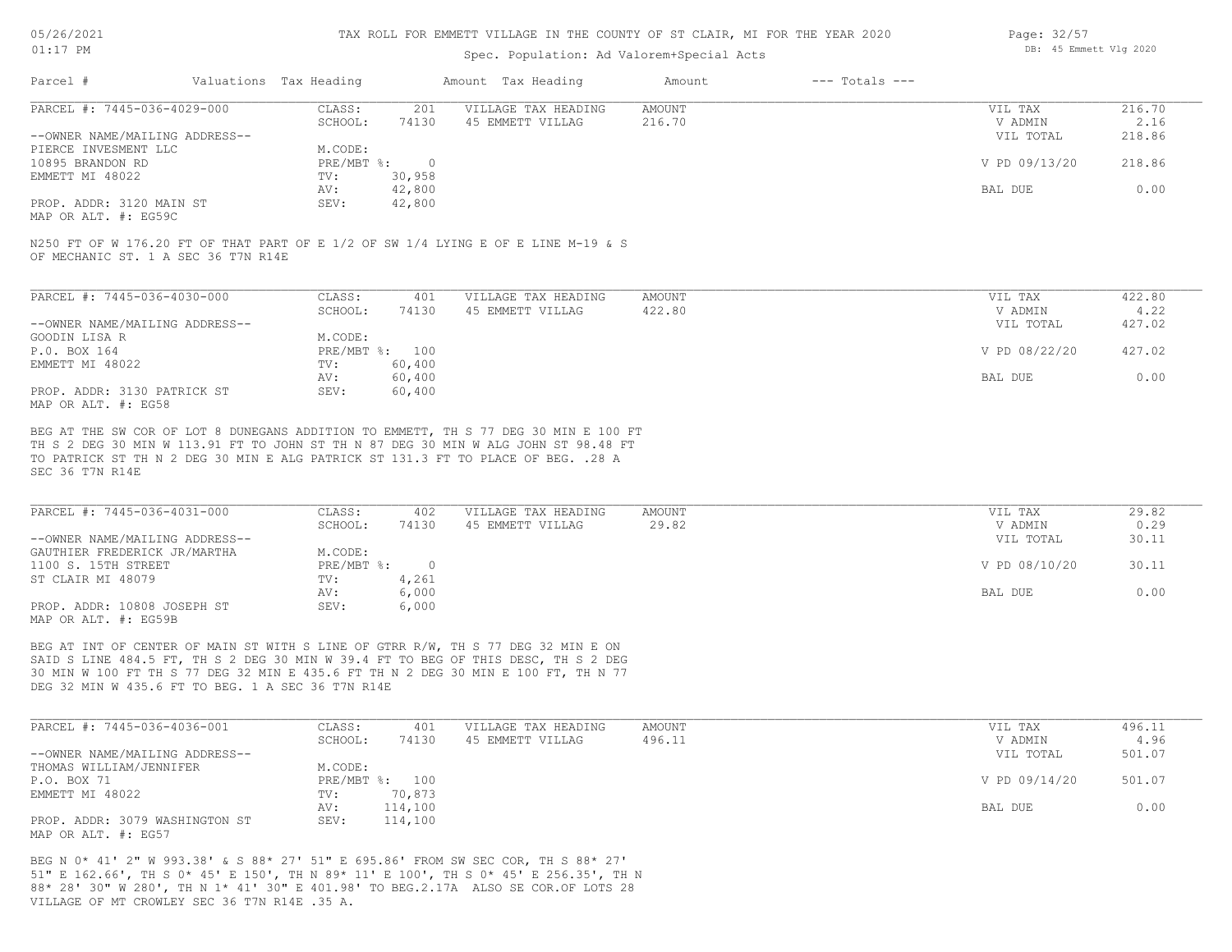#### TAX ROLL FOR EMMETT VILLAGE IN THE COUNTY OF ST CLAIR, MI FOR THE YEAR 2020

### Spec. Population: Ad Valorem+Special Acts

| Page: 32/57 |                        |  |
|-------------|------------------------|--|
|             | DB: 45 Emmett Vlg 2020 |  |

| Parcel #                       | Valuations Tax Heading    |        | Amount Tax Heading  | Amount | $---$ Totals $---$ |               |        |
|--------------------------------|---------------------------|--------|---------------------|--------|--------------------|---------------|--------|
| PARCEL #: 7445-036-4029-000    | CLASS:                    | 201    | VILLAGE TAX HEADING | AMOUNT |                    | VIL TAX       | 216.70 |
|                                | SCHOOL:                   | 74130  | 45 EMMETT VILLAG    | 216.70 |                    | V ADMIN       | 2.16   |
| --OWNER NAME/MAILING ADDRESS-- |                           |        |                     |        |                    | VIL TOTAL     | 218.86 |
| PIERCE INVESMENT LLC           | M.CODE:                   |        |                     |        |                    |               |        |
| 10895 BRANDON RD               | $PRE/MBT$ $\frac{1}{6}$ : |        |                     |        |                    | V PD 09/13/20 | 218.86 |
| EMMETT MI 48022                | TV:                       | 30,958 |                     |        |                    |               |        |
|                                | AV:                       | 42,800 |                     |        |                    | BAL DUE       | 0.00   |
| PROP. ADDR: 3120 MAIN ST       | SEV:                      | 42,800 |                     |        |                    |               |        |
|                                |                           |        |                     |        |                    |               |        |

MAP OR ALT. #: EG59C

OF MECHANIC ST. 1 A SEC 36 T7N R14E N250 FT OF W 176.20 FT OF THAT PART OF E 1/2 OF SW 1/4 LYING E OF E LINE M-19 & S

| PARCEL #: 7445-036-4030-000    | CLASS:       | 401    | VILLAGE TAX HEADING | AMOUNT | VIL TAX       | 422.80 |
|--------------------------------|--------------|--------|---------------------|--------|---------------|--------|
|                                | SCHOOL:      | 74130  | 45 EMMETT VILLAG    | 422.80 | V ADMIN       | 4.22   |
| --OWNER NAME/MAILING ADDRESS-- |              |        |                     |        | VIL TOTAL     | 427.02 |
| GOODIN LISA R                  | M.CODE:      |        |                     |        |               |        |
| P.O. BOX 164                   | $PRE/MBT$ %: | 100    |                     |        | V PD 08/22/20 | 427.02 |
| EMMETT MI 48022                | TV:          | 60,400 |                     |        |               |        |
|                                | AV:          | 60,400 |                     |        | BAL DUE       | 0.00   |
| PROP. ADDR: 3130 PATRICK ST    | SEV:         | 60,400 |                     |        |               |        |
| MAP OR ALT. #: EG58            |              |        |                     |        |               |        |

SEC 36 T7N R14E TO PATRICK ST TH N 2 DEG 30 MIN E ALG PATRICK ST 131.3 FT TO PLACE OF BEG. .28 A TH S 2 DEG 30 MIN W 113.91 FT TO JOHN ST TH N 87 DEG 30 MIN W ALG JOHN ST 98.48 FT BEG AT THE SW COR OF LOT 8 DUNEGANS ADDITION TO EMMETT, TH S 77 DEG 30 MIN E 100 FT

| PARCEL #: 7445-036-4031-000    | CLASS:     | 402   | VILLAGE TAX HEADING | AMOUNT | VIL TAX       | 29.82 |
|--------------------------------|------------|-------|---------------------|--------|---------------|-------|
|                                | SCHOOL:    | 74130 | 45 EMMETT VILLAG    | 29.82  | V ADMIN       | 0.29  |
| --OWNER NAME/MAILING ADDRESS-- |            |       |                     |        | VIL TOTAL     | 30.11 |
| GAUTHIER FREDERICK JR/MARTHA   | M.CODE:    |       |                     |        |               |       |
| 1100 S. 15TH STREET            | PRE/MBT %: |       |                     |        | V PD 08/10/20 | 30.11 |
| ST CLAIR MI 48079              | TV:        | 4,261 |                     |        |               |       |
|                                | AV:        | 6,000 |                     |        | BAL DUE       | 0.00  |
| PROP. ADDR: 10808 JOSEPH ST    | SEV:       | 6,000 |                     |        |               |       |
| MAP OR ALT. #: EG59B           |            |       |                     |        |               |       |

DEG 32 MIN W 435.6 FT TO BEG. 1 A SEC 36 T7N R14E 30 MIN W 100 FT TH S 77 DEG 32 MIN E 435.6 FT TH N 2 DEG 30 MIN E 100 FT, TH N 77 SAID S LINE 484.5 FT, TH S 2 DEG 30 MIN W 39.4 FT TO BEG OF THIS DESC, TH S 2 DEG BEG AT INT OF CENTER OF MAIN ST WITH S LINE OF GTRR R/W, TH S 77 DEG 32 MIN E ON

| PARCEL #: 7445-036-4036-001    | CLASS:  | 401            | VILLAGE TAX HEADING | AMOUNT | VIL TAX       | 496.11 |
|--------------------------------|---------|----------------|---------------------|--------|---------------|--------|
|                                | SCHOOL: | 74130          | 45 EMMETT VILLAG    | 496.11 | V ADMIN       | 4.96   |
| --OWNER NAME/MAILING ADDRESS-- |         |                |                     |        | VIL TOTAL     | 501.07 |
| THOMAS WILLIAM/JENNIFER        | M.CODE: |                |                     |        |               |        |
| P.O. BOX 71                    |         | PRE/MBT %: 100 |                     |        | V PD 09/14/20 | 501.07 |
| EMMETT MI 48022                | TV:     | 70,873         |                     |        |               |        |
|                                | AV:     | 114,100        |                     |        | BAL DUE       | 0.00   |
| PROP. ADDR: 3079 WASHINGTON ST | SEV:    | 114,100        |                     |        |               |        |
| MAP OR ALT. #: EG57            |         |                |                     |        |               |        |

VILLAGE OF MT CROWLEY SEC 36 T7N R14E .35 A. 88\* 28' 30" W 280', TH N 1\* 41' 30" E 401.98' TO BEG.2.17A ALSO SE COR.OF LOTS 28 51" E 162.66', TH S 0\* 45' E 150', TH N 89\* 11' E 100', TH S 0\* 45' E 256.35', TH N BEG N 0\* 41' 2" W 993.38' & S 88\* 27' 51" E 695.86' FROM SW SEC COR, TH S 88\* 27'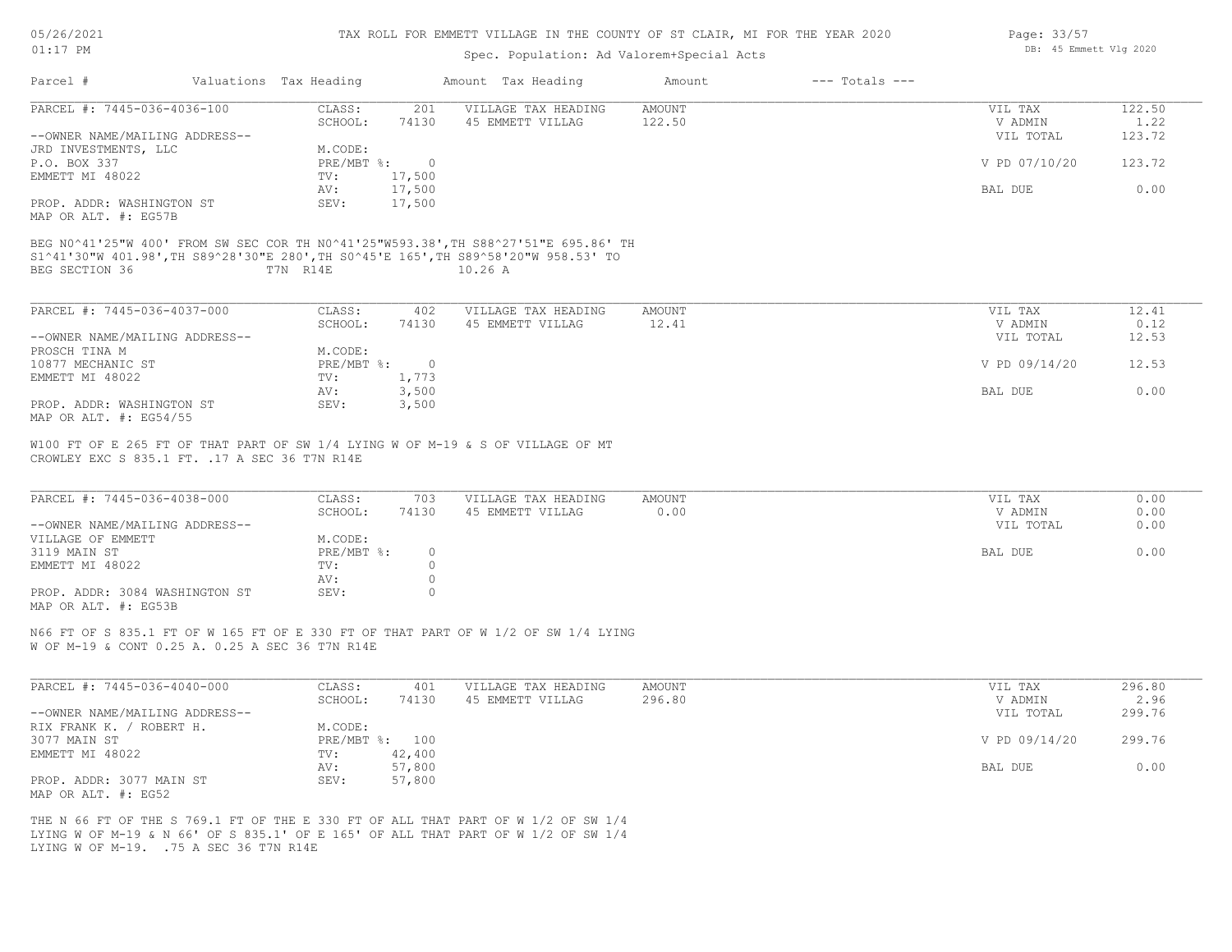| 05/26/2021 |  |
|------------|--|
| 01:17      |  |

### Spec. Population: Ad Valorem+Special Acts

| Page: 33/57 |                        |  |
|-------------|------------------------|--|
|             | DB: 45 Emmett Vlg 2020 |  |

| Parcel #                                                                                                                                                                | Valuations Tax Heading |                | Amount Tax Heading  | Amount          | $---$ Totals $---$ |                    |        |
|-------------------------------------------------------------------------------------------------------------------------------------------------------------------------|------------------------|----------------|---------------------|-----------------|--------------------|--------------------|--------|
| PARCEL #: 7445-036-4036-100                                                                                                                                             | CLASS:                 | 201            | VILLAGE TAX HEADING | AMOUNT          |                    | VIL TAX            | 122.50 |
|                                                                                                                                                                         | SCHOOL:                | 74130          | 45 EMMETT VILLAG    | 122.50          |                    | V ADMIN            | 1.22   |
| --OWNER NAME/MAILING ADDRESS--                                                                                                                                          |                        |                |                     |                 |                    | VIL TOTAL          | 123.72 |
| JRD INVESTMENTS, LLC                                                                                                                                                    | M.CODE:                |                |                     |                 |                    |                    |        |
| P.O. BOX 337                                                                                                                                                            |                        | PRE/MBT %: 0   |                     |                 |                    | V PD 07/10/20      | 123.72 |
| EMMETT MI 48022                                                                                                                                                         | TV:                    | 17,500         |                     |                 |                    |                    |        |
|                                                                                                                                                                         | AV:                    | 17,500         |                     |                 |                    | BAL DUE            | 0.00   |
| PROP. ADDR: WASHINGTON ST<br>MAP OR ALT. #: EG57B                                                                                                                       | SEV:                   | 17,500         |                     |                 |                    |                    |        |
| BEG N0^41'25"W 400' FROM SW SEC COR TH N0^41'25"W593.38', TH S88^27'51"E 695.86' TH<br>S1^41'30"W 401.98',TH S89^28'30"E 280',TH S0^45'E 165',TH S89^58'20"W 958.53' TO |                        |                |                     |                 |                    |                    |        |
| BEG SECTION 36                                                                                                                                                          | T7N R14E               |                | $10.26$ A           |                 |                    |                    |        |
| PARCEL #: 7445-036-4037-000                                                                                                                                             | CLASS:                 | 402            | VILLAGE TAX HEADING |                 |                    |                    | 12.41  |
|                                                                                                                                                                         | SCHOOL:                | 74130          | 45 EMMETT VILLAG    | AMOUNT<br>12.41 |                    | VIL TAX<br>V ADMIN | 0.12   |
| --OWNER NAME/MAILING ADDRESS--                                                                                                                                          |                        |                |                     |                 |                    | VIL TOTAL          | 12.53  |
| PROSCH TINA M                                                                                                                                                           | M.CODE:                |                |                     |                 |                    |                    |        |
| 10877 MECHANIC ST                                                                                                                                                       | PRE/MBT %:             | $\overline{0}$ |                     |                 |                    | V PD 09/14/20      | 12.53  |
| EMMETT MI 48022                                                                                                                                                         | TV:                    | 1,773          |                     |                 |                    |                    |        |
|                                                                                                                                                                         | AV:                    | 3,500          |                     |                 |                    | BAL DUE            | 0.00   |
| PROP. ADDR: WASHINGTON ST                                                                                                                                               | SEV:                   | 3,500          |                     |                 |                    |                    |        |
| MAP OR ALT. $\#$ : EG54/55                                                                                                                                              |                        |                |                     |                 |                    |                    |        |
| W100 FT OF E 265 FT OF THAT PART OF SW 1/4 LYING W OF M-19 & S OF VILLAGE OF MT                                                                                         |                        |                |                     |                 |                    |                    |        |
| CROWLEY EXC S 835.1 FT. . 17 A SEC 36 T7N R14E                                                                                                                          |                        |                |                     |                 |                    |                    |        |
| PARCEL #: 7445-036-4038-000                                                                                                                                             | CLASS:                 | 703            | VILLAGE TAX HEADING | AMOUNT          |                    | VIL TAX            | 0.00   |
|                                                                                                                                                                         | SCHOOL:                | 74130          | 45 EMMETT VILLAG    | 0.00            |                    | V ADMIN            | 0.00   |
| O(1)                                                                                                                                                                    |                        |                |                     |                 |                    | $\frac{1}{2}$      | 0.00   |

| --OWNER NAME/MAILING ADDRESS--         | VIL TOTAL | 0.00 |
|----------------------------------------|-----------|------|
|                                        |           |      |
| VILLAGE OF EMMETT<br>M.CODE:           |           |      |
| 3119 MAIN ST<br>PRE/MBT %:             | BAL DUE   | 0.00 |
| EMMETT MI 48022<br>TV:                 |           |      |
| AV:                                    |           |      |
| PROP. ADDR: 3084 WASHINGTON ST<br>SEV: |           |      |

MAP OR ALT. #: EG53B

W OF M-19 & CONT 0.25 A. 0.25 A SEC 36 T7N R14E N66 FT OF S 835.1 FT OF W 165 FT OF E 330 FT OF THAT PART OF W 1/2 OF SW 1/4 LYING

| PARCEL #: 7445-036-4040-000    | CLASS:  | 401            | VILLAGE TAX HEADING | AMOUNT | VIL TAX       | 296.80 |
|--------------------------------|---------|----------------|---------------------|--------|---------------|--------|
|                                | SCHOOL: | 74130          | 45 EMMETT VILLAG    | 296.80 | V ADMIN       | 2.96   |
| --OWNER NAME/MAILING ADDRESS-- |         |                |                     |        | VIL TOTAL     | 299.76 |
| ROBERT H.<br>RIX FRANK K. /    | M.CODE: |                |                     |        |               |        |
| 3077 MAIN ST                   |         | PRE/MBT %: 100 |                     |        | V PD 09/14/20 | 299.76 |
| EMMETT MI 48022                | TV:     | 42,400         |                     |        |               |        |
|                                | AV:     | 57,800         |                     |        | BAL DUE       | 0.00   |
| PROP. ADDR: 3077 MAIN ST       | SEV:    | 57,800         |                     |        |               |        |
| MAP OR ALT. #: EG52            |         |                |                     |        |               |        |

LYING W OF M-19. .75 A SEC 36 T7N R14E LYING W OF M-19 & N 66' OF S 835.1' OF E 165' OF ALL THAT PART OF W 1/2 OF SW 1/4 THE N 66 FT OF THE S 769.1 FT OF THE E 330 FT OF ALL THAT PART OF W 1/2 OF SW 1/4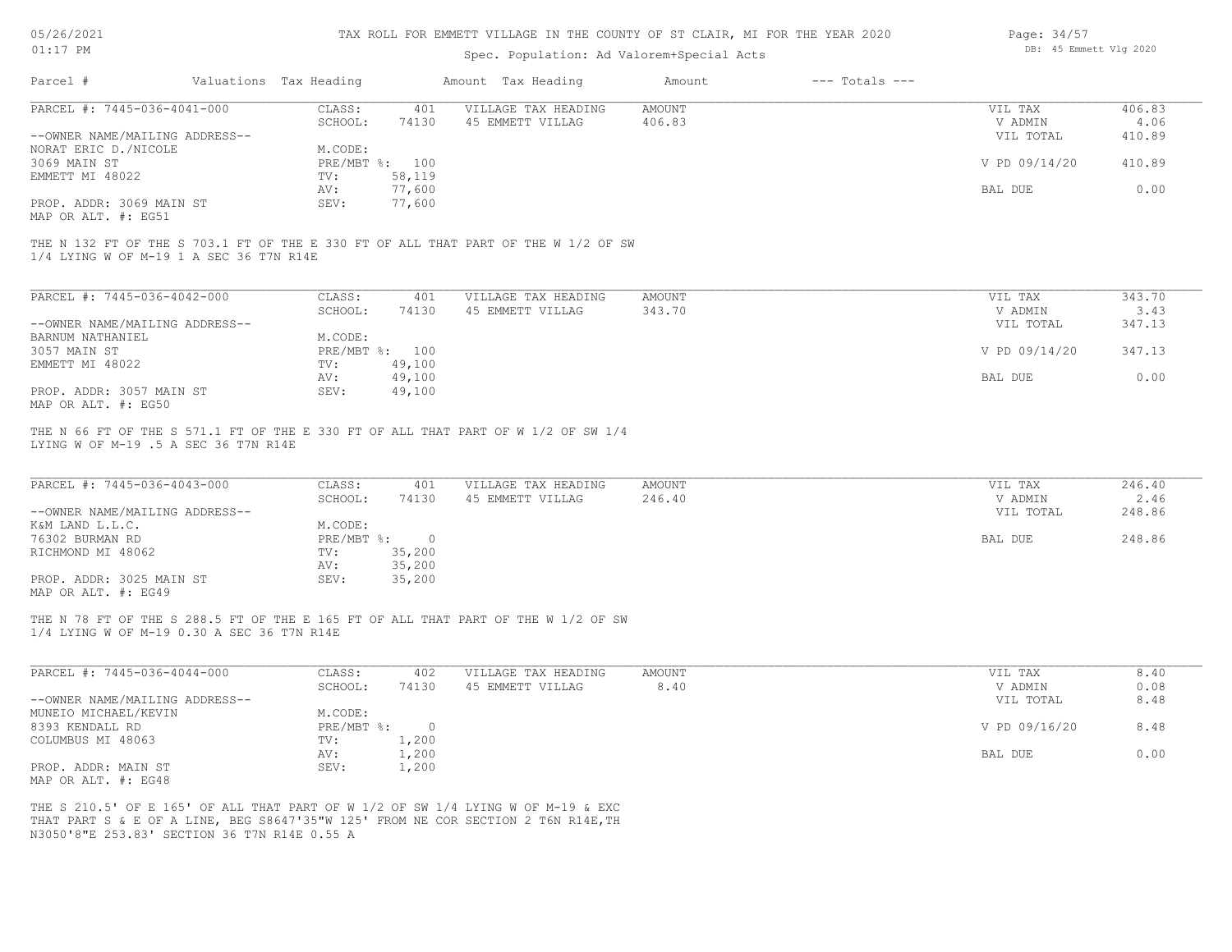| 05/26/2021 |  |
|------------|--|
| 01:17      |  |

## Spec. Population: Ad Valorem+Special Acts

| Page: 34/57 |                        |  |
|-------------|------------------------|--|
|             | DB: 45 Emmett Vlg 2020 |  |

| Parcel #                                                                         | Valuations Tax Heading             |                                              | Amount Tax Heading                                                                                                                                                    | Amount                | $---$ Totals $---$ |                                 |                          |
|----------------------------------------------------------------------------------|------------------------------------|----------------------------------------------|-----------------------------------------------------------------------------------------------------------------------------------------------------------------------|-----------------------|--------------------|---------------------------------|--------------------------|
| PARCEL #: 7445-036-4041-000                                                      | CLASS:                             | 401                                          | VILLAGE TAX HEADING                                                                                                                                                   | <b>AMOUNT</b>         |                    | VIL TAX                         | 406.83                   |
| --OWNER NAME/MAILING ADDRESS--                                                   | SCHOOL:                            | 74130                                        | 45 EMMETT VILLAG                                                                                                                                                      | 406.83                |                    | V ADMIN<br>VIL TOTAL            | 4.06<br>410.89           |
| NORAT ERIC D. / NICOLE<br>3069 MAIN ST                                           | M.CODE:                            | PRE/MBT %: 100                               |                                                                                                                                                                       |                       |                    | V PD 09/14/20                   | 410.89                   |
| EMMETT MI 48022                                                                  | TV:<br>AV:                         | 58,119<br>77,600                             |                                                                                                                                                                       |                       |                    | BAL DUE                         | 0.00                     |
| PROP. ADDR: 3069 MAIN ST<br>MAP OR ALT. #: EG51                                  | SEV:                               | 77,600                                       |                                                                                                                                                                       |                       |                    |                                 |                          |
| 1/4 LYING W OF M-19 1 A SEC 36 T7N R14E                                          |                                    |                                              | THE N 132 FT OF THE S 703.1 FT OF THE E 330 FT OF ALL THAT PART OF THE W 1/2 OF SW                                                                                    |                       |                    |                                 |                          |
| PARCEL #: 7445-036-4042-000                                                      | CLASS:                             | 401                                          | VILLAGE TAX HEADING                                                                                                                                                   | AMOUNT                |                    | VIL TAX                         | 343.70                   |
|                                                                                  | SCHOOL:                            | 74130                                        | 45 EMMETT VILLAG                                                                                                                                                      | 343.70                |                    | V ADMIN                         | 3.43                     |
| --OWNER NAME/MAILING ADDRESS--<br>BARNUM NATHANIEL                               | M.CODE:                            |                                              |                                                                                                                                                                       |                       |                    | VIL TOTAL                       | 347.13                   |
| 3057 MAIN ST<br>EMMETT MI 48022                                                  | TV:                                | PRE/MBT %: 100<br>49,100                     |                                                                                                                                                                       |                       |                    | V PD 09/14/20                   | 347.13                   |
| PROP. ADDR: 3057 MAIN ST<br>MAP OR ALT. #: EG50                                  | AV:<br>SEV:                        | 49,100<br>49,100                             |                                                                                                                                                                       |                       |                    | BAL DUE                         | 0.00                     |
| PARCEL #: 7445-036-4043-000<br>--OWNER NAME/MAILING ADDRESS--<br>K&M LAND L.L.C. | CLASS:<br>SCHOOL:<br>M.CODE:       | 401<br>74130                                 | VILLAGE TAX HEADING<br>45 EMMETT VILLAG                                                                                                                               | AMOUNT<br>246.40      |                    | VIL TAX<br>V ADMIN<br>VIL TOTAL | 246.40<br>2.46<br>248.86 |
| 76302 BURMAN RD<br>RICHMOND MI 48062<br>PROP. ADDR: 3025 MAIN ST                 | $PRE/MBT$ %:<br>TV:<br>AV:<br>SEV: | $\overline{0}$<br>35,200<br>35,200<br>35,200 |                                                                                                                                                                       |                       | BAL DUE            | 248.86                          |                          |
| MAP OR ALT. #: EG49<br>1/4 LYING W OF M-19 0.30 A SEC 36 T7N R14E                |                                    |                                              | THE N 78 FT OF THE S 288.5 FT OF THE E 165 FT OF ALL THAT PART OF THE W 1/2 OF SW                                                                                     |                       |                    |                                 |                          |
| PARCEL #: 7445-036-4044-000                                                      | CLASS:<br>SCHOOL:                  | 402<br>74130                                 | VILLAGE TAX HEADING<br>45 EMMETT VILLAG                                                                                                                               | <b>AMOUNT</b><br>8.40 |                    | VIL TAX<br>V ADMIN              | 8.40<br>0.08             |
| --OWNER NAME/MAILING ADDRESS--<br>MUNEIO MICHAEL/KEVIN                           | M.CODE:                            |                                              |                                                                                                                                                                       |                       |                    | VIL TOTAL                       | 8.48                     |
| 8393 KENDALL RD<br>COLUMBUS MI 48063                                             | TV:                                | PRE/MBT %: 0<br>1,200                        |                                                                                                                                                                       |                       |                    | V PD 09/16/20                   | 8.48                     |
| PROP. ADDR: MAIN ST                                                              | AV:<br>SEV:                        | 1,200<br>1,200                               |                                                                                                                                                                       |                       |                    | BAL DUE                         | 0.00                     |
| MAP OR ALT. #: EG48                                                              |                                    |                                              |                                                                                                                                                                       |                       |                    |                                 |                          |
| N3050'8"E 253.83' SECTION 36 T7N R14E 0.55 A                                     |                                    |                                              | THE S 210.5' OF E 165' OF ALL THAT PART OF W 1/2 OF SW 1/4 LYING W OF M-19 & EXC<br>THAT PART S & E OF A LINE, BEG S8647'35"W 125' FROM NE COR SECTION 2 T6N R14E, TH |                       |                    |                                 |                          |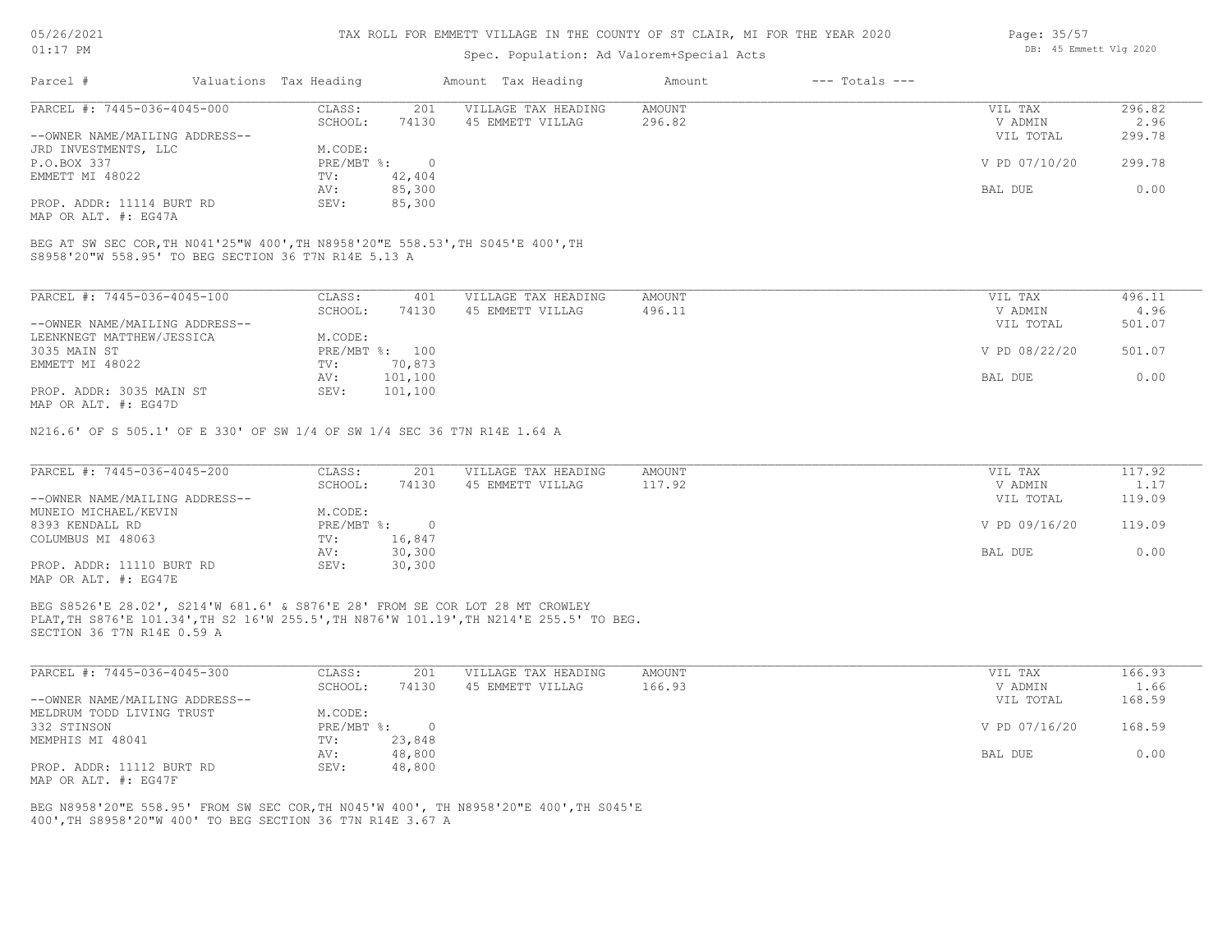#### TAX ROLL FOR EMMETT VILLAGE IN THE COUNTY OF ST CLAIR, MI FOR THE YEAR 2020

### Spec. Population: Ad Valorem+Special Acts

| Parcel #                       | Valuations Tax Heading |        | Amount Tax Heading  | Amount | $---$ Totals $---$ |               |        |
|--------------------------------|------------------------|--------|---------------------|--------|--------------------|---------------|--------|
| PARCEL #: 7445-036-4045-000    | CLASS:                 | 201    | VILLAGE TAX HEADING | AMOUNT |                    | VIL TAX       | 296.82 |
|                                | SCHOOL:                | 74130  | 45 EMMETT VILLAG    | 296.82 |                    | V ADMIN       | 2.96   |
| --OWNER NAME/MAILING ADDRESS-- |                        |        |                     |        |                    | VIL TOTAL     | 299.78 |
| JRD INVESTMENTS, LLC           | M.CODE:                |        |                     |        |                    |               |        |
| P.O.BOX 337                    | $PRE/MBT$ %:           |        |                     |        |                    | V PD 07/10/20 | 299.78 |
| EMMETT MI 48022                | TV:                    | 42,404 |                     |        |                    |               |        |
|                                | AV:                    | 85,300 |                     |        |                    | BAL DUE       | 0.00   |
| PROP. ADDR: 11114 BURT RD      | SEV:                   | 85,300 |                     |        |                    |               |        |

MAP OR ALT. #: EG47A

S8958'20"W 558.95' TO BEG SECTION 36 T7N R14E 5.13 A BEG AT SW SEC COR,TH N041'25"W 400',TH N8958'20"E 558.53',TH S045'E 400',TH

| PARCEL #: 7445-036-4045-100    | CLASS:     | 401     | VILLAGE TAX HEADING | AMOUNT | VIL TAX       | 496.11 |
|--------------------------------|------------|---------|---------------------|--------|---------------|--------|
|                                | SCHOOL:    | 74130   | 45 EMMETT VILLAG    | 496.11 | V ADMIN       | 4.96   |
| --OWNER NAME/MAILING ADDRESS-- |            |         |                     |        | VIL TOTAL     | 501.07 |
| LEENKNEGT MATTHEW/JESSICA      | M.CODE:    |         |                     |        |               |        |
| 3035 MAIN ST                   | PRE/MBT %: | 100     |                     |        | V PD 08/22/20 | 501.07 |
| EMMETT MI 48022                | TV:        | 70,873  |                     |        |               |        |
|                                | AV:        | 101,100 |                     |        | BAL DUE       | 0.00   |
| PROP. ADDR: 3035 MAIN ST       | SEV:       | 101,100 |                     |        |               |        |
| $\frac{1}{2}$                  |            |         |                     |        |               |        |

MAP OR ALT. #: EG47D

N216.6' OF S 505.1' OF E 330' OF SW 1/4 OF SW 1/4 SEC 36 T7N R14E 1.64 A

| PARCEL #: 7445-036-4045-200    | CLASS:     | 201    | VILLAGE TAX HEADING | AMOUNT | VIL TAX       | 117.92 |
|--------------------------------|------------|--------|---------------------|--------|---------------|--------|
|                                | SCHOOL:    | 74130  | 45 EMMETT VILLAG    | 117.92 | V ADMIN       | 1.17   |
| --OWNER NAME/MAILING ADDRESS-- |            |        |                     |        | VIL TOTAL     | 119.09 |
| MUNEIO MICHAEL/KEVIN           | M.CODE:    |        |                     |        |               |        |
| 8393 KENDALL RD                | PRE/MBT %: |        |                     |        | V PD 09/16/20 | 119.09 |
| COLUMBUS MI 48063              | TV:        | 16,847 |                     |        |               |        |
|                                | AV:        | 30,300 |                     |        | BAL DUE       | 0.00   |
| PROP. ADDR: 11110 BURT RD      | SEV:       | 30,300 |                     |        |               |        |
| MAP OR ALT. #: EG47E           |            |        |                     |        |               |        |

PLAT,TH S876'E 101.34',TH S2 16'W 255.5',TH N876'W 101.19',TH N214'E 255.5' TO BEG. BEG S8526'E 28.02', S214'W 681.6' & S876'E 28' FROM SE COR LOT 28 MT CROWLEY

SECTION 36 T7N R14E 0.59 A

| PARCEL #: 7445-036-4045-300    | CLASS:     | 201      | VILLAGE TAX HEADING | AMOUNT | VIL TAX       | 166.93 |
|--------------------------------|------------|----------|---------------------|--------|---------------|--------|
|                                | SCHOOL:    | 74130    | 45 EMMETT VILLAG    | 166.93 | V ADMIN       | 1.66   |
| --OWNER NAME/MAILING ADDRESS-- |            |          |                     |        | VIL TOTAL     | 168.59 |
| MELDRUM TODD LIVING TRUST      | M.CODE:    |          |                     |        |               |        |
| 332 STINSON                    | PRE/MBT %: | $\Omega$ |                     |        | V PD 07/16/20 | 168.59 |
| MEMPHIS MI 48041               | TV:        | 23,848   |                     |        |               |        |
|                                | AV:        | 48,800   |                     |        | BAL DUE       | 0.00   |
| PROP. ADDR: 11112 BURT RD      | SEV:       | 48,800   |                     |        |               |        |
| MAP OR ALT. #: EG47F           |            |          |                     |        |               |        |

 $\mathcal{L}_\mathcal{L} = \mathcal{L}_\mathcal{L} = \mathcal{L}_\mathcal{L} = \mathcal{L}_\mathcal{L} = \mathcal{L}_\mathcal{L} = \mathcal{L}_\mathcal{L} = \mathcal{L}_\mathcal{L} = \mathcal{L}_\mathcal{L} = \mathcal{L}_\mathcal{L} = \mathcal{L}_\mathcal{L} = \mathcal{L}_\mathcal{L} = \mathcal{L}_\mathcal{L} = \mathcal{L}_\mathcal{L} = \mathcal{L}_\mathcal{L} = \mathcal{L}_\mathcal{L} = \mathcal{L}_\mathcal{L} = \mathcal{L}_\mathcal{L}$ 

400',TH S8958'20"W 400' TO BEG SECTION 36 T7N R14E 3.67 A BEG N8958'20"E 558.95' FROM SW SEC COR,TH N045'W 400', TH N8958'20"E 400',TH S045'E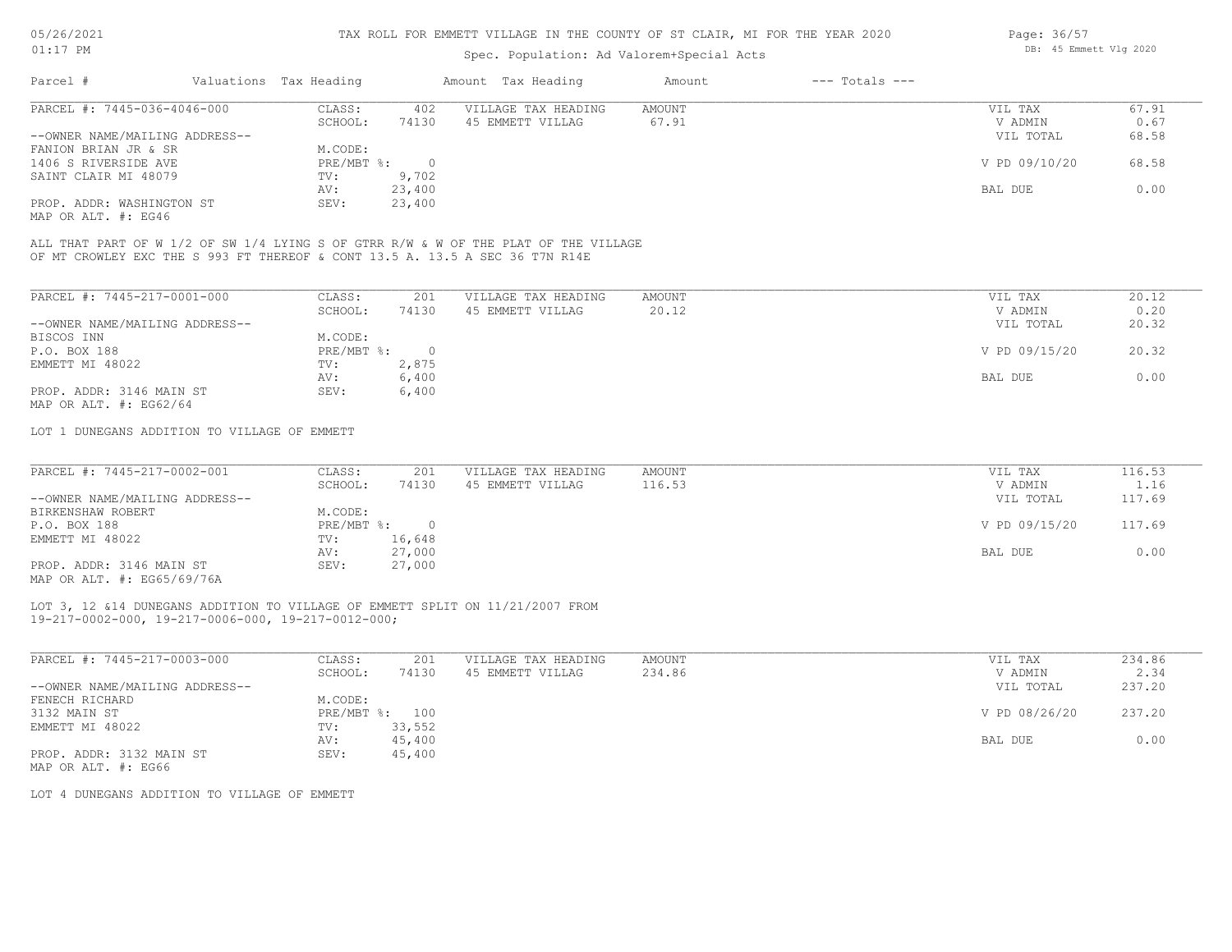### Spec. Population: Ad Valorem+Special Acts

| Page: 36/57 |                        |  |
|-------------|------------------------|--|
|             | DB: 45 Emmett Vlg 2020 |  |

| Parcel #                       | Valuations Tax Heading |        | Amount Tax Heading  | Amount | $---$ Totals $---$ |               |       |
|--------------------------------|------------------------|--------|---------------------|--------|--------------------|---------------|-------|
| PARCEL #: 7445-036-4046-000    | CLASS:                 | 402    | VILLAGE TAX HEADING | AMOUNT |                    | VIL TAX       | 67.91 |
|                                | SCHOOL:                | 74130  | 45 EMMETT VILLAG    | 67.91  |                    | V ADMIN       | 0.67  |
| --OWNER NAME/MAILING ADDRESS-- |                        |        |                     |        |                    | VIL TOTAL     | 68.58 |
| FANION BRIAN JR & SR           | M.CODE:                |        |                     |        |                    |               |       |
| 1406 S RIVERSIDE AVE           | $PRE/MBT$ %:           |        |                     |        |                    | V PD 09/10/20 | 68.58 |
| SAINT CLAIR MI 48079           | TV:                    | 9,702  |                     |        |                    |               |       |
|                                | AV:                    | 23,400 |                     |        |                    | BAL DUE       | 0.00  |
| PROP. ADDR: WASHINGTON ST      | SEV:                   | 23,400 |                     |        |                    |               |       |
|                                |                        |        |                     |        |                    |               |       |

MAP OR ALT. #: EG46

OF MT CROWLEY EXC THE S 993 FT THEREOF & CONT 13.5 A. 13.5 A SEC 36 T7N R14E ALL THAT PART OF W 1/2 OF SW 1/4 LYING S OF GTRR R/W & W OF THE PLAT OF THE VILLAGE

| PARCEL #: 7445-217-0001-000    | CLASS:     | 201   | VILLAGE TAX HEADING | AMOUNT | 20.12<br>VIL TAX       |
|--------------------------------|------------|-------|---------------------|--------|------------------------|
|                                | SCHOOL:    | 74130 | 45 EMMETT VILLAG    | 20.12  | 0.20<br>V ADMIN        |
| --OWNER NAME/MAILING ADDRESS-- |            |       |                     |        | 20.32<br>VIL TOTAL     |
| BISCOS INN                     | M.CODE:    |       |                     |        |                        |
| P.O. BOX 188                   | PRE/MBT %: |       |                     |        | V PD 09/15/20<br>20.32 |
| EMMETT MI 48022                | TV:        | 2,875 |                     |        |                        |
|                                | AV:        | 6,400 |                     |        | 0.00<br>BAL DUE        |
| PROP. ADDR: 3146 MAIN ST       | SEV:       | 6,400 |                     |        |                        |
| MAP OR ALT. $\#$ : EG62/64     |            |       |                     |        |                        |

LOT 1 DUNEGANS ADDITION TO VILLAGE OF EMMETT

| PARCEL #: 7445-217-0002-001                                                                                                                                                                                                                                                                                                                  | CLASS:       | 201    | VILLAGE TAX HEADING | AMOUNT | VIL TAX       | 116.53 |
|----------------------------------------------------------------------------------------------------------------------------------------------------------------------------------------------------------------------------------------------------------------------------------------------------------------------------------------------|--------------|--------|---------------------|--------|---------------|--------|
|                                                                                                                                                                                                                                                                                                                                              | SCHOOL:      | 74130  | 45 EMMETT VILLAG    | 116.53 | V ADMIN       | 1.16   |
| --OWNER NAME/MAILING ADDRESS--                                                                                                                                                                                                                                                                                                               |              |        |                     |        | VIL TOTAL     | 117.69 |
| BIRKENSHAW ROBERT                                                                                                                                                                                                                                                                                                                            | M.CODE:      |        |                     |        |               |        |
| P.O. BOX 188                                                                                                                                                                                                                                                                                                                                 | $PRE/MBT$ %: |        |                     |        | V PD 09/15/20 | 117.69 |
| EMMETT MI 48022                                                                                                                                                                                                                                                                                                                              | TV:          | 16,648 |                     |        |               |        |
|                                                                                                                                                                                                                                                                                                                                              | AV:          | 27,000 |                     |        | BAL DUE       | 0.00   |
| PROP. ADDR: 3146 MAIN ST                                                                                                                                                                                                                                                                                                                     | SEV:         | 27,000 |                     |        |               |        |
| $\cdots$ $\cdots$ $\cdots$ $\cdots$ $\cdots$ $\cdots$ $\cdots$ $\cdots$ $\cdots$ $\cdots$ $\cdots$ $\cdots$ $\cdots$ $\cdots$ $\cdots$ $\cdots$ $\cdots$ $\cdots$ $\cdots$ $\cdots$ $\cdots$ $\cdots$ $\cdots$ $\cdots$ $\cdots$ $\cdots$ $\cdots$ $\cdots$ $\cdots$ $\cdots$ $\cdots$ $\cdots$ $\cdots$ $\cdots$ $\cdots$ $\cdots$ $\cdots$ |              |        |                     |        |               |        |

MAP OR ALT. #: EG65/69/76A

19-217-0002-000, 19-217-0006-000, 19-217-0012-000; LOT 3, 12 &14 DUNEGANS ADDITION TO VILLAGE OF EMMETT SPLIT ON 11/21/2007 FROM

| PARCEL #: 7445-217-0003-000    | CLASS:                    | 201    | VILLAGE TAX HEADING | AMOUNT | VIL TAX       | 234.86 |
|--------------------------------|---------------------------|--------|---------------------|--------|---------------|--------|
|                                | SCHOOL:                   | 74130  | 45 EMMETT VILLAG    | 234.86 | V ADMIN       | 2.34   |
| --OWNER NAME/MAILING ADDRESS-- |                           |        |                     |        | VIL TOTAL     | 237.20 |
| FENECH RICHARD                 | M.CODE:                   |        |                     |        |               |        |
| 3132 MAIN ST                   | $PRE/MBT$ $\frac{1}{6}$ : | 100    |                     |        | V PD 08/26/20 | 237.20 |
| EMMETT MI 48022                | TV:                       | 33,552 |                     |        |               |        |
|                                | AV:                       | 45,400 |                     |        | BAL DUE       | 0.00   |
| PROP. ADDR: 3132 MAIN ST       | SEV:                      | 45,400 |                     |        |               |        |
|                                |                           |        |                     |        |               |        |

MAP OR ALT. #: EG66

LOT 4 DUNEGANS ADDITION TO VILLAGE OF EMMETT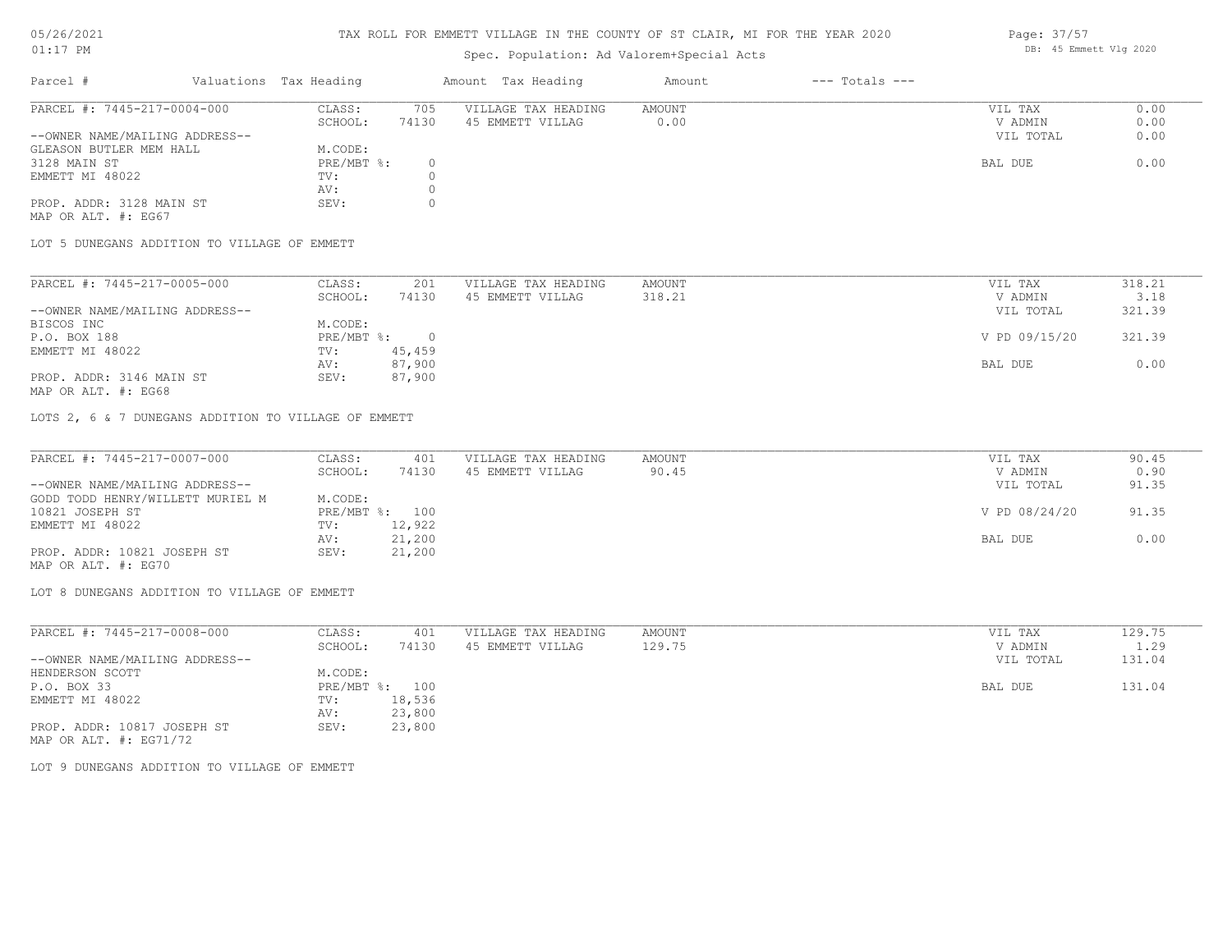#### TAX ROLL FOR EMMETT VILLAGE IN THE COUNTY OF ST CLAIR, MI FOR THE YEAR 2020

## Spec. Population: Ad Valorem+Special Acts

| Parcel #                       | Valuations Tax Heading |       | Amount Tax Heading  | Amount | $---$ Totals $---$ |           |      |
|--------------------------------|------------------------|-------|---------------------|--------|--------------------|-----------|------|
| PARCEL #: 7445-217-0004-000    | CLASS:                 | 705   | VILLAGE TAX HEADING | AMOUNT |                    | VIL TAX   | 0.00 |
|                                | SCHOOL:                | 74130 | 45 EMMETT VILLAG    | 0.00   |                    | V ADMIN   | 0.00 |
| --OWNER NAME/MAILING ADDRESS-- |                        |       |                     |        |                    | VIL TOTAL | 0.00 |
| GLEASON BUTLER MEM HALL        | M.CODE:                |       |                     |        |                    |           |      |
| 3128 MAIN ST                   | PRE/MBT %:             |       |                     |        |                    | BAL DUE   | 0.00 |
| EMMETT MI 48022                | TV:                    |       |                     |        |                    |           |      |
|                                | AV:                    |       |                     |        |                    |           |      |
| PROP. ADDR: 3128 MAIN ST       | SEV:                   |       |                     |        |                    |           |      |

MAP OR ALT. #: EG67

LOT 5 DUNEGANS ADDITION TO VILLAGE OF EMMETT

| PARCEL #: 7445-217-0005-000    | CLASS:     | 201    | VILLAGE TAX HEADING | AMOUNT | VIL TAX       | 318.21 |
|--------------------------------|------------|--------|---------------------|--------|---------------|--------|
|                                | SCHOOL:    | 74130  | 45 EMMETT VILLAG    | 318.21 | V ADMIN       | 3.18   |
| --OWNER NAME/MAILING ADDRESS-- |            |        |                     |        | VIL TOTAL     | 321.39 |
| BISCOS INC                     | M.CODE:    |        |                     |        |               |        |
| P.O. BOX 188                   | PRE/MBT %: |        |                     |        | V PD 09/15/20 | 321.39 |
| EMMETT MI 48022                | TV:        | 45,459 |                     |        |               |        |
|                                | AV:        | 87,900 |                     |        | BAL DUE       | 0.00   |
| PROP. ADDR: 3146 MAIN ST       | SEV:       | 87,900 |                     |        |               |        |
|                                |            |        |                     |        |               |        |

MAP OR ALT. #: EG68

LOTS 2, 6 & 7 DUNEGANS ADDITION TO VILLAGE OF EMMETT

| PARCEL #: 7445-217-0007-000      | CLASS:  | 401            | VILLAGE TAX HEADING | AMOUNT | VIL TAX       | 90.45 |
|----------------------------------|---------|----------------|---------------------|--------|---------------|-------|
|                                  | SCHOOL: | 74130          | 45 EMMETT VILLAG    | 90.45  | V ADMIN       | 0.90  |
| --OWNER NAME/MAILING ADDRESS--   |         |                |                     |        | VIL TOTAL     | 91.35 |
| GODD TODD HENRY/WILLETT MURIEL M | M.CODE: |                |                     |        |               |       |
| 10821 JOSEPH ST                  |         | PRE/MBT %: 100 |                     |        | V PD 08/24/20 | 91.35 |
| EMMETT MI 48022                  | TV:     | 12,922         |                     |        |               |       |
|                                  | AV:     | 21,200         |                     |        | BAL DUE       | 0.00  |
| PROP. ADDR: 10821 JOSEPH ST      | SEV:    | 21,200         |                     |        |               |       |
| MAP OR ALT. #: EG70              |         |                |                     |        |               |       |

LOT 8 DUNEGANS ADDITION TO VILLAGE OF EMMETT

| PARCEL #: 7445-217-0008-000    | CLASS:       | 401    | VILLAGE TAX HEADING | AMOUNT | VIL TAX   | 129.75 |
|--------------------------------|--------------|--------|---------------------|--------|-----------|--------|
|                                | SCHOOL:      | 74130  | 45 EMMETT VILLAG    | 129.75 | V ADMIN   | 1.29   |
| --OWNER NAME/MAILING ADDRESS-- |              |        |                     |        | VIL TOTAL | 131.04 |
| HENDERSON SCOTT                | M.CODE:      |        |                     |        |           |        |
| P.O. BOX 33                    | $PRE/MBT$ %: | 100    |                     |        | BAL DUE   | 131.04 |
| EMMETT MI 48022                | TV:          | 18,536 |                     |        |           |        |
|                                | AV:          | 23,800 |                     |        |           |        |
| PROP. ADDR: 10817 JOSEPH ST    | SEV:         | 23,800 |                     |        |           |        |
| MAP OR ALT. $\#$ : EG71/72     |              |        |                     |        |           |        |

LOT 9 DUNEGANS ADDITION TO VILLAGE OF EMMETT

Page: 37/57 DB: 45 Emmett Vlg 2020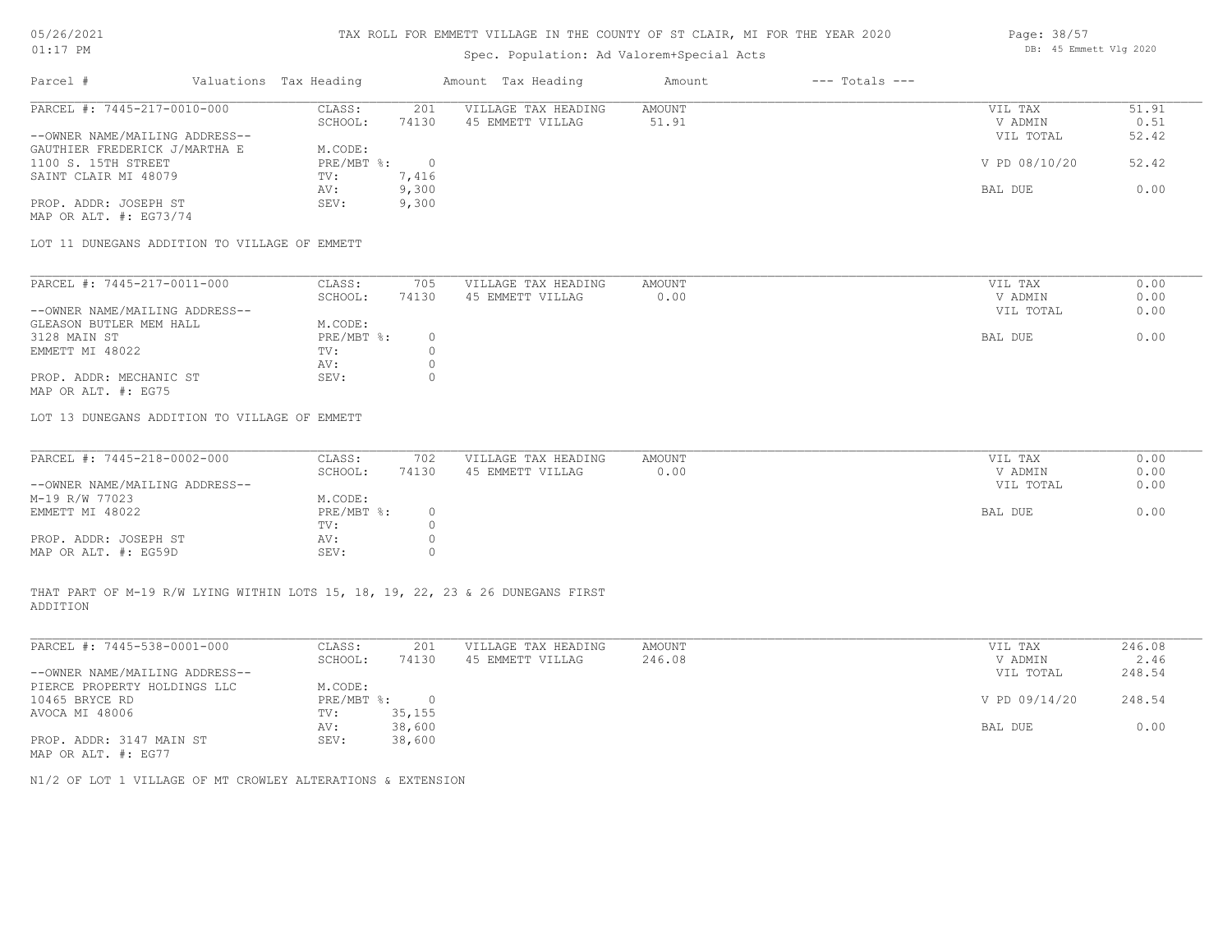#### TAX ROLL FOR EMMETT VILLAGE IN THE COUNTY OF ST CLAIR, MI FOR THE YEAR 2020

## Spec. Population: Ad Valorem+Special Acts

| Parcel #                       | Valuations Tax Heading |       | Amount Tax Heading  | Amount | $---$ Totals $---$ |               |       |
|--------------------------------|------------------------|-------|---------------------|--------|--------------------|---------------|-------|
| PARCEL #: 7445-217-0010-000    | CLASS:                 | 201   | VILLAGE TAX HEADING | AMOUNT |                    | VIL TAX       | 51.91 |
|                                | SCHOOL:                | 74130 | 45 EMMETT VILLAG    | 51.91  |                    | V ADMIN       | 0.51  |
| --OWNER NAME/MAILING ADDRESS-- |                        |       |                     |        |                    | VIL TOTAL     | 52.42 |
| GAUTHIER FREDERICK J/MARTHA E  | M.CODE:                |       |                     |        |                    |               |       |
| 1100 S. 15TH STREET            | $PRE/MBT$ %:           |       |                     |        |                    | V PD 08/10/20 | 52.42 |
| SAINT CLAIR MI 48079           | TV:                    | 7,416 |                     |        |                    |               |       |
|                                | AV:                    | 9,300 |                     |        |                    | BAL DUE       | 0.00  |
| PROP. ADDR: JOSEPH ST          | SEV:                   | 9,300 |                     |        |                    |               |       |
|                                |                        |       |                     |        |                    |               |       |

MAP OR ALT. #: EG73/74

LOT 11 DUNEGANS ADDITION TO VILLAGE OF EMMETT

| PARCEL #: 7445-217-0011-000    | CLASS:     | 705   | VILLAGE TAX HEADING | AMOUNT | VIL TAX   | 0.00 |
|--------------------------------|------------|-------|---------------------|--------|-----------|------|
|                                | SCHOOL:    | 74130 | 45 EMMETT VILLAG    | 0.00   | V ADMIN   | 0.00 |
| --OWNER NAME/MAILING ADDRESS-- |            |       |                     |        | VIL TOTAL | 0.00 |
| GLEASON BUTLER MEM HALL        | M.CODE:    |       |                     |        |           |      |
| 3128 MAIN ST                   | PRE/MBT %: |       |                     |        | BAL DUE   | 0.00 |
| EMMETT MI 48022                | TV:        |       |                     |        |           |      |
|                                | AV:        |       |                     |        |           |      |
| PROP. ADDR: MECHANIC ST        | SEV:       |       |                     |        |           |      |
| MAP OR ALT. #: EG75            |            |       |                     |        |           |      |

LOT 13 DUNEGANS ADDITION TO VILLAGE OF EMMETT

| PARCEL #: 7445-218-0002-000    | CLASS:       | 702   | VILLAGE TAX HEADING | AMOUNT | VIL TAX   | 0.00 |
|--------------------------------|--------------|-------|---------------------|--------|-----------|------|
|                                | SCHOOL:      | 74130 | 45 EMMETT VILLAG    | 0.00   | V ADMIN   | 0.00 |
| --OWNER NAME/MAILING ADDRESS-- |              |       |                     |        | VIL TOTAL | 0.00 |
| M-19 R/W 77023                 | M.CODE:      |       |                     |        |           |      |
| EMMETT MI 48022                | $PRE/MBT$ %: |       |                     |        | BAL DUE   | 0.00 |
|                                | TV:          |       |                     |        |           |      |
| PROP. ADDR: JOSEPH ST          | AV:          |       |                     |        |           |      |
| MAP OR ALT. #: EG59D           | SEV:         |       |                     |        |           |      |

ADDITION THAT PART OF M-19 R/W LYING WITHIN LOTS 15, 18, 19, 22, 23 & 26 DUNEGANS FIRST

| PARCEL #: 7445-538-0001-000    | CLASS:     | 201    | VILLAGE TAX HEADING | AMOUNT | VIL TAX       | 246.08 |
|--------------------------------|------------|--------|---------------------|--------|---------------|--------|
|                                | SCHOOL:    | 74130  | 45 EMMETT VILLAG    | 246.08 | V ADMIN       | 2.46   |
| --OWNER NAME/MAILING ADDRESS-- |            |        |                     |        | VIL TOTAL     | 248.54 |
| PIERCE PROPERTY HOLDINGS LLC   | M.CODE:    |        |                     |        |               |        |
| 10465 BRYCE RD                 | PRE/MBT %: | $\Box$ |                     |        | V PD 09/14/20 | 248.54 |
| AVOCA MI 48006                 | TV:        | 35,155 |                     |        |               |        |
|                                | AV:        | 38,600 |                     |        | BAL DUE       | 0.00   |
| PROP. ADDR: 3147 MAIN ST       | SEV:       | 38,600 |                     |        |               |        |
| MAP OR ALT. #: EG77            |            |        |                     |        |               |        |

 $\mathcal{L}_\mathcal{L} = \mathcal{L}_\mathcal{L} = \mathcal{L}_\mathcal{L} = \mathcal{L}_\mathcal{L} = \mathcal{L}_\mathcal{L} = \mathcal{L}_\mathcal{L} = \mathcal{L}_\mathcal{L} = \mathcal{L}_\mathcal{L} = \mathcal{L}_\mathcal{L} = \mathcal{L}_\mathcal{L} = \mathcal{L}_\mathcal{L} = \mathcal{L}_\mathcal{L} = \mathcal{L}_\mathcal{L} = \mathcal{L}_\mathcal{L} = \mathcal{L}_\mathcal{L} = \mathcal{L}_\mathcal{L} = \mathcal{L}_\mathcal{L}$ 

N1/2 OF LOT 1 VILLAGE OF MT CROWLEY ALTERATIONS & EXTENSION

Page: 38/57 DB: 45 Emmett Vlg 2020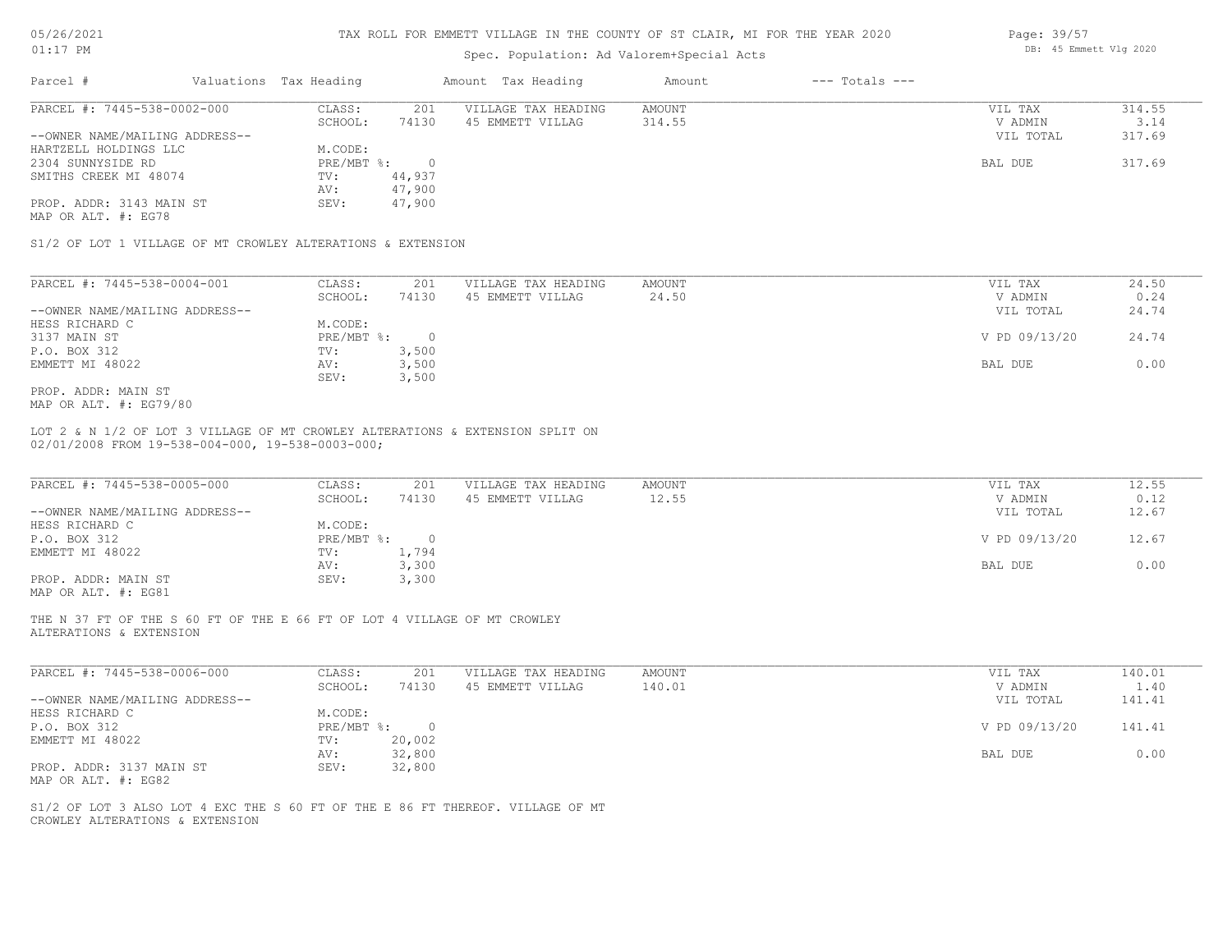| 5/26/2021 |  |
|-----------|--|
|           |  |

## Spec. Population: Ad Valorem+Special Acts

| Parcel #                       | Valuations Tax Heading |                | Amount Tax Heading  | Amount | $---$ Totals $---$ |               |        |
|--------------------------------|------------------------|----------------|---------------------|--------|--------------------|---------------|--------|
| PARCEL #: 7445-538-0002-000    | CLASS:                 | 201            | VILLAGE TAX HEADING | AMOUNT |                    | VIL TAX       | 314.55 |
|                                | SCHOOL:                | 74130          | 45 EMMETT VILLAG    | 314.55 |                    | V ADMIN       | 3.14   |
| --OWNER NAME/MAILING ADDRESS-- |                        |                |                     |        |                    | VIL TOTAL     | 317.69 |
| HARTZELL HOLDINGS LLC          | M.CODE:                |                |                     |        |                    |               |        |
| 2304 SUNNYSIDE RD              | $PRE/MBT$ %:           | $\overline{0}$ |                     |        |                    | BAL DUE       | 317.69 |
| SMITHS CREEK MI 48074          | TV:                    | 44,937         |                     |        |                    |               |        |
|                                | AV:                    | 47,900         |                     |        |                    |               |        |
| PROP. ADDR: 3143 MAIN ST       | SEV:                   | 47,900         |                     |        |                    |               |        |
| MAP OR ALT. #: EG78            |                        |                |                     |        |                    |               |        |
| PARCEL #: 7445-538-0004-001    | CLASS:                 | 201            | VILLAGE TAX HEADING | AMOUNT |                    | VIL TAX       | 24.50  |
|                                | SCHOOL:                | 74130          | 45 EMMETT VILLAG    | 24.50  |                    | V ADMIN       | 0.24   |
| --OWNER NAME/MAILING ADDRESS-- |                        |                |                     |        |                    | VIL TOTAL     | 24.74  |
| HESS RICHARD C                 | M.CODE:                |                |                     |        |                    |               |        |
| 3137 MAIN ST                   | PRE/MBT %:             | $\overline{0}$ |                     |        |                    | V PD 09/13/20 | 24.74  |
| P.O. BOX 312                   | TV:                    | 3,500          |                     |        |                    |               |        |
| EMMETT MI 48022                | AV:                    | 3,500          |                     |        |                    | BAL DUE       | 0.00   |
|                                | SEV:                   | 3,500          |                     |        |                    |               |        |
| PROP. ADDR: MAIN ST            |                        |                |                     |        |                    |               |        |
| MAP OR ALT. #: EG79/80         |                        |                |                     |        |                    |               |        |

02/01/2008 FROM 19-538-004-000, 19-538-0003-000; LOT 2 & N 1/2 OF LOT 3 VILLAGE OF MT CROWLEY ALTERATIONS & EXTENSION SPLIT ON

| PARCEL #: 7445-538-0005-000    | CLASS:       | 201   | VILLAGE TAX HEADING | AMOUNT | VIL TAX       | 12.55 |
|--------------------------------|--------------|-------|---------------------|--------|---------------|-------|
|                                | SCHOOL:      | 74130 | 45 EMMETT VILLAG    | 12.55  | V ADMIN       | 0.12  |
| --OWNER NAME/MAILING ADDRESS-- |              |       |                     |        | VIL TOTAL     | 12.67 |
| HESS RICHARD C                 | M.CODE:      |       |                     |        |               |       |
| P.O. BOX 312                   | $PRE/MBT$ %: |       |                     |        | V PD 09/13/20 | 12.67 |
| EMMETT MI 48022                | TV:          | 1,794 |                     |        |               |       |
|                                | AV:          | 3,300 |                     |        | BAL DUE       | 0.00  |
| PROP. ADDR: MAIN ST            | SEV:         | 3,300 |                     |        |               |       |
| MAP OR ALT. #: EG81            |              |       |                     |        |               |       |

ALTERATIONS & EXTENSION THE N 37 FT OF THE S 60 FT OF THE E 66 FT OF LOT 4 VILLAGE OF MT CROWLEY

| PARCEL #: 7445-538-0006-000    | CLASS:     | 201    | VILLAGE TAX HEADING | AMOUNT | VIL TAX       | 140.01 |
|--------------------------------|------------|--------|---------------------|--------|---------------|--------|
|                                | SCHOOL:    | 74130  | 45 EMMETT VILLAG    | 140.01 | V ADMIN       | 1.40   |
| --OWNER NAME/MAILING ADDRESS-- |            |        |                     |        | VIL TOTAL     | 141.41 |
| HESS RICHARD C                 | M.CODE:    |        |                     |        |               |        |
| P.O. BOX 312                   | PRE/MBT %: |        |                     |        | V PD 09/13/20 | 141.41 |
| EMMETT MI 48022                | TV:        | 20,002 |                     |        |               |        |
|                                | AV:        | 32,800 |                     |        | BAL DUE       | 0.00   |
| PROP. ADDR: 3137 MAIN ST       | SEV:       | 32,800 |                     |        |               |        |
| MAP OR ALT. #: EG82            |            |        |                     |        |               |        |

 $\mathcal{L}_\mathcal{L} = \mathcal{L}_\mathcal{L} = \mathcal{L}_\mathcal{L} = \mathcal{L}_\mathcal{L} = \mathcal{L}_\mathcal{L} = \mathcal{L}_\mathcal{L} = \mathcal{L}_\mathcal{L} = \mathcal{L}_\mathcal{L} = \mathcal{L}_\mathcal{L} = \mathcal{L}_\mathcal{L} = \mathcal{L}_\mathcal{L} = \mathcal{L}_\mathcal{L} = \mathcal{L}_\mathcal{L} = \mathcal{L}_\mathcal{L} = \mathcal{L}_\mathcal{L} = \mathcal{L}_\mathcal{L} = \mathcal{L}_\mathcal{L}$ 

CROWLEY ALTERATIONS & EXTENSION S1/2 OF LOT 3 ALSO LOT 4 EXC THE S 60 FT OF THE E 86 FT THEREOF. VILLAGE OF MT Page: 39/57 DB: 45 Emmett Vlg 2020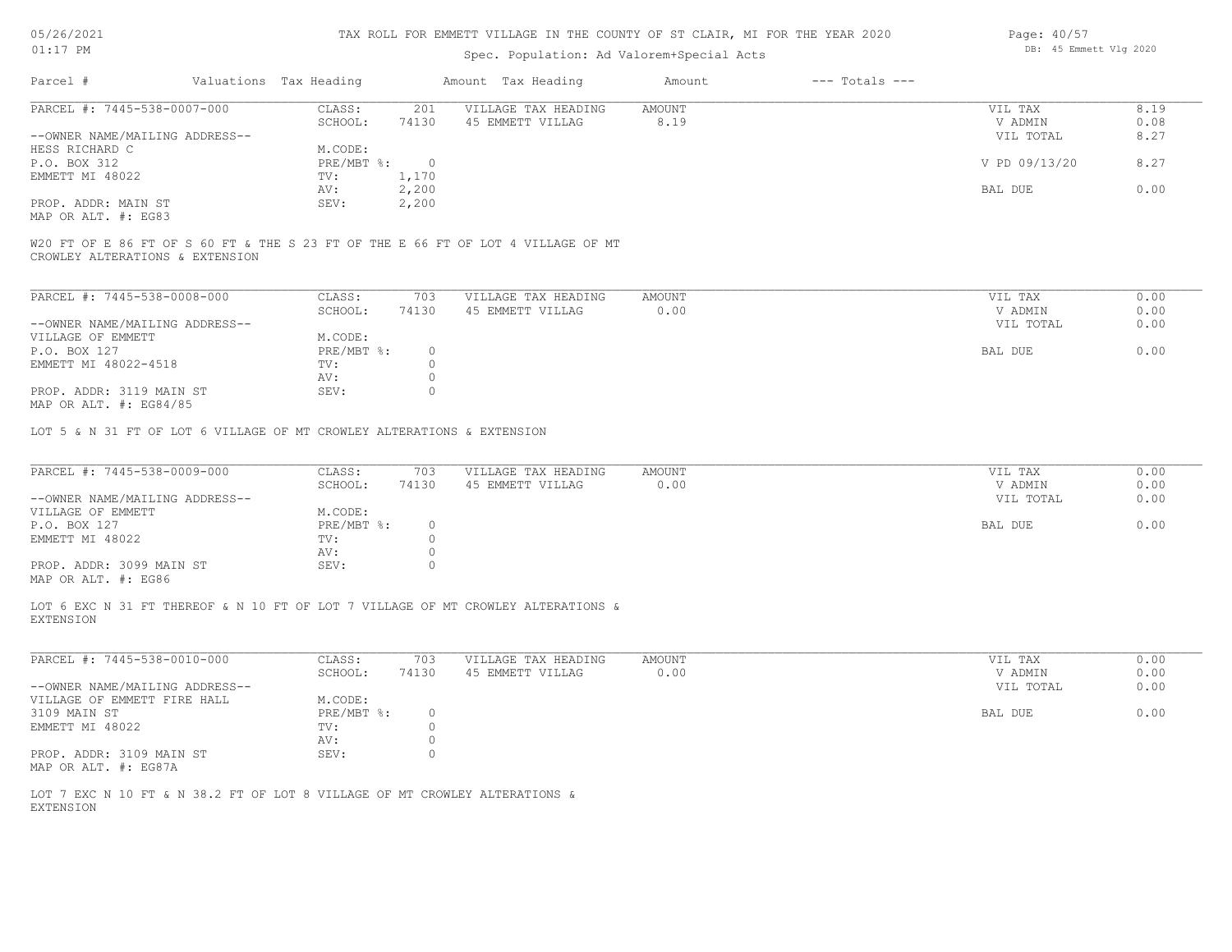| 05/26/2021                                      | TAX ROLL FOR EMMETT VILLAGE IN THE COUNTY OF ST CLAIR, MI FOR THE YEAR 2020 |                        |                    |                                                                                  |               |                    |               | Page: 40/57 |  |  |
|-------------------------------------------------|-----------------------------------------------------------------------------|------------------------|--------------------|----------------------------------------------------------------------------------|---------------|--------------------|---------------|-------------|--|--|
| $01:17$ PM                                      |                                                                             |                        |                    | DB: 45 Emmett Vlg 2020                                                           |               |                    |               |             |  |  |
| Parcel #                                        |                                                                             | Valuations Tax Heading |                    | Amount Tax Heading                                                               | Amount        | $---$ Totals $---$ |               |             |  |  |
| PARCEL #: 7445-538-0007-000                     |                                                                             | CLASS:                 | 201                | VILLAGE TAX HEADING                                                              | <b>AMOUNT</b> |                    | VIL TAX       | 8.19        |  |  |
|                                                 |                                                                             | SCHOOL:                | 74130              | 45 EMMETT VILLAG                                                                 | 8.19          |                    | V ADMIN       | 0.08        |  |  |
| --OWNER NAME/MAILING ADDRESS--                  |                                                                             |                        |                    |                                                                                  |               |                    | VIL TOTAL     | 8.27        |  |  |
| HESS RICHARD C                                  |                                                                             | M.CODE:                |                    |                                                                                  |               |                    |               |             |  |  |
| P.O. BOX 312                                    |                                                                             | PRE/MBT %:             | $\circ$            |                                                                                  |               |                    | V PD 09/13/20 | 8.27        |  |  |
| EMMETT MI 48022                                 |                                                                             | TV:                    | 1,170              |                                                                                  |               |                    |               |             |  |  |
|                                                 |                                                                             | AV:                    | 2,200              |                                                                                  |               |                    | BAL DUE       | 0.00        |  |  |
| PROP. ADDR: MAIN ST                             |                                                                             | SEV:                   | 2,200              |                                                                                  |               |                    |               |             |  |  |
| MAP OR ALT. #: EG83                             |                                                                             |                        |                    |                                                                                  |               |                    |               |             |  |  |
| CROWLEY ALTERATIONS & EXTENSION                 |                                                                             |                        |                    | W20 FT OF E 86 FT OF S 60 FT & THE S 23 FT OF THE E 66 FT OF LOT 4 VILLAGE OF MT |               |                    |               |             |  |  |
| PARCEL #: 7445-538-0008-000                     |                                                                             | CLASS:                 | 703                | VILLAGE TAX HEADING                                                              | AMOUNT        |                    | VIL TAX       | 0.00        |  |  |
|                                                 |                                                                             | SCHOOL:                | 74130              | 45 EMMETT VILLAG                                                                 | 0.00          |                    | V ADMIN       | 0.00        |  |  |
| --OWNER NAME/MAILING ADDRESS--                  |                                                                             |                        |                    |                                                                                  |               |                    | VIL TOTAL     | 0.00        |  |  |
| VILLAGE OF EMMETT                               |                                                                             | M.CODE:                |                    |                                                                                  |               |                    |               |             |  |  |
| P.O. BOX 127                                    |                                                                             | PRE/MBT %:             | $\circ$            |                                                                                  |               |                    | BAL DUE       | 0.00        |  |  |
| EMMETT MI 48022-4518                            |                                                                             | TV:                    | $\circ$            |                                                                                  |               |                    |               |             |  |  |
| PROP. ADDR: 3119 MAIN ST                        |                                                                             | AV:<br>SEV:            | $\circ$<br>$\circ$ |                                                                                  |               |                    |               |             |  |  |
| MAP OR ALT. #: EG84/85                          |                                                                             |                        |                    |                                                                                  |               |                    |               |             |  |  |
|                                                 | LOT 5 & N 31 FT OF LOT 6 VILLAGE OF MT CROWLEY ALTERATIONS & EXTENSION      |                        |                    |                                                                                  |               |                    |               |             |  |  |
|                                                 |                                                                             |                        |                    |                                                                                  |               |                    |               |             |  |  |
| PARCEL #: 7445-538-0009-000                     |                                                                             | CLASS:                 | 703                | VILLAGE TAX HEADING                                                              | <b>AMOUNT</b> |                    | VIL TAX       | 0.00        |  |  |
|                                                 |                                                                             | SCHOOL:                | 74130              | 45 EMMETT VILLAG                                                                 | 0.00          |                    | V ADMIN       | 0.00        |  |  |
| --OWNER NAME/MAILING ADDRESS--                  |                                                                             |                        |                    |                                                                                  |               |                    | VIL TOTAL     | 0.00        |  |  |
| VILLAGE OF EMMETT                               |                                                                             | M.CODE:                |                    |                                                                                  |               |                    |               |             |  |  |
| P.O. BOX 127                                    |                                                                             | PRE/MBT %:             | $\circ$            |                                                                                  |               |                    | BAL DUE       | 0.00        |  |  |
| EMMETT MI 48022                                 |                                                                             | TV:                    | $\circ$            |                                                                                  |               |                    |               |             |  |  |
|                                                 |                                                                             | AV:                    | $\circ$            |                                                                                  |               |                    |               |             |  |  |
| PROP. ADDR: 3099 MAIN ST<br>MAP OR ALT. #: EG86 |                                                                             | SEV:                   | $\circ$            |                                                                                  |               |                    |               |             |  |  |
| <b>EXTENSION</b>                                |                                                                             |                        |                    | LOT 6 EXC N 31 FT THEREOF & N 10 FT OF LOT 7 VILLAGE OF MT CROWLEY ALTERATIONS & |               |                    |               |             |  |  |
| PARCEL #: 7445-538-0010-000                     |                                                                             | CLASS:                 | 703                | VILLAGE TAX HEADING                                                              | <b>AMOUNT</b> |                    | VIL TAX       | 0.00        |  |  |
|                                                 |                                                                             | SCHOOL:                | 74130              | 45 EMMETT VILLAG                                                                 | 0.00          |                    | V ADMIN       | 0.00        |  |  |
| --OWNER NAME/MAILING ADDRESS--                  |                                                                             |                        |                    |                                                                                  |               |                    | VIL TOTAL     | 0.00        |  |  |
| VILLAGE OF EMMETT FIRE HALL                     |                                                                             | M.CODE:                |                    |                                                                                  |               |                    |               |             |  |  |
| 3109 MAIN ST                                    |                                                                             | PRE/MBT %:             | $\circ$            |                                                                                  |               |                    | BAL DUE       | 0.00        |  |  |
| EMMETT MI 48022                                 |                                                                             | TV:                    | $\circ$            |                                                                                  |               |                    |               |             |  |  |
|                                                 |                                                                             | AV:                    | $\circ$            |                                                                                  |               |                    |               |             |  |  |
| PROP. ADDR: 3109 MAIN ST                        |                                                                             | SEV:                   | $\circ$            |                                                                                  |               |                    |               |             |  |  |
| MAP OR ALT. #: EG87A                            |                                                                             |                        |                    |                                                                                  |               |                    |               |             |  |  |

EXTENSION LOT 7 EXC N 10 FT & N 38.2 FT OF LOT 8 VILLAGE OF MT CROWLEY ALTERATIONS &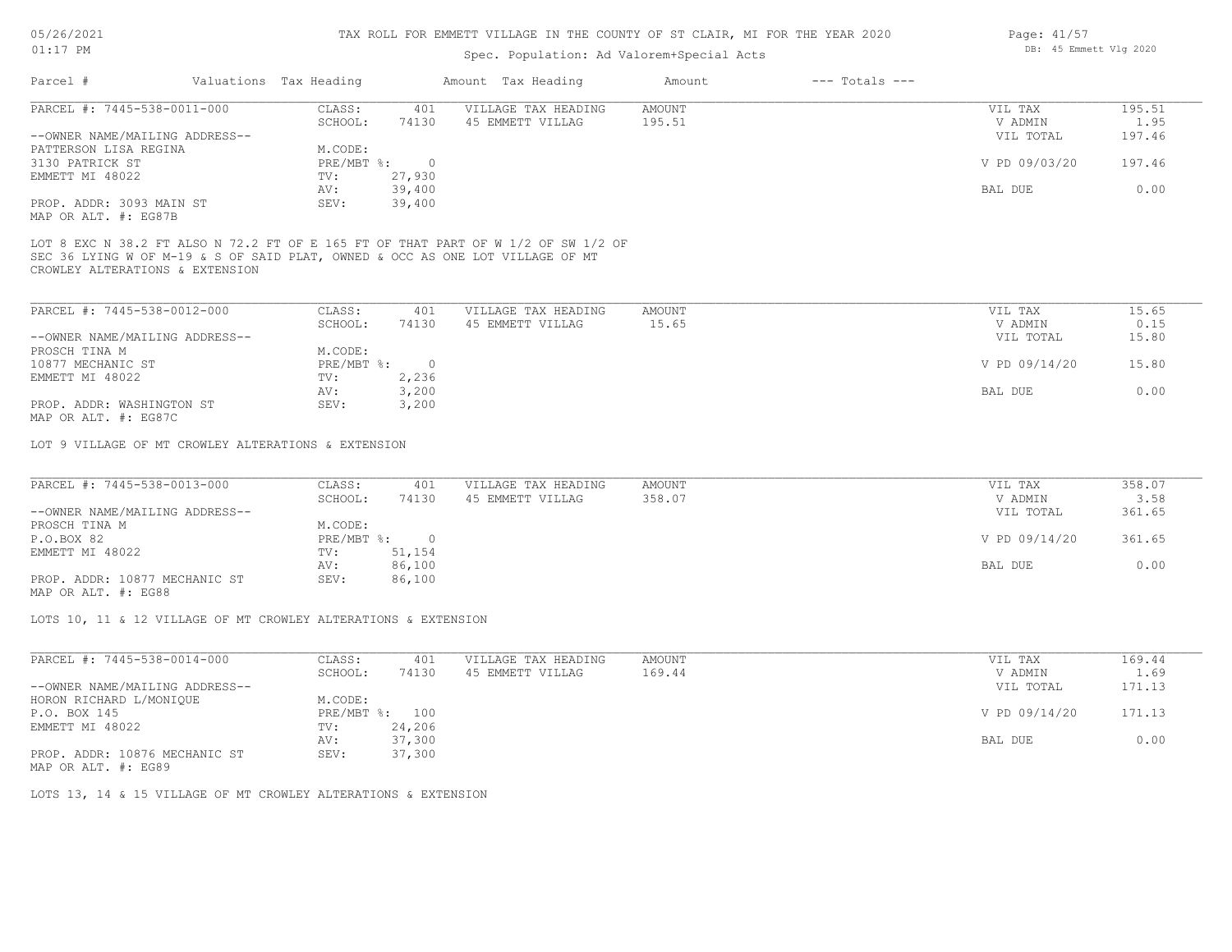### Spec. Population: Ad Valorem+Special Acts

| Parcel #                       | Valuations Tax Heading |        | Amount Tax Heading  | Amount | $---$ Totals $---$ |               |        |
|--------------------------------|------------------------|--------|---------------------|--------|--------------------|---------------|--------|
| PARCEL #: 7445-538-0011-000    | CLASS:                 | 401    | VILLAGE TAX HEADING | AMOUNT |                    | VIL TAX       | 195.51 |
|                                | SCHOOL:                | 74130  | 45 EMMETT VILLAG    | 195.51 |                    | V ADMIN       | 1.95   |
| --OWNER NAME/MAILING ADDRESS-- |                        |        |                     |        |                    | VIL TOTAL     | 197.46 |
| PATTERSON LISA REGINA          | M.CODE:                |        |                     |        |                    |               |        |
| 3130 PATRICK ST                | PRE/MBT %:             |        |                     |        |                    | V PD 09/03/20 | 197.46 |
| EMMETT MI 48022                | TV:                    | 27,930 |                     |        |                    |               |        |
|                                | AV:                    | 39,400 |                     |        |                    | BAL DUE       | 0.00   |
| PROP. ADDR: 3093 MAIN ST       | SEV:                   | 39,400 |                     |        |                    |               |        |
|                                |                        |        |                     |        |                    |               |        |

MAP OR ALT. #: EG87B

CROWLEY ALTERATIONS & EXTENSION SEC 36 LYING W OF M-19 & S OF SAID PLAT, OWNED & OCC AS ONE LOT VILLAGE OF MT LOT 8 EXC N 38.2 FT ALSO N 72.2 FT OF E 165 FT OF THAT PART OF W 1/2 OF SW 1/2 OF

| PARCEL #: 7445-538-0012-000    | CLASS:       | 401   | VILLAGE TAX HEADING | AMOUNT | VIL TAX       | 15.65 |
|--------------------------------|--------------|-------|---------------------|--------|---------------|-------|
|                                | SCHOOL:      | 74130 | 45 EMMETT VILLAG    | 15.65  | V ADMIN       | 0.15  |
| --OWNER NAME/MAILING ADDRESS-- |              |       |                     |        | VIL TOTAL     | 15.80 |
| PROSCH TINA M                  | M.CODE:      |       |                     |        |               |       |
| 10877 MECHANIC ST              | $PRE/MBT$ %: |       |                     |        | V PD 09/14/20 | 15.80 |
| EMMETT MI 48022                | TV:          | 2,236 |                     |        |               |       |
|                                | AV:          | 3,200 |                     |        | BAL DUE       | 0.00  |
| PROP. ADDR: WASHINGTON ST      | SEV:         | 3,200 |                     |        |               |       |
| MAP OR ALT. #: EG87C           |              |       |                     |        |               |       |

LOT 9 VILLAGE OF MT CROWLEY ALTERATIONS & EXTENSION

| PARCEL #: 7445-538-0013-000    | CLASS:       | 401    | VILLAGE TAX HEADING | AMOUNT | VIL TAX       | 358.07 |
|--------------------------------|--------------|--------|---------------------|--------|---------------|--------|
|                                | SCHOOL:      | 74130  | 45 EMMETT VILLAG    | 358.07 | V ADMIN       | 3.58   |
| --OWNER NAME/MAILING ADDRESS-- |              |        |                     |        | VIL TOTAL     | 361.65 |
| PROSCH TINA M                  | M.CODE:      |        |                     |        |               |        |
| P.O.BOX 82                     | $PRE/MBT$ %: |        |                     |        | V PD 09/14/20 | 361.65 |
| EMMETT MI 48022                | TV:          | 51,154 |                     |        |               |        |
|                                | AV:          | 86,100 |                     |        | BAL DUE       | 0.00   |
| PROP. ADDR: 10877 MECHANIC ST  | SEV:         | 86,100 |                     |        |               |        |
|                                |              |        |                     |        |               |        |

MAP OR ALT. #: EG88

LOTS 10, 11 & 12 VILLAGE OF MT CROWLEY ALTERATIONS & EXTENSION

| 169.44 |
|--------|
| 1.69   |
| 171.13 |
|        |
| 171.13 |
|        |
| 0.00   |
|        |
|        |

MAP OR ALT. #: EG89

LOTS 13, 14 & 15 VILLAGE OF MT CROWLEY ALTERATIONS & EXTENSION

Page: 41/57 DB: 45 Emmett Vlg 2020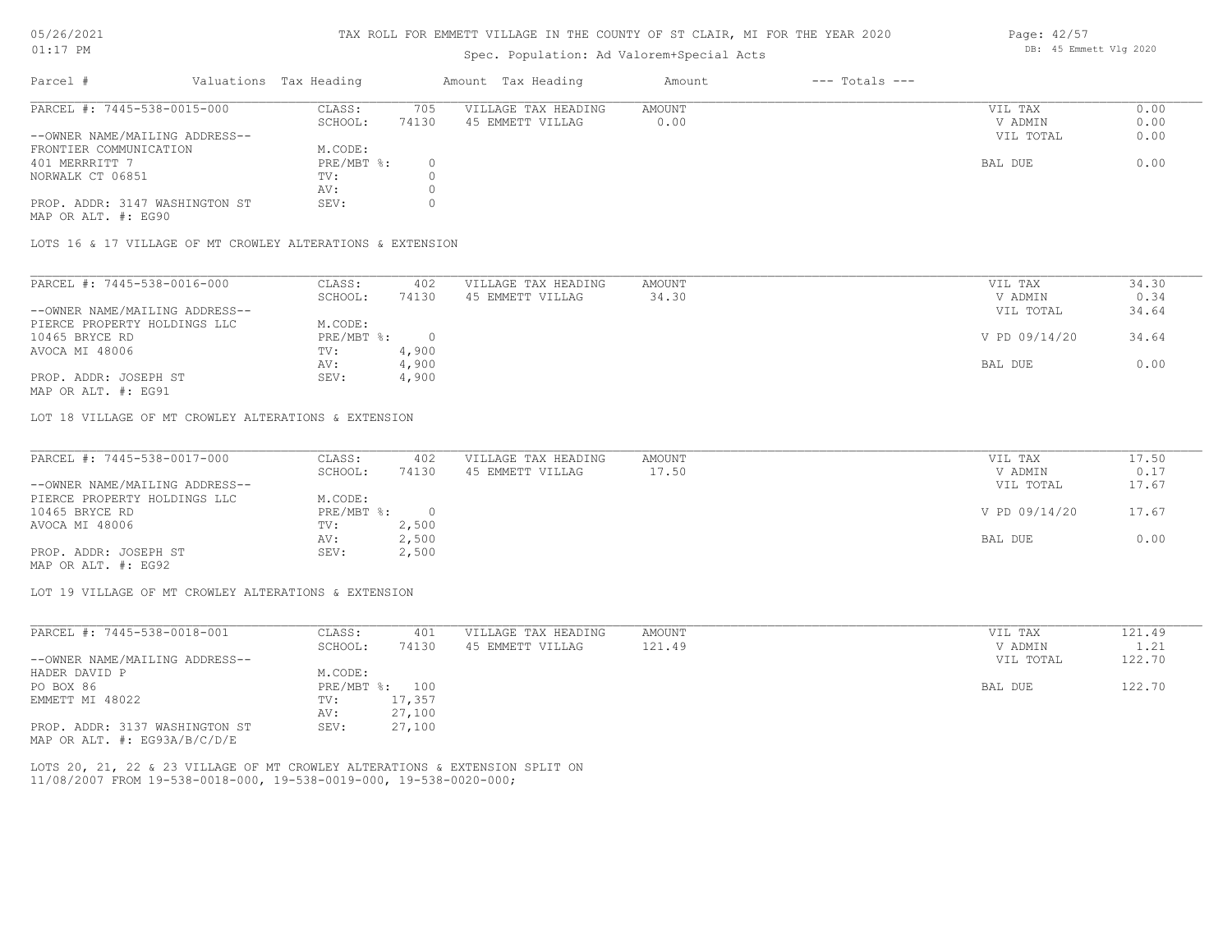#### TAX ROLL FOR EMMETT VILLAGE IN THE COUNTY OF ST CLAIR, MI FOR THE YEAR 2020

### Spec. Population: Ad Valorem+Special Acts

| Parcel #                       | Valuations Tax Heading |       | Amount Tax Heading  | Amount | $---$ Totals $---$ |           |      |
|--------------------------------|------------------------|-------|---------------------|--------|--------------------|-----------|------|
| PARCEL #: 7445-538-0015-000    | CLASS:                 | 705   | VILLAGE TAX HEADING | AMOUNT |                    | VIL TAX   | 0.00 |
|                                | SCHOOL:                | 74130 | 45 EMMETT VILLAG    | 0.00   |                    | V ADMIN   | 0.00 |
| --OWNER NAME/MAILING ADDRESS-- |                        |       |                     |        |                    | VIL TOTAL | 0.00 |
| FRONTIER COMMUNICATION         | M.CODE:                |       |                     |        |                    |           |      |
| 401 MERRRITT 7                 | PRE/MBT %:             |       |                     |        |                    | BAL DUE   | 0.00 |
| NORWALK CT 06851               | TV:                    |       |                     |        |                    |           |      |
|                                | AV:                    |       |                     |        |                    |           |      |
| PROP. ADDR: 3147 WASHINGTON ST | SEV:                   |       |                     |        |                    |           |      |

MAP OR ALT. #: EG90

LOTS 16 & 17 VILLAGE OF MT CROWLEY ALTERATIONS & EXTENSION

| PARCEL #: 7445-538-0016-000    | CLASS:     | 402   | VILLAGE TAX HEADING | AMOUNT | VIL TAX       | 34.30 |
|--------------------------------|------------|-------|---------------------|--------|---------------|-------|
|                                | SCHOOL:    | 74130 | 45 EMMETT VILLAG    | 34.30  | V ADMIN       | 0.34  |
| --OWNER NAME/MAILING ADDRESS-- |            |       |                     |        | VIL TOTAL     | 34.64 |
| PIERCE PROPERTY HOLDINGS LLC   | M.CODE:    |       |                     |        |               |       |
| 10465 BRYCE RD                 | PRE/MBT %: |       |                     |        | V PD 09/14/20 | 34.64 |
| AVOCA MI 48006                 | TV:        | 4,900 |                     |        |               |       |
|                                | AV:        | 4,900 |                     |        | BAL DUE       | 0.00  |
| PROP. ADDR: JOSEPH ST          | SEV:       | 4,900 |                     |        |               |       |
|                                |            |       |                     |        |               |       |

MAP OR ALT. #: EG91

LOT 18 VILLAGE OF MT CROWLEY ALTERATIONS & EXTENSION

| PARCEL #: 7445-538-0017-000    | CLASS:     | 402   | VILLAGE TAX HEADING | AMOUNT | VIL TAX       | 17.50 |
|--------------------------------|------------|-------|---------------------|--------|---------------|-------|
|                                | SCHOOL:    | 74130 | 45 EMMETT VILLAG    | 17.50  | V ADMIN       | 0.17  |
| --OWNER NAME/MAILING ADDRESS-- |            |       |                     |        | VIL TOTAL     | 17.67 |
| PIERCE PROPERTY HOLDINGS LLC   | M.CODE:    |       |                     |        |               |       |
| 10465 BRYCE RD                 | PRE/MBT %: |       |                     |        | V PD 09/14/20 | 17.67 |
| AVOCA MI 48006                 | TV:        | 2,500 |                     |        |               |       |
|                                | AV:        | 2,500 |                     |        | BAL DUE       | 0.00  |
| PROP. ADDR: JOSEPH ST          | SEV:       | 2,500 |                     |        |               |       |
|                                |            |       |                     |        |               |       |

MAP OR ALT. #: EG92

LOT 19 VILLAGE OF MT CROWLEY ALTERATIONS & EXTENSION

| PARCEL #: 7445-538-0018-001    | CLASS:     | 401    | VILLAGE TAX HEADING | AMOUNT | VIL TAX   | 121.49 |
|--------------------------------|------------|--------|---------------------|--------|-----------|--------|
|                                | SCHOOL:    | 74130  | 45 EMMETT VILLAG    | 121.49 | V ADMIN   | 1.21   |
| --OWNER NAME/MAILING ADDRESS-- |            |        |                     |        | VIL TOTAL | 122.70 |
| HADER DAVID P                  | M.CODE:    |        |                     |        |           |        |
| PO BOX 86                      | PRE/MBT %: | 100    |                     |        | BAL DUE   | 122.70 |
| EMMETT MI 48022                | TV:        | 17,357 |                     |        |           |        |
|                                | AV:        | 27,100 |                     |        |           |        |
| PROP. ADDR: 3137 WASHINGTON ST | SEV:       | 27,100 |                     |        |           |        |
| MAP OR ALT. #: EG93A/B/C/D/E   |            |        |                     |        |           |        |

11/08/2007 FROM 19-538-0018-000, 19-538-0019-000, 19-538-0020-000; LOTS 20, 21, 22 & 23 VILLAGE OF MT CROWLEY ALTERATIONS & EXTENSION SPLIT ON Page: 42/57 DB: 45 Emmett Vlg 2020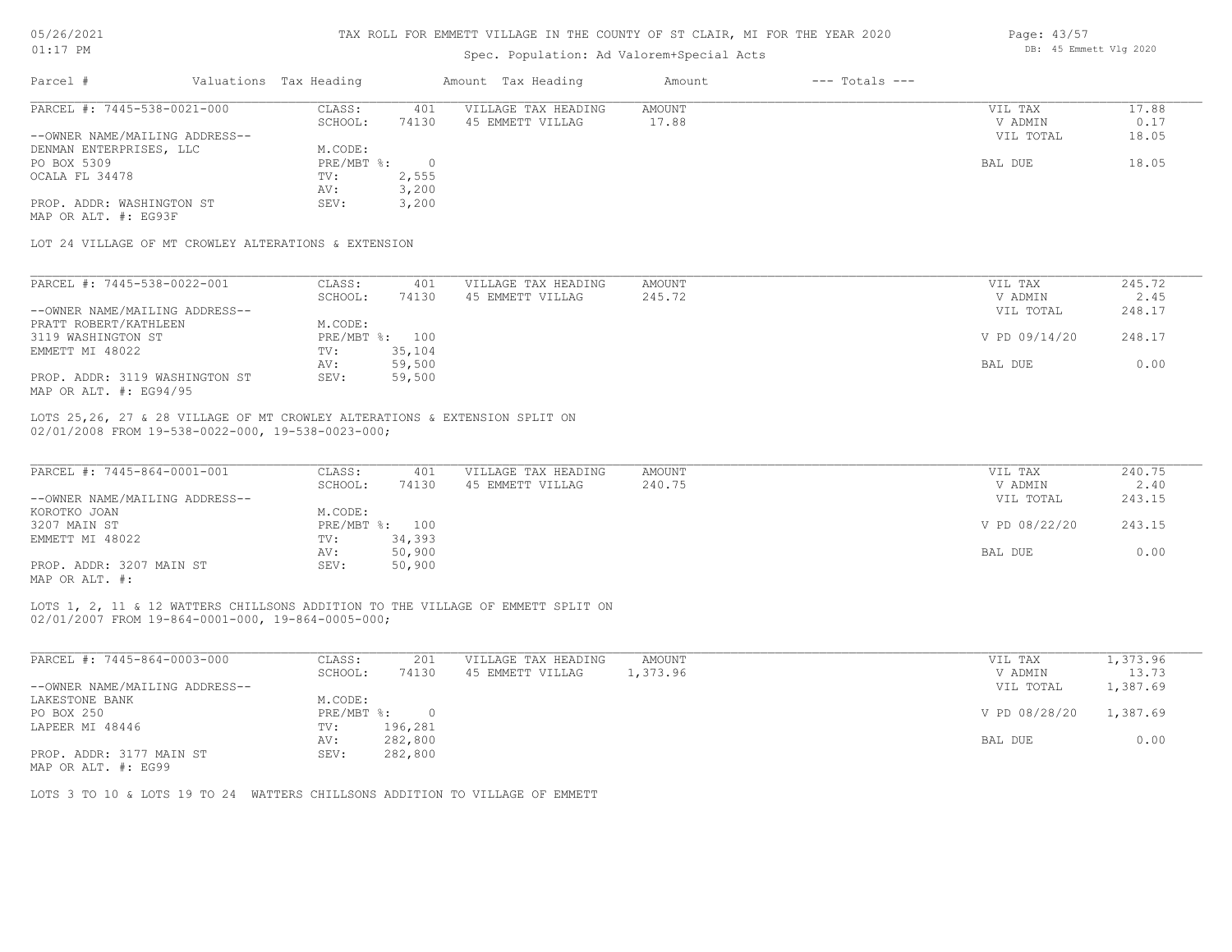| 05/26/2021 |  |
|------------|--|
|------------|--|

| $01:17$ PM                                           |                        |                | DB: 45 Emmett Vlg 2020                                                          |               |                    |               |          |
|------------------------------------------------------|------------------------|----------------|---------------------------------------------------------------------------------|---------------|--------------------|---------------|----------|
| Parcel #                                             | Valuations Tax Heading |                | Amount Tax Heading                                                              | Amount        | $---$ Totals $---$ |               |          |
| PARCEL #: 7445-538-0021-000                          | CLASS:                 | 401            | VILLAGE TAX HEADING                                                             | <b>AMOUNT</b> |                    | VIL TAX       | 17.88    |
|                                                      | SCHOOL:                | 74130          | 45 EMMETT VILLAG                                                                | 17.88         |                    | V ADMIN       | 0.17     |
| --OWNER NAME/MAILING ADDRESS--                       |                        |                |                                                                                 |               |                    | VIL TOTAL     | 18.05    |
| DENMAN ENTERPRISES, LLC                              | M.CODE:                |                |                                                                                 |               |                    |               |          |
| PO BOX 5309                                          | $PRE/MBT$ $\div$       | $\circ$        |                                                                                 |               |                    | BAL DUE       | 18.05    |
| OCALA FL 34478                                       | TV:                    | 2,555          |                                                                                 |               |                    |               |          |
|                                                      | AV:                    | 3,200          |                                                                                 |               |                    |               |          |
| PROP. ADDR: WASHINGTON ST                            | SEV:                   | 3,200          |                                                                                 |               |                    |               |          |
| MAP OR ALT. #: EG93F                                 |                        |                |                                                                                 |               |                    |               |          |
| LOT 24 VILLAGE OF MT CROWLEY ALTERATIONS & EXTENSION |                        |                |                                                                                 |               |                    |               |          |
|                                                      |                        |                |                                                                                 |               |                    |               |          |
| PARCEL #: 7445-538-0022-001                          | CLASS:                 | 401            | VILLAGE TAX HEADING                                                             | AMOUNT        |                    | VIL TAX       | 245.72   |
|                                                      | SCHOOL:                | 74130          | 45 EMMETT VILLAG                                                                | 245.72        |                    | V ADMIN       | 2.45     |
| --OWNER NAME/MAILING ADDRESS--                       |                        |                |                                                                                 |               |                    | VIL TOTAL     | 248.17   |
| PRATT ROBERT/KATHLEEN                                | M.CODE:                |                |                                                                                 |               |                    |               |          |
| 3119 WASHINGTON ST                                   | PRE/MBT %: 100         |                |                                                                                 |               |                    | V PD 09/14/20 | 248.17   |
| EMMETT MI 48022                                      | TV:                    | 35,104         |                                                                                 |               |                    |               |          |
|                                                      | AV:                    | 59,500         |                                                                                 |               |                    | BAL DUE       | 0.00     |
| PROP. ADDR: 3119 WASHINGTON ST                       | SEV:                   | 59,500         |                                                                                 |               |                    |               |          |
| MAP OR ALT. #: EG94/95                               |                        |                |                                                                                 |               |                    |               |          |
| 02/01/2008 FROM 19-538-0022-000, 19-538-0023-000;    |                        |                | LOTS 25,26, 27 & 28 VILLAGE OF MT CROWLEY ALTERATIONS & EXTENSION SPLIT ON      |               |                    |               |          |
| PARCEL #: 7445-864-0001-001                          | CLASS:                 | 401            | VILLAGE TAX HEADING                                                             | AMOUNT        |                    | VIL TAX       | 240.75   |
|                                                      | SCHOOL:                | 74130          | 45 EMMETT VILLAG                                                                | 240.75        |                    | V ADMIN       | 2.40     |
| --OWNER NAME/MAILING ADDRESS--                       |                        |                |                                                                                 |               |                    | VIL TOTAL     | 243.15   |
| KOROTKO JOAN                                         | M.CODE:                |                |                                                                                 |               |                    |               |          |
| 3207 MAIN ST                                         | PRE/MBT %: 100         |                |                                                                                 |               |                    | V PD 08/22/20 | 243.15   |
| EMMETT MI 48022                                      | TV:                    | 34,393         |                                                                                 |               |                    |               |          |
|                                                      | AV:                    | 50,900         |                                                                                 |               |                    | BAL DUE       | 0.00     |
| PROP. ADDR: 3207 MAIN ST                             | SEV:                   | 50,900         |                                                                                 |               |                    |               |          |
| MAP OR ALT. #:                                       |                        |                |                                                                                 |               |                    |               |          |
|                                                      |                        |                | LOTS 1, 2, 11 & 12 WATTERS CHILLSONS ADDITION TO THE VILLAGE OF EMMETT SPLIT ON |               |                    |               |          |
| 02/01/2007 FROM 19-864-0001-000, 19-864-0005-000;    |                        |                |                                                                                 |               |                    |               |          |
|                                                      |                        |                |                                                                                 |               |                    |               |          |
| PARCEL #: 7445-864-0003-000                          | CLASS:                 | 201            | VILLAGE TAX HEADING                                                             | AMOUNT        |                    | VIL TAX       | 1,373.96 |
|                                                      | SCHOOL:                | 74130          | 45 EMMETT VILLAG                                                                | 1,373.96      |                    | V ADMIN       | 13.73    |
| --OWNER NAME/MAILING ADDRESS--                       |                        |                |                                                                                 |               |                    | VIL TOTAL     | 1,387.69 |
| LAKESTONE BANK                                       | M.CODE:                |                |                                                                                 |               |                    |               |          |
| PO BOX 250                                           | $PRE/MBT$ $\div$       | $\overline{0}$ |                                                                                 |               |                    | V PD 08/28/20 | 1,387.69 |
| LAPEER MI 48446                                      | TV:                    | 196,281        |                                                                                 |               |                    |               |          |
|                                                      | AV:                    | 282,800        |                                                                                 |               |                    | BAL DUE       | 0.00     |
|                                                      |                        |                |                                                                                 |               |                    |               |          |

MAP OR ALT. #: EG99 PROP. ADDR: 3177 MAIN ST SEV: 282,800

LOTS 3 TO 10 & LOTS 19 TO 24 WATTERS CHILLSONS ADDITION TO VILLAGE OF EMMETT

Page: 43/57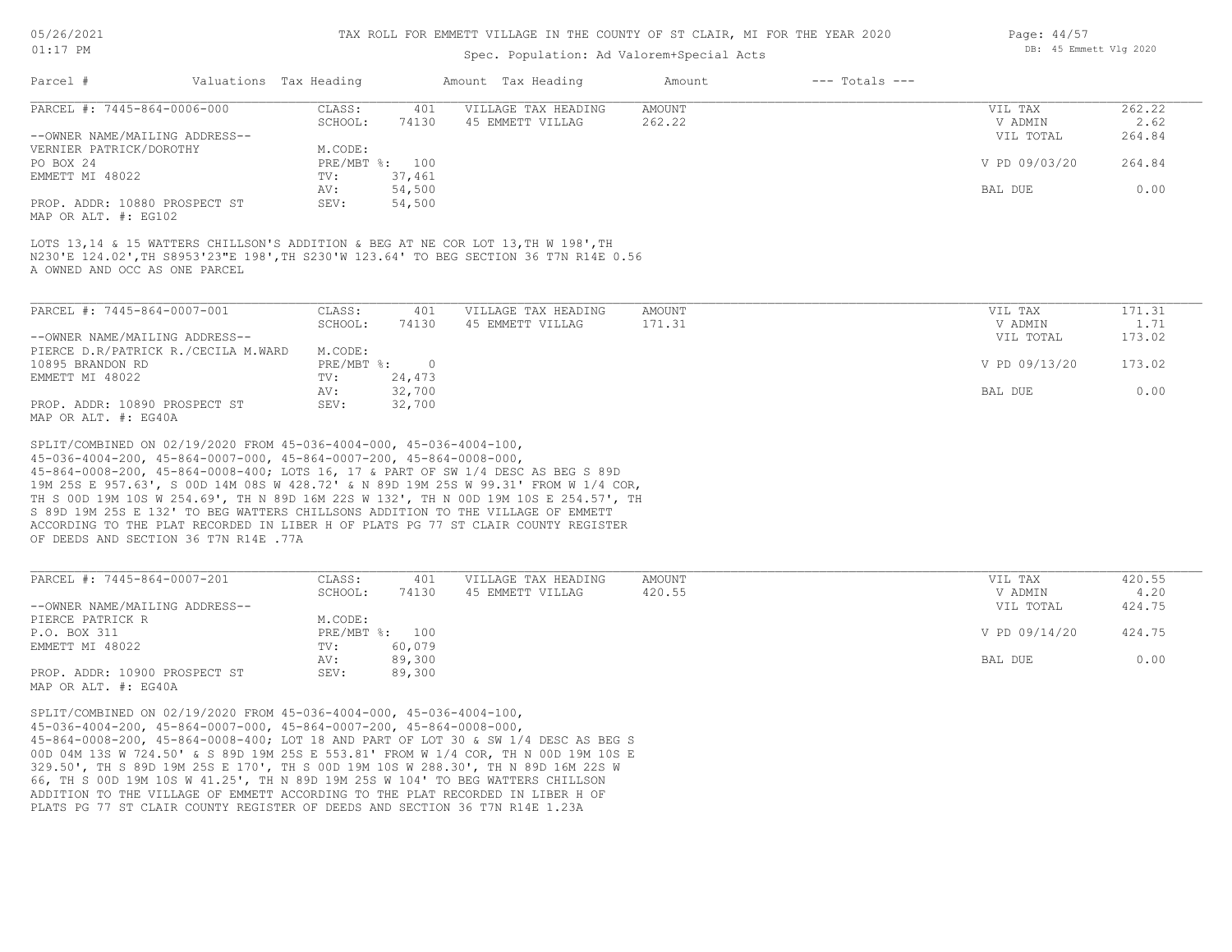#### TAX ROLL FOR EMMETT VILLAGE IN THE COUNTY OF ST CLAIR, MI FOR THE YEAR 2020

## Spec. Population: Ad Valorem+Special Acts

| Parcel #                       | Valuations Tax Heading |                | Amount Tax Heading  | Amount | $---$ Totals $---$ |               |        |
|--------------------------------|------------------------|----------------|---------------------|--------|--------------------|---------------|--------|
| PARCEL #: 7445-864-0006-000    | CLASS:                 | 401            | VILLAGE TAX HEADING | AMOUNT |                    | VIL TAX       | 262.22 |
|                                | SCHOOL:                | 74130          | 45 EMMETT VILLAG    | 262.22 |                    | V ADMIN       | 2.62   |
| --OWNER NAME/MAILING ADDRESS-- |                        |                |                     |        |                    | VIL TOTAL     | 264.84 |
| VERNIER PATRICK/DOROTHY        | M.CODE:                |                |                     |        |                    |               |        |
| PO BOX 24                      |                        | PRE/MBT %: 100 |                     |        |                    | V PD 09/03/20 | 264.84 |
| EMMETT MI 48022                | TV:                    | 37,461         |                     |        |                    |               |        |
|                                | AV:                    | 54,500         |                     |        |                    | BAL DUE       | 0.00   |
| PROP. ADDR: 10880 PROSPECT ST  | SEV:                   | 54,500         |                     |        |                    |               |        |
|                                |                        |                |                     |        |                    |               |        |

MAP OR ALT. #: EG102

A OWNED AND OCC AS ONE PARCEL N230'E 124.02',TH S8953'23"E 198',TH S230'W 123.64' TO BEG SECTION 36 T7N R14E 0.56 LOTS 13,14 & 15 WATTERS CHILLSON'S ADDITION & BEG AT NE COR LOT 13, TH W 198', TH

| PARCEL #: 7445-864-0007-001         | CLASS:       | 401    | VILLAGE TAX HEADING | AMOUNT | VIL TAX       | 171.31 |
|-------------------------------------|--------------|--------|---------------------|--------|---------------|--------|
|                                     | SCHOOL:      | 74130  | 45 EMMETT VILLAG    | 171.31 | V ADMIN       | 1.71   |
| --OWNER NAME/MAILING ADDRESS--      |              |        |                     |        | VIL TOTAL     | 173.02 |
| PIERCE D.R/PATRICK R./CECILA M.WARD | M.CODE:      |        |                     |        |               |        |
| 10895 BRANDON RD                    | $PRE/MBT$ %: |        |                     |        | V PD 09/13/20 | 173.02 |
| EMMETT MI 48022                     | TV:          | 24,473 |                     |        |               |        |
|                                     | AV:          | 32,700 |                     |        | BAL DUE       | 0.00   |
| PROP. ADDR: 10890 PROSPECT ST       | SEV:         | 32,700 |                     |        |               |        |
| MAP OR ALT, #: EG40A                |              |        |                     |        |               |        |

OF DEEDS AND SECTION 36 T7N R14E .77A ACCORDING TO THE PLAT RECORDED IN LIBER H OF PLATS PG 77 ST CLAIR COUNTY REGISTER S 89D 19M 25S E 132' TO BEG WATTERS CHILLSONS ADDITION TO THE VILLAGE OF EMMETT TH S 00D 19M 10S W 254.69', TH N 89D 16M 22S W 132', TH N 00D 19M 10S E 254.57', TH 19M 25S E 957.63', S 00D 14M 08S W 428.72' & N 89D 19M 25S W 99.31' FROM W 1/4 COR, 45-864-0008-200, 45-864-0008-400; LOTS 16, 17 & PART OF SW 1/4 DESC AS BEG S 89D 45-036-4004-200, 45-864-0007-000, 45-864-0007-200, 45-864-0008-000, SPLIT/COMBINED ON 02/19/2020 FROM 45-036-4004-000, 45-036-4004-100,

| PARCEL #: 7445-864-0007-201    | CLASS:       | 401    | VILLAGE TAX HEADING | AMOUNT | VIL TAX       | 420.55 |
|--------------------------------|--------------|--------|---------------------|--------|---------------|--------|
|                                | SCHOOL:      | 74130  | 45 EMMETT VILLAG    | 420.55 | V ADMIN       | 4.20   |
| --OWNER NAME/MAILING ADDRESS-- |              |        |                     |        | VIL TOTAL     | 424.75 |
| PIERCE PATRICK R               | M.CODE:      |        |                     |        |               |        |
| P.O. BOX 311                   | $PRE/MBT$ %: | 100    |                     |        | V PD 09/14/20 | 424.75 |
| EMMETT MI 48022                | TV:          | 60,079 |                     |        |               |        |
|                                | AV:          | 89,300 |                     |        | BAL DUE       | 0.00   |
| PROP. ADDR: 10900 PROSPECT ST  | SEV:         | 89,300 |                     |        |               |        |
| MAP OR ALT. #: EG40A           |              |        |                     |        |               |        |

PLATS PG 77 ST CLAIR COUNTY REGISTER OF DEEDS AND SECTION 36 T7N R14E 1.23A ADDITION TO THE VILLAGE OF EMMETT ACCORDING TO THE PLAT RECORDED IN LIBER H OF 66, TH S 00D 19M 10S W 41.25', TH N 89D 19M 25S W 104' TO BEG WATTERS CHILLSON 329.50', TH S 89D 19M 25S E 170', TH S 00D 19M 10S W 288.30', TH N 89D 16M 22S W 00D 04M 13S W 724.50' & S 89D 19M 25S E 553.81' FROM W 1/4 COR, TH N 00D 19M 10S E 45-864-0008-200, 45-864-0008-400; LOT 18 AND PART OF LOT 30 & SW 1/4 DESC AS BEG S 45-036-4004-200, 45-864-0007-000, 45-864-0007-200, 45-864-0008-000, SPLIT/COMBINED ON 02/19/2020 FROM 45-036-4004-000, 45-036-4004-100,

Page: 44/57 DB: 45 Emmett Vlg 2020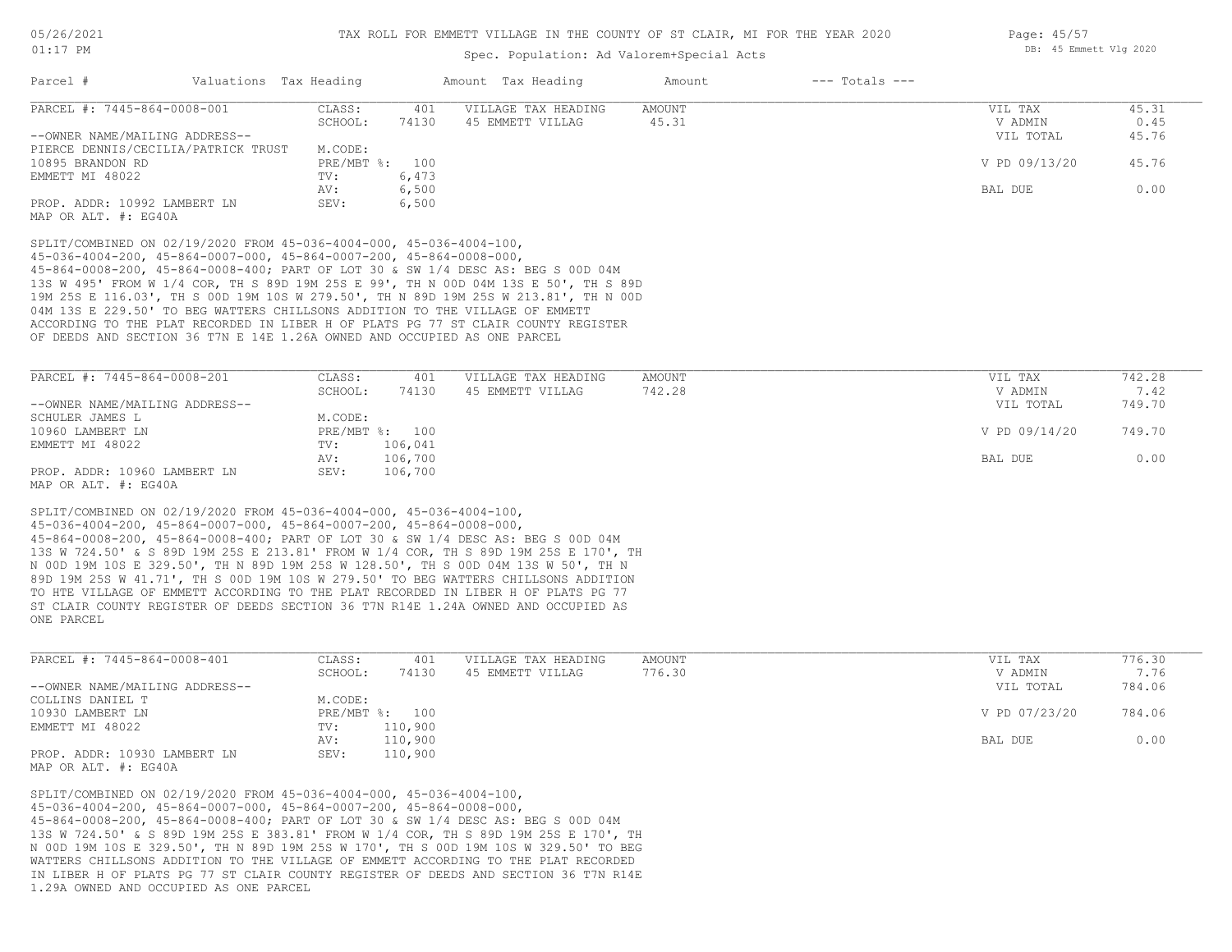# Spec. Population: Ad Valorem+Special Acts

|                                                                                                                                                                      | Spec. Population: Ad Valorem+Special Acts                                                                                                                                                                                                                                                                                                                                                                                                                                                                                    |                         |
|----------------------------------------------------------------------------------------------------------------------------------------------------------------------|------------------------------------------------------------------------------------------------------------------------------------------------------------------------------------------------------------------------------------------------------------------------------------------------------------------------------------------------------------------------------------------------------------------------------------------------------------------------------------------------------------------------------|-------------------------|
| Parcel #<br>Valuations Tax Heading                                                                                                                                   | $---$ Totals $---$<br>Amount Tax Heading<br>Amount                                                                                                                                                                                                                                                                                                                                                                                                                                                                           |                         |
| PARCEL #: 7445-864-0008-001                                                                                                                                          | <b>AMOUNT</b><br>CLASS:<br>401<br>VILLAGE TAX HEADING                                                                                                                                                                                                                                                                                                                                                                                                                                                                        | 45.31<br>VIL TAX        |
|                                                                                                                                                                      | SCHOOL:<br>74130<br>45 EMMETT VILLAG<br>45.31                                                                                                                                                                                                                                                                                                                                                                                                                                                                                | V ADMIN<br>0.45         |
| --OWNER NAME/MAILING ADDRESS--                                                                                                                                       |                                                                                                                                                                                                                                                                                                                                                                                                                                                                                                                              | VIL TOTAL<br>45.76      |
| PIERCE DENNIS/CECILIA/PATRICK TRUST                                                                                                                                  | M.CODE:                                                                                                                                                                                                                                                                                                                                                                                                                                                                                                                      |                         |
| 10895 BRANDON RD                                                                                                                                                     | PRE/MBT %: 100                                                                                                                                                                                                                                                                                                                                                                                                                                                                                                               | V PD 09/13/20<br>45.76  |
| EMMETT MI 48022                                                                                                                                                      | 6,473<br>TV:                                                                                                                                                                                                                                                                                                                                                                                                                                                                                                                 |                         |
|                                                                                                                                                                      | AV:<br>6,500                                                                                                                                                                                                                                                                                                                                                                                                                                                                                                                 | 0.00<br>BAL DUE         |
| PROP. ADDR: 10992 LAMBERT LN<br>MAP OR ALT. #: EG40A                                                                                                                 | 6,500<br>SEV:                                                                                                                                                                                                                                                                                                                                                                                                                                                                                                                |                         |
| SPLIT/COMBINED ON 02/19/2020 FROM 45-036-4004-000, 45-036-4004-100,<br>$45-036-4004-200$ , $45-864-0007-000$ , $45-864-0007-200$ , $45-864-0008-000$ ,               | 45-864-0008-200, 45-864-0008-400; PART OF LOT 30 & SW 1/4 DESC AS: BEG S 00D 04M<br>13S W 495' FROM W 1/4 COR, TH S 89D 19M 25S E 99', TH N 00D 04M 13S E 50', TH S 89D<br>19M 25S E 116.03', TH S 00D 19M 10S W 279.50', TH N 89D 19M 25S W 213.81', TH N 00D<br>04M 13S E 229.50' TO BEG WATTERS CHILLSONS ADDITION TO THE VILLAGE OF EMMETT<br>ACCORDING TO THE PLAT RECORDED IN LIBER H OF PLATS PG 77 ST CLAIR COUNTY REGISTER<br>OF DEEDS AND SECTION 36 T7N E 14E 1.26A OWNED AND OCCUPIED AS ONE PARCEL              |                         |
| PARCEL #: 7445-864-0008-201                                                                                                                                          | CLASS:<br>401<br>VILLAGE TAX HEADING<br>AMOUNT                                                                                                                                                                                                                                                                                                                                                                                                                                                                               | 742.28<br>VIL TAX       |
|                                                                                                                                                                      | 742.28<br>SCHOOL:<br>74130<br>45 EMMETT VILLAG                                                                                                                                                                                                                                                                                                                                                                                                                                                                               | V ADMIN<br>7.42         |
| --OWNER NAME/MAILING ADDRESS--                                                                                                                                       |                                                                                                                                                                                                                                                                                                                                                                                                                                                                                                                              | VIL TOTAL<br>749.70     |
| SCHULER JAMES L                                                                                                                                                      | M.CODE:                                                                                                                                                                                                                                                                                                                                                                                                                                                                                                                      |                         |
| 10960 LAMBERT LN                                                                                                                                                     | PRE/MBT %: 100                                                                                                                                                                                                                                                                                                                                                                                                                                                                                                               | V PD 09/14/20<br>749.70 |
| EMMETT MI 48022                                                                                                                                                      | 106,041<br>TV:                                                                                                                                                                                                                                                                                                                                                                                                                                                                                                               |                         |
|                                                                                                                                                                      | 106,700<br>AV:                                                                                                                                                                                                                                                                                                                                                                                                                                                                                                               | BAL DUE<br>0.00         |
| PROP. ADDR: 10960 LAMBERT LN<br>MAP OR ALT. #: EG40A                                                                                                                 | 106,700<br>SEV:                                                                                                                                                                                                                                                                                                                                                                                                                                                                                                              |                         |
| SPLIT/COMBINED ON 02/19/2020 FROM 45-036-4004-000, 45-036-4004-100,<br>$45-036-4004-200$ , $45-864-0007-000$ , $45-864-0007-200$ , $45-864-0008-000$ ,<br>ONE PARCEL | 45-864-0008-200, 45-864-0008-400; PART OF LOT 30 & SW 1/4 DESC AS: BEG S 00D 04M<br>13S W 724.50' & S 89D 19M 25S E 213.81' FROM W 1/4 COR, TH S 89D 19M 25S E 170', TH<br>N 00D 19M 10S E 329.50', TH N 89D 19M 25S W 128.50', TH S 00D 04M 13S W 50', TH N<br>89D 19M 25S W 41.71', TH S 00D 19M 10S W 279.50' TO BEG WATTERS CHILLSONS ADDITION<br>TO HTE VILLAGE OF EMMETT ACCORDING TO THE PLAT RECORDED IN LIBER H OF PLATS PG 77<br>ST CLAIR COUNTY REGISTER OF DEEDS SECTION 36 T7N R14E 1.24A OWNED AND OCCUPIED AS |                         |
| PARCEL #: 7445-864-0008-401                                                                                                                                          | CLASS:<br>VILLAGE TAX HEADING<br>AMOUNT<br>401                                                                                                                                                                                                                                                                                                                                                                                                                                                                               | 776.30<br>VIL TAX       |
|                                                                                                                                                                      | 776.30<br>SCHOOL:<br>74130<br>45 EMMETT VILLAG                                                                                                                                                                                                                                                                                                                                                                                                                                                                               | 7.76<br>V ADMIN         |
| --OWNER NAME/MAILING ADDRESS--                                                                                                                                       |                                                                                                                                                                                                                                                                                                                                                                                                                                                                                                                              | 784.06<br>VIL TOTAL     |
| COLLINS DANIEL T                                                                                                                                                     | M.CODE:                                                                                                                                                                                                                                                                                                                                                                                                                                                                                                                      |                         |
| 10930 LAMBERT LN                                                                                                                                                     | $PRE/MBT$ $\div$ :<br>100                                                                                                                                                                                                                                                                                                                                                                                                                                                                                                    | V PD 07/23/20<br>784.06 |
|                                                                                                                                                                      |                                                                                                                                                                                                                                                                                                                                                                                                                                                                                                                              |                         |

| EMMETT MI 48022                                                                                                                                        | TV:<br>AV: | 110,900<br>110,900 | BAL DUE | 0.00 |
|--------------------------------------------------------------------------------------------------------------------------------------------------------|------------|--------------------|---------|------|
| PROP. ADDR: 10930 LAMBERT LN<br>MAP OR ALT. #: EG40A                                                                                                   | SEV:       | 110,900            |         |      |
| SPLIT/COMBINED ON 02/19/2020 FROM 45-036-4004-000, 45-036-4004-100,<br>$45-036-4004-200$ , $45-864-0007-000$ , $45-864-0007-200$ , $45-864-0008-000$ , |            |                    |         |      |

1.29A OWNED AND OCCUPIED AS ONE PARCEL IN LIBER H OF PLATS PG 77 ST CLAIR COUNTY REGISTER OF DEEDS AND SECTION 36 T7N R14E WATTERS CHILLSONS ADDITION TO THE VILLAGE OF EMMETT ACCORDING TO THE PLAT RECORDED N 00D 19M 10S E 329.50', TH N 89D 19M 25S W 170', TH S 00D 19M 10S W 329.50' TO BEG 13S W 724.50' & S 89D 19M 25S E 383.81' FROM W 1/4 COR, TH S 89D 19M 25S E 170', TH 45-864-0008-200, 45-864-0008-400; PART OF LOT 30 & SW 1/4 DESC AS: BEG S 00D 04M

Page: 45/57 DB: 45 Emmett Vlg 2020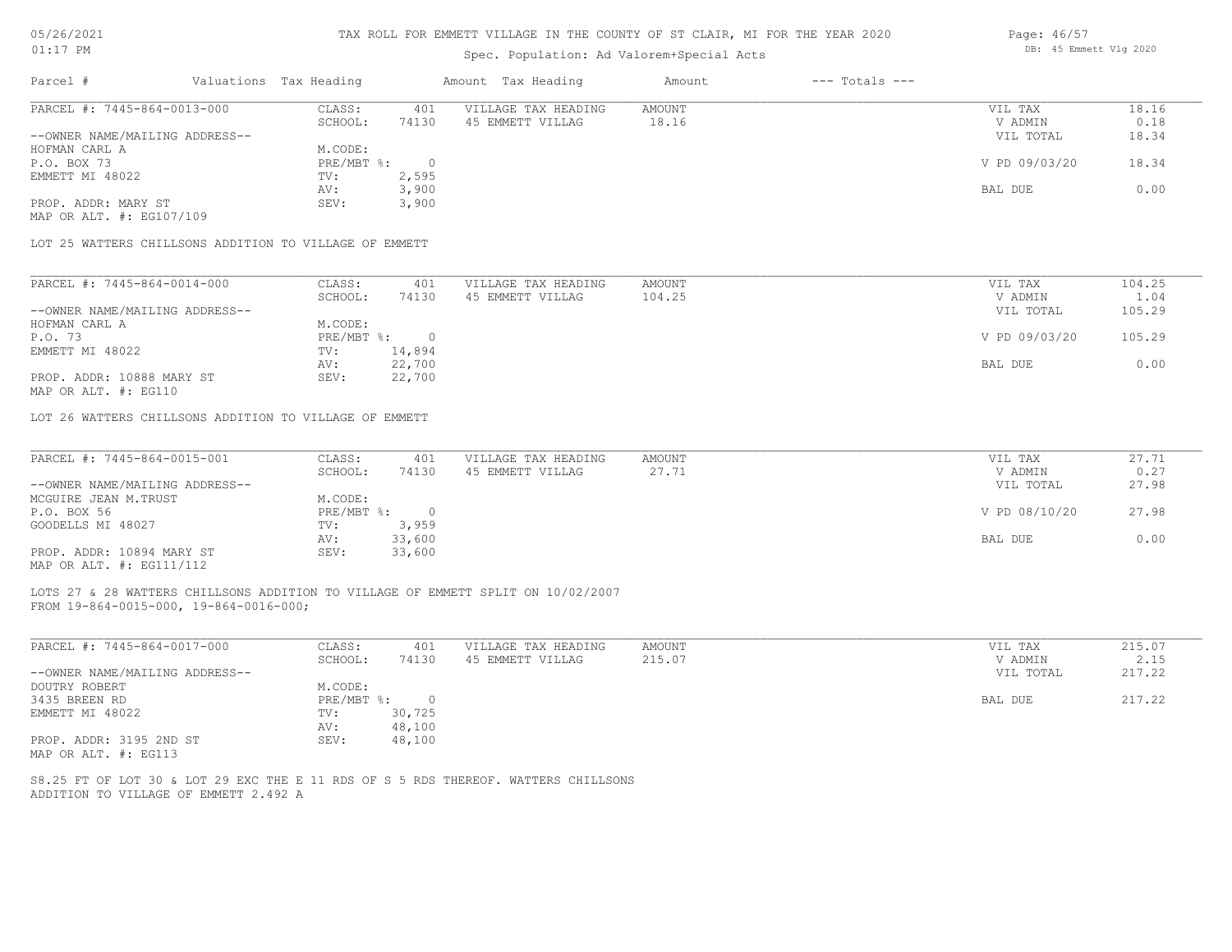| 5/26/2021 |  |
|-----------|--|
|           |  |

### Spec. Population: Ad Valorem+Special Acts

| Parcel #                       | Valuations Tax Heading |       | Amount Tax Heading  | Amount | $---$ Totals $---$ |               |       |
|--------------------------------|------------------------|-------|---------------------|--------|--------------------|---------------|-------|
| PARCEL #: 7445-864-0013-000    | CLASS:                 | 401   | VILLAGE TAX HEADING | AMOUNT |                    | VIL TAX       | 18.16 |
|                                | SCHOOL:                | 74130 | 45 EMMETT VILLAG    | 18.16  |                    | V ADMIN       | 0.18  |
| --OWNER NAME/MAILING ADDRESS-- |                        |       |                     |        |                    | VIL TOTAL     | 18.34 |
| HOFMAN CARL A                  | M.CODE:                |       |                     |        |                    |               |       |
| P.O. BOX 73                    | PRE/MBT %:             | - 0   |                     |        |                    | V PD 09/03/20 | 18.34 |
| EMMETT MI 48022                | TV:                    | 2,595 |                     |        |                    |               |       |
|                                | AV:                    | 3,900 |                     |        |                    | BAL DUE       | 0.00  |
| PROP. ADDR: MARY ST            | SEV:                   | 3,900 |                     |        |                    |               |       |
| MAP OR ALT. #: EG107/109       |                        |       |                     |        |                    |               |       |

| PARCEL #: 7445-864-0014-000    | CLASS:     | 401    | VILLAGE TAX HEADING | AMOUNT | VIL TAX       | 104.25 |
|--------------------------------|------------|--------|---------------------|--------|---------------|--------|
|                                | SCHOOL:    | 74130  | 45 EMMETT VILLAG    | 104.25 | V ADMIN       | 1.04   |
| --OWNER NAME/MAILING ADDRESS-- |            |        |                     |        | VIL TOTAL     | 105.29 |
| HOFMAN CARL A                  | M.CODE:    |        |                     |        |               |        |
| P.O. 73                        | PRE/MBT %: |        |                     |        | V PD 09/03/20 | 105.29 |
| EMMETT MI 48022                | TV:        | 14,894 |                     |        |               |        |
|                                | AV:        | 22,700 |                     |        | BAL DUE       | 0.00   |
| PROP. ADDR: 10888 MARY ST      | SEV:       | 22,700 |                     |        |               |        |
| MAP OR ALT. #: EG110           |            |        |                     |        |               |        |

LOT 26 WATTERS CHILLSONS ADDITION TO VILLAGE OF EMMETT

| PARCEL #: 7445-864-0015-001    | CLASS:     | 401    | VILLAGE TAX HEADING | AMOUNT | VIL TAX       | 27.71 |
|--------------------------------|------------|--------|---------------------|--------|---------------|-------|
|                                | SCHOOL:    | 74130  | 45 EMMETT VILLAG    | 27.71  | V ADMIN       | 0.27  |
| --OWNER NAME/MAILING ADDRESS-- |            |        |                     |        | VIL TOTAL     | 27.98 |
| MCGUIRE JEAN M.TRUST           | M.CODE:    |        |                     |        |               |       |
| P.O. BOX 56                    | PRE/MBT %: |        |                     |        | V PD 08/10/20 | 27.98 |
| GOODELLS MI 48027              | TV:        | 3,959  |                     |        |               |       |
|                                | AV:        | 33,600 |                     |        | BAL DUE       | 0.00  |
| PROP. ADDR: 10894 MARY ST      | SEV:       | 33,600 |                     |        |               |       |
| MAP OR ALT. #: EG111/112       |            |        |                     |        |               |       |

FROM 19-864-0015-000, 19-864-0016-000; LOTS 27 & 28 WATTERS CHILLSONS ADDITION TO VILLAGE OF EMMETT SPLIT ON 10/02/2007

| PARCEL #: 7445-864-0017-000    | CLASS:     | 401    | VILLAGE TAX HEADING | AMOUNT | VIL TAX   | 215.07 |
|--------------------------------|------------|--------|---------------------|--------|-----------|--------|
|                                | SCHOOL:    | 74130  | 45 EMMETT VILLAG    | 215.07 | V ADMIN   | 2.15   |
| --OWNER NAME/MAILING ADDRESS-- |            |        |                     |        | VIL TOTAL | 217.22 |
| DOUTRY ROBERT                  | M.CODE:    |        |                     |        |           |        |
| 3435 BREEN RD                  | PRE/MBT %: |        |                     |        | BAL DUE   | 217.22 |
| EMMETT MI 48022                | TV:        | 30,725 |                     |        |           |        |
|                                | AV:        | 48,100 |                     |        |           |        |
| PROP. ADDR: 3195 2ND ST        | SEV:       | 48,100 |                     |        |           |        |
| MAP OR ALT. #: EG113           |            |        |                     |        |           |        |

ADDITION TO VILLAGE OF EMMETT 2.492 A S8.25 FT OF LOT 30 & LOT 29 EXC THE E 11 RDS OF S 5 RDS THEREOF. WATTERS CHILLSONS Page: 46/57 DB: 45 Emmett Vlg 2020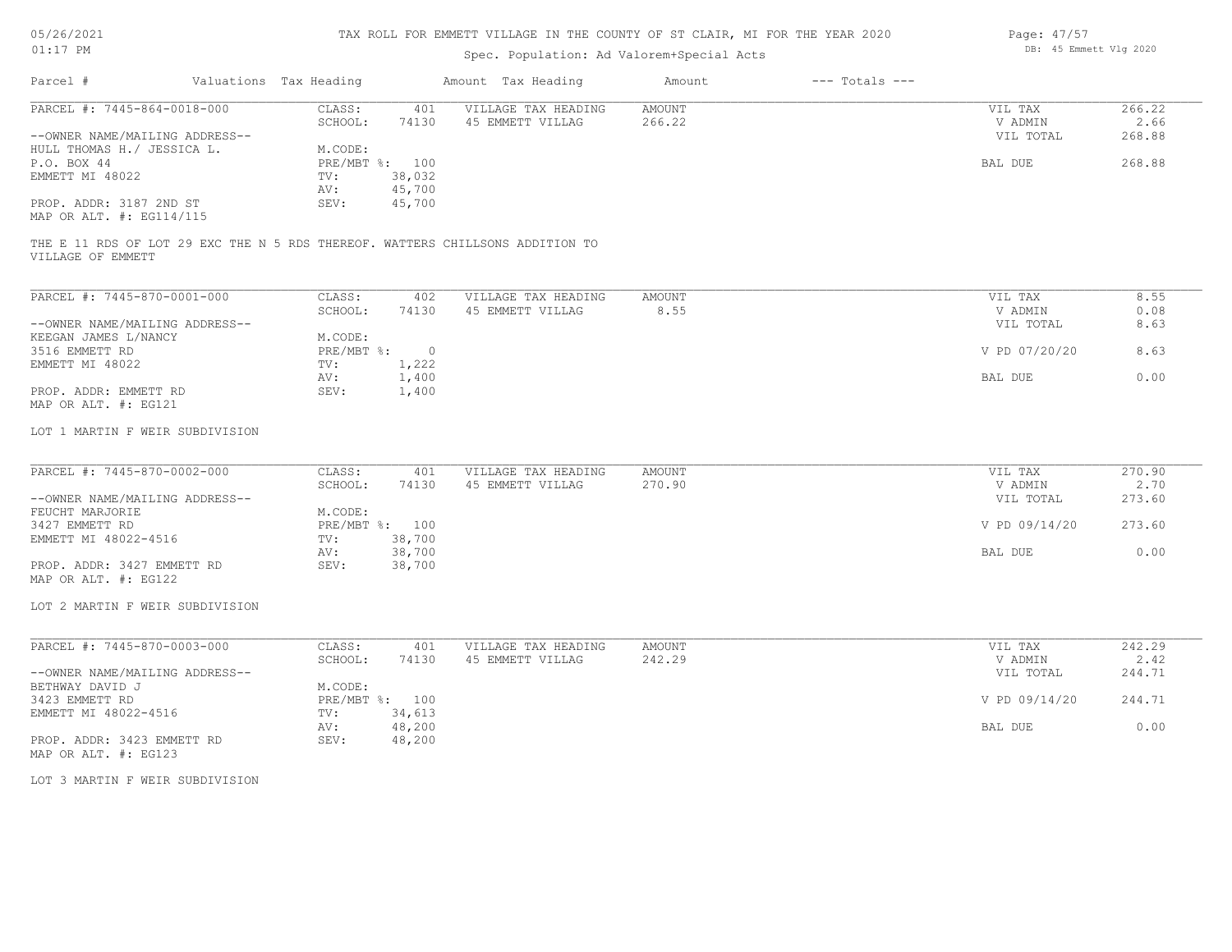| 05/26/2021 |           |
|------------|-----------|
| 01:17      | <b>PM</b> |

# Spec. Population: Ad Valorem+Special Acts

| Page: 47/57 |                        |  |
|-------------|------------------------|--|
|             | DB: 45 Emmett Vlg 2020 |  |

|                                                                                             |                                                                               | Spec. Population: Ad Valorem+Special Acts |                  |                    |                                 |                          |
|---------------------------------------------------------------------------------------------|-------------------------------------------------------------------------------|-------------------------------------------|------------------|--------------------|---------------------------------|--------------------------|
| Parcel #                                                                                    | Valuations Tax Heading                                                        | Amount Tax Heading                        | Amount           | $---$ Totals $---$ |                                 |                          |
| PARCEL #: 7445-864-0018-000<br>--OWNER NAME/MAILING ADDRESS--<br>HULL THOMAS H./ JESSICA L. | CLASS:<br>401<br>SCHOOL:<br>74130<br>M.CODE:                                  | VILLAGE TAX HEADING<br>45 EMMETT VILLAG   | AMOUNT<br>266.22 |                    | VIL TAX<br>V ADMIN<br>VIL TOTAL | 266.22<br>2.66<br>268.88 |
| P.O. BOX 44<br>EMMETT MI 48022<br>PROP. ADDR: 3187 2ND ST<br>MAP OR ALT. #: EG114/115       | PRE/MBT %: 100<br>38,032<br>TV:<br>45,700<br>AV:<br>45,700<br>SEV:            |                                           |                  |                    | BAL DUE                         | 268.88                   |
| VILLAGE OF EMMETT                                                                           | THE E 11 RDS OF LOT 29 EXC THE N 5 RDS THEREOF. WATTERS CHILLSONS ADDITION TO |                                           |                  |                    |                                 |                          |
| PARCEL #: 7445-870-0001-000                                                                 | CLASS:<br>402                                                                 | VILLAGE TAX HEADING                       | <b>AMOUNT</b>    |                    | VIL TAX                         | 8.55                     |
| --OWNER NAME/MAILING ADDRESS--                                                              | SCHOOL:<br>74130                                                              | 45 EMMETT VILLAG                          | 8.55             |                    | V ADMIN<br>VIL TOTAL            | 0.08<br>8.63             |
| KEEGAN JAMES L/NANCY<br>3516 EMMETT RD                                                      | M.CODE:<br>PRE/MBT %: 0                                                       |                                           |                  |                    | V PD 07/20/20                   | 8.63                     |
| EMMETT MI 48022                                                                             | 1,222<br>TV:<br>AV:<br>1,400                                                  |                                           |                  |                    | BAL DUE                         | 0.00                     |
| PROP. ADDR: EMMETT RD<br>MAP OR ALT. #: EG121                                               | SEV:<br>1,400                                                                 |                                           |                  |                    |                                 |                          |
| LOT 1 MARTIN F WEIR SUBDIVISION                                                             |                                                                               |                                           |                  |                    |                                 |                          |
| PARCEL #: 7445-870-0002-000                                                                 | CLASS:<br>401                                                                 | VILLAGE TAX HEADING                       | <b>AMOUNT</b>    |                    | VIL TAX                         | 270.90                   |
| --OWNER NAME/MAILING ADDRESS--                                                              | SCHOOL:<br>74130                                                              | 45 EMMETT VILLAG                          | 270.90           |                    | V ADMIN<br>VIL TOTAL            | 2.70<br>273.60           |
| FEUCHT MARJORIE<br>3427 EMMETT RD                                                           | M.CODE:<br>PRE/MBT %: 100                                                     |                                           |                  |                    | V PD 09/14/20                   | 273.60                   |
| EMMETT MI 48022-4516                                                                        | 38,700<br>TV:<br>38,700<br>AV:                                                |                                           |                  |                    | BAL DUE                         | 0.00                     |
| PROP. ADDR: 3427 EMMETT RD<br>MAP OR ALT. #: EG122                                          | 38,700<br>SEV:                                                                |                                           |                  |                    |                                 |                          |
| LOT 2 MARTIN F WEIR SUBDIVISION                                                             |                                                                               |                                           |                  |                    |                                 |                          |
| PARCEL #: 7445-870-0003-000                                                                 | CLASS:<br>401                                                                 | VILLAGE TAX HEADING                       | <b>AMOUNT</b>    |                    | VIL TAX                         | 242.29                   |
| --OWNER NAME/MAILING ADDRESS--                                                              | SCHOOL:<br>74130                                                              | 45 EMMETT VILLAG                          | 242.29           |                    | V ADMIN<br>VIL TOTAL            | 2.42<br>244.71           |
| BETHWAY DAVID J<br>3423 EMMETT RD                                                           | M.CODE:<br>PRE/MBT %: 100                                                     |                                           |                  |                    | V PD 09/14/20                   | 244.71                   |
| EMMETT MI 48022-4516                                                                        | 34,613<br>TV:<br>48,200<br>AV:                                                |                                           |                  |                    | BAL DUE                         | 0.00                     |
| PROP. ADDR: 3423 EMMETT RD<br>MAP OR ALT. #: EG123                                          | SEV:<br>48,200                                                                |                                           |                  |                    |                                 |                          |
| LOT 3 MARTIN F WEIR SUBDIVISION                                                             |                                                                               |                                           |                  |                    |                                 |                          |
|                                                                                             |                                                                               |                                           |                  |                    |                                 |                          |
|                                                                                             |                                                                               |                                           |                  |                    |                                 |                          |
|                                                                                             |                                                                               |                                           |                  |                    |                                 |                          |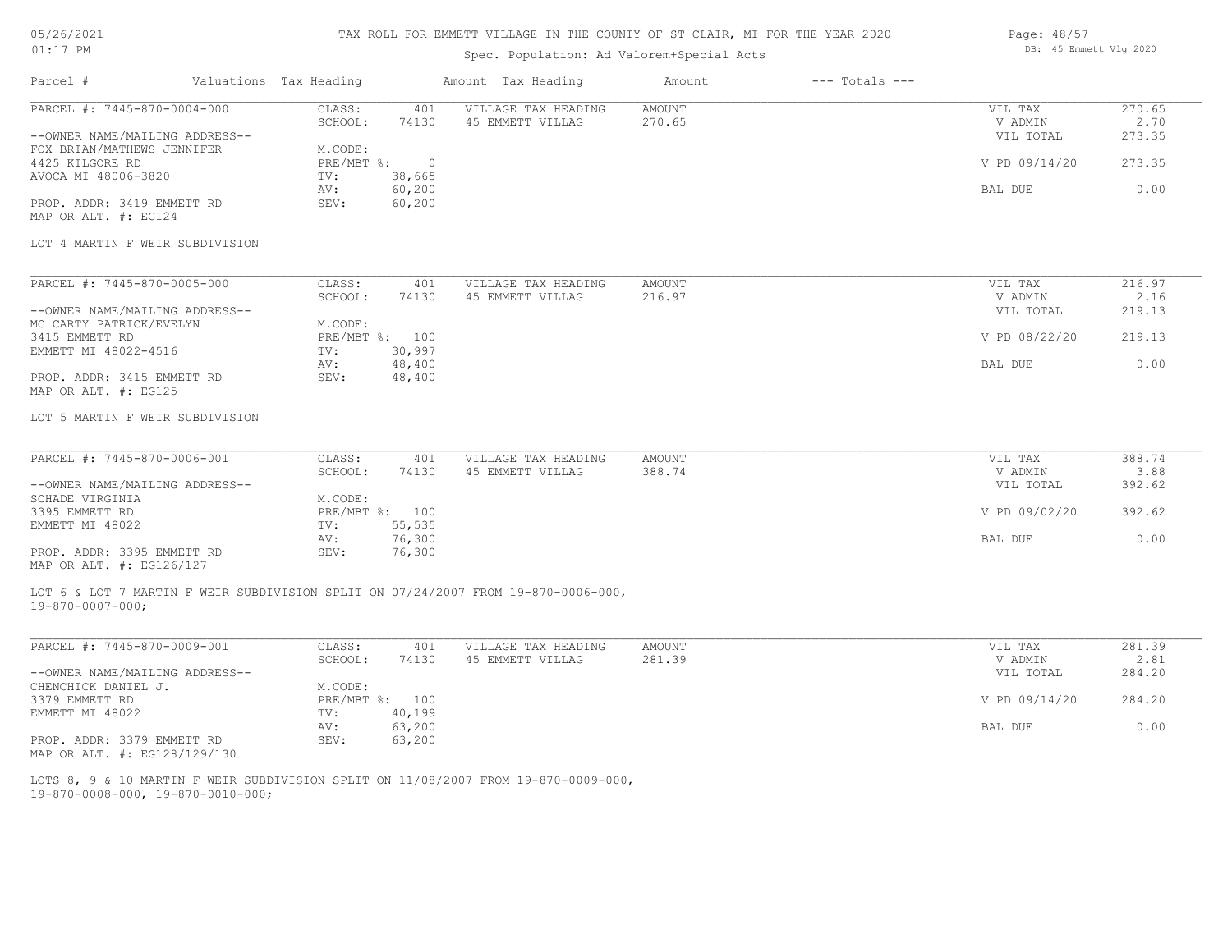## TAX ROLL FOR EMMETT VILLAGE IN THE COUNTY OF ST CLAIR, MI FOR THE YEAR 2020

## Spec. Population: Ad Valorem+Special Acts

| Page: 48/57 |                        |  |
|-------------|------------------------|--|
|             | DB: 45 Emmett Vlg 2020 |  |

| PARCEL #: 7445-870-0004-000<br>CLASS:<br>VILLAGE TAX HEADING<br><b>AMOUNT</b><br>401<br>VIL TAX<br>SCHOOL:<br>74130<br>270.65<br>V ADMIN<br>45 EMMETT VILLAG<br>--OWNER NAME/MAILING ADDRESS--<br>VIL TOTAL<br>FOX BRIAN/MATHEWS JENNIFER<br>M.CODE:<br>$PRE/MBT$ $\div$<br>V PD 09/14/20<br>$\circ$<br>38,665<br>TV:<br>60,200<br>BAL DUE<br>AV:<br>PROP. ADDR: 3419 EMMETT RD<br>SEV:<br>60,200<br>MAP OR ALT. #: EG124<br>LOT 4 MARTIN F WEIR SUBDIVISION<br>PARCEL #: 7445-870-0005-000<br>CLASS:<br>401<br>VILLAGE TAX HEADING<br>AMOUNT<br>VIL TAX<br>SCHOOL:<br>45 EMMETT VILLAG<br>216.97<br>V ADMIN<br>74130<br>--OWNER NAME/MAILING ADDRESS--<br>VIL TOTAL<br>MC CARTY PATRICK/EVELYN<br>M.CODE:<br>PRE/MBT %: 100<br>V PD 08/22/20<br>219.13<br>EMMETT MI 48022-4516<br>30,997<br>TV:<br>48,400<br>0.00<br>BAL DUE<br>AV:<br>PROP. ADDR: 3415 EMMETT RD<br>48,400<br>SEV:<br>MAP OR ALT. #: EG125<br>LOT 5 MARTIN F WEIR SUBDIVISION<br>PARCEL #: 7445-870-0006-001<br>CLASS:<br>401<br>VILLAGE TAX HEADING<br><b>AMOUNT</b><br>VIL TAX<br>388.74<br>SCHOOL:<br>74130<br>45 EMMETT VILLAG<br>V ADMIN<br>--OWNER NAME/MAILING ADDRESS--<br>VIL TOTAL<br>SCHADE VIRGINIA<br>M.CODE:<br>3395 EMMETT RD<br>PRE/MBT %: 100<br>V PD 09/02/20<br>392.62<br>55,535<br>EMMETT MI 48022<br>TV:<br>76,300<br>0.00<br>AV:<br>BAL DUE<br>PROP. ADDR: 3395 EMMETT RD<br>76,300<br>SEV:<br>MAP OR ALT. #: EG126/127<br>LOT 6 & LOT 7 MARTIN F WEIR SUBDIVISION SPLIT ON 07/24/2007 FROM 19-870-0006-000,<br>$19 - 870 - 0007 - 000;$<br>PARCEL #: 7445-870-0009-001<br>CLASS:<br><b>AMOUNT</b><br>281.39<br>401<br>VILLAGE TAX HEADING<br>VIL TAX<br>SCHOOL:<br>74130<br>45 EMMETT VILLAG<br>281.39<br>V ADMIN<br>2.81<br>--OWNER NAME/MAILING ADDRESS--<br>VIL TOTAL<br>284.20<br>M.CODE:<br>PRE/MBT %: 100<br>284.20<br>V PD 09/14/20<br>40,199<br>TV:<br>0.00<br>63,200<br>BAL DUE<br>AV:<br>PROP. ADDR: 3379 EMMETT RD<br>SEV:<br>63,200<br>MAP OR ALT. #: EG128/129/130<br>LOTS 8, 9 & 10 MARTIN F WEIR SUBDIVISION SPLIT ON 11/08/2007 FROM 19-870-0009-000, | Parcel #            | Valuations Tax Heading |  | Amount Tax Heading | Amount | $---$ Totals $---$ |                          |
|----------------------------------------------------------------------------------------------------------------------------------------------------------------------------------------------------------------------------------------------------------------------------------------------------------------------------------------------------------------------------------------------------------------------------------------------------------------------------------------------------------------------------------------------------------------------------------------------------------------------------------------------------------------------------------------------------------------------------------------------------------------------------------------------------------------------------------------------------------------------------------------------------------------------------------------------------------------------------------------------------------------------------------------------------------------------------------------------------------------------------------------------------------------------------------------------------------------------------------------------------------------------------------------------------------------------------------------------------------------------------------------------------------------------------------------------------------------------------------------------------------------------------------------------------------------------------------------------------------------------------------------------------------------------------------------------------------------------------------------------------------------------------------------------------------------------------------------------------------------------------------------------------------------------------------------------------------------------------------------------------------------------------------------------------------------|---------------------|------------------------|--|--------------------|--------|--------------------|--------------------------|
|                                                                                                                                                                                                                                                                                                                                                                                                                                                                                                                                                                                                                                                                                                                                                                                                                                                                                                                                                                                                                                                                                                                                                                                                                                                                                                                                                                                                                                                                                                                                                                                                                                                                                                                                                                                                                                                                                                                                                                                                                                                                |                     |                        |  |                    |        |                    | 270.65<br>2.70<br>273.35 |
|                                                                                                                                                                                                                                                                                                                                                                                                                                                                                                                                                                                                                                                                                                                                                                                                                                                                                                                                                                                                                                                                                                                                                                                                                                                                                                                                                                                                                                                                                                                                                                                                                                                                                                                                                                                                                                                                                                                                                                                                                                                                | 4425 KILGORE RD     |                        |  |                    |        |                    | 273.35                   |
|                                                                                                                                                                                                                                                                                                                                                                                                                                                                                                                                                                                                                                                                                                                                                                                                                                                                                                                                                                                                                                                                                                                                                                                                                                                                                                                                                                                                                                                                                                                                                                                                                                                                                                                                                                                                                                                                                                                                                                                                                                                                | AVOCA MI 48006-3820 |                        |  |                    |        |                    | 0.00                     |
|                                                                                                                                                                                                                                                                                                                                                                                                                                                                                                                                                                                                                                                                                                                                                                                                                                                                                                                                                                                                                                                                                                                                                                                                                                                                                                                                                                                                                                                                                                                                                                                                                                                                                                                                                                                                                                                                                                                                                                                                                                                                |                     |                        |  |                    |        |                    |                          |
|                                                                                                                                                                                                                                                                                                                                                                                                                                                                                                                                                                                                                                                                                                                                                                                                                                                                                                                                                                                                                                                                                                                                                                                                                                                                                                                                                                                                                                                                                                                                                                                                                                                                                                                                                                                                                                                                                                                                                                                                                                                                |                     |                        |  |                    |        |                    |                          |
|                                                                                                                                                                                                                                                                                                                                                                                                                                                                                                                                                                                                                                                                                                                                                                                                                                                                                                                                                                                                                                                                                                                                                                                                                                                                                                                                                                                                                                                                                                                                                                                                                                                                                                                                                                                                                                                                                                                                                                                                                                                                |                     |                        |  |                    |        |                    | 216.97                   |
|                                                                                                                                                                                                                                                                                                                                                                                                                                                                                                                                                                                                                                                                                                                                                                                                                                                                                                                                                                                                                                                                                                                                                                                                                                                                                                                                                                                                                                                                                                                                                                                                                                                                                                                                                                                                                                                                                                                                                                                                                                                                |                     |                        |  |                    |        |                    | 2.16                     |
|                                                                                                                                                                                                                                                                                                                                                                                                                                                                                                                                                                                                                                                                                                                                                                                                                                                                                                                                                                                                                                                                                                                                                                                                                                                                                                                                                                                                                                                                                                                                                                                                                                                                                                                                                                                                                                                                                                                                                                                                                                                                |                     |                        |  |                    |        |                    | 219.13                   |
|                                                                                                                                                                                                                                                                                                                                                                                                                                                                                                                                                                                                                                                                                                                                                                                                                                                                                                                                                                                                                                                                                                                                                                                                                                                                                                                                                                                                                                                                                                                                                                                                                                                                                                                                                                                                                                                                                                                                                                                                                                                                |                     |                        |  |                    |        |                    |                          |
|                                                                                                                                                                                                                                                                                                                                                                                                                                                                                                                                                                                                                                                                                                                                                                                                                                                                                                                                                                                                                                                                                                                                                                                                                                                                                                                                                                                                                                                                                                                                                                                                                                                                                                                                                                                                                                                                                                                                                                                                                                                                | 3415 EMMETT RD      |                        |  |                    |        |                    |                          |
|                                                                                                                                                                                                                                                                                                                                                                                                                                                                                                                                                                                                                                                                                                                                                                                                                                                                                                                                                                                                                                                                                                                                                                                                                                                                                                                                                                                                                                                                                                                                                                                                                                                                                                                                                                                                                                                                                                                                                                                                                                                                |                     |                        |  |                    |        |                    |                          |
|                                                                                                                                                                                                                                                                                                                                                                                                                                                                                                                                                                                                                                                                                                                                                                                                                                                                                                                                                                                                                                                                                                                                                                                                                                                                                                                                                                                                                                                                                                                                                                                                                                                                                                                                                                                                                                                                                                                                                                                                                                                                |                     |                        |  |                    |        |                    |                          |
|                                                                                                                                                                                                                                                                                                                                                                                                                                                                                                                                                                                                                                                                                                                                                                                                                                                                                                                                                                                                                                                                                                                                                                                                                                                                                                                                                                                                                                                                                                                                                                                                                                                                                                                                                                                                                                                                                                                                                                                                                                                                |                     |                        |  |                    |        |                    |                          |
|                                                                                                                                                                                                                                                                                                                                                                                                                                                                                                                                                                                                                                                                                                                                                                                                                                                                                                                                                                                                                                                                                                                                                                                                                                                                                                                                                                                                                                                                                                                                                                                                                                                                                                                                                                                                                                                                                                                                                                                                                                                                |                     |                        |  |                    |        |                    |                          |
|                                                                                                                                                                                                                                                                                                                                                                                                                                                                                                                                                                                                                                                                                                                                                                                                                                                                                                                                                                                                                                                                                                                                                                                                                                                                                                                                                                                                                                                                                                                                                                                                                                                                                                                                                                                                                                                                                                                                                                                                                                                                |                     |                        |  |                    |        |                    |                          |
|                                                                                                                                                                                                                                                                                                                                                                                                                                                                                                                                                                                                                                                                                                                                                                                                                                                                                                                                                                                                                                                                                                                                                                                                                                                                                                                                                                                                                                                                                                                                                                                                                                                                                                                                                                                                                                                                                                                                                                                                                                                                |                     |                        |  |                    |        |                    | 388.74                   |
|                                                                                                                                                                                                                                                                                                                                                                                                                                                                                                                                                                                                                                                                                                                                                                                                                                                                                                                                                                                                                                                                                                                                                                                                                                                                                                                                                                                                                                                                                                                                                                                                                                                                                                                                                                                                                                                                                                                                                                                                                                                                |                     |                        |  |                    |        |                    | 3.88                     |
|                                                                                                                                                                                                                                                                                                                                                                                                                                                                                                                                                                                                                                                                                                                                                                                                                                                                                                                                                                                                                                                                                                                                                                                                                                                                                                                                                                                                                                                                                                                                                                                                                                                                                                                                                                                                                                                                                                                                                                                                                                                                |                     |                        |  |                    |        |                    | 392.62                   |
|                                                                                                                                                                                                                                                                                                                                                                                                                                                                                                                                                                                                                                                                                                                                                                                                                                                                                                                                                                                                                                                                                                                                                                                                                                                                                                                                                                                                                                                                                                                                                                                                                                                                                                                                                                                                                                                                                                                                                                                                                                                                |                     |                        |  |                    |        |                    |                          |
|                                                                                                                                                                                                                                                                                                                                                                                                                                                                                                                                                                                                                                                                                                                                                                                                                                                                                                                                                                                                                                                                                                                                                                                                                                                                                                                                                                                                                                                                                                                                                                                                                                                                                                                                                                                                                                                                                                                                                                                                                                                                |                     |                        |  |                    |        |                    |                          |
|                                                                                                                                                                                                                                                                                                                                                                                                                                                                                                                                                                                                                                                                                                                                                                                                                                                                                                                                                                                                                                                                                                                                                                                                                                                                                                                                                                                                                                                                                                                                                                                                                                                                                                                                                                                                                                                                                                                                                                                                                                                                |                     |                        |  |                    |        |                    |                          |
|                                                                                                                                                                                                                                                                                                                                                                                                                                                                                                                                                                                                                                                                                                                                                                                                                                                                                                                                                                                                                                                                                                                                                                                                                                                                                                                                                                                                                                                                                                                                                                                                                                                                                                                                                                                                                                                                                                                                                                                                                                                                |                     |                        |  |                    |        |                    |                          |
|                                                                                                                                                                                                                                                                                                                                                                                                                                                                                                                                                                                                                                                                                                                                                                                                                                                                                                                                                                                                                                                                                                                                                                                                                                                                                                                                                                                                                                                                                                                                                                                                                                                                                                                                                                                                                                                                                                                                                                                                                                                                |                     |                        |  |                    |        |                    |                          |
|                                                                                                                                                                                                                                                                                                                                                                                                                                                                                                                                                                                                                                                                                                                                                                                                                                                                                                                                                                                                                                                                                                                                                                                                                                                                                                                                                                                                                                                                                                                                                                                                                                                                                                                                                                                                                                                                                                                                                                                                                                                                |                     |                        |  |                    |        |                    |                          |
|                                                                                                                                                                                                                                                                                                                                                                                                                                                                                                                                                                                                                                                                                                                                                                                                                                                                                                                                                                                                                                                                                                                                                                                                                                                                                                                                                                                                                                                                                                                                                                                                                                                                                                                                                                                                                                                                                                                                                                                                                                                                |                     |                        |  |                    |        |                    |                          |
|                                                                                                                                                                                                                                                                                                                                                                                                                                                                                                                                                                                                                                                                                                                                                                                                                                                                                                                                                                                                                                                                                                                                                                                                                                                                                                                                                                                                                                                                                                                                                                                                                                                                                                                                                                                                                                                                                                                                                                                                                                                                |                     |                        |  |                    |        |                    |                          |
|                                                                                                                                                                                                                                                                                                                                                                                                                                                                                                                                                                                                                                                                                                                                                                                                                                                                                                                                                                                                                                                                                                                                                                                                                                                                                                                                                                                                                                                                                                                                                                                                                                                                                                                                                                                                                                                                                                                                                                                                                                                                |                     |                        |  |                    |        |                    |                          |
|                                                                                                                                                                                                                                                                                                                                                                                                                                                                                                                                                                                                                                                                                                                                                                                                                                                                                                                                                                                                                                                                                                                                                                                                                                                                                                                                                                                                                                                                                                                                                                                                                                                                                                                                                                                                                                                                                                                                                                                                                                                                |                     |                        |  |                    |        |                    |                          |
|                                                                                                                                                                                                                                                                                                                                                                                                                                                                                                                                                                                                                                                                                                                                                                                                                                                                                                                                                                                                                                                                                                                                                                                                                                                                                                                                                                                                                                                                                                                                                                                                                                                                                                                                                                                                                                                                                                                                                                                                                                                                | CHENCHICK DANIEL J. |                        |  |                    |        |                    |                          |
|                                                                                                                                                                                                                                                                                                                                                                                                                                                                                                                                                                                                                                                                                                                                                                                                                                                                                                                                                                                                                                                                                                                                                                                                                                                                                                                                                                                                                                                                                                                                                                                                                                                                                                                                                                                                                                                                                                                                                                                                                                                                | 3379 EMMETT RD      |                        |  |                    |        |                    |                          |
|                                                                                                                                                                                                                                                                                                                                                                                                                                                                                                                                                                                                                                                                                                                                                                                                                                                                                                                                                                                                                                                                                                                                                                                                                                                                                                                                                                                                                                                                                                                                                                                                                                                                                                                                                                                                                                                                                                                                                                                                                                                                | EMMETT MI 48022     |                        |  |                    |        |                    |                          |
|                                                                                                                                                                                                                                                                                                                                                                                                                                                                                                                                                                                                                                                                                                                                                                                                                                                                                                                                                                                                                                                                                                                                                                                                                                                                                                                                                                                                                                                                                                                                                                                                                                                                                                                                                                                                                                                                                                                                                                                                                                                                |                     |                        |  |                    |        |                    |                          |
|                                                                                                                                                                                                                                                                                                                                                                                                                                                                                                                                                                                                                                                                                                                                                                                                                                                                                                                                                                                                                                                                                                                                                                                                                                                                                                                                                                                                                                                                                                                                                                                                                                                                                                                                                                                                                                                                                                                                                                                                                                                                |                     |                        |  |                    |        |                    |                          |
| $19-870-0008-000$ , $19-870-0010-000$ ;                                                                                                                                                                                                                                                                                                                                                                                                                                                                                                                                                                                                                                                                                                                                                                                                                                                                                                                                                                                                                                                                                                                                                                                                                                                                                                                                                                                                                                                                                                                                                                                                                                                                                                                                                                                                                                                                                                                                                                                                                        |                     |                        |  |                    |        |                    |                          |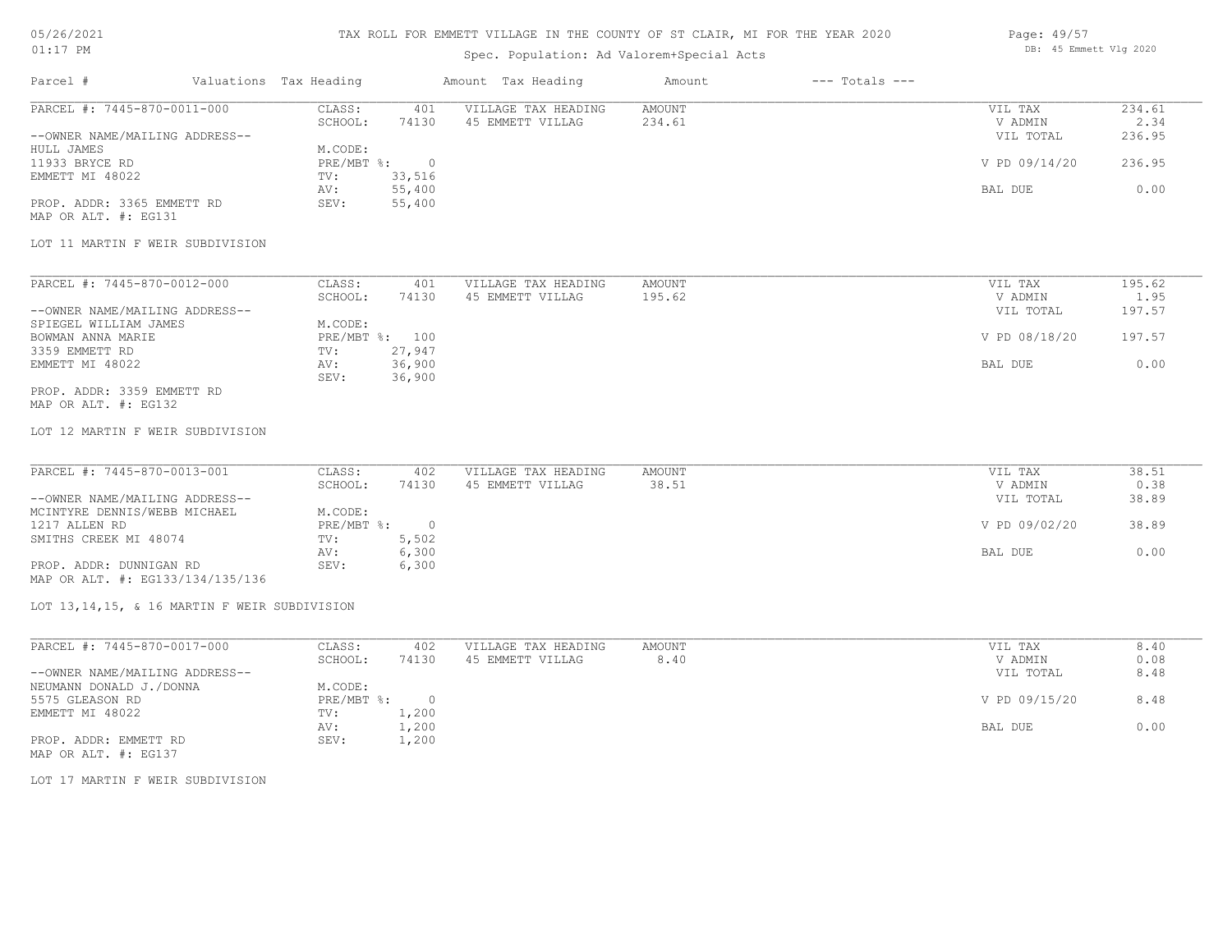# TAX ROLL FOR EMMETT VILLAGE IN THE COUNTY OF ST CLAIR, MI FOR THE YEAR 2020

## Spec. Population: Ad Valorem+Special Acts

#### Page: 49/57 DB: 45 Emmett Vlg 2020

| Parcel #                       | Valuations Tax Heading |        | Amount Tax Heading  | Amount | $---$ Totals $---$ |               |        |
|--------------------------------|------------------------|--------|---------------------|--------|--------------------|---------------|--------|
| PARCEL #: 7445-870-0011-000    | CLASS:                 | 401    | VILLAGE TAX HEADING | AMOUNT |                    | VIL TAX       | 234.61 |
|                                | SCHOOL:                | 74130  | 45 EMMETT VILLAG    | 234.61 |                    | V ADMIN       | 2.34   |
| --OWNER NAME/MAILING ADDRESS-- |                        |        |                     |        |                    | VIL TOTAL     | 236.95 |
| HULL JAMES                     | M.CODE:                |        |                     |        |                    |               |        |
| 11933 BRYCE RD                 | PRE/MBT %:             |        |                     |        |                    | V PD 09/14/20 | 236.95 |
| EMMETT MI 48022                | TV:                    | 33,516 |                     |        |                    |               |        |
|                                | AV:                    | 55,400 |                     |        |                    | BAL DUE       | 0.00   |
| PROP. ADDR: 3365 EMMETT RD     | SEV:                   | 55,400 |                     |        |                    |               |        |
| MAP OR ALT. #: EG131           |                        |        |                     |        |                    |               |        |

#### LOT 11 MARTIN F WEIR SUBDIVISION

| PARCEL #: 7445-870-0012-000    | CLASS:  | 401            | VILLAGE TAX HEADING | AMOUNT | VIL TAX       | 195.62 |
|--------------------------------|---------|----------------|---------------------|--------|---------------|--------|
|                                | SCHOOL: | 74130          | 45 EMMETT VILLAG    | 195.62 | V ADMIN       | 1.95   |
| --OWNER NAME/MAILING ADDRESS-- |         |                |                     |        | VIL TOTAL     | 197.57 |
| SPIEGEL WILLIAM JAMES          | M.CODE: |                |                     |        |               |        |
| BOWMAN ANNA MARIE              |         | PRE/MBT %: 100 |                     |        | V PD 08/18/20 | 197.57 |
| 3359 EMMETT RD                 | TV:     | 27,947         |                     |        |               |        |
| EMMETT MI 48022                | AV:     | 36,900         |                     |        | BAL DUE       | 0.00   |
|                                | SEV:    | 36,900         |                     |        |               |        |
| PROP. ADDR: 3359 EMMETT RD     |         |                |                     |        |               |        |

## MAP OR ALT. #: EG132

#### LOT 12 MARTIN F WEIR SUBDIVISION

| PARCEL #: 7445-870-0013-001    | CLASS:     | 402   | VILLAGE TAX HEADING | AMOUNT | VIL TAX       | 38.51 |
|--------------------------------|------------|-------|---------------------|--------|---------------|-------|
|                                | SCHOOL:    | 74130 | 45 EMMETT VILLAG    | 38.51  | V ADMIN       | 0.38  |
| --OWNER NAME/MAILING ADDRESS-- |            |       |                     |        | VIL TOTAL     | 38.89 |
| MCINTYRE DENNIS/WEBB MICHAEL   | M.CODE:    |       |                     |        |               |       |
| 1217 ALLEN RD                  | PRE/MBT %: |       |                     |        | V PD 09/02/20 | 38.89 |
| SMITHS CREEK MI 48074          | TV:        | 5,502 |                     |        |               |       |
|                                | AV:        | 6,300 |                     |        | BAL DUE       | 0.00  |
| PROP. ADDR: DUNNIGAN RD        | SEV:       | 6,300 |                     |        |               |       |
|                                |            |       |                     |        |               |       |

MAP OR ALT. #: EG133/134/135/136

#### LOT 13,14,15, & 16 MARTIN F WEIR SUBDIVISION

| PARCEL #: 7445-870-0017-000    | CLASS:     | 402   | VILLAGE TAX HEADING | AMOUNT | VIL TAX       | 8.40 |
|--------------------------------|------------|-------|---------------------|--------|---------------|------|
|                                | SCHOOL:    | 74130 | 45 EMMETT VILLAG    | 8.40   | V ADMIN       | 0.08 |
| --OWNER NAME/MAILING ADDRESS-- |            |       |                     |        | VIL TOTAL     | 8.48 |
| NEUMANN DONALD J./DONNA        | M.CODE:    |       |                     |        |               |      |
| 5575 GLEASON RD                | PRE/MBT %: |       |                     |        | V PD 09/15/20 | 8.48 |
| EMMETT MI 48022                | TV:        | 1,200 |                     |        |               |      |
|                                | AV:        | 1,200 |                     |        | BAL DUE       | 0.00 |
| PROP. ADDR: EMMETT RD          | SEV:       | 1,200 |                     |        |               |      |

MAP OR ALT. #: EG137

LOT 17 MARTIN F WEIR SUBDIVISION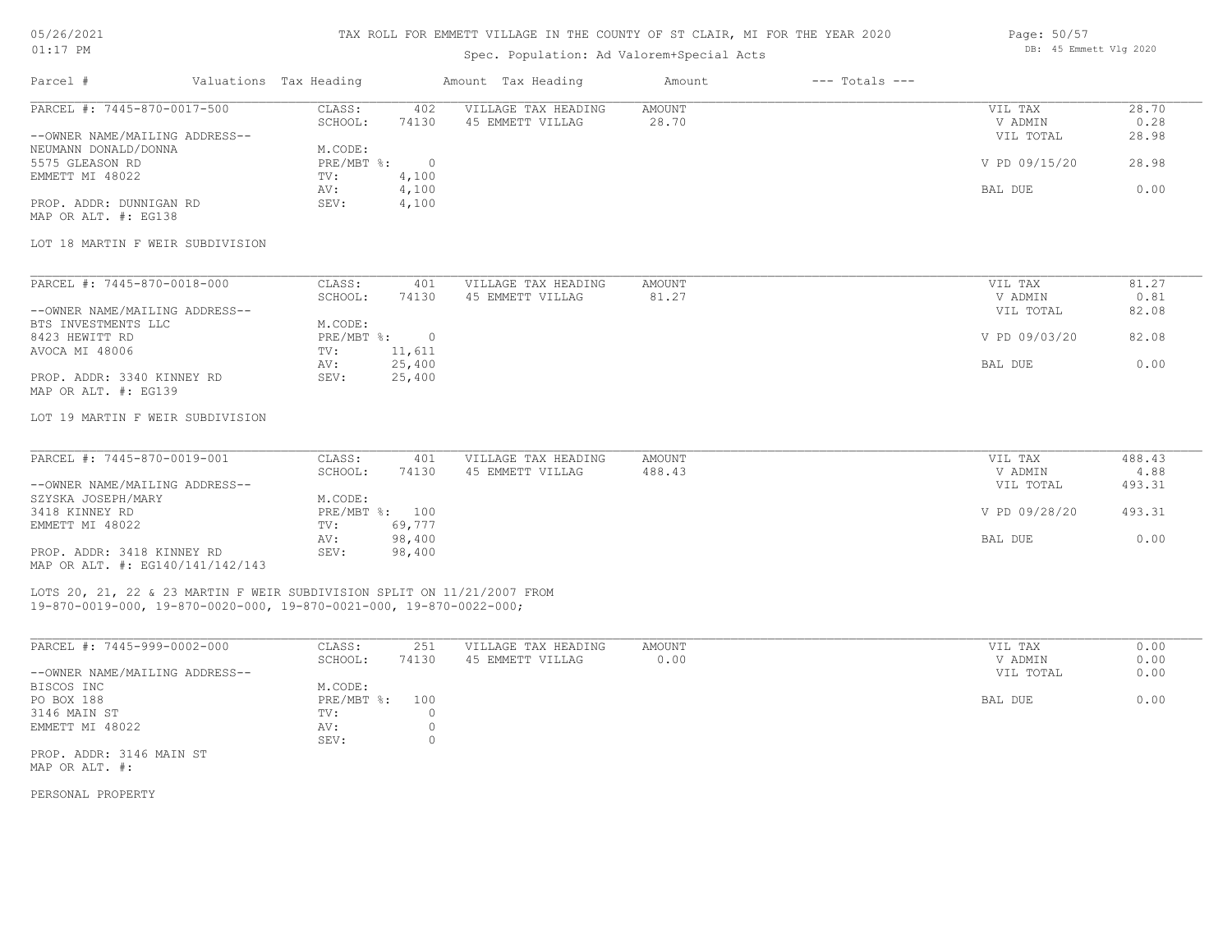#### TAX ROLL FOR EMMETT VILLAGE IN THE COUNTY OF ST CLAIR, MI FOR THE YEAR 2020

| UIII FM                        |                        |       | DD. TU BREELL VIQ 2020 |        |                    |               |       |
|--------------------------------|------------------------|-------|------------------------|--------|--------------------|---------------|-------|
| Parcel #                       | Valuations Tax Heading |       | Amount Tax Heading     | Amount | $---$ Totals $---$ |               |       |
| PARCEL #: 7445-870-0017-500    | CLASS:                 | 402   | VILLAGE TAX HEADING    | AMOUNT |                    | VIL TAX       | 28.70 |
|                                | SCHOOL:                | 74130 | 45 EMMETT VILLAG       | 28.70  |                    | V ADMIN       | 0.28  |
| --OWNER NAME/MAILING ADDRESS-- |                        |       |                        |        |                    | VIL TOTAL     | 28.98 |
| NEUMANN DONALD/DONNA           | M.CODE:                |       |                        |        |                    |               |       |
| 5575 GLEASON RD                | PRE/MBT %:             |       |                        |        |                    | V PD 09/15/20 | 28.98 |

MAP OR ALT. #: EG138 PROP. ADDR: DUNNIGAN RD SEV: 4,100 AV: 4,100 BAL DUE 0.00 EMMETT MI 48022 TV: 4,100<br>AV: 4,100

#### LOT 18 MARTIN F WEIR SUBDIVISION

| PARCEL #: 7445-870-0018-000    | CLASS:       | 401    | VILLAGE TAX HEADING | AMOUNT | VIL TAX       | 81.27 |
|--------------------------------|--------------|--------|---------------------|--------|---------------|-------|
|                                | SCHOOL:      | 74130  | 45 EMMETT VILLAG    | 81.27  | V ADMIN       | 0.81  |
| --OWNER NAME/MAILING ADDRESS-- |              |        |                     |        | VIL TOTAL     | 82.08 |
| BTS INVESTMENTS LLC            | M.CODE:      |        |                     |        |               |       |
| 8423 HEWITT RD                 | $PRE/MBT$ %: |        |                     |        | V PD 09/03/20 | 82.08 |
| AVOCA MI 48006                 | TV:          | 11,611 |                     |        |               |       |
|                                | AV:          | 25,400 |                     |        | BAL DUE       | 0.00  |
| PROP. ADDR: 3340 KINNEY RD     | SEV:         | 25,400 |                     |        |               |       |
| MAP OR ALT. #: EG139           |              |        |                     |        |               |       |

#### LOT 19 MARTIN F WEIR SUBDIVISION

| PARCEL #: 7445-870-0019-001      | CLASS:  | 401            | VILLAGE TAX HEADING | AMOUNT | VIL TAX       | 488.43 |
|----------------------------------|---------|----------------|---------------------|--------|---------------|--------|
|                                  | SCHOOL: | 74130          | 45 EMMETT VILLAG    | 488.43 | V ADMIN       | 4.88   |
| --OWNER NAME/MAILING ADDRESS--   |         |                |                     |        | VIL TOTAL     | 493.31 |
| SZYSKA JOSEPH/MARY               | M.CODE: |                |                     |        |               |        |
| 3418 KINNEY RD                   |         | PRE/MBT %: 100 |                     |        | V PD 09/28/20 | 493.31 |
| EMMETT MI 48022                  | TV:     | 69,777         |                     |        |               |        |
|                                  | AV:     | 98,400         |                     |        | BAL DUE       | 0.00   |
| PROP. ADDR: 3418 KINNEY RD       | SEV:    | 98,400         |                     |        |               |        |
| MAP OR ALT. #: EG140/141/142/143 |         |                |                     |        |               |        |

### 19-870-0019-000, 19-870-0020-000, 19-870-0021-000, 19-870-0022-000; LOTS 20, 21, 22 & 23 MARTIN F WEIR SUBDIVISION SPLIT ON 11/21/2007 FROM

| PARCEL #: 7445-999-0002-000    | CLASS:         | 251   | VILLAGE TAX HEADING | AMOUNT | VIL TAX   | 0.00 |
|--------------------------------|----------------|-------|---------------------|--------|-----------|------|
|                                | SCHOOL:        | 74130 | 45 EMMETT VILLAG    | 0.00   | V ADMIN   | 0.00 |
| --OWNER NAME/MAILING ADDRESS-- |                |       |                     |        | VIL TOTAL | 0.00 |
| BISCOS INC                     | M.CODE:        |       |                     |        |           |      |
| PO BOX 188                     | PRE/MBT %: 100 |       |                     |        | BAL DUE   | 0.00 |
| 3146 MAIN ST                   | TV:            |       |                     |        |           |      |
| EMMETT MI 48022                | AV:            |       |                     |        |           |      |
|                                | SEV:           |       |                     |        |           |      |
| PROP. ADDR: 3146 MAIN ST       |                |       |                     |        |           |      |

MAP OR ALT. #:

PERSONAL PROPERTY

Page: 50/57 DB: 45 Emmett Vlg 2020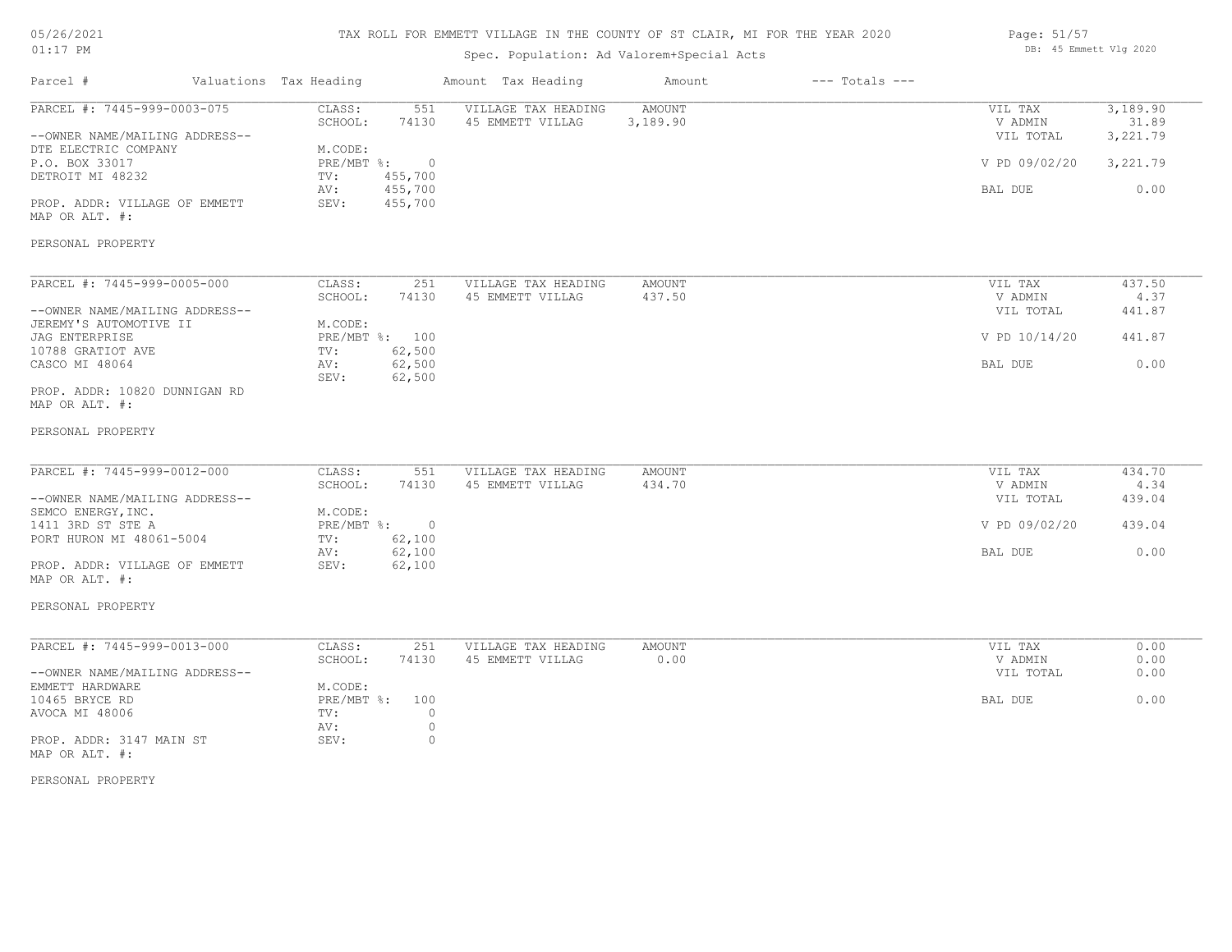| 05/26/2021 |  |
|------------|--|
| $01:17$ PM |  |

## Spec. Population: Ad Valorem+Special Acts

| Page: 51/57 |                        |  |
|-------------|------------------------|--|
|             | DB: 45 Emmett Vlg 2020 |  |

| Parcel #                                                                                                                                                     | Valuations Tax Heading                                                 |                                                                 | Amount Tax Heading                      | Amount             | $---$ Totals $---$ |                                                             |                                                   |
|--------------------------------------------------------------------------------------------------------------------------------------------------------------|------------------------------------------------------------------------|-----------------------------------------------------------------|-----------------------------------------|--------------------|--------------------|-------------------------------------------------------------|---------------------------------------------------|
| PARCEL #: 7445-999-0003-075<br>--OWNER NAME/MAILING ADDRESS--<br>DTE ELECTRIC COMPANY<br>P.O. BOX 33017<br>DETROIT MI 48232<br>PROP. ADDR: VILLAGE OF EMMETT | CLASS:<br>SCHOOL:<br>M.CODE:<br>$PRE/MBT$ $\div$<br>TV:<br>AV:<br>SEV: | 551<br>74130<br>$\overline{0}$<br>455,700<br>455,700<br>455,700 | VILLAGE TAX HEADING<br>45 EMMETT VILLAG | AMOUNT<br>3,189.90 |                    | VIL TAX<br>V ADMIN<br>VIL TOTAL<br>V PD 09/02/20<br>BAL DUE | 3,189.90<br>31.89<br>3,221.79<br>3,221.79<br>0.00 |
| MAP OR ALT. #:<br>PERSONAL PROPERTY                                                                                                                          |                                                                        |                                                                 |                                         |                    |                    |                                                             |                                                   |
| PARCEL #: 7445-999-0005-000                                                                                                                                  | CLASS:                                                                 | 251                                                             | VILLAGE TAX HEADING                     | <b>AMOUNT</b>      |                    | VIL TAX                                                     | 437.50                                            |
| --OWNER NAME/MAILING ADDRESS--<br>JEREMY'S AUTOMOTIVE II                                                                                                     | SCHOOL:<br>M.CODE:                                                     | 74130                                                           | 45 EMMETT VILLAG                        | 437.50             |                    | V ADMIN<br>VIL TOTAL                                        | 4.37<br>441.87                                    |
| <b>JAG ENTERPRISE</b><br>10788 GRATIOT AVE                                                                                                                   | PRE/MBT %: 100<br>TV:                                                  | 62,500                                                          |                                         |                    |                    | V PD 10/14/20                                               | 441.87                                            |
| CASCO MI 48064                                                                                                                                               | AV:<br>SEV:                                                            | 62,500<br>62,500                                                |                                         |                    |                    | BAL DUE                                                     | 0.00                                              |
| PROP. ADDR: 10820 DUNNIGAN RD<br>MAP OR ALT. #:                                                                                                              |                                                                        |                                                                 |                                         |                    |                    |                                                             |                                                   |
| PERSONAL PROPERTY                                                                                                                                            |                                                                        |                                                                 |                                         |                    |                    |                                                             |                                                   |
| PARCEL #: 7445-999-0012-000                                                                                                                                  | CLASS:<br>SCHOOL:                                                      | 551<br>74130                                                    | VILLAGE TAX HEADING<br>45 EMMETT VILLAG | AMOUNT<br>434.70   |                    | VIL TAX<br>V ADMIN                                          | 434.70<br>4.34                                    |
| --OWNER NAME/MAILING ADDRESS--<br>SEMCO ENERGY, INC.                                                                                                         | M.CODE:                                                                |                                                                 |                                         |                    |                    | VIL TOTAL                                                   | 439.04                                            |
| 1411 3RD ST STE A<br>PORT HURON MI 48061-5004                                                                                                                | PRE/MBT %:<br>TV:                                                      | $\circ$<br>62,100                                               |                                         |                    |                    | V PD 09/02/20                                               | 439.04                                            |
| PROP. ADDR: VILLAGE OF EMMETT<br>MAP OR ALT. #:                                                                                                              | AV:<br>SEV:                                                            | 62,100<br>62,100                                                |                                         |                    |                    | BAL DUE                                                     | 0.00                                              |
| PERSONAL PROPERTY                                                                                                                                            |                                                                        |                                                                 |                                         |                    |                    |                                                             |                                                   |
| PARCEL #: 7445-999-0013-000                                                                                                                                  | CLASS:                                                                 | 251                                                             | VILLAGE TAX HEADING                     | <b>AMOUNT</b>      |                    | VIL TAX                                                     | 0.00                                              |
| --OWNER NAME/MAILING ADDRESS--                                                                                                                               | SCHOOL:                                                                | 74130                                                           | 45 EMMETT VILLAG                        | 0.00               |                    | V ADMIN<br>VIL TOTAL                                        | 0.00<br>0.00                                      |
| EMMETT HARDWARE<br>10465 BRYCE RD<br>AVOCA MI 48006                                                                                                          | M.CODE:<br>PRE/MBT %:<br>TV:<br>AV:                                    | 100<br>$\circ$<br>$\circ$                                       |                                         |                    |                    | BAL DUE                                                     | 0.00                                              |
| PROP. ADDR: 3147 MAIN ST<br>MAP OR ALT. #:                                                                                                                   | SEV:                                                                   | $\circ$                                                         |                                         |                    |                    |                                                             |                                                   |

PERSONAL PROPERTY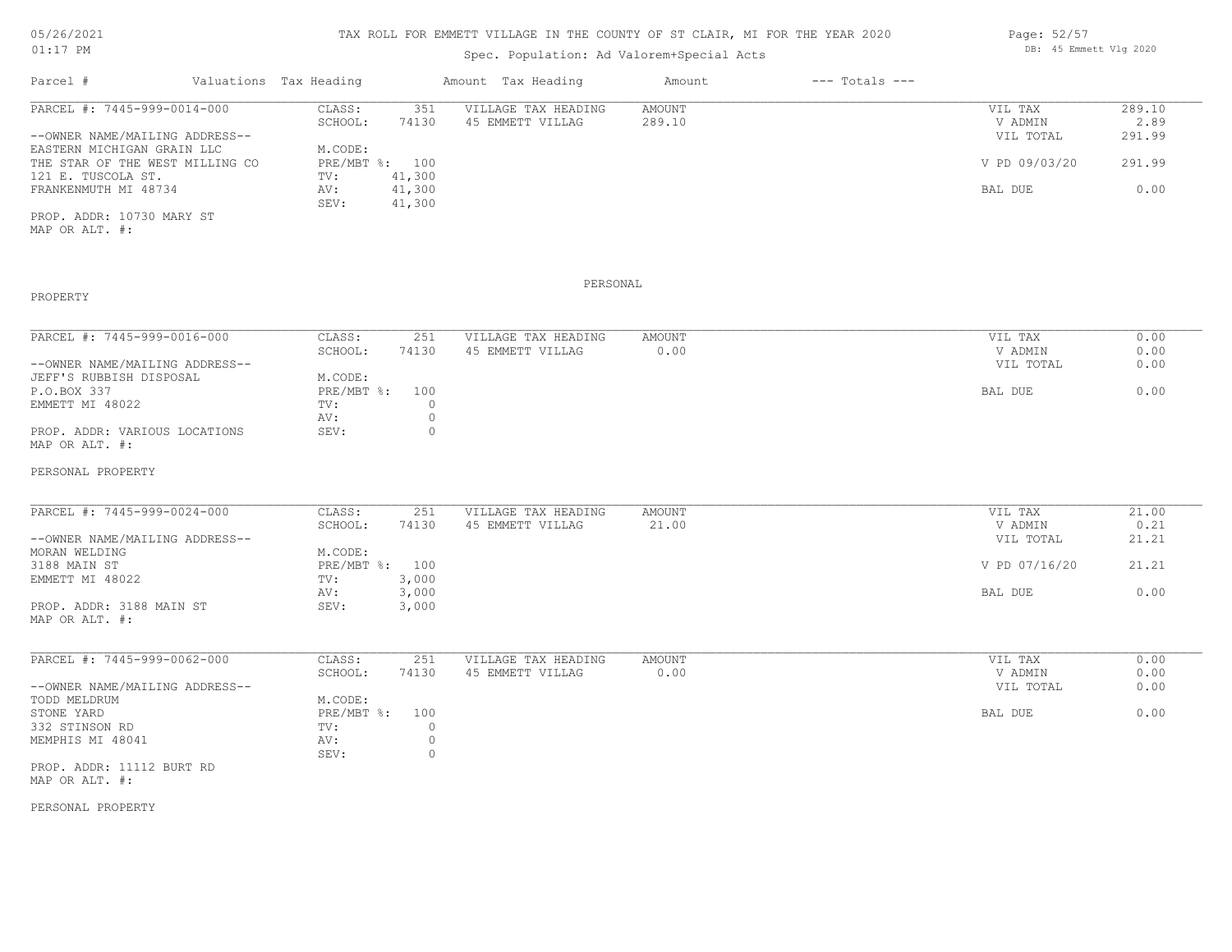## TAX ROLL FOR EMMETT VILLAGE IN THE COUNTY OF ST CLAIR, MI FOR THE YEAR 2020

Spec. Population: Ad Valorem+Special Acts

|                                                                                                                                                                              |                        |                     | Amount             | $---$ Totals $---$ |               |        |
|------------------------------------------------------------------------------------------------------------------------------------------------------------------------------|------------------------|---------------------|--------------------|--------------------|---------------|--------|
| CLASS:                                                                                                                                                                       | 351                    | VILLAGE TAX HEADING | AMOUNT             |                    | VIL TAX       | 289.10 |
| SCHOOL:                                                                                                                                                                      | 74130                  | 45 EMMETT VILLAG    | 289.10             |                    | V ADMIN       | 2.89   |
|                                                                                                                                                                              |                        |                     |                    |                    | VIL TOTAL     | 291.99 |
| M.CODE:                                                                                                                                                                      |                        |                     |                    |                    |               |        |
|                                                                                                                                                                              |                        |                     |                    |                    | V PD 09/03/20 | 291.99 |
| TV:                                                                                                                                                                          | 41,300                 |                     |                    |                    |               |        |
| AV:                                                                                                                                                                          | 41,300                 |                     |                    |                    | BAL DUE       | 0.00   |
| SEV:                                                                                                                                                                         | 41,300                 |                     |                    |                    |               |        |
| PARCEL #: 7445-999-0014-000<br>--OWNER NAME/MAILING ADDRESS--<br>EASTERN MICHIGAN GRAIN LLC<br>THE STAR OF THE WEST MILLING CO<br>121 E. TUSCOLA ST.<br>FRANKENMUTH MI 48734 | Valuations Tax Heading | PRE/MBT %: 100      | Amount Tax Heading |                    |               |        |

MAP OR ALT. #: PROP. ADDR: 10730 MARY ST

## PROPERTY

#### PERSONAL

| PARCEL #: 7445-999-0016-000    | CLASS:         | 251   | VILLAGE TAX HEADING | AMOUNT | VIL TAX   | 0.00 |
|--------------------------------|----------------|-------|---------------------|--------|-----------|------|
|                                | SCHOOL:        | 74130 | 45 EMMETT VILLAG    | 0.00   | V ADMIN   | 0.00 |
| --OWNER NAME/MAILING ADDRESS-- |                |       |                     |        | VIL TOTAL | 0.00 |
| JEFF'S RUBBISH DISPOSAL        | M.CODE:        |       |                     |        |           |      |
| P.O.BOX 337                    | PRE/MBT %: 100 |       |                     |        | BAL DUE   | 0.00 |
| EMMETT MI 48022                | TV:            |       |                     |        |           |      |
|                                | AV:            |       |                     |        |           |      |
| PROP. ADDR: VARIOUS LOCATIONS  | SEV:           |       |                     |        |           |      |
| MAP OR ALT. #:                 |                |       |                     |        |           |      |

#### PERSONAL PROPERTY

| PARCEL #: 7445-999-0024-000    | CLASS:         | 251   | VILLAGE TAX HEADING | AMOUNT | VIL TAX       | 21.00 |
|--------------------------------|----------------|-------|---------------------|--------|---------------|-------|
|                                | SCHOOL:        | 74130 | 45 EMMETT VILLAG    | 21.00  | V ADMIN       | 0.21  |
| --OWNER NAME/MAILING ADDRESS-- |                |       |                     |        | VIL TOTAL     | 21.21 |
| MORAN WELDING                  | M.CODE:        |       |                     |        |               |       |
| 3188 MAIN ST                   | PRE/MBT %: 100 |       |                     |        | V PD 07/16/20 | 21.21 |
| EMMETT MI 48022                | TV:            | 3,000 |                     |        |               |       |
|                                | AV:            | 3,000 |                     |        | BAL DUE       | 0.00  |
| PROP. ADDR: 3188 MAIN ST       | SEV:           | 3,000 |                     |        |               |       |
| MAP OR ALT. #:                 |                |       |                     |        |               |       |

| PARCEL #: 7445-999-0062-000    | CLASS:     | 251   | VILLAGE TAX HEADING | AMOUNT | VIL TAX   | 0.00 |
|--------------------------------|------------|-------|---------------------|--------|-----------|------|
|                                | SCHOOL:    | 74130 | 45 EMMETT VILLAG    | 0.00   | V ADMIN   | 0.00 |
| --OWNER NAME/MAILING ADDRESS-- |            |       |                     |        | VIL TOTAL | 0.00 |
| TODD MELDRUM                   | M.CODE:    |       |                     |        |           |      |
| STONE YARD                     | PRE/MBT %: | 100   |                     |        | BAL DUE   | 0.00 |
| 332 STINSON RD                 | TV:        |       |                     |        |           |      |
| MEMPHIS MI 48041               | AV:        |       |                     |        |           |      |
|                                | SEV:       |       |                     |        |           |      |
| PROP. ADDR: 11112 BURT RD      |            |       |                     |        |           |      |
|                                |            |       |                     |        |           |      |

MAP OR ALT. #:

PERSONAL PROPERTY

Page: 52/57 DB: 45 Emmett Vlg 2020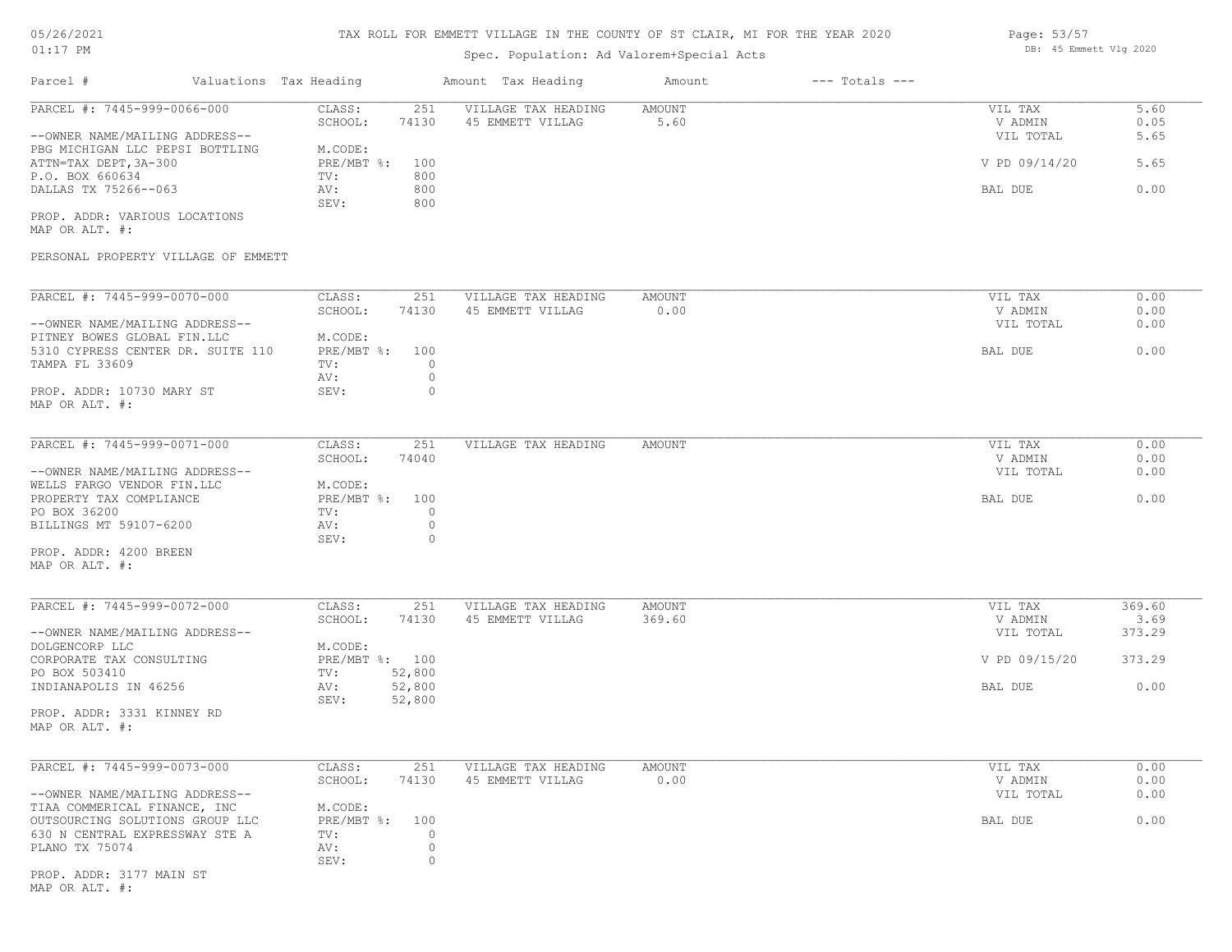# 05/26/2021

## 01:17 PM

## TAX ROLL FOR EMMETT VILLAGE IN THE COUNTY OF ST CLAIR, MI FOR THE YEAR 2020

## Spec. Population: Ad Valorem+Special Acts

| Page: 53/57 |                        |  |
|-------------|------------------------|--|
|             | DB: 45 Emmett Vlg 2020 |  |

| Parcel #                                                                                   | Valuations Tax Heading |                                              | Amount Tax Heading                      | Amount         | $---$ Totals $---$ |                            |                |
|--------------------------------------------------------------------------------------------|------------------------|----------------------------------------------|-----------------------------------------|----------------|--------------------|----------------------------|----------------|
| PARCEL #: 7445-999-0066-000                                                                |                        | CLASS:<br>251<br>SCHOOL:<br>74130            | VILLAGE TAX HEADING<br>45 EMMETT VILLAG | AMOUNT<br>5.60 |                    | VIL TAX<br>V ADMIN         | 5.60<br>0.05   |
| --OWNER NAME/MAILING ADDRESS--<br>PBG MICHIGAN LLC PEPSI BOTTLING<br>ATTN=TAX DEPT, 3A-300 |                        | M.CODE:<br>$PRE/MBT$ $\div$<br>100           |                                         |                |                    | VIL TOTAL<br>V PD 09/14/20 | 5.65<br>5.65   |
| P.O. BOX 660634<br>DALLAS TX 75266--063                                                    |                        | 800<br>TV:<br>800<br>AV:                     |                                         |                |                    | BAL DUE                    | 0.00           |
| PROP. ADDR: VARIOUS LOCATIONS<br>MAP OR ALT. #:                                            |                        | 800<br>SEV:                                  |                                         |                |                    |                            |                |
| PERSONAL PROPERTY VILLAGE OF EMMETT                                                        |                        |                                              |                                         |                |                    |                            |                |
| PARCEL #: 7445-999-0070-000                                                                |                        | CLASS:<br>251                                | VILLAGE TAX HEADING                     | AMOUNT         |                    | VIL TAX                    | 0.00           |
| --OWNER NAME/MAILING ADDRESS--                                                             |                        | SCHOOL:<br>74130                             | 45 EMMETT VILLAG                        | 0.00           |                    | V ADMIN<br>VIL TOTAL       | 0.00<br>0.00   |
| PITNEY BOWES GLOBAL FIN.LLC<br>5310 CYPRESS CENTER DR. SUITE 110<br>TAMPA FL 33609         |                        | M.CODE:<br>PRE/MBT %: 100<br>$\Omega$<br>TV: |                                         |                |                    | BAL DUE                    | 0.00           |
| PROP. ADDR: 10730 MARY ST<br>MAP OR ALT. #:                                                |                        | $\circ$<br>AV:<br>SEV:                       | 0                                       |                |                    |                            |                |
| PARCEL #: 7445-999-0071-000                                                                |                        | CLASS:<br>251                                | VILLAGE TAX HEADING                     | AMOUNT         |                    | VIL TAX                    | 0.00           |
| --OWNER NAME/MAILING ADDRESS--                                                             |                        | SCHOOL:<br>74040                             |                                         |                |                    | V ADMIN<br>VIL TOTAL       | 0.00<br>0.00   |
| WELLS FARGO VENDOR FIN.LLC<br>PROPERTY TAX COMPLIANCE<br>PO BOX 36200                      |                        | M.CODE:<br>PRE/MBT %: 100<br>$\circ$<br>TV:  |                                         |                |                    | BAL DUE                    | 0.00           |
| BILLINGS MT 59107-6200                                                                     |                        | $\circ$<br>AV:<br>SEV:                       | 0                                       |                |                    |                            |                |
| PROP. ADDR: 4200 BREEN<br>MAP OR ALT. #:                                                   |                        |                                              |                                         |                |                    |                            |                |
| PARCEL #: 7445-999-0072-000                                                                |                        | CLASS:<br>251                                | VILLAGE TAX HEADING                     | AMOUNT         |                    | VIL TAX                    | 369.60         |
| --OWNER NAME/MAILING ADDRESS--                                                             |                        | SCHOOL:<br>74130                             | 45 EMMETT VILLAG                        | 369.60         |                    | V ADMIN<br>VIL TOTAL       | 3.69<br>373.29 |
| DOLGENCORP LLC<br>CORPORATE TAX CONSULTING                                                 |                        | M.CODE:<br>PRE/MBT %: 100                    |                                         |                |                    | V PD 09/15/20              | 373.29         |
| PO BOX 503410<br>INDIANAPOLIS IN 46256                                                     |                        | 52,800<br>TV:<br>52,800<br>AV:               |                                         |                |                    | BAL DUE                    | 0.00           |
| PROP. ADDR: 3331 KINNEY RD<br>MAP OR ALT. #:                                               |                        | SEV:<br>52,800                               |                                         |                |                    |                            |                |
| PARCEL #: 7445-999-0073-000                                                                |                        | CLASS:<br>251                                | VILLAGE TAX HEADING                     | AMOUNT         |                    | VIL TAX                    | 0.00           |
| --OWNER NAME/MAILING ADDRESS--                                                             |                        | 74130<br>SCHOOL:                             | 45 EMMETT VILLAG                        | 0.00           |                    | V ADMIN<br>VIL TOTAL       | 0.00<br>0.00   |
| TIAA COMMERICAL FINANCE, INC<br>OUTSOURCING SOLUTIONS GROUP LLC                            |                        | M.CODE:<br>PRE/MBT %:<br>100                 |                                         |                |                    | BAL DUE                    | 0.00           |
| 630 N CENTRAL EXPRESSWAY STE A<br>PLANO TX 75074                                           |                        | TV:<br>$\circ$<br>AV:<br>SEV:                | $\circ$<br>0                            |                |                    |                            |                |
| PROP. ADDR: 3177 MAIN ST<br>MAP OR ALT. #:                                                 |                        |                                              |                                         |                |                    |                            |                |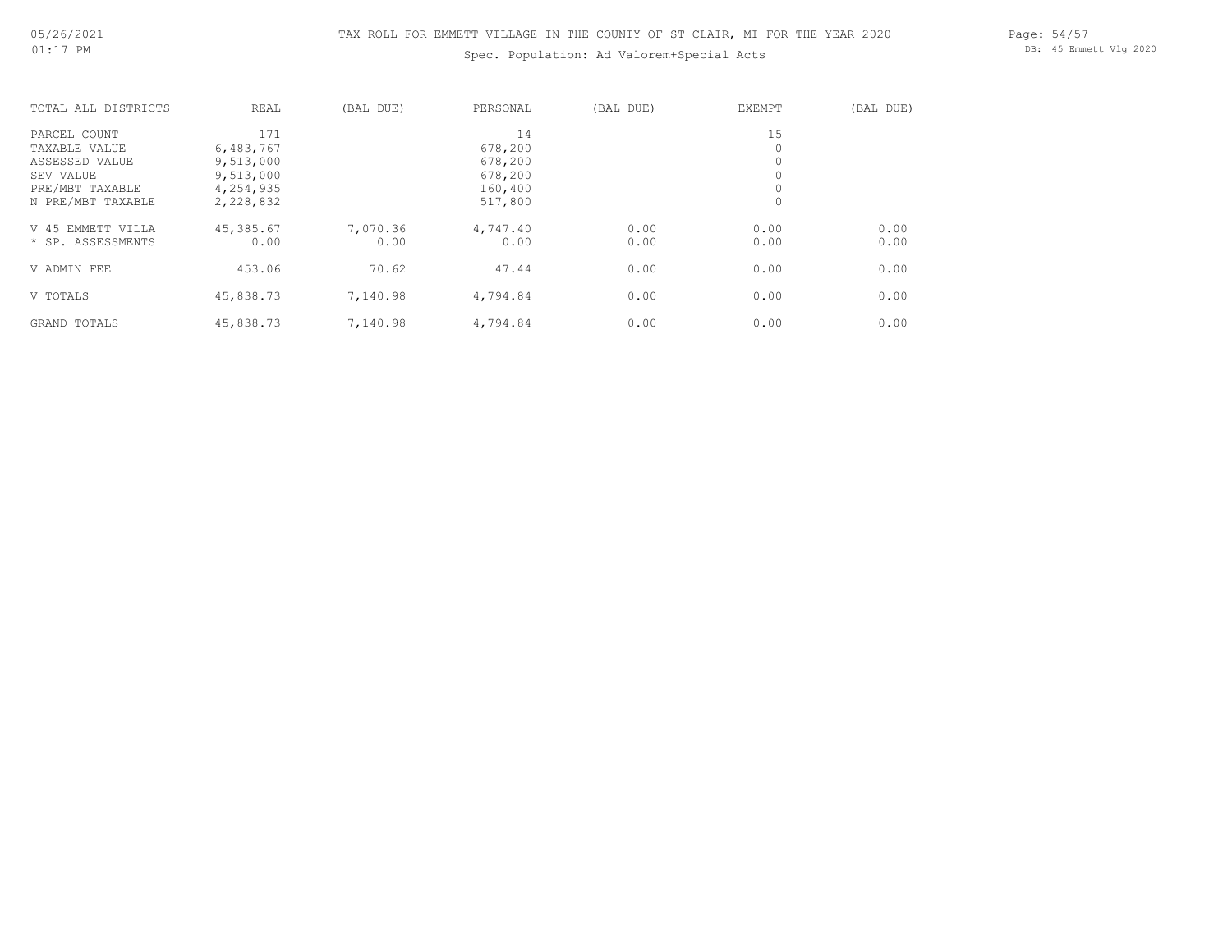## Spec. Population: Ad Valorem+Special Acts

Page: 54/57 DB: 45 Emmett Vlg 2020

| TOTAL ALL DISTRICTS  | REAL      | (BAL DUE) | PERSONAL | (BAL DUE) | EXEMPT  | (BAL DUE) |
|----------------------|-----------|-----------|----------|-----------|---------|-----------|
| PARCEL COUNT         | 171       |           | 14       |           | 15      |           |
| TAXABLE VALUE        | 6,483,767 |           | 678,200  |           | 0       |           |
| ASSESSED VALUE       | 9,513,000 |           | 678,200  |           |         |           |
| SEV VALUE            | 9,513,000 |           | 678,200  |           |         |           |
| PRE/MBT TAXABLE      | 4,254,935 |           | 160,400  |           | $\circ$ |           |
| N PRE/MBT TAXABLE    | 2,228,832 |           | 517,800  |           | 0       |           |
| EMMETT VILLA<br>V 45 | 45,385.67 | 7,070.36  | 4,747.40 | 0.00      | 0.00    | 0.00      |
| * SP. ASSESSMENTS    | 0.00      | 0.00      | 0.00     | 0.00      | 0.00    | 0.00      |
| V ADMIN FEE          | 453.06    | 70.62     | 47.44    | 0.00      | 0.00    | 0.00      |
| V TOTALS             | 45,838.73 | 7,140.98  | 4,794.84 | 0.00      | 0.00    | 0.00      |
| GRAND TOTALS         | 45,838.73 | 7,140.98  | 4,794.84 | 0.00      | 0.00    | 0.00      |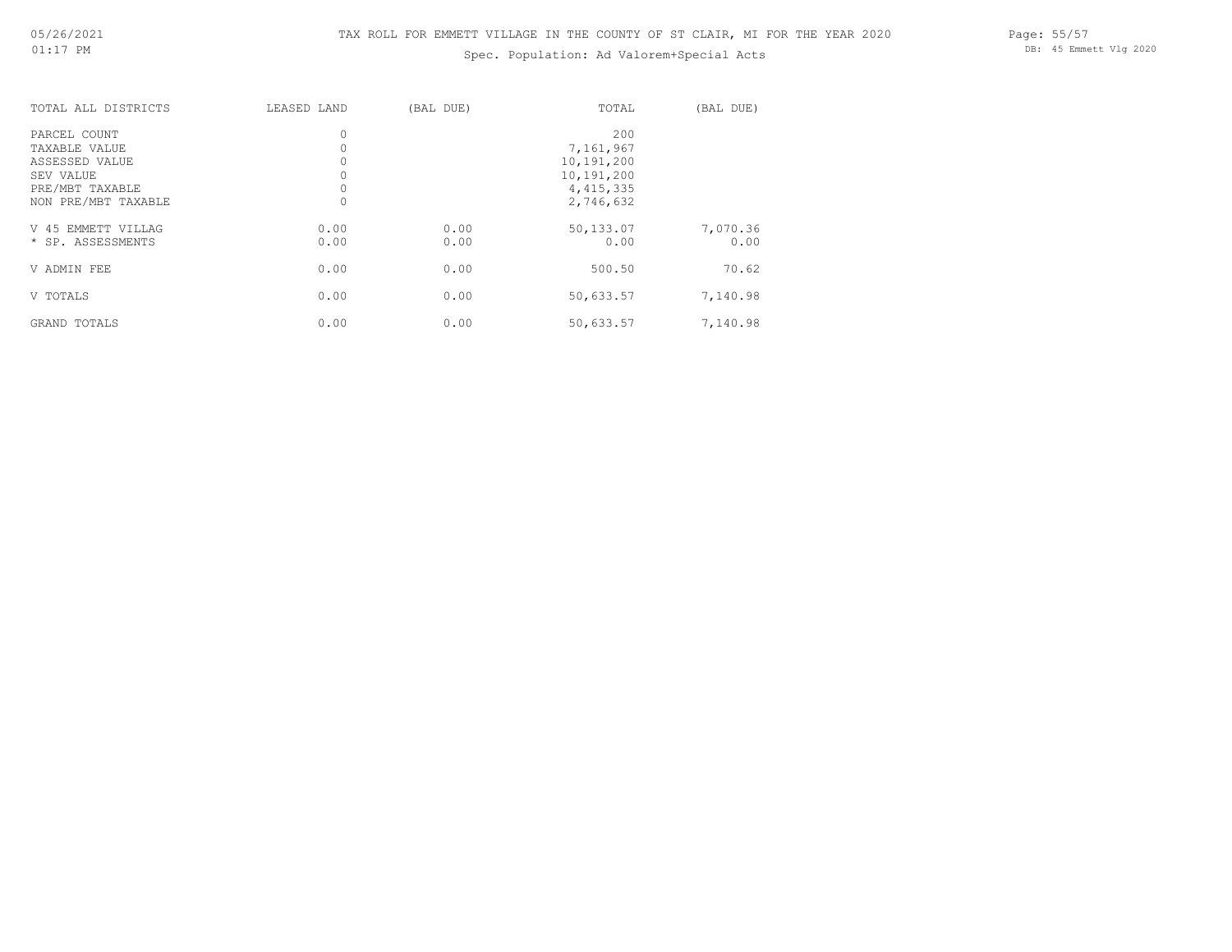GRAND TOTALS

## Spec. Population: Ad Valorem+Special Acts

Page: 55/57 DB: 45 Emmett Vlg 2020

| TOTAL ALL DISTRICTS                                                                                    | LEASED LAND  | (BAL DUE)    | TOTAL                                                                    | (BAL DUE)         |
|--------------------------------------------------------------------------------------------------------|--------------|--------------|--------------------------------------------------------------------------|-------------------|
| PARCEL COUNT<br>TAXABLE VALUE<br>ASSESSED VALUE<br>SEV VALUE<br>PRE/MBT TAXABLE<br>NON PRE/MBT TAXABLE | 0<br>0       |              | 200<br>7,161,967<br>10,191,200<br>10,191,200<br>4, 415, 335<br>2,746,632 |                   |
| V 45 EMMETT VILLAG<br>* SP. ASSESSMENTS                                                                | 0.00<br>0.00 | 0.00<br>0.00 | 50,133.07<br>0.00                                                        | 7,070.36<br>0.00  |
| V ADMIN FEE<br>V TOTALS                                                                                | 0.00<br>0.00 | 0.00<br>0.00 | 500.50<br>50,633.57                                                      | 70.62<br>7,140.98 |

GRAND TOTALS 6.00 0.00 0.00 0.00 50,633.57 7,140.98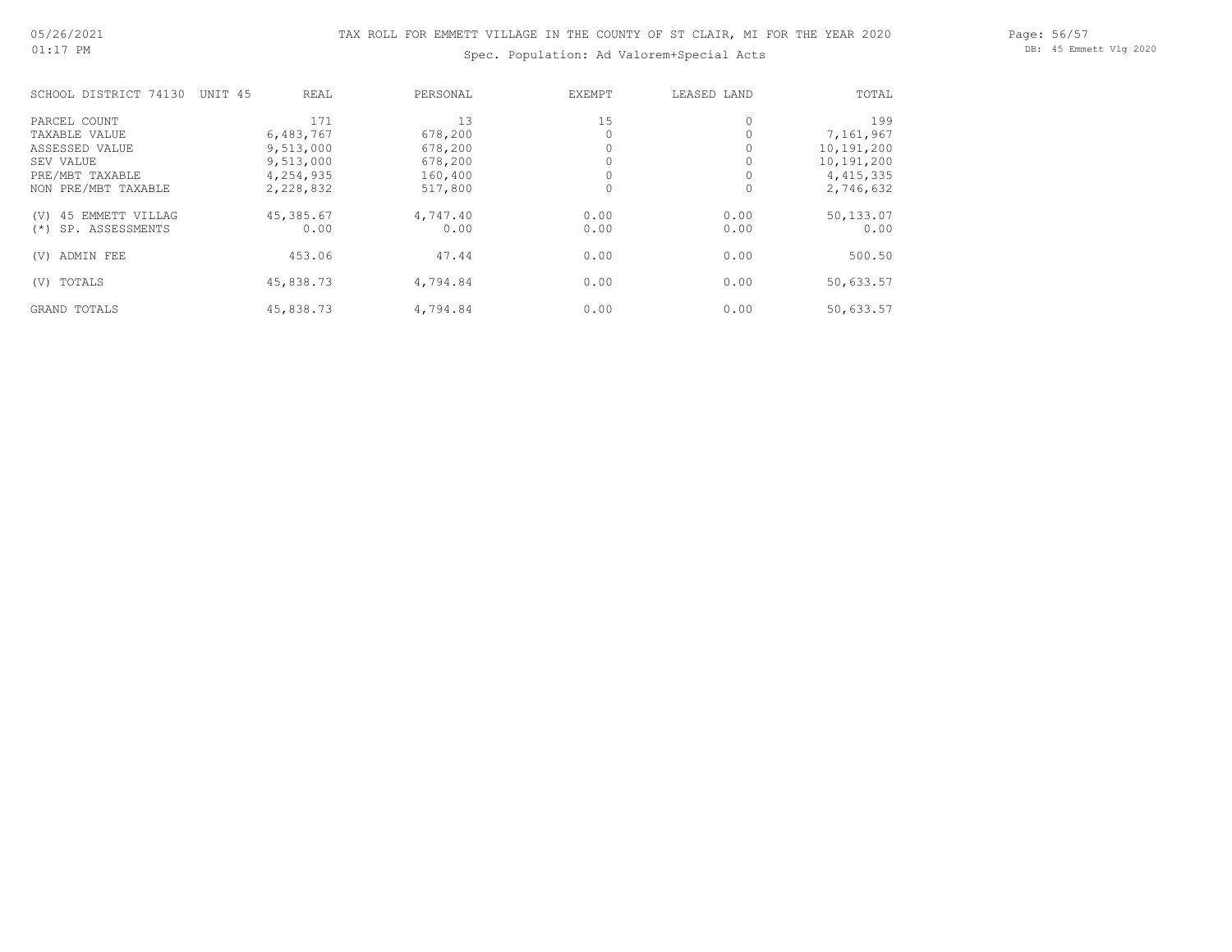## Spec. Population: Ad Valorem+Special Acts

| SCHOOL DISTRICT 74130     | UNIT 45<br>REAL | PERSONAL | EXEMPT | LEASED LAND | TOTAL       |
|---------------------------|-----------------|----------|--------|-------------|-------------|
| PARCEL COUNT              | 171             | 13       | 15     | $\circ$     | 199         |
| TAXABLE VALUE             | 6,483,767       | 678,200  |        |             | 7,161,967   |
| ASSESSED VALUE            | 9,513,000       | 678,200  |        |             | 10,191,200  |
| SEV VALUE                 | 9,513,000       | 678,200  |        |             | 10,191,200  |
| PRE/MBT TAXABLE           | 4,254,935       | 160,400  |        |             | 4, 415, 335 |
| NON PRE/MBT TAXABLE       | 2,228,832       | 517,800  |        | 0           | 2,746,632   |
| 45 EMMETT VILLAG<br>(V)   | 45,385.67       | 4,747.40 | 0.00   | 0.00        | 50,133.07   |
| SP. ASSESSMENTS<br>$(* )$ | 0.00            | 0.00     | 0.00   | 0.00        | 0.00        |
| ADMIN FEE<br>(V)          | 453.06          | 47.44    | 0.00   | 0.00        | 500.50      |
| TOTALS<br>(V)             | 45,838.73       | 4,794.84 | 0.00   | 0.00        | 50,633.57   |
| <b>GRAND TOTALS</b>       | 45,838.73       | 4,794.84 | 0.00   | 0.00        | 50,633.57   |